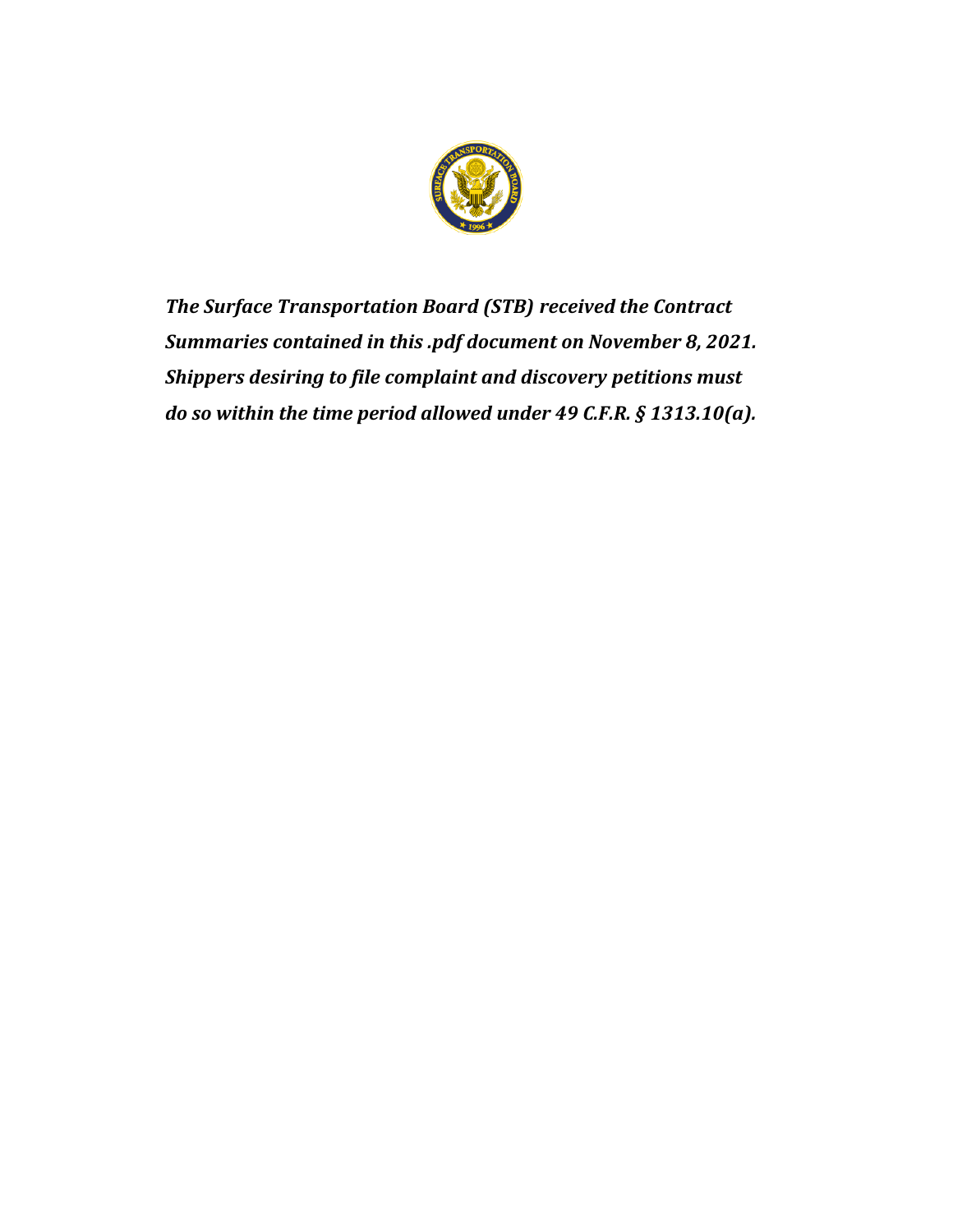

*The Surface Transportation Board (STB) received the Contract Summaries contained in this .pdf document on November 8, 2021. Shippers desiring to file complaint and discovery petitions must do so within the time period allowed under 49 C.F.R. § 1313.10(a).*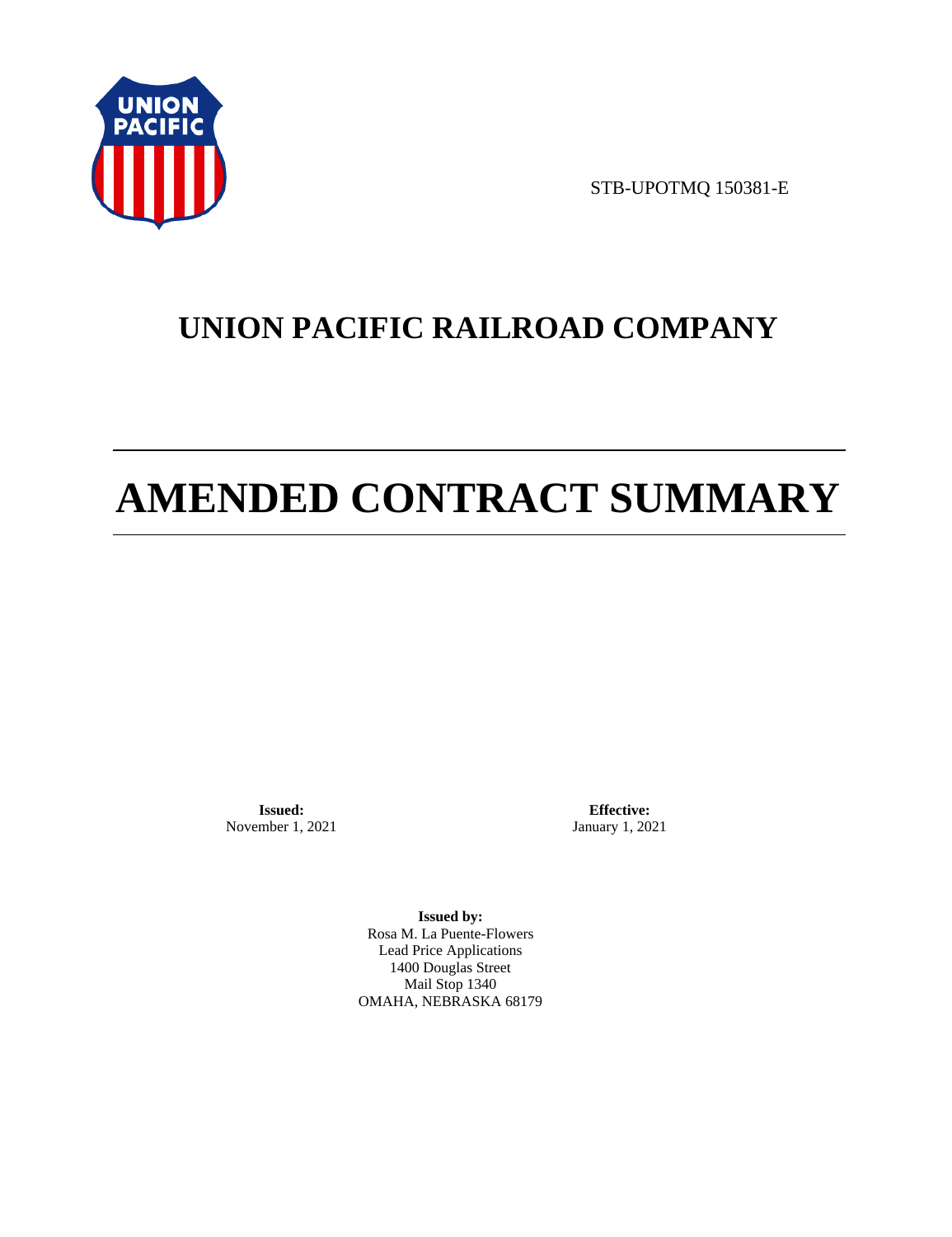

STB-UPOTMQ 150381-E

# **UNION PACIFIC RAILROAD COMPANY**

# **AMENDED CONTRACT SUMMARY**

**Issued:**  November 1, 2021

**Effective:** January 1, 2021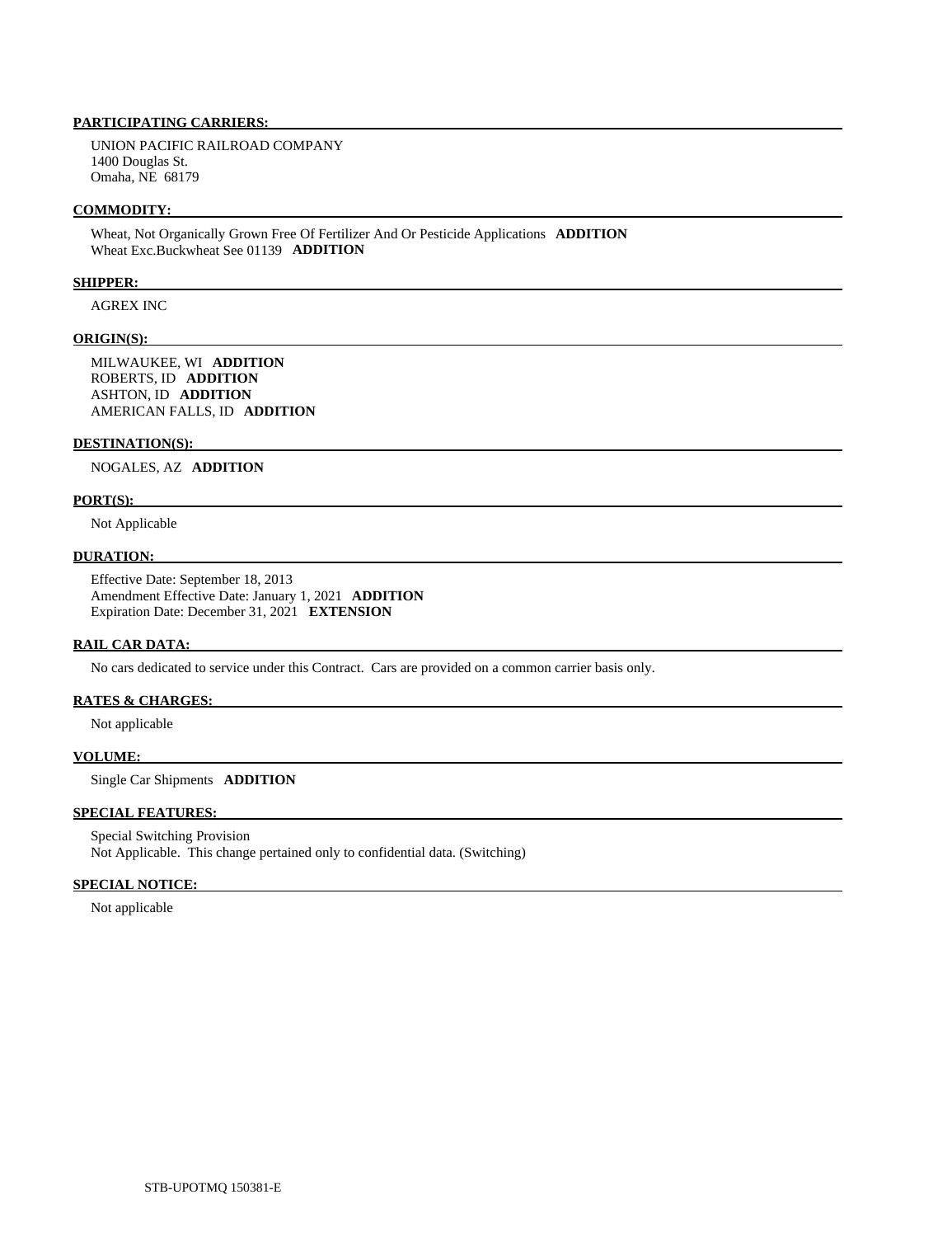UNION PACIFIC RAILROAD COMPANY 1400 Douglas St. Omaha, NE 68179

#### **COMMODITY:**

 Wheat, Not Organically Grown Free Of Fertilizer And Or Pesticide Applications **ADDITION**  Wheat Exc.Buckwheat See 01139 **ADDITION** 

## **SHIPPER:**

AGREX INC

#### **ORIGIN(S):**

 MILWAUKEE, WI **ADDITION**  ROBERTS, ID **ADDITION**  ASHTON, ID **ADDITION**  AMERICAN FALLS, ID **ADDITION** 

#### **DESTINATION(S):**

NOGALES, AZ **ADDITION** 

#### **PORT(S):**

Not Applicable

#### **DURATION:**

 Effective Date: September 18, 2013 Amendment Effective Date: January 1, 2021 **ADDITION**  Expiration Date: December 31, 2021 **EXTENSION** 

#### **RAIL CAR DATA:**

No cars dedicated to service under this Contract. Cars are provided on a common carrier basis only.

# **RATES & CHARGES:**

Not applicable

# **VOLUME:**

Single Car Shipments **ADDITION** 

# **SPECIAL FEATURES:**

 Special Switching Provision Not Applicable. This change pertained only to confidential data. (Switching)

## **SPECIAL NOTICE:**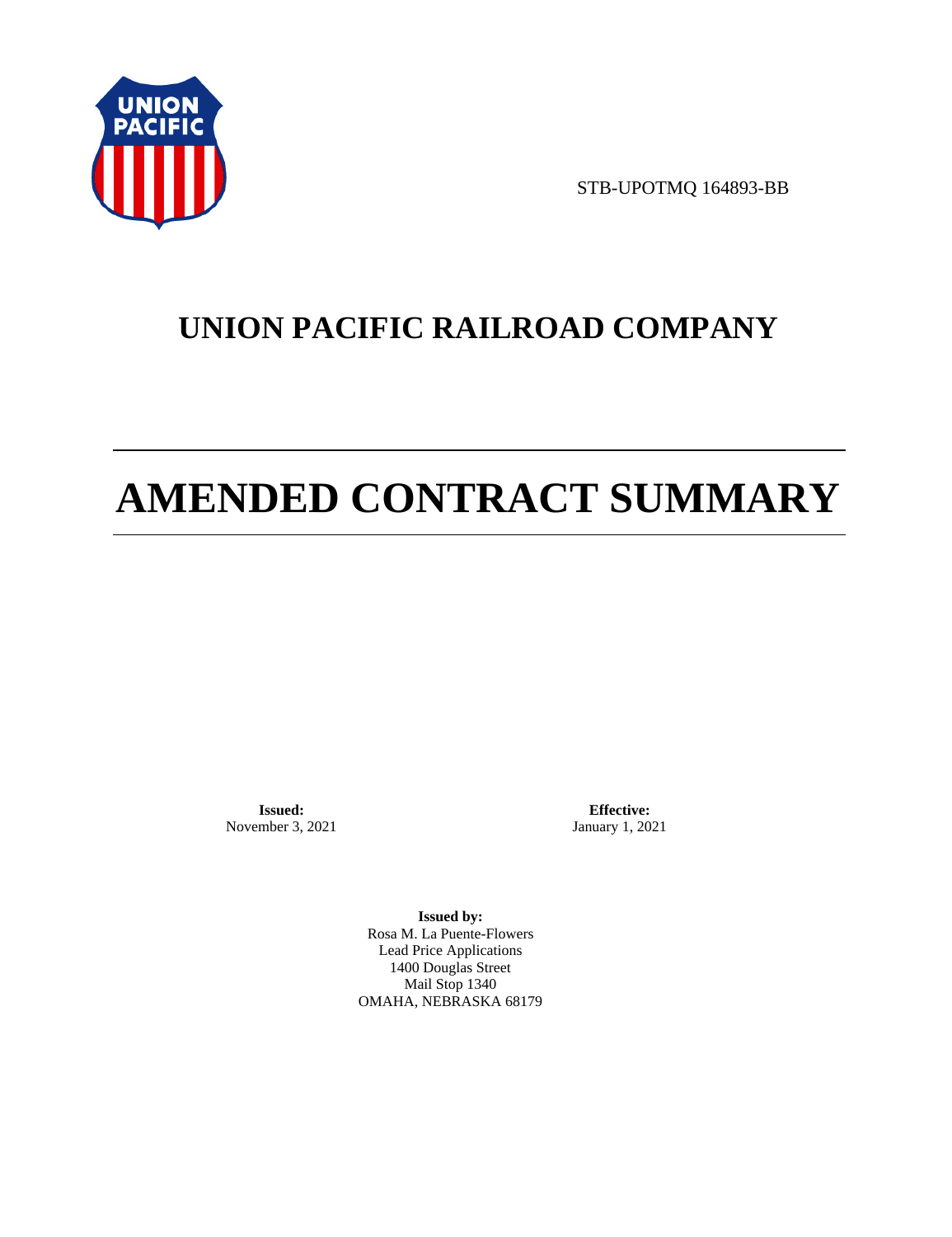

STB-UPOTMQ 164893-BB

# **UNION PACIFIC RAILROAD COMPANY**

# **AMENDED CONTRACT SUMMARY**

**Issued:**  November 3, 2021

**Effective:** January 1, 2021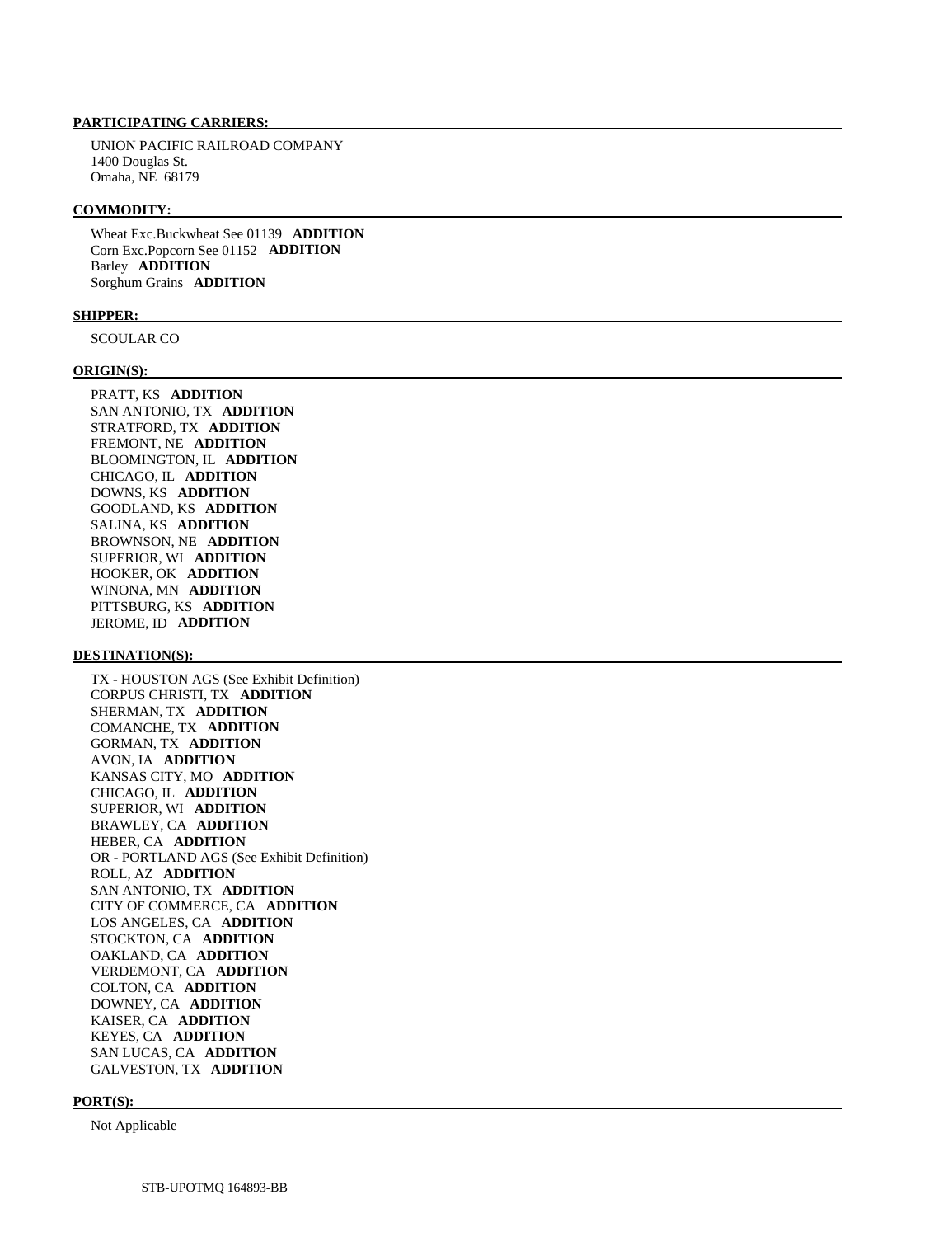UNION PACIFIC RAILROAD COMPANY 1400 Douglas St. Omaha, NE 68179

#### **COMMODITY:**

 Wheat Exc.Buckwheat See 01139 **ADDITION**  Corn Exc.Popcorn See 01152 **ADDITION**  Barley **ADDITION**  Sorghum Grains **ADDITION** 

#### **SHIPPER:**

SCOULAR CO

#### **ORIGIN(S):**

 PRATT, KS **ADDITION**  SAN ANTONIO, TX **ADDITION**  STRATFORD, TX **ADDITION**  FREMONT, NE **ADDITION**  BLOOMINGTON, IL **ADDITION**  CHICAGO, IL **ADDITION**  DOWNS, KS **ADDITION**  GOODLAND, KS **ADDITION**  SALINA, KS **ADDITION**  BROWNSON, NE **ADDITION**  SUPERIOR, WI **ADDITION**  HOOKER, OK **ADDITION**  WINONA, MN **ADDITION**  PITTSBURG, KS **ADDITION**  JEROME, ID **ADDITION** 

#### **DESTINATION(S):**

 TX - HOUSTON AGS (See Exhibit Definition) CORPUS CHRISTI, TX **ADDITION**  SHERMAN, TX **ADDITION**  COMANCHE, TX **ADDITION**  GORMAN, TX **ADDITION**  AVON, IA **ADDITION**  KANSAS CITY, MO **ADDITION**  CHICAGO, IL **ADDITION**  SUPERIOR, WI **ADDITION**  BRAWLEY, CA **ADDITION**  HEBER, CA **ADDITION**  OR - PORTLAND AGS (See Exhibit Definition) ROLL, AZ **ADDITION**  SAN ANTONIO, TX **ADDITION**  CITY OF COMMERCE, CA **ADDITION**  LOS ANGELES, CA **ADDITION**  STOCKTON, CA **ADDITION**  OAKLAND, CA **ADDITION**  VERDEMONT, CA **ADDITION**  COLTON, CA **ADDITION**  DOWNEY, CA **ADDITION**  KAISER, CA **ADDITION**  KEYES, CA **ADDITION**  SAN LUCAS, CA **ADDITION**  GALVESTON, TX **ADDITION** 

#### **PORT(S):**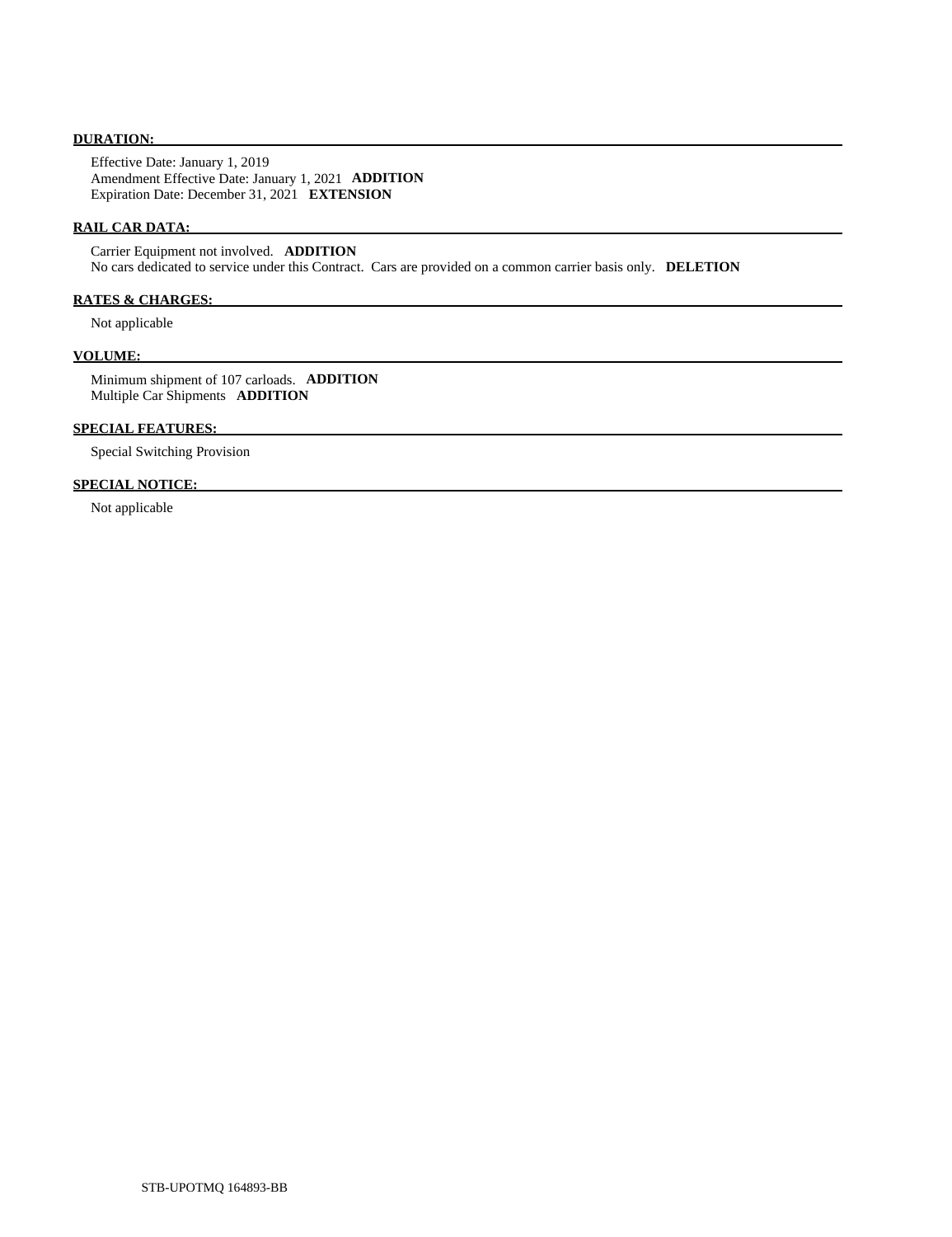## **DURATION:**

 Effective Date: January 1, 2019 Amendment Effective Date: January 1, 2021 **ADDITION**  Expiration Date: December 31, 2021 **EXTENSION** 

## **RAIL CAR DATA:**

 Carrier Equipment not involved. **ADDITION**  No cars dedicated to service under this Contract. Cars are provided on a common carrier basis only. **DELETION** 

# **RATES & CHARGES:**

Not applicable

#### **VOLUME:**

 Minimum shipment of 107 carloads. **ADDITION**  Multiple Car Shipments **ADDITION** 

# **SPECIAL FEATURES:**

Special Switching Provision

# **SPECIAL NOTICE:**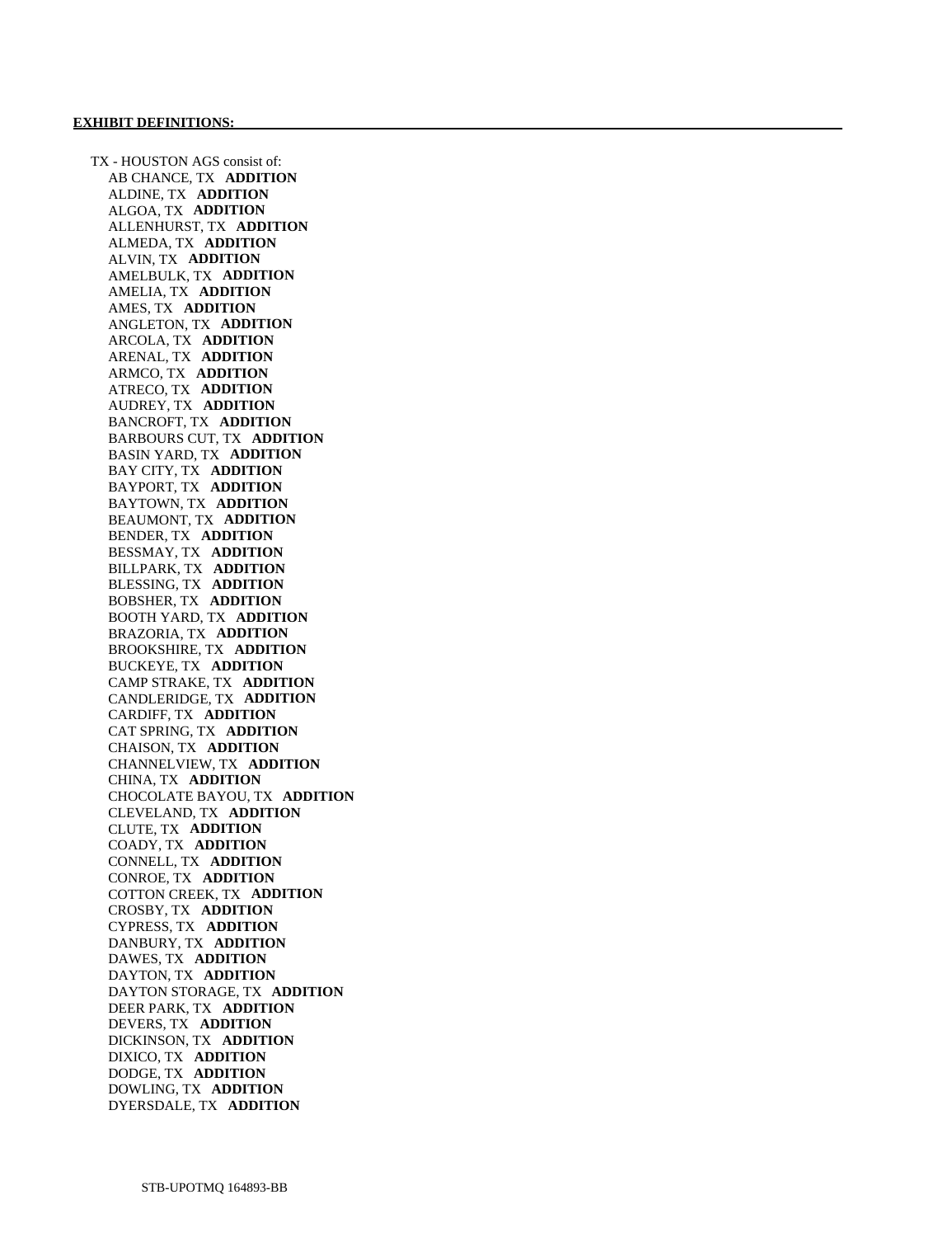TX - HOUSTON AGS consist of: AB CHANCE, TX **ADDITION**  ALDINE, TX **ADDITION**  ALGOA, TX **ADDITION**  ALLENHURST, TX **ADDITION**  ALMEDA, TX **ADDITION**  ALVIN, TX **ADDITION**  AMELBULK, TX **ADDITION**  AMELIA, TX **ADDITION**  AMES, TX **ADDITION**  ANGLETON, TX **ADDITION**  ARCOLA, TX **ADDITION**  ARENAL, TX **ADDITION**  ARMCO, TX **ADDITION**  ATRECO, TX **ADDITION**  AUDREY, TX **ADDITION**  BANCROFT, TX **ADDITION**  BARBOURS CUT, TX **ADDITION**  BASIN YARD, TX **ADDITION**  BAY CITY, TX **ADDITION**  BAYPORT, TX **ADDITION**  BAYTOWN, TX **ADDITION**  BEAUMONT, TX **ADDITION**  BENDER, TX **ADDITION**  BESSMAY, TX **ADDITION**  BILLPARK, TX **ADDITION**  BLESSING, TX **ADDITION**  BOBSHER, TX **ADDITION**  BOOTH YARD, TX **ADDITION**  BRAZORIA, TX **ADDITION**  BROOKSHIRE, TX **ADDITION**  BUCKEYE, TX **ADDITION**  CAMP STRAKE, TX **ADDITION**  CANDLERIDGE, TX **ADDITION**  CARDIFF, TX **ADDITION**  CAT SPRING, TX **ADDITION**  CHAISON, TX **ADDITION**  CHANNELVIEW, TX **ADDITION**  CHINA, TX **ADDITION**  CHOCOLATE BAYOU, TX **ADDITION**  CLEVELAND, TX **ADDITION**  CLUTE, TX **ADDITION**  COADY, TX **ADDITION**  CONNELL, TX **ADDITION**  CONROE, TX **ADDITION**  COTTON CREEK, TX **ADDITION**  CROSBY, TX **ADDITION**  CYPRESS, TX **ADDITION**  DANBURY, TX **ADDITION**  DAWES, TX **ADDITION**  DAYTON, TX **ADDITION**  DAYTON STORAGE, TX **ADDITION**  DEER PARK, TX **ADDITION**  DEVERS, TX **ADDITION**  DICKINSON, TX **ADDITION**  DIXICO, TX **ADDITION**  DODGE, TX **ADDITION**  DOWLING, TX **ADDITION**  DYERSDALE, TX **ADDITION**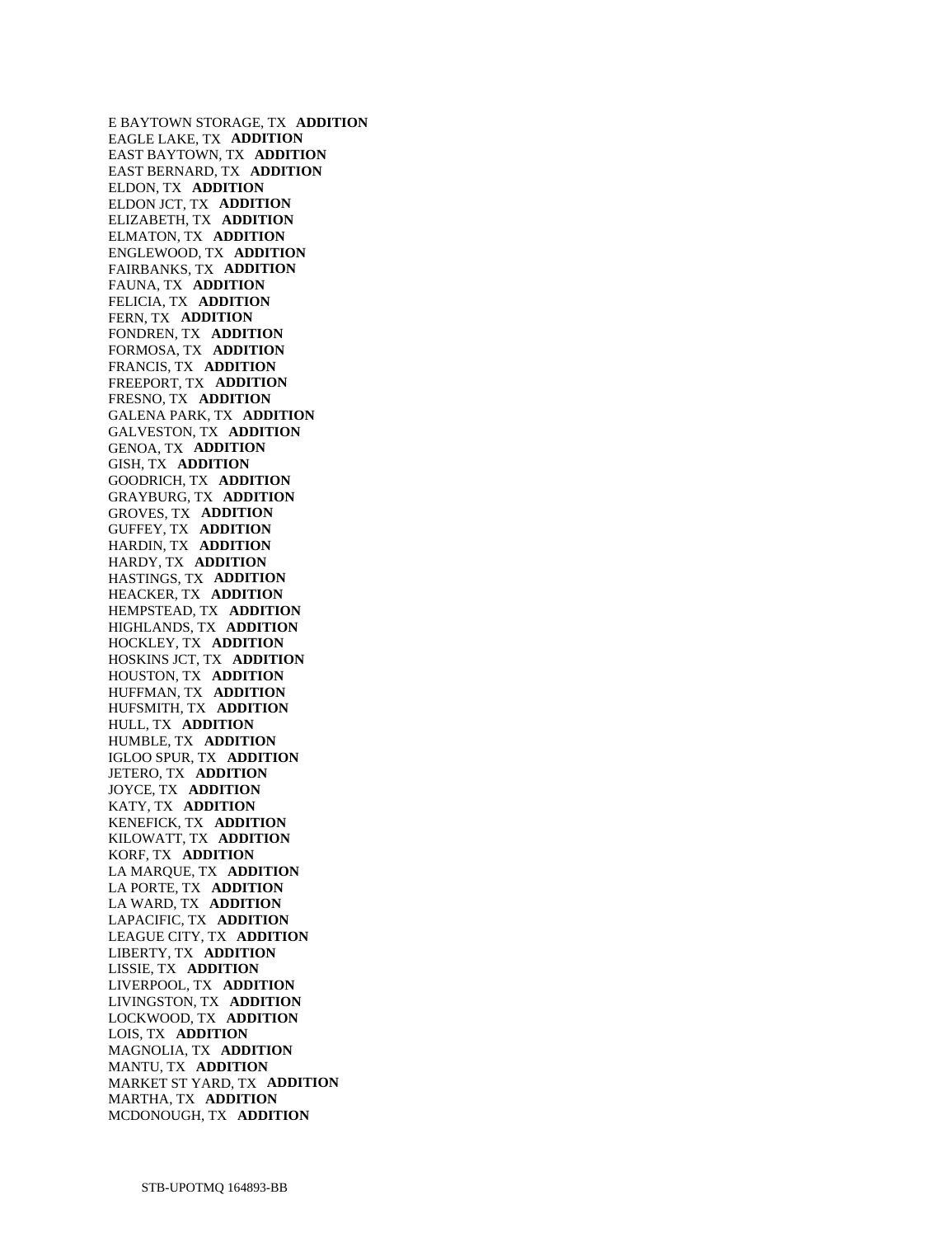E BAYTOWN STORAGE, TX **ADDITION**  EAGLE LAKE, TX **ADDITION**  EAST BAYTOWN, TX **ADDITION**  EAST BERNARD, TX **ADDITION**  ELDON, TX **ADDITION**  ELDON JCT, TX **ADDITION**  ELIZABETH, TX **ADDITION**  ELMATON, TX **ADDITION**  ENGLEWOOD, TX **ADDITION**  FAIRBANKS, TX **ADDITION**  FAUNA, TX **ADDITION**  FELICIA, TX **ADDITION**  FERN, TX **ADDITION**  FONDREN, TX **ADDITION**  FORMOSA, TX **ADDITION**  FRANCIS, TX **ADDITION**  FREEPORT, TX **ADDITION**  FRESNO, TX **ADDITION**  GALENA PARK, TX **ADDITION**  GALVESTON, TX **ADDITION**  GENOA, TX **ADDITION**  GISH, TX **ADDITION**  GOODRICH, TX **ADDITION**  GRAYBURG, TX **ADDITION**  GROVES, TX **ADDITION**  GUFFEY, TX **ADDITION**  HARDIN, TX **ADDITION**  HARDY, TX **ADDITION**  HASTINGS, TX **ADDITION**  HEACKER, TX **ADDITION**  HEMPSTEAD, TX **ADDITION**  HIGHLANDS, TX **ADDITION**  HOCKLEY, TX **ADDITION**  HOSKINS JCT, TX **ADDITION**  HOUSTON, TX **ADDITION**  HUFFMAN, TX **ADDITION**  HUFSMITH, TX **ADDITION**  HULL, TX **ADDITION**  HUMBLE, TX **ADDITION**  IGLOO SPUR, TX **ADDITION**  JETERO, TX **ADDITION**  JOYCE, TX **ADDITION**  KATY, TX **ADDITION**  KENEFICK, TX **ADDITION**  KILOWATT, TX **ADDITION**  KORF, TX **ADDITION**  LA MARQUE, TX **ADDITION**  LA PORTE, TX **ADDITION**  LA WARD, TX **ADDITION**  LAPACIFIC, TX **ADDITION**  LEAGUE CITY, TX **ADDITION**  LIBERTY, TX **ADDITION**  LISSIE, TX **ADDITION**  LIVERPOOL, TX **ADDITION**  LIVINGSTON, TX **ADDITION**  LOCKWOOD, TX **ADDITION**  LOIS, TX **ADDITION**  MAGNOLIA, TX **ADDITION**  MANTU, TX **ADDITION**  MARKET ST YARD, TX **ADDITION**  MARTHA, TX **ADDITION**  MCDONOUGH, TX **ADDITION**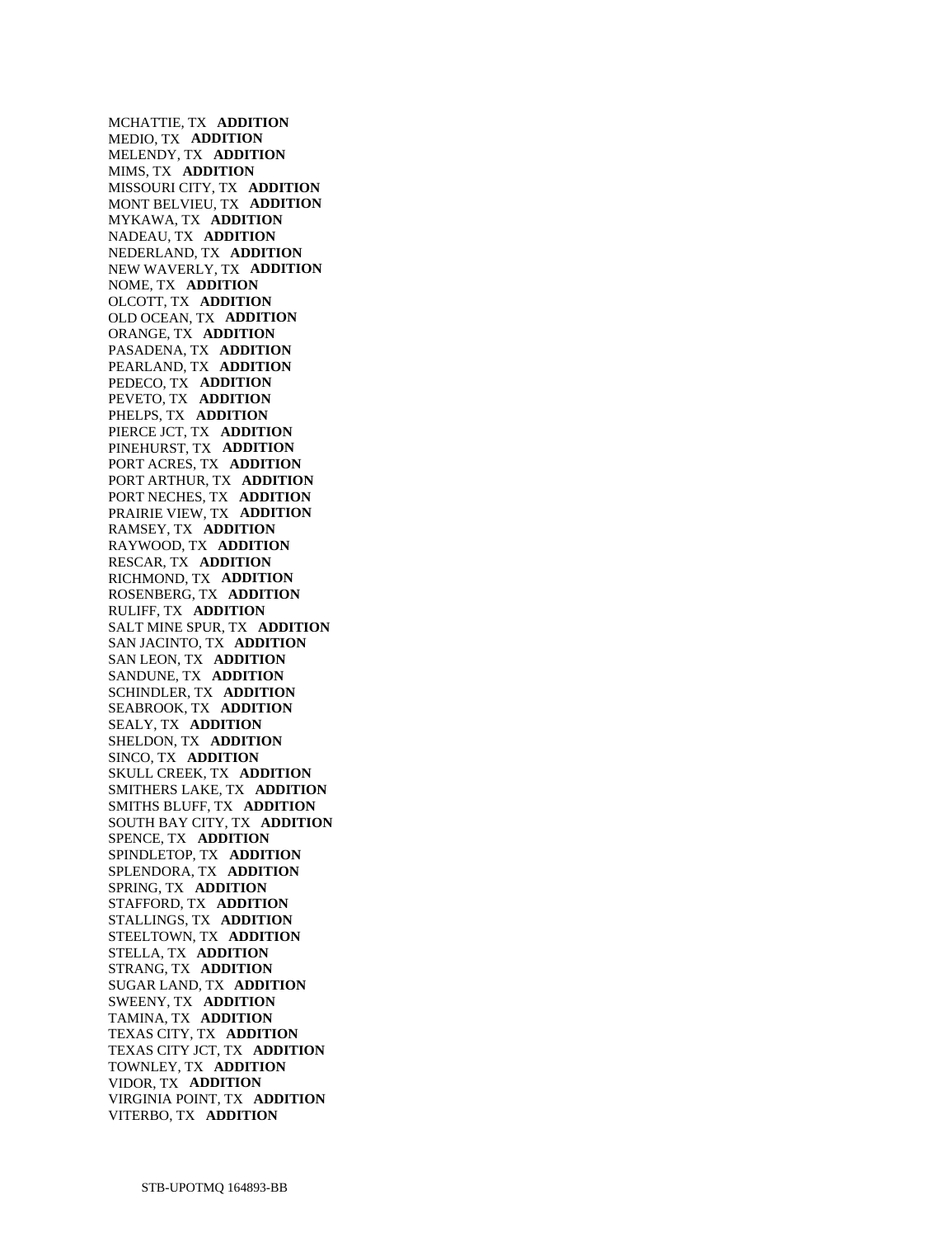MCHATTIE, TX **ADDITION**  MEDIO, TX **ADDITION**  MELENDY, TX **ADDITION**  MIMS, TX **ADDITION**  MISSOURI CITY, TX **ADDITION**  MONT BELVIEU, TX **ADDITION**  MYKAWA, TX **ADDITION**  NADEAU, TX **ADDITION**  NEDERLAND, TX **ADDITION**  NEW WAVERLY, TX **ADDITION**  NOME, TX **ADDITION**  OLCOTT, TX **ADDITION**  OLD OCEAN, TX **ADDITION**  ORANGE, TX **ADDITION**  PASADENA, TX **ADDITION**  PEARLAND, TX **ADDITION**  PEDECO, TX **ADDITION**  PEVETO, TX **ADDITION**  PHELPS, TX **ADDITION**  PIERCE JCT, TX **ADDITION**  PINEHURST, TX **ADDITION**  PORT ACRES, TX **ADDITION**  PORT ARTHUR, TX **ADDITION**  PORT NECHES, TX **ADDITION**  PRAIRIE VIEW, TX **ADDITION**  RAMSEY, TX **ADDITION**  RAYWOOD, TX **ADDITION**  RESCAR, TX **ADDITION**  RICHMOND, TX **ADDITION**  ROSENBERG, TX **ADDITION**  RULIFF, TX **ADDITION**  SALT MINE SPUR, TX **ADDITION**  SAN JACINTO, TX **ADDITION**  SAN LEON, TX **ADDITION**  SANDUNE, TX **ADDITION**  SCHINDLER, TX **ADDITION**  SEABROOK, TX **ADDITION**  SEALY, TX **ADDITION**  SHELDON, TX **ADDITION**  SINCO, TX **ADDITION**  SKULL CREEK, TX **ADDITION**  SMITHERS LAKE, TX **ADDITION**  SMITHS BLUFF, TX **ADDITION**  SOUTH BAY CITY, TX **ADDITION**  SPENCE, TX **ADDITION**  SPINDLETOP, TX **ADDITION**  SPLENDORA, TX **ADDITION**  SPRING, TX **ADDITION**  STAFFORD, TX **ADDITION**  STALLINGS, TX **ADDITION**  STEELTOWN, TX **ADDITION**  STELLA, TX **ADDITION**  STRANG, TX **ADDITION**  SUGAR LAND, TX **ADDITION**  SWEENY, TX **ADDITION**  TAMINA, TX **ADDITION**  TEXAS CITY, TX **ADDITION**  TEXAS CITY JCT, TX **ADDITION**  TOWNLEY, TX **ADDITION**  VIDOR, TX **ADDITION**  VIRGINIA POINT, TX **ADDITION**  VITERBO, TX **ADDITION**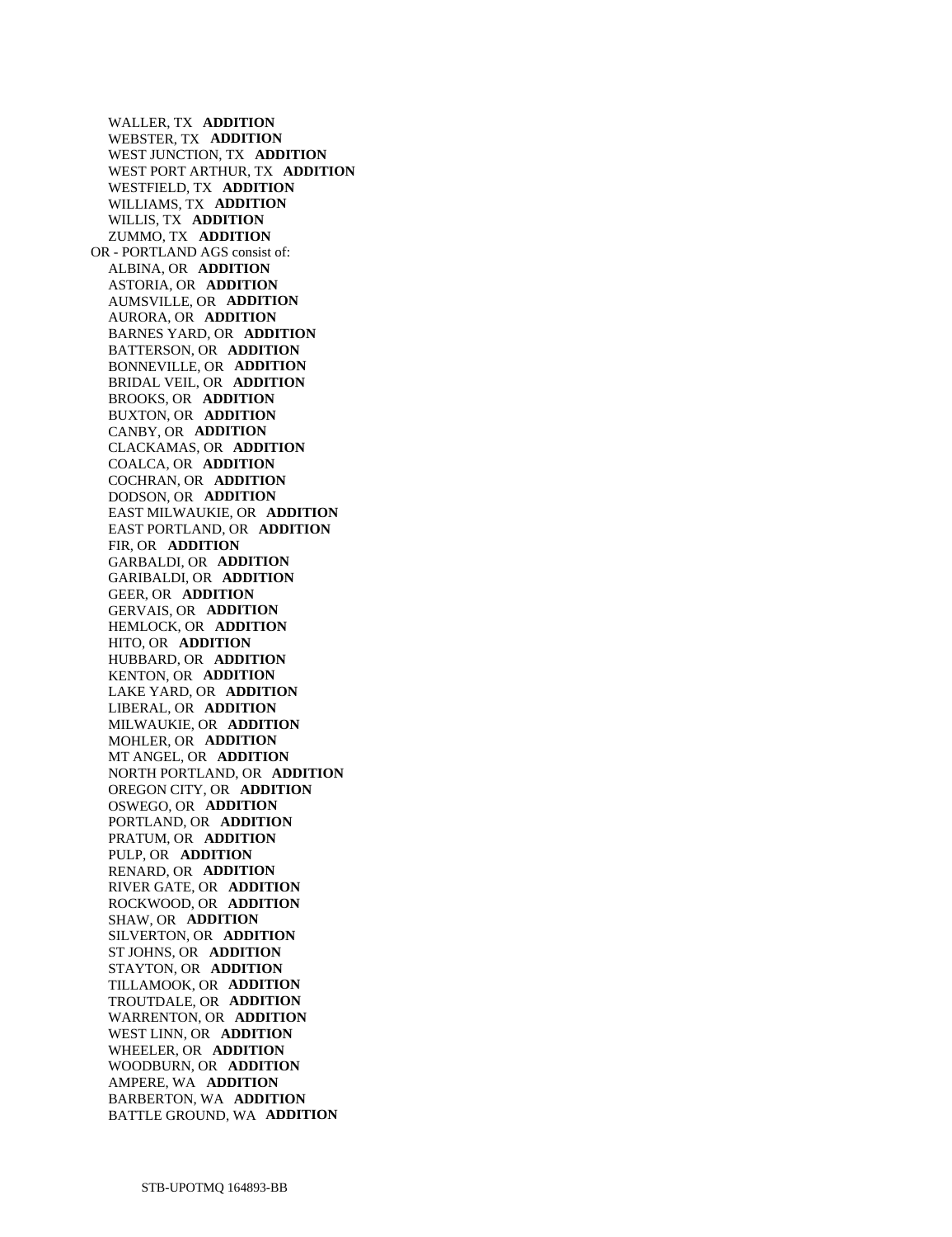WALLER, TX **ADDITION**  WEBSTER, TX **ADDITION**  WEST JUNCTION, TX **ADDITION**  WEST PORT ARTHUR, TX **ADDITION**  WESTFIELD, TX **ADDITION**  WILLIAMS, TX **ADDITION**  WILLIS, TX **ADDITION**  ZUMMO, TX **ADDITION**  OR - PORTLAND AGS consist of: ALBINA, OR **ADDITION**  ASTORIA, OR **ADDITION**  AUMSVILLE, OR **ADDITION**  AURORA, OR **ADDITION**  BARNES YARD, OR **ADDITION**  BATTERSON, OR **ADDITION**  BONNEVILLE, OR **ADDITION**  BRIDAL VEIL, OR **ADDITION**  BROOKS, OR **ADDITION**  BUXTON, OR **ADDITION**  CANBY, OR **ADDITION**  CLACKAMAS, OR **ADDITION**  COALCA, OR **ADDITION**  COCHRAN, OR **ADDITION**  DODSON, OR **ADDITION**  EAST MILWAUKIE, OR **ADDITION**  EAST PORTLAND, OR **ADDITION**  FIR, OR **ADDITION**  GARBALDI, OR **ADDITION**  GARIBALDI, OR **ADDITION**  GEER, OR **ADDITION**  GERVAIS, OR **ADDITION**  HEMLOCK, OR **ADDITION**  HITO, OR **ADDITION**  HUBBARD, OR **ADDITION**  KENTON, OR **ADDITION**  LAKE YARD, OR **ADDITION**  LIBERAL, OR **ADDITION**  MILWAUKIE, OR **ADDITION**  MOHLER, OR **ADDITION**  MT ANGEL, OR **ADDITION**  NORTH PORTLAND, OR **ADDITION**  OREGON CITY, OR **ADDITION**  OSWEGO, OR **ADDITION**  PORTLAND, OR **ADDITION**  PRATUM, OR **ADDITION**  PULP, OR **ADDITION**  RENARD, OR **ADDITION**  RIVER GATE, OR **ADDITION**  ROCKWOOD, OR **ADDITION**  SHAW, OR **ADDITION**  SILVERTON, OR **ADDITION**  ST JOHNS, OR **ADDITION**  STAYTON, OR **ADDITION**  TILLAMOOK, OR **ADDITION**  TROUTDALE, OR **ADDITION**  WARRENTON, OR **ADDITION**  WEST LINN, OR **ADDITION**  WHEELER, OR **ADDITION**  WOODBURN, OR **ADDITION**  AMPERE, WA **ADDITION**  BARBERTON, WA **ADDITION**  BATTLE GROUND, WA **ADDITION**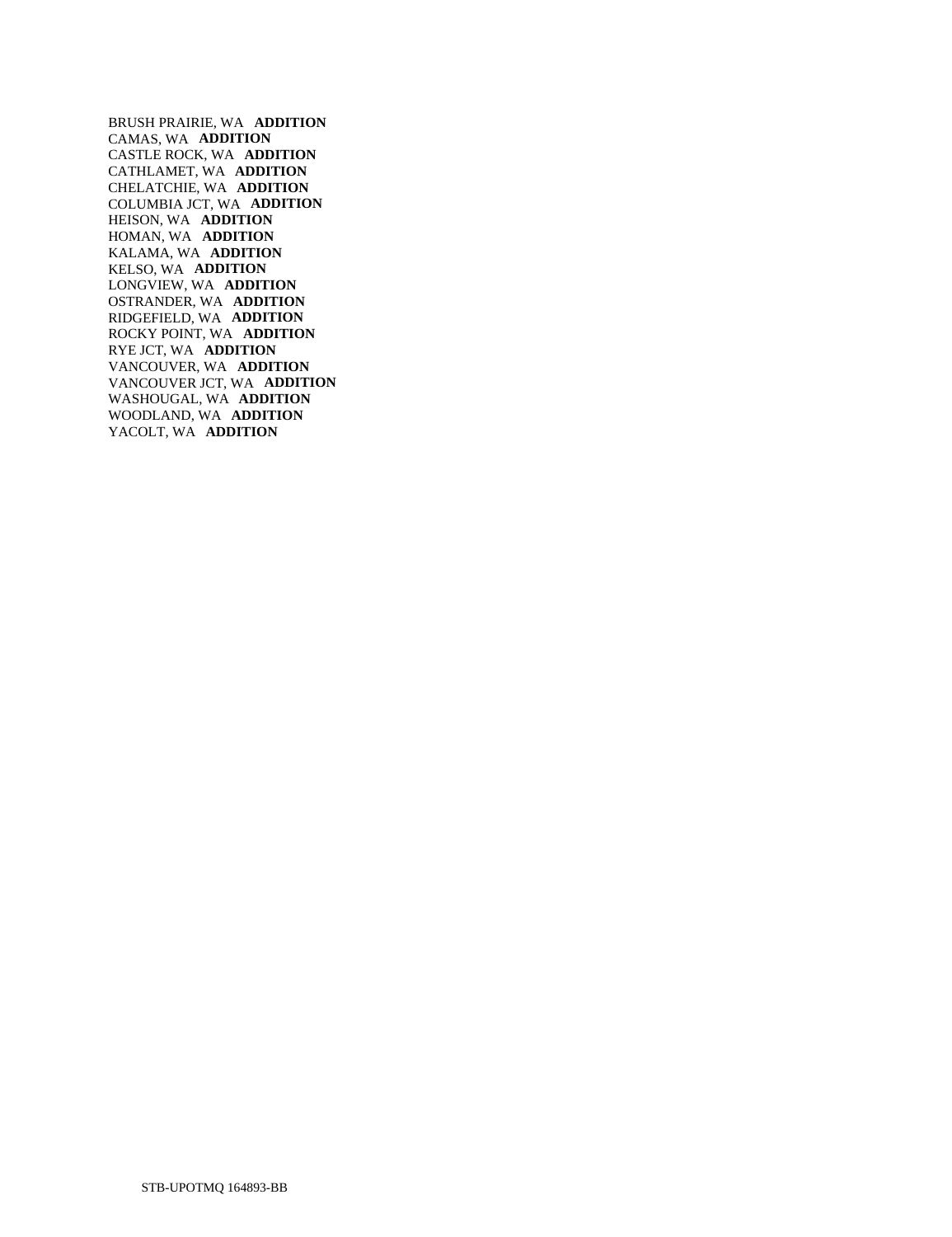BRUSH PRAIRIE, WA **ADDITION**  CAMAS, WA **ADDITION**  CASTLE ROCK, WA **ADDITION**  CATHLAMET, WA **ADDITION**  CHELATCHIE, WA **ADDITION**  COLUMBIA JCT, WA **ADDITION**  HEISON, WA **ADDITION**  HOMAN, WA **ADDITION**  KALAMA, WA **ADDITION**  KELSO, WA **ADDITION**  LONGVIEW, WA **ADDITION**  OSTRANDER, WA **ADDITION**  RIDGEFIELD, WA **ADDITION**  ROCKY POINT, WA **ADDITION**  RYE JCT, WA **ADDITION**  VANCOUVER, WA **ADDITION**  VANCOUVER JCT, WA **ADDITION**  WASHOUGAL, WA **ADDITION**  WOODLAND, WA **ADDITION**  YACOLT, WA **ADDITION**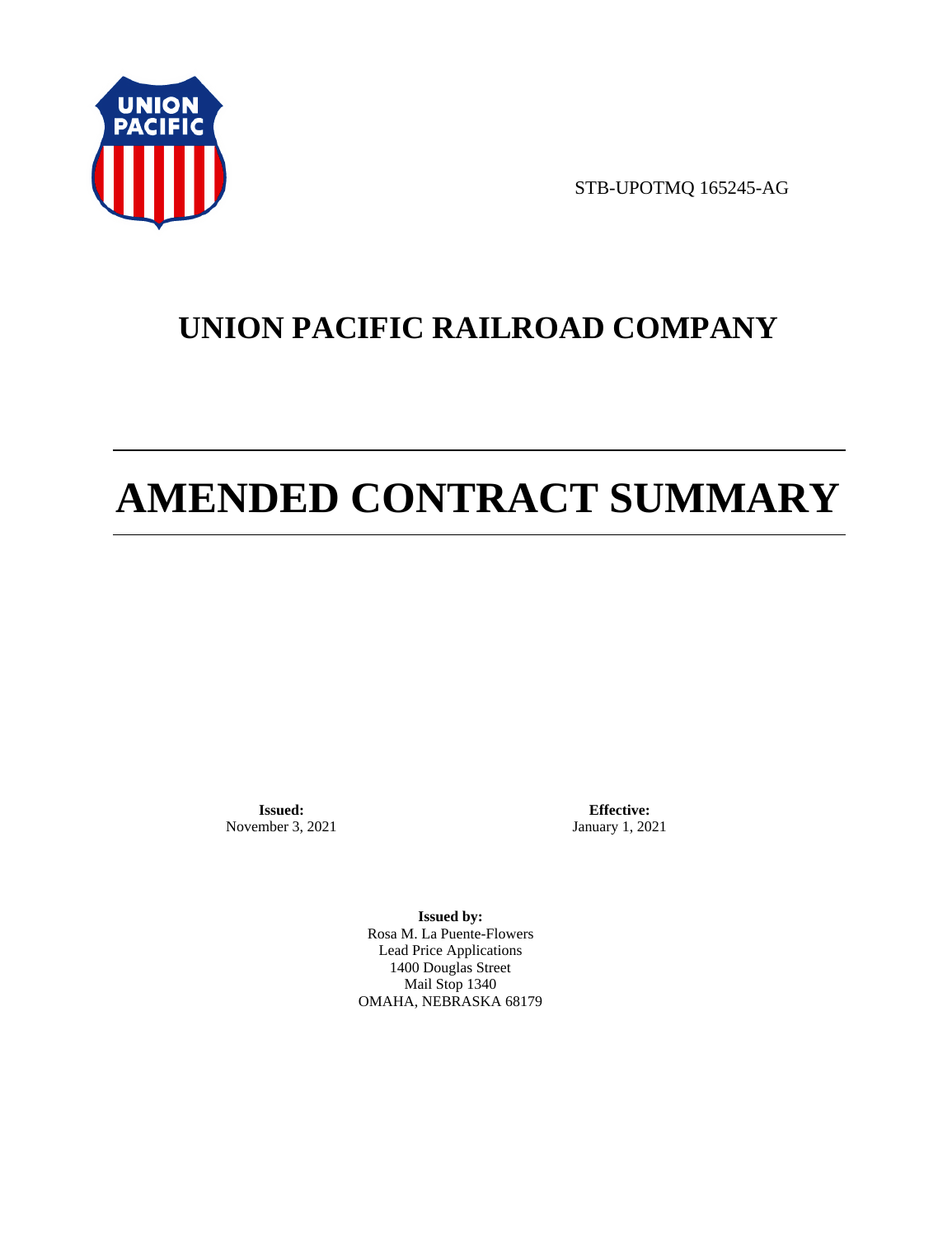

STB-UPOTMQ 165245-AG

# **UNION PACIFIC RAILROAD COMPANY**

# **AMENDED CONTRACT SUMMARY**

**Issued:**  November 3, 2021

**Effective:** January 1, 2021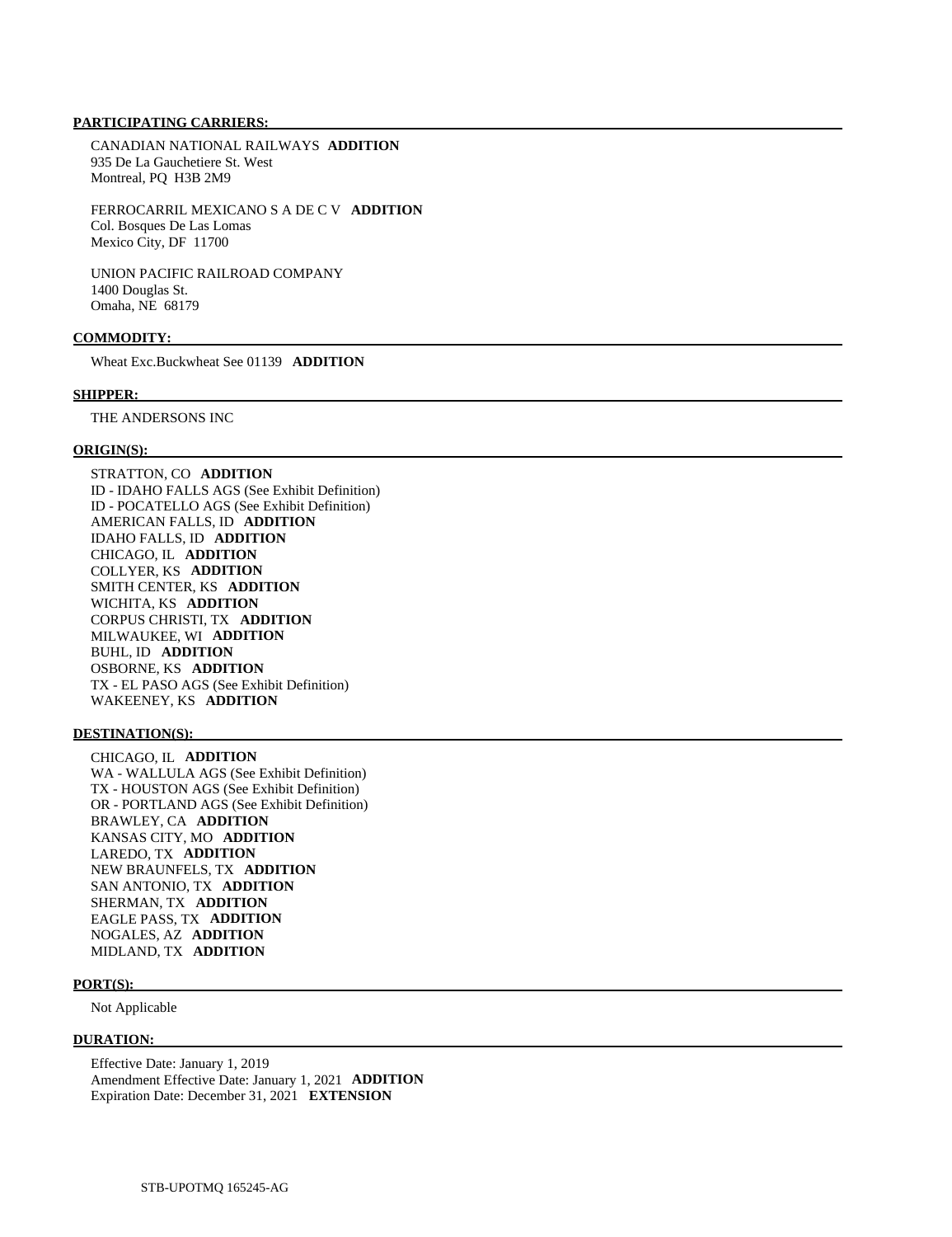CANADIAN NATIONAL RAILWAYS **ADDITION**  935 De La Gauchetiere St. West Montreal, PQ H3B 2M9

 FERROCARRIL MEXICANO S A DE C V **ADDITION**  Col. Bosques De Las Lomas Mexico City, DF 11700

 UNION PACIFIC RAILROAD COMPANY 1400 Douglas St. Omaha, NE 68179

#### **COMMODITY:**

Wheat Exc.Buckwheat See 01139 **ADDITION** 

#### **SHIPPER:**

THE ANDERSONS INC

#### **ORIGIN(S):**

 STRATTON, CO **ADDITION**  ID - IDAHO FALLS AGS (See Exhibit Definition) ID - POCATELLO AGS (See Exhibit Definition) AMERICAN FALLS, ID **ADDITION**  IDAHO FALLS, ID **ADDITION**  CHICAGO, IL **ADDITION**  COLLYER, KS **ADDITION**  SMITH CENTER, KS **ADDITION**  WICHITA, KS **ADDITION**  CORPUS CHRISTI, TX **ADDITION**  MILWAUKEE, WI **ADDITION**  BUHL, ID **ADDITION**  OSBORNE, KS **ADDITION**  TX - EL PASO AGS (See Exhibit Definition) WAKEENEY, KS **ADDITION** 

#### **DESTINATION(S):**

 CHICAGO, IL **ADDITION**  WA - WALLULA AGS (See Exhibit Definition) TX - HOUSTON AGS (See Exhibit Definition) OR - PORTLAND AGS (See Exhibit Definition) BRAWLEY, CA **ADDITION**  KANSAS CITY, MO **ADDITION**  LAREDO, TX **ADDITION**  NEW BRAUNFELS, TX **ADDITION**  SAN ANTONIO, TX **ADDITION**  SHERMAN, TX **ADDITION**  EAGLE PASS, TX **ADDITION**  NOGALES, AZ **ADDITION**  MIDLAND, TX **ADDITION** 

#### **PORT(S):**

Not Applicable

#### **DURATION:**

 Effective Date: January 1, 2019 Amendment Effective Date: January 1, 2021 **ADDITION**  Expiration Date: December 31, 2021 **EXTENSION**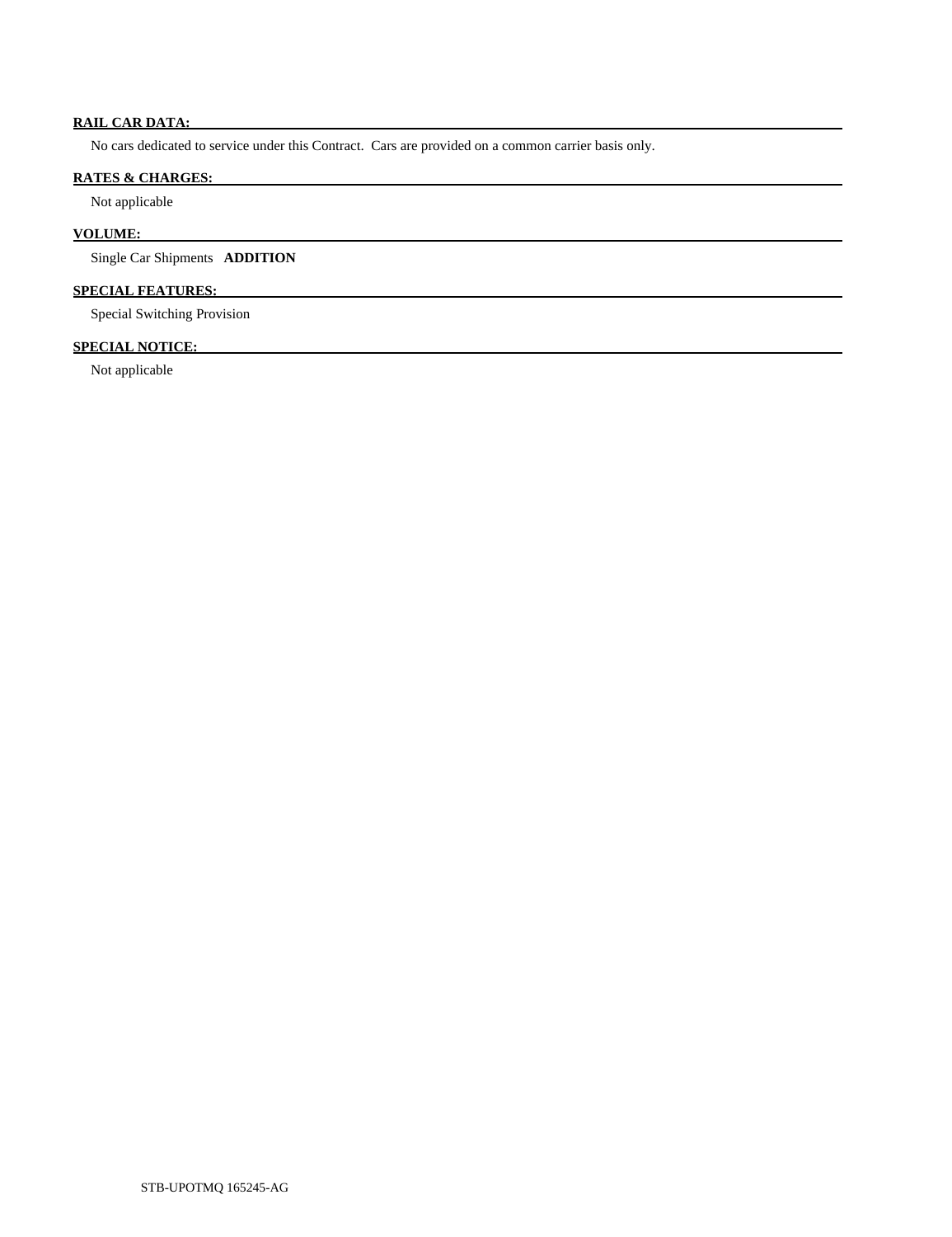# **RAIL CAR DATA:**

No cars dedicated to service under this Contract. Cars are provided on a common carrier basis only.

# **RATES & CHARGES:**

Not applicable

# **VOLUME:**

Single Car Shipments **ADDITION** 

# **SPECIAL FEATURES:**

Special Switching Provision

# **SPECIAL NOTICE:**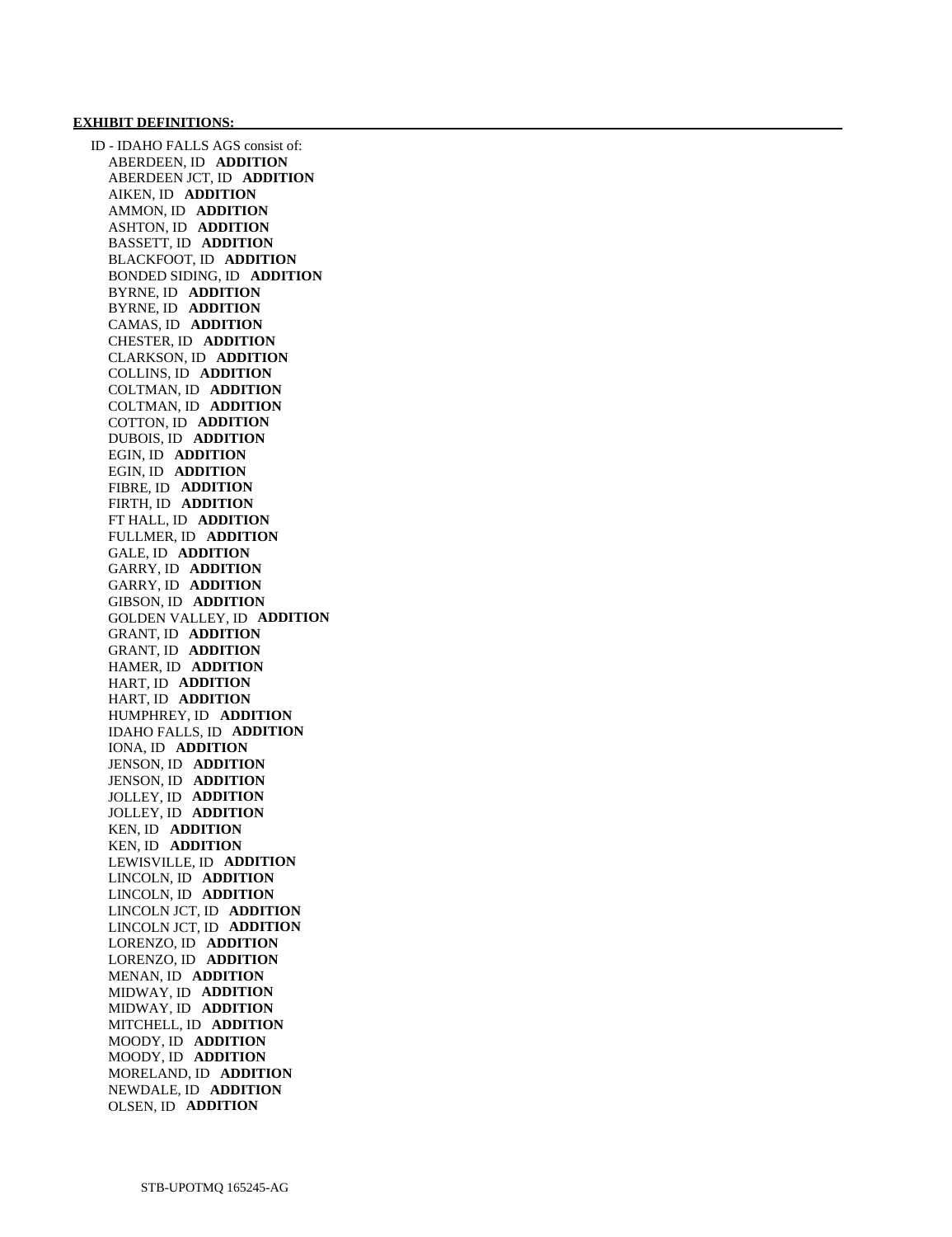#### **EXHIBIT DEFINITIONS:**

 ID - IDAHO FALLS AGS consist of: ABERDEEN, ID **ADDITION**  ABERDEEN JCT, ID **ADDITION**  AIKEN, ID **ADDITION**  AMMON, ID **ADDITION**  ASHTON, ID **ADDITION**  BASSETT, ID **ADDITION**  BLACKFOOT, ID **ADDITION**  BONDED SIDING, ID **ADDITION**  BYRNE, ID **ADDITION**  BYRNE, ID **ADDITION**  CAMAS, ID **ADDITION**  CHESTER, ID **ADDITION**  CLARKSON, ID **ADDITION**  COLLINS, ID **ADDITION**  COLTMAN, ID **ADDITION**  COLTMAN, ID **ADDITION**  COTTON, ID **ADDITION**  DUBOIS, ID **ADDITION**  EGIN, ID **ADDITION**  EGIN, ID **ADDITION**  FIBRE, ID **ADDITION**  FIRTH, ID **ADDITION**  FT HALL, ID **ADDITION**  FULLMER, ID **ADDITION**  GALE, ID **ADDITION**  GARRY, ID **ADDITION**  GARRY, ID **ADDITION**  GIBSON, ID **ADDITION**  GOLDEN VALLEY, ID **ADDITION**  GRANT, ID **ADDITION**  GRANT, ID **ADDITION**  HAMER, ID **ADDITION**  HART, ID **ADDITION**  HART, ID **ADDITION**  HUMPHREY, ID **ADDITION**  IDAHO FALLS, ID **ADDITION**  IONA, ID **ADDITION**  JENSON, ID **ADDITION**  JENSON, ID **ADDITION**  JOLLEY, ID **ADDITION**  JOLLEY, ID **ADDITION**  KEN, ID **ADDITION**  KEN, ID **ADDITION**  LEWISVILLE, ID **ADDITION**  LINCOLN, ID **ADDITION**  LINCOLN, ID **ADDITION**  LINCOLN JCT, ID **ADDITION**  LINCOLN JCT, ID **ADDITION**  LORENZO, ID **ADDITION**  LORENZO, ID **ADDITION**  MENAN, ID **ADDITION**  MIDWAY, ID **ADDITION**  MIDWAY, ID **ADDITION**  MITCHELL, ID **ADDITION**  MOODY, ID **ADDITION**  MOODY, ID **ADDITION**  MORELAND, ID **ADDITION**  NEWDALE, ID **ADDITION**  OLSEN, ID **ADDITION**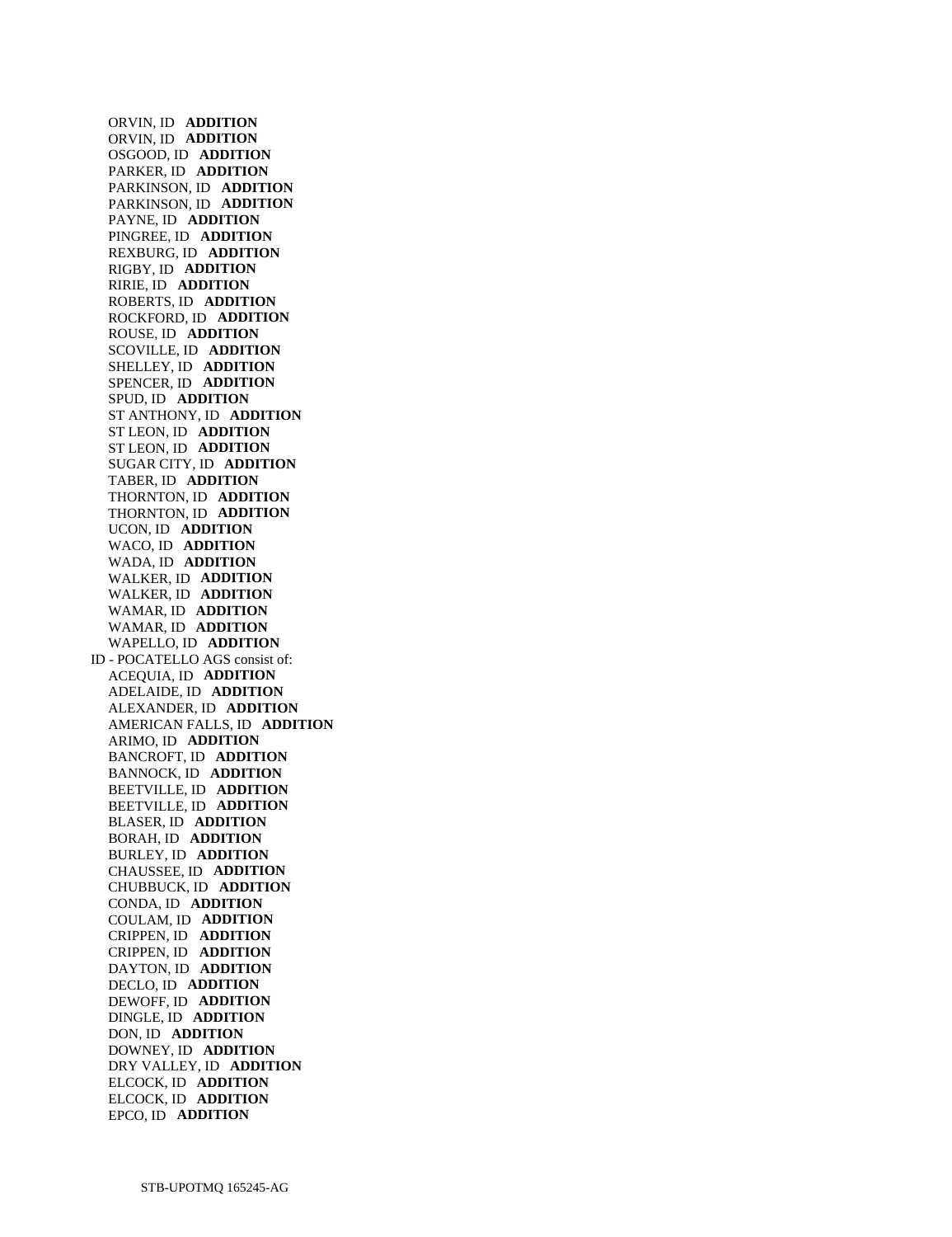ORVIN, ID **ADDITION**  ORVIN, ID **ADDITION**  OSGOOD, ID **ADDITION**  PARKER, ID **ADDITION**  PARKINSON, ID **ADDITION**  PARKINSON, ID **ADDITION**  PAYNE, ID **ADDITION**  PINGREE, ID **ADDITION**  REXBURG, ID **ADDITION**  RIGBY, ID **ADDITION**  RIRIE, ID **ADDITION**  ROBERTS, ID **ADDITION**  ROCKFORD, ID **ADDITION**  ROUSE, ID **ADDITION**  SCOVILLE, ID **ADDITION**  SHELLEY, ID **ADDITION**  SPENCER, ID **ADDITION**  SPUD, ID **ADDITION**  ST ANTHONY, ID **ADDITION**  ST LEON, ID **ADDITION**  ST LEON, ID **ADDITION**  SUGAR CITY, ID **ADDITION**  TABER, ID **ADDITION**  THORNTON, ID **ADDITION**  THORNTON, ID **ADDITION**  UCON, ID **ADDITION**  WACO, ID **ADDITION**  WADA, ID **ADDITION**  WALKER, ID **ADDITION**  WALKER, ID **ADDITION**  WAMAR, ID **ADDITION**  WAMAR, ID **ADDITION**  WAPELLO, ID **ADDITION**  ID - POCATELLO AGS consist of: ACEQUIA, ID **ADDITION**  ADELAIDE, ID **ADDITION**  ALEXANDER, ID **ADDITION**  AMERICAN FALLS, ID **ADDITION**  ARIMO, ID **ADDITION**  BANCROFT, ID **ADDITION**  BANNOCK, ID **ADDITION**  BEETVILLE, ID **ADDITION**  BEETVILLE, ID **ADDITION**  BLASER, ID **ADDITION**  BORAH, ID **ADDITION**  BURLEY, ID **ADDITION**  CHAUSSEE, ID **ADDITION**  CHUBBUCK, ID **ADDITION**  CONDA, ID **ADDITION**  COULAM, ID **ADDITION**  CRIPPEN, ID **ADDITION**  CRIPPEN, ID **ADDITION**  DAYTON, ID **ADDITION**  DECLO, ID **ADDITION**  DEWOFF, ID **ADDITION**  DINGLE, ID **ADDITION**  DON, ID **ADDITION**  DOWNEY, ID **ADDITION**  DRY VALLEY, ID **ADDITION**  ELCOCK, ID **ADDITION**  ELCOCK, ID **ADDITION**  EPCO, ID **ADDITION**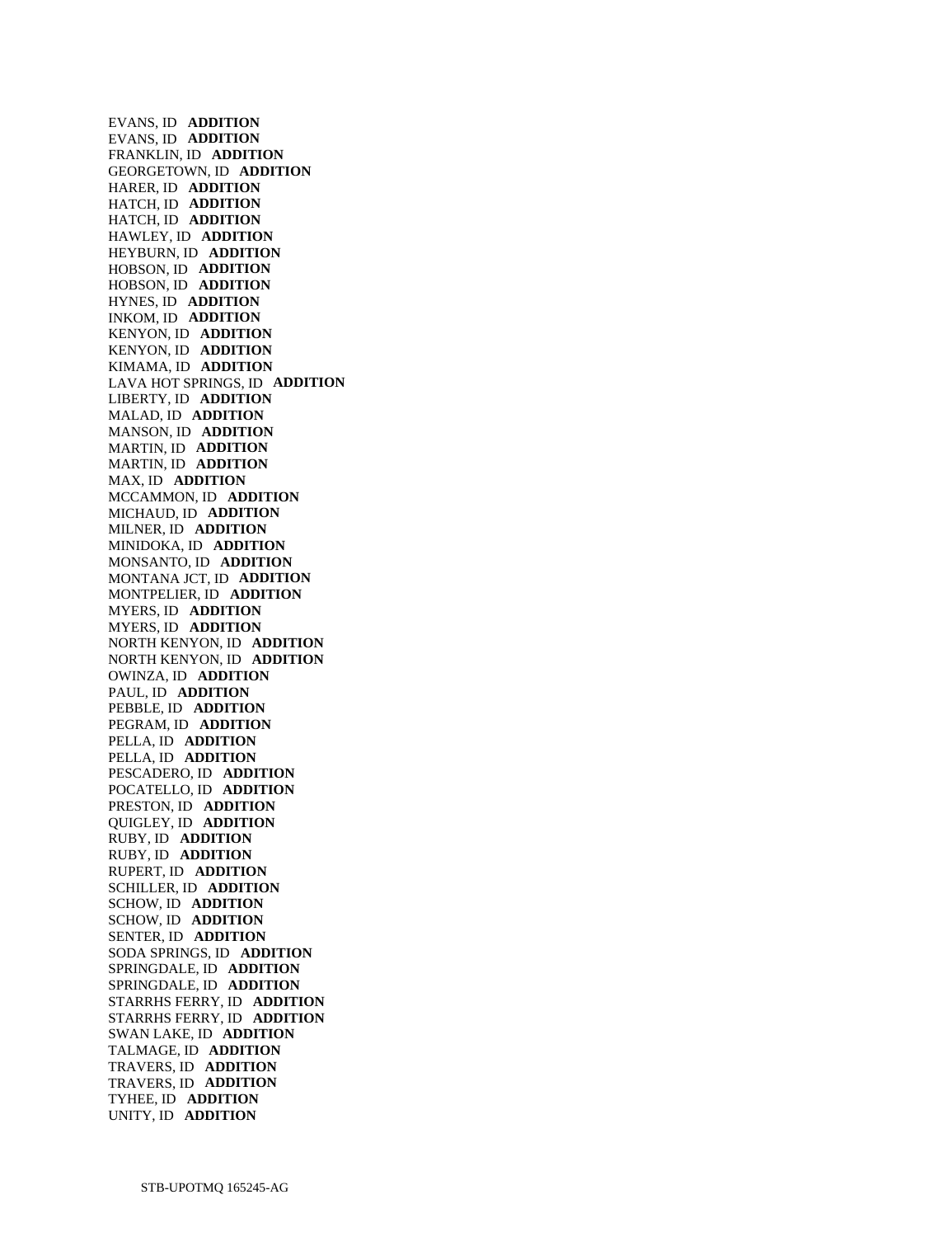EVANS, ID **ADDITION**  EVANS, ID **ADDITION**  FRANKLIN, ID **ADDITION**  GEORGETOWN, ID **ADDITION**  HARER, ID **ADDITION**  HATCH, ID **ADDITION**  HATCH, ID **ADDITION**  HAWLEY, ID **ADDITION**  HEYBURN, ID **ADDITION**  HOBSON, ID **ADDITION**  HOBSON, ID **ADDITION**  HYNES, ID **ADDITION**  INKOM, ID **ADDITION**  KENYON, ID **ADDITION**  KENYON, ID **ADDITION**  KIMAMA, ID **ADDITION**  LAVA HOT SPRINGS, ID **ADDITION**  LIBERTY, ID **ADDITION**  MALAD, ID **ADDITION**  MANSON, ID **ADDITION**  MARTIN, ID **ADDITION**  MARTIN, ID **ADDITION**  MAX, ID **ADDITION**  MCCAMMON, ID **ADDITION**  MICHAUD, ID **ADDITION**  MILNER, ID **ADDITION**  MINIDOKA, ID **ADDITION**  MONSANTO, ID **ADDITION**  MONTANA JCT, ID **ADDITION**  MONTPELIER, ID **ADDITION**  MYERS, ID **ADDITION**  MYERS, ID **ADDITION**  NORTH KENYON, ID **ADDITION**  NORTH KENYON, ID **ADDITION**  OWINZA, ID **ADDITION**  PAUL, ID **ADDITION**  PEBBLE, ID **ADDITION**  PEGRAM, ID **ADDITION**  PELLA, ID **ADDITION**  PELLA, ID **ADDITION**  PESCADERO, ID **ADDITION**  POCATELLO, ID **ADDITION**  PRESTON, ID **ADDITION**  QUIGLEY, ID **ADDITION**  RUBY, ID **ADDITION**  RUBY, ID **ADDITION**  RUPERT, ID **ADDITION**  SCHILLER, ID **ADDITION**  SCHOW, ID **ADDITION**  SCHOW, ID **ADDITION**  SENTER, ID **ADDITION**  SODA SPRINGS, ID **ADDITION**  SPRINGDALE, ID **ADDITION**  SPRINGDALE, ID **ADDITION**  STARRHS FERRY, ID **ADDITION**  STARRHS FERRY, ID **ADDITION**  SWAN LAKE, ID **ADDITION**  TALMAGE, ID **ADDITION**  TRAVERS, ID **ADDITION**  TRAVERS, ID **ADDITION**  TYHEE, ID **ADDITION**  UNITY, ID **ADDITION**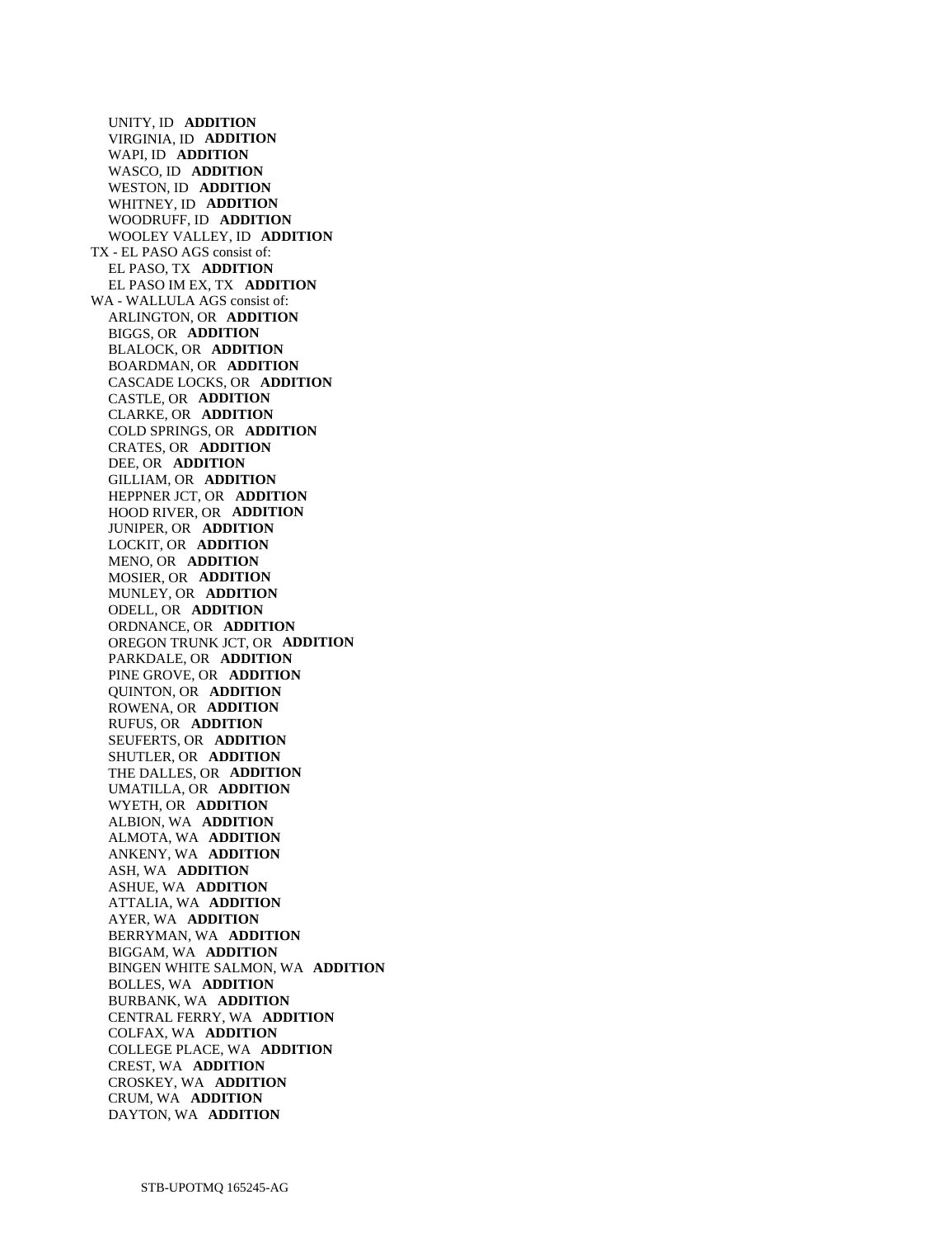UNITY, ID **ADDITION**  VIRGINIA, ID **ADDITION**  WAPI, ID **ADDITION**  WASCO, ID **ADDITION**  WESTON, ID **ADDITION**  WHITNEY, ID **ADDITION**  WOODRUFF, ID **ADDITION**  WOOLEY VALLEY, ID **ADDITION**  TX - EL PASO AGS consist of: EL PASO, TX **ADDITION**  EL PASO IM EX, TX **ADDITION**  WA - WALLULA AGS consist of: ARLINGTON, OR **ADDITION**  BIGGS, OR **ADDITION**  BLALOCK, OR **ADDITION**  BOARDMAN, OR **ADDITION**  CASCADE LOCKS, OR **ADDITION**  CASTLE, OR **ADDITION**  CLARKE, OR **ADDITION**  COLD SPRINGS, OR **ADDITION**  CRATES, OR **ADDITION**  DEE, OR **ADDITION**  GILLIAM, OR **ADDITION**  HEPPNER JCT, OR **ADDITION**  HOOD RIVER, OR **ADDITION**  JUNIPER, OR **ADDITION**  LOCKIT, OR **ADDITION**  MENO, OR **ADDITION**  MOSIER, OR **ADDITION**  MUNLEY, OR **ADDITION**  ODELL, OR **ADDITION**  ORDNANCE, OR **ADDITION**  OREGON TRUNK JCT, OR **ADDITION**  PARKDALE, OR **ADDITION**  PINE GROVE, OR **ADDITION**  QUINTON, OR **ADDITION**  ROWENA, OR **ADDITION**  RUFUS, OR **ADDITION**  SEUFERTS, OR **ADDITION**  SHUTLER, OR **ADDITION**  THE DALLES, OR **ADDITION**  UMATILLA, OR **ADDITION**  WYETH, OR **ADDITION**  ALBION, WA **ADDITION**  ALMOTA, WA **ADDITION**  ANKENY, WA **ADDITION**  ASH, WA **ADDITION**  ASHUE, WA **ADDITION**  ATTALIA, WA **ADDITION**  AYER, WA **ADDITION**  BERRYMAN, WA **ADDITION**  BIGGAM, WA **ADDITION**  BINGEN WHITE SALMON, WA **ADDITION**  BOLLES, WA **ADDITION**  BURBANK, WA **ADDITION**  CENTRAL FERRY, WA **ADDITION**  COLFAX, WA **ADDITION**  COLLEGE PLACE, WA **ADDITION**  CREST, WA **ADDITION**  CROSKEY, WA **ADDITION**  CRUM, WA **ADDITION**  DAYTON, WA **ADDITION**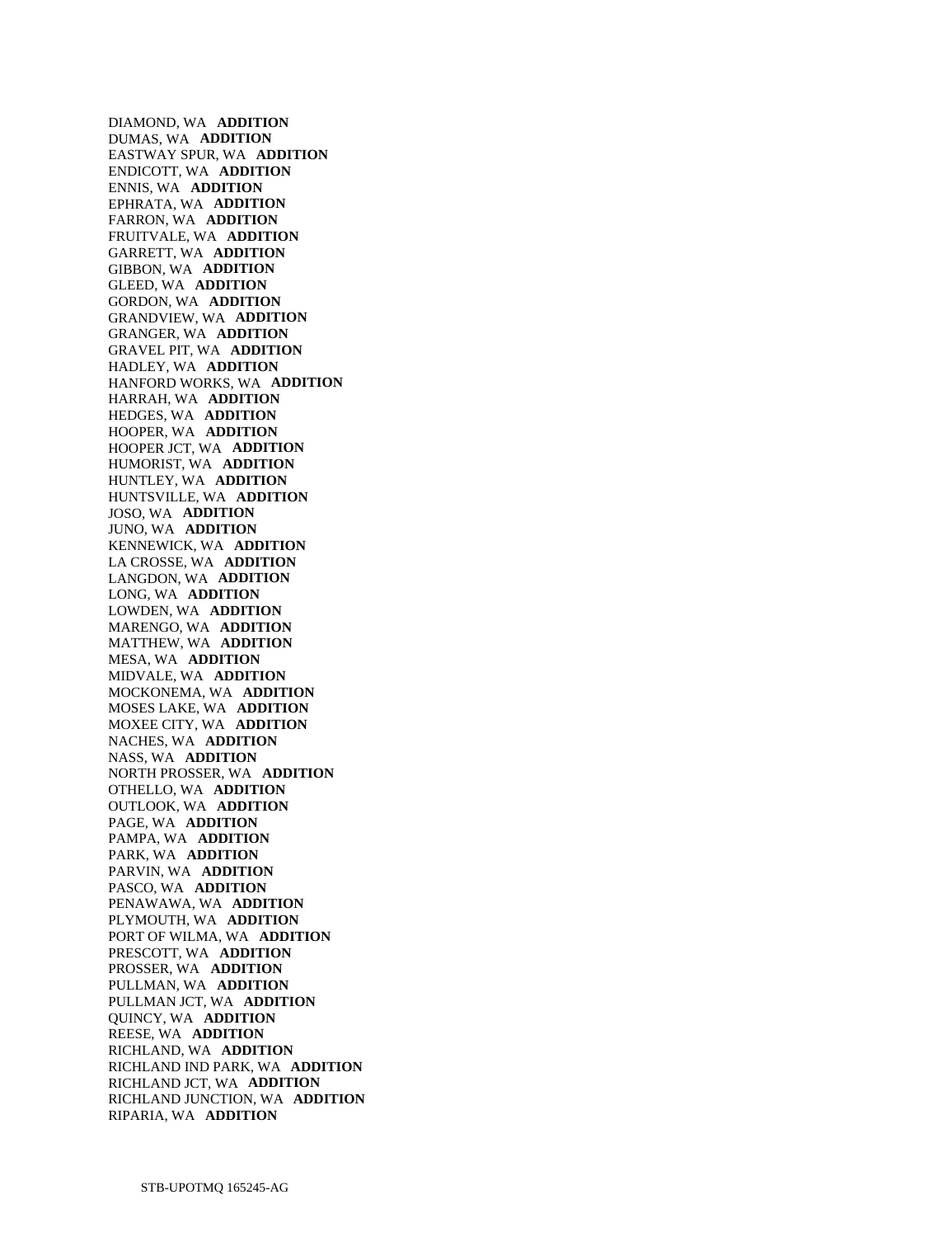DIAMOND, WA **ADDITION**  DUMAS, WA **ADDITION**  EASTWAY SPUR, WA **ADDITION**  ENDICOTT, WA **ADDITION**  ENNIS, WA **ADDITION**  EPHRATA, WA **ADDITION**  FARRON, WA **ADDITION**  FRUITVALE, WA **ADDITION**  GARRETT, WA **ADDITION**  GIBBON, WA **ADDITION**  GLEED, WA **ADDITION**  GORDON, WA **ADDITION**  GRANDVIEW, WA **ADDITION**  GRANGER, WA **ADDITION**  GRAVEL PIT, WA **ADDITION**  HADLEY, WA **ADDITION**  HANFORD WORKS, WA **ADDITION**  HARRAH, WA **ADDITION**  HEDGES, WA **ADDITION**  HOOPER, WA **ADDITION**  HOOPER JCT, WA **ADDITION**  HUMORIST, WA **ADDITION**  HUNTLEY, WA **ADDITION**  HUNTSVILLE, WA **ADDITION**  JOSO, WA **ADDITION**  JUNO, WA **ADDITION**  KENNEWICK, WA **ADDITION**  LA CROSSE, WA **ADDITION**  LANGDON, WA **ADDITION**  LONG, WA **ADDITION**  LOWDEN, WA **ADDITION**  MARENGO, WA **ADDITION**  MATTHEW, WA **ADDITION**  MESA, WA **ADDITION**  MIDVALE, WA **ADDITION**  MOCKONEMA, WA **ADDITION**  MOSES LAKE, WA **ADDITION**  MOXEE CITY, WA **ADDITION**  NACHES, WA **ADDITION**  NASS, WA **ADDITION**  NORTH PROSSER, WA **ADDITION**  OTHELLO, WA **ADDITION**  OUTLOOK, WA **ADDITION**  PAGE, WA **ADDITION**  PAMPA, WA **ADDITION**  PARK, WA **ADDITION**  PARVIN, WA **ADDITION**  PASCO, WA **ADDITION**  PENAWAWA, WA **ADDITION**  PLYMOUTH, WA **ADDITION**  PORT OF WILMA, WA **ADDITION**  PRESCOTT, WA **ADDITION**  PROSSER, WA **ADDITION**  PULLMAN, WA **ADDITION**  PULLMAN JCT, WA **ADDITION**  QUINCY, WA **ADDITION**  REESE, WA **ADDITION**  RICHLAND, WA **ADDITION**  RICHLAND IND PARK, WA **ADDITION**  RICHLAND JCT, WA **ADDITION**  RICHLAND JUNCTION, WA **ADDITION**  RIPARIA, WA **ADDITION**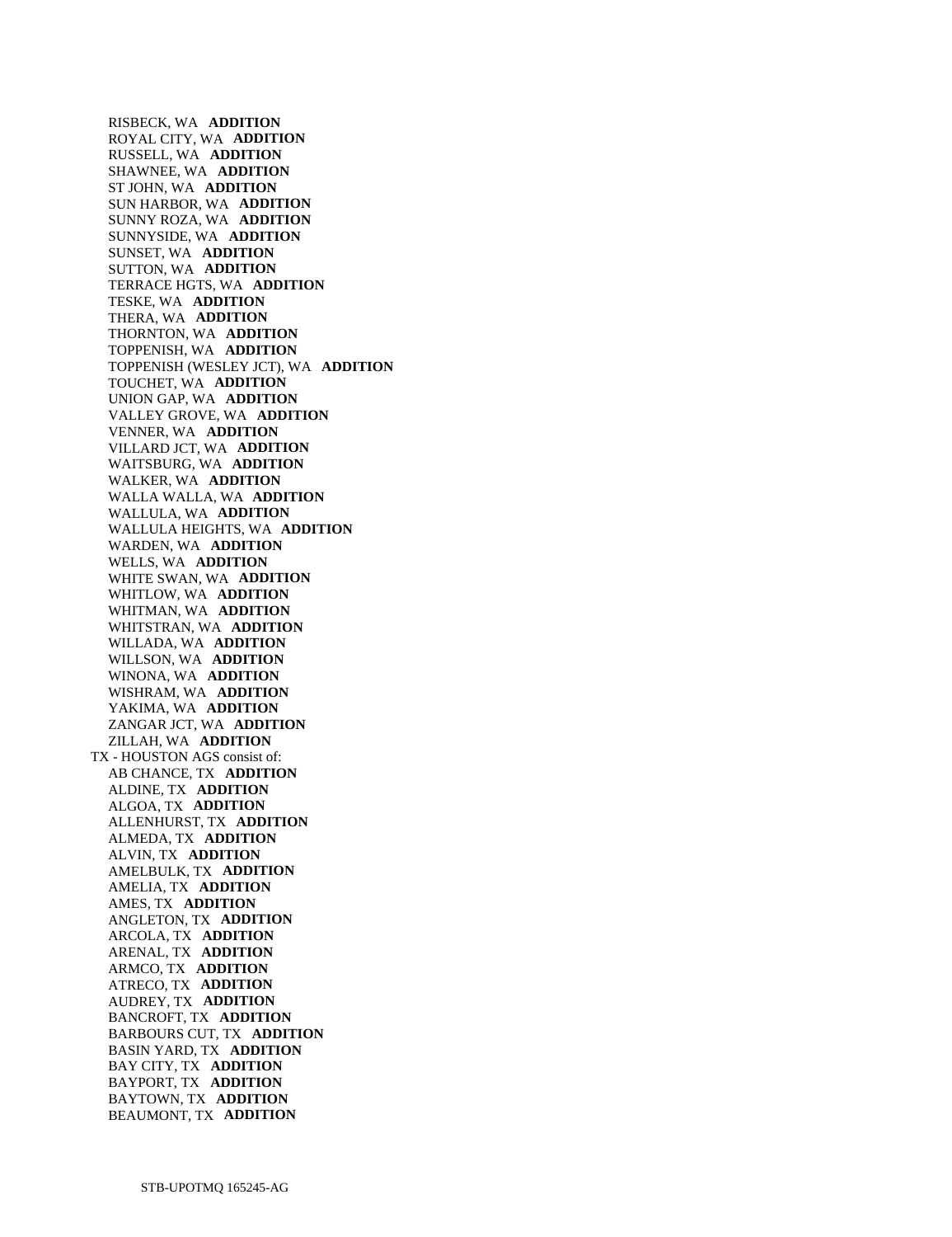RISBECK, WA **ADDITION**  ROYAL CITY, WA **ADDITION**  RUSSELL, WA **ADDITION**  SHAWNEE, WA **ADDITION**  ST JOHN, WA **ADDITION**  SUN HARBOR, WA **ADDITION**  SUNNY ROZA, WA **ADDITION**  SUNNYSIDE, WA **ADDITION**  SUNSET, WA **ADDITION**  SUTTON, WA **ADDITION**  TERRACE HGTS, WA **ADDITION**  TESKE, WA **ADDITION**  THERA, WA **ADDITION**  THORNTON, WA **ADDITION**  TOPPENISH, WA **ADDITION**  TOPPENISH (WESLEY JCT), WA **ADDITION**  TOUCHET, WA **ADDITION**  UNION GAP, WA **ADDITION**  VALLEY GROVE, WA **ADDITION**  VENNER, WA **ADDITION**  VILLARD JCT, WA **ADDITION**  WAITSBURG, WA **ADDITION**  WALKER, WA **ADDITION**  WALLA WALLA, WA **ADDITION**  WALLULA, WA **ADDITION**  WALLULA HEIGHTS, WA **ADDITION**  WARDEN, WA **ADDITION**  WELLS, WA **ADDITION**  WHITE SWAN, WA **ADDITION**  WHITLOW, WA **ADDITION**  WHITMAN, WA **ADDITION**  WHITSTRAN, WA **ADDITION**  WILLADA, WA **ADDITION**  WILLSON, WA **ADDITION**  WINONA, WA **ADDITION**  WISHRAM, WA **ADDITION**  YAKIMA, WA **ADDITION**  ZANGAR JCT, WA **ADDITION**  ZILLAH, WA **ADDITION**  TX - HOUSTON AGS consist of: AB CHANCE, TX **ADDITION**  ALDINE, TX **ADDITION**  ALGOA, TX **ADDITION**  ALLENHURST, TX **ADDITION**  ALMEDA, TX **ADDITION**  ALVIN, TX **ADDITION**  AMELBULK, TX **ADDITION**  AMELIA, TX **ADDITION**  AMES, TX **ADDITION**  ANGLETON, TX **ADDITION**  ARCOLA, TX **ADDITION**  ARENAL, TX **ADDITION**  ARMCO, TX **ADDITION**  ATRECO, TX **ADDITION**  AUDREY, TX **ADDITION**  BANCROFT, TX **ADDITION**  BARBOURS CUT, TX **ADDITION**  BASIN YARD, TX **ADDITION**  BAY CITY, TX **ADDITION**  BAYPORT, TX **ADDITION**  BAYTOWN, TX **ADDITION**  BEAUMONT, TX **ADDITION**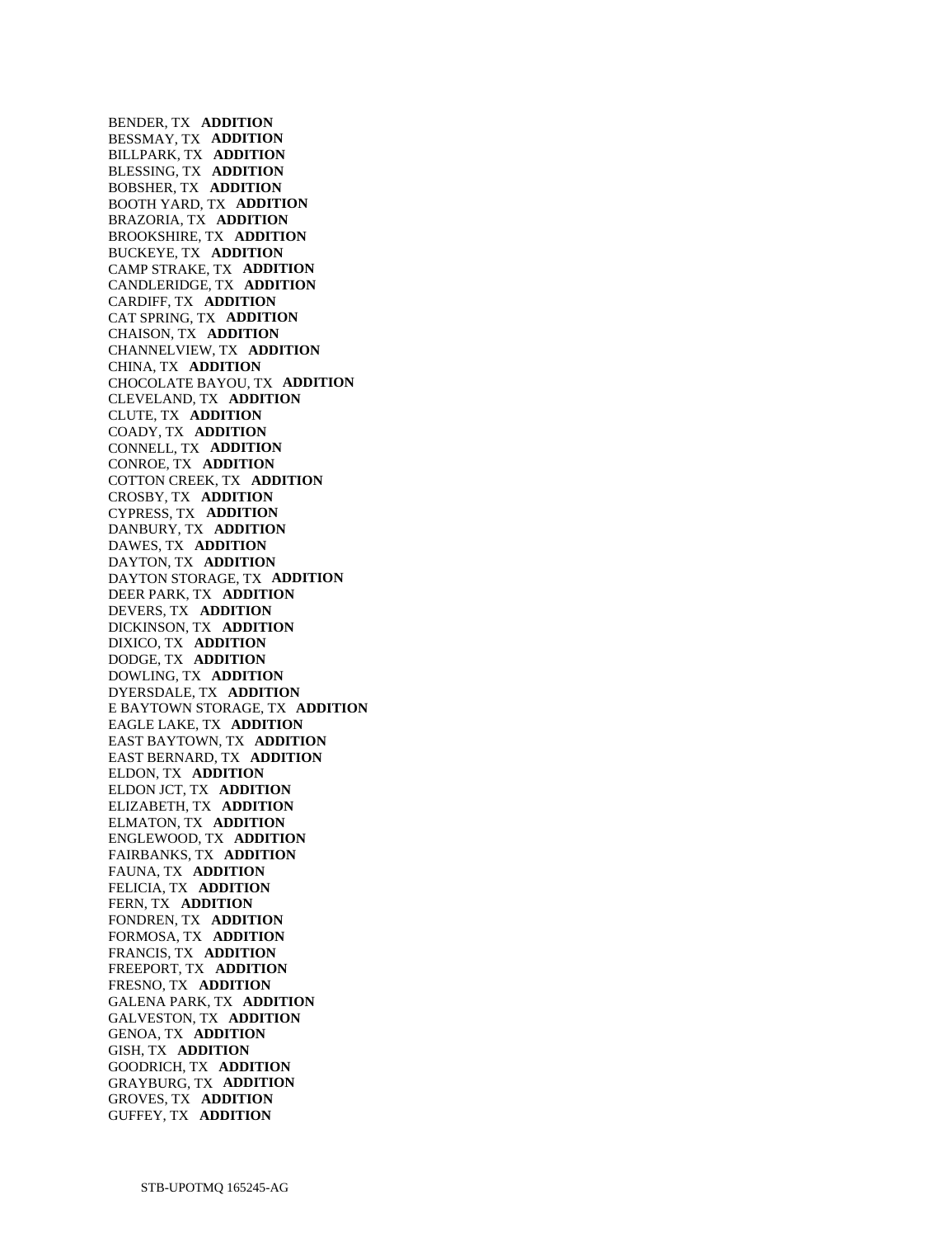BENDER, TX **ADDITION**  BESSMAY, TX **ADDITION**  BILLPARK, TX **ADDITION**  BLESSING, TX **ADDITION**  BOBSHER, TX **ADDITION**  BOOTH YARD, TX **ADDITION**  BRAZORIA, TX **ADDITION**  BROOKSHIRE, TX **ADDITION**  BUCKEYE, TX **ADDITION**  CAMP STRAKE, TX **ADDITION**  CANDLERIDGE, TX **ADDITION**  CARDIFF, TX **ADDITION**  CAT SPRING, TX **ADDITION**  CHAISON, TX **ADDITION**  CHANNELVIEW, TX **ADDITION**  CHINA, TX **ADDITION**  CHOCOLATE BAYOU, TX **ADDITION**  CLEVELAND, TX **ADDITION**  CLUTE, TX **ADDITION**  COADY, TX **ADDITION**  CONNELL, TX **ADDITION**  CONROE, TX **ADDITION**  COTTON CREEK, TX **ADDITION**  CROSBY, TX **ADDITION**  CYPRESS, TX **ADDITION**  DANBURY, TX **ADDITION**  DAWES, TX **ADDITION**  DAYTON, TX **ADDITION**  DAYTON STORAGE, TX **ADDITION**  DEER PARK, TX **ADDITION**  DEVERS, TX **ADDITION**  DICKINSON, TX **ADDITION**  DIXICO, TX **ADDITION**  DODGE, TX **ADDITION**  DOWLING, TX **ADDITION**  DYERSDALE, TX **ADDITION**  E BAYTOWN STORAGE, TX **ADDITION**  EAGLE LAKE, TX **ADDITION**  EAST BAYTOWN, TX **ADDITION**  EAST BERNARD, TX **ADDITION**  ELDON, TX **ADDITION**  ELDON JCT, TX **ADDITION**  ELIZABETH, TX **ADDITION**  ELMATON, TX **ADDITION**  ENGLEWOOD, TX **ADDITION**  FAIRBANKS, TX **ADDITION**  FAUNA, TX **ADDITION**  FELICIA, TX **ADDITION**  FERN, TX **ADDITION**  FONDREN, TX **ADDITION**  FORMOSA, TX **ADDITION**  FRANCIS, TX **ADDITION**  FREEPORT, TX **ADDITION**  FRESNO, TX **ADDITION**  GALENA PARK, TX **ADDITION**  GALVESTON, TX **ADDITION**  GENOA, TX **ADDITION**  GISH, TX **ADDITION**  GOODRICH, TX **ADDITION**  GRAYBURG, TX **ADDITION**  GROVES, TX **ADDITION**  GUFFEY, TX **ADDITION**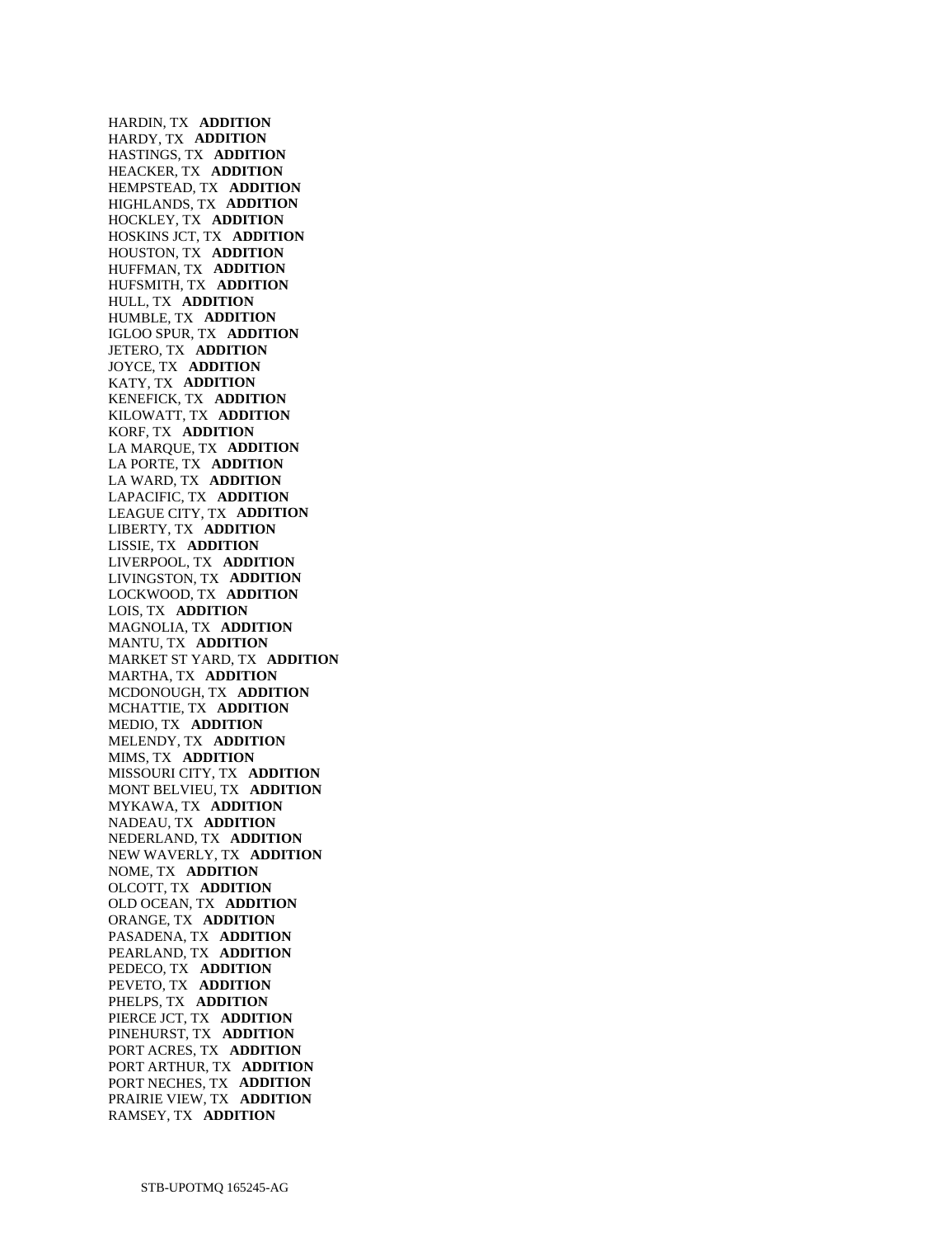HARDIN, TX **ADDITION**  HARDY, TX **ADDITION**  HASTINGS, TX **ADDITION**  HEACKER, TX **ADDITION**  HEMPSTEAD, TX **ADDITION**  HIGHLANDS, TX **ADDITION**  HOCKLEY, TX **ADDITION**  HOSKINS JCT, TX **ADDITION**  HOUSTON, TX **ADDITION**  HUFFMAN, TX **ADDITION**  HUFSMITH, TX **ADDITION**  HULL, TX **ADDITION**  HUMBLE, TX **ADDITION**  IGLOO SPUR, TX **ADDITION**  JETERO, TX **ADDITION**  JOYCE, TX **ADDITION**  KATY, TX **ADDITION**  KENEFICK, TX **ADDITION**  KILOWATT, TX **ADDITION**  KORF, TX **ADDITION**  LA MARQUE, TX **ADDITION**  LA PORTE, TX **ADDITION**  LA WARD, TX **ADDITION**  LAPACIFIC, TX **ADDITION**  LEAGUE CITY, TX **ADDITION**  LIBERTY, TX **ADDITION**  LISSIE, TX **ADDITION**  LIVERPOOL, TX **ADDITION**  LIVINGSTON, TX **ADDITION**  LOCKWOOD, TX **ADDITION**  LOIS, TX **ADDITION**  MAGNOLIA, TX **ADDITION**  MANTU, TX **ADDITION**  MARKET ST YARD, TX **ADDITION**  MARTHA, TX **ADDITION**  MCDONOUGH, TX **ADDITION**  MCHATTIE, TX **ADDITION**  MEDIO, TX **ADDITION**  MELENDY, TX **ADDITION**  MIMS, TX **ADDITION**  MISSOURI CITY, TX **ADDITION**  MONT BELVIEU, TX **ADDITION**  MYKAWA, TX **ADDITION**  NADEAU, TX **ADDITION**  NEDERLAND, TX **ADDITION**  NEW WAVERLY, TX **ADDITION**  NOME, TX **ADDITION**  OLCOTT, TX **ADDITION**  OLD OCEAN, TX **ADDITION**  ORANGE, TX **ADDITION**  PASADENA, TX **ADDITION**  PEARLAND, TX **ADDITION**  PEDECO, TX **ADDITION**  PEVETO, TX **ADDITION**  PHELPS, TX **ADDITION**  PIERCE JCT, TX **ADDITION**  PINEHURST, TX **ADDITION**  PORT ACRES, TX **ADDITION**  PORT ARTHUR, TX **ADDITION**  PORT NECHES, TX **ADDITION**  PRAIRIE VIEW, TX **ADDITION**  RAMSEY, TX **ADDITION**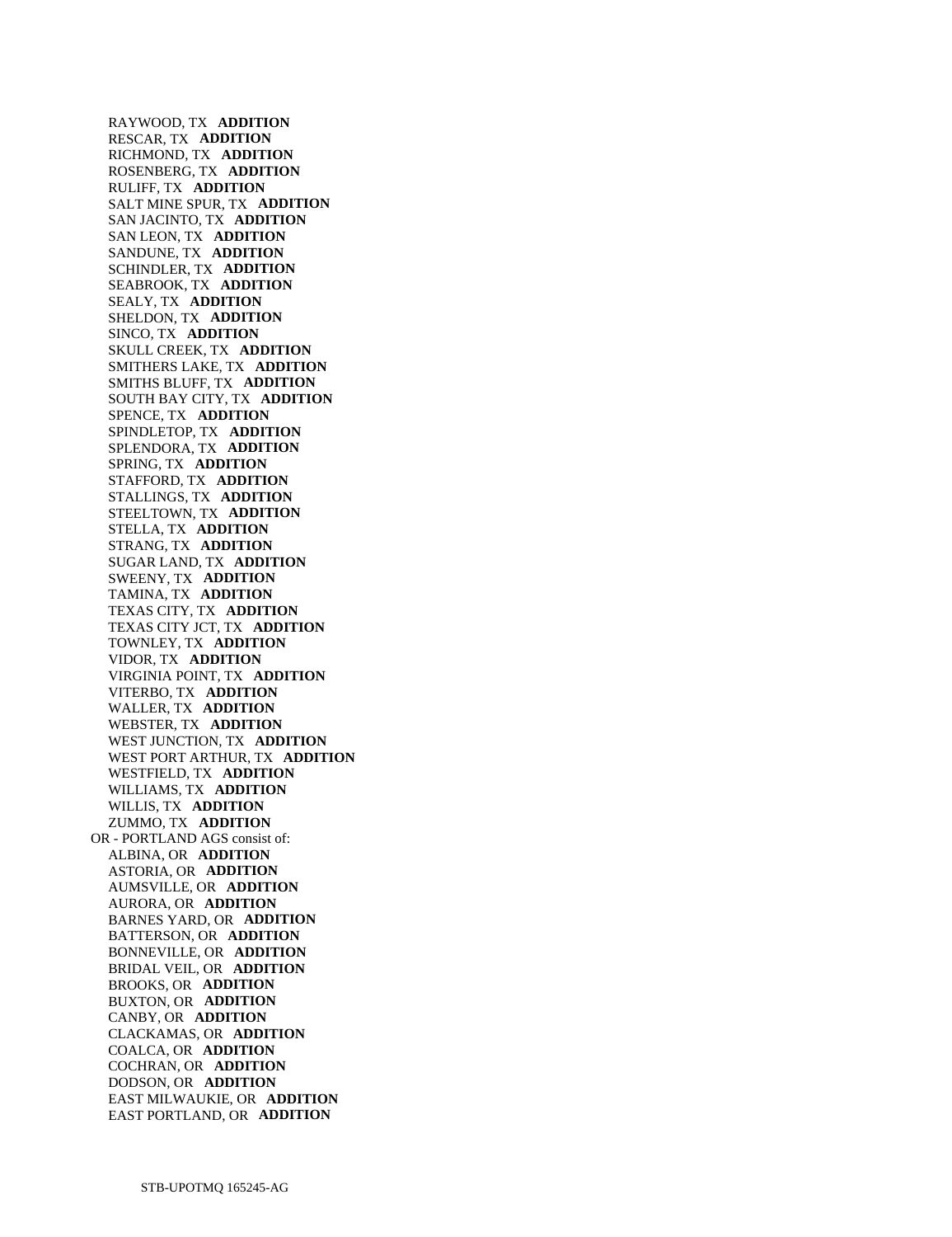RAYWOOD, TX **ADDITION**  RESCAR, TX **ADDITION**  RICHMOND, TX **ADDITION**  ROSENBERG, TX **ADDITION**  RULIFF, TX **ADDITION**  SALT MINE SPUR, TX **ADDITION**  SAN JACINTO, TX **ADDITION**  SAN LEON, TX **ADDITION**  SANDUNE, TX **ADDITION**  SCHINDLER, TX **ADDITION**  SEABROOK, TX **ADDITION**  SEALY, TX **ADDITION**  SHELDON, TX **ADDITION**  SINCO, TX **ADDITION**  SKULL CREEK, TX **ADDITION**  SMITHERS LAKE, TX **ADDITION**  SMITHS BLUFF, TX **ADDITION**  SOUTH BAY CITY, TX **ADDITION**  SPENCE, TX **ADDITION**  SPINDLETOP, TX **ADDITION**  SPLENDORA, TX **ADDITION**  SPRING, TX **ADDITION**  STAFFORD, TX **ADDITION**  STALLINGS, TX **ADDITION**  STEELTOWN, TX **ADDITION**  STELLA, TX **ADDITION**  STRANG, TX **ADDITION**  SUGAR LAND, TX **ADDITION**  SWEENY, TX **ADDITION**  TAMINA, TX **ADDITION**  TEXAS CITY, TX **ADDITION**  TEXAS CITY JCT, TX **ADDITION**  TOWNLEY, TX **ADDITION**  VIDOR, TX **ADDITION**  VIRGINIA POINT, TX **ADDITION**  VITERBO, TX **ADDITION**  WALLER, TX **ADDITION**  WEBSTER, TX **ADDITION**  WEST JUNCTION, TX **ADDITION**  WEST PORT ARTHUR, TX **ADDITION**  WESTFIELD, TX **ADDITION**  WILLIAMS, TX **ADDITION**  WILLIS, TX **ADDITION**  ZUMMO, TX **ADDITION**  OR - PORTLAND AGS consist of: ALBINA, OR **ADDITION**  ASTORIA, OR **ADDITION**  AUMSVILLE, OR **ADDITION**  AURORA, OR **ADDITION**  BARNES YARD, OR **ADDITION**  BATTERSON, OR **ADDITION**  BONNEVILLE, OR **ADDITION**  BRIDAL VEIL, OR **ADDITION**  BROOKS, OR **ADDITION**  BUXTON, OR **ADDITION**  CANBY, OR **ADDITION**  CLACKAMAS, OR **ADDITION**  COALCA, OR **ADDITION**  COCHRAN, OR **ADDITION**  DODSON, OR **ADDITION**  EAST MILWAUKIE, OR **ADDITION**  EAST PORTLAND, OR **ADDITION**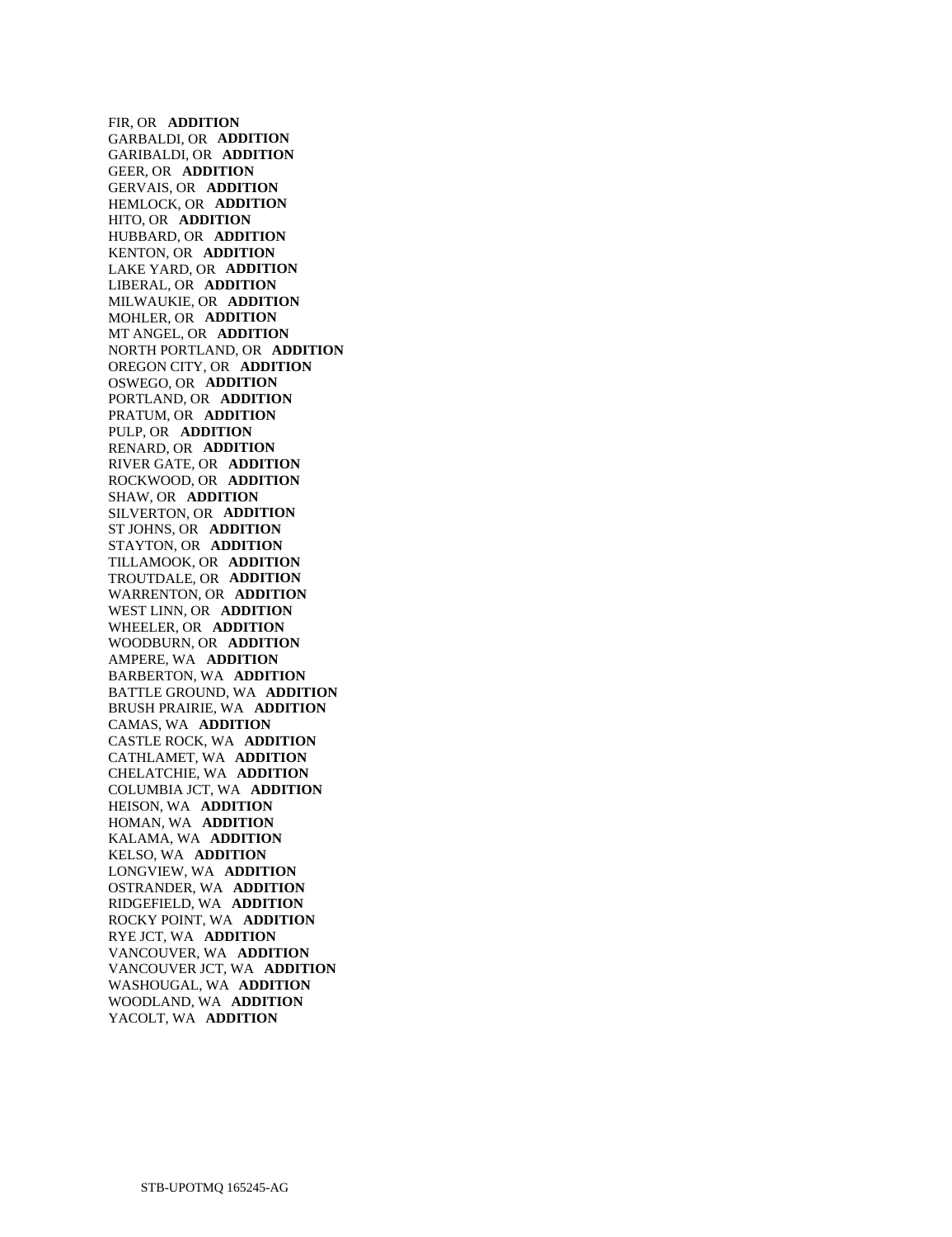FIR, OR **ADDITION**  GARBALDI, OR **ADDITION**  GARIBALDI, OR **ADDITION**  GEER, OR **ADDITION**  GERVAIS, OR **ADDITION**  HEMLOCK, OR **ADDITION**  HITO, OR **ADDITION**  HUBBARD, OR **ADDITION**  KENTON, OR **ADDITION**  LAKE YARD, OR **ADDITION**  LIBERAL, OR **ADDITION**  MILWAUKIE, OR **ADDITION**  MOHLER, OR **ADDITION**  MT ANGEL, OR **ADDITION**  NORTH PORTLAND, OR **ADDITION**  OREGON CITY, OR **ADDITION**  OSWEGO, OR **ADDITION**  PORTLAND, OR **ADDITION**  PRATUM, OR **ADDITION**  PULP, OR **ADDITION**  RENARD, OR **ADDITION**  RIVER GATE, OR **ADDITION**  ROCKWOOD, OR **ADDITION**  SHAW, OR **ADDITION**  SILVERTON, OR **ADDITION**  ST JOHNS, OR **ADDITION**  STAYTON, OR **ADDITION**  TILLAMOOK, OR **ADDITION**  TROUTDALE, OR **ADDITION**  WARRENTON, OR **ADDITION**  WEST LINN, OR **ADDITION**  WHEELER, OR **ADDITION**  WOODBURN, OR **ADDITION**  AMPERE, WA **ADDITION**  BARBERTON, WA **ADDITION**  BATTLE GROUND, WA **ADDITION**  BRUSH PRAIRIE, WA **ADDITION**  CAMAS, WA **ADDITION**  CASTLE ROCK, WA **ADDITION**  CATHLAMET, WA **ADDITION**  CHELATCHIE, WA **ADDITION**  COLUMBIA JCT, WA **ADDITION**  HEISON, WA **ADDITION**  HOMAN, WA **ADDITION**  KALAMA, WA **ADDITION**  KELSO, WA **ADDITION**  LONGVIEW, WA **ADDITION**  OSTRANDER, WA **ADDITION**  RIDGEFIELD, WA **ADDITION**  ROCKY POINT, WA **ADDITION**  RYE JCT, WA **ADDITION**  VANCOUVER, WA **ADDITION**  VANCOUVER JCT, WA **ADDITION**  WASHOUGAL, WA **ADDITION**  WOODLAND, WA **ADDITION**  YACOLT, WA **ADDITION**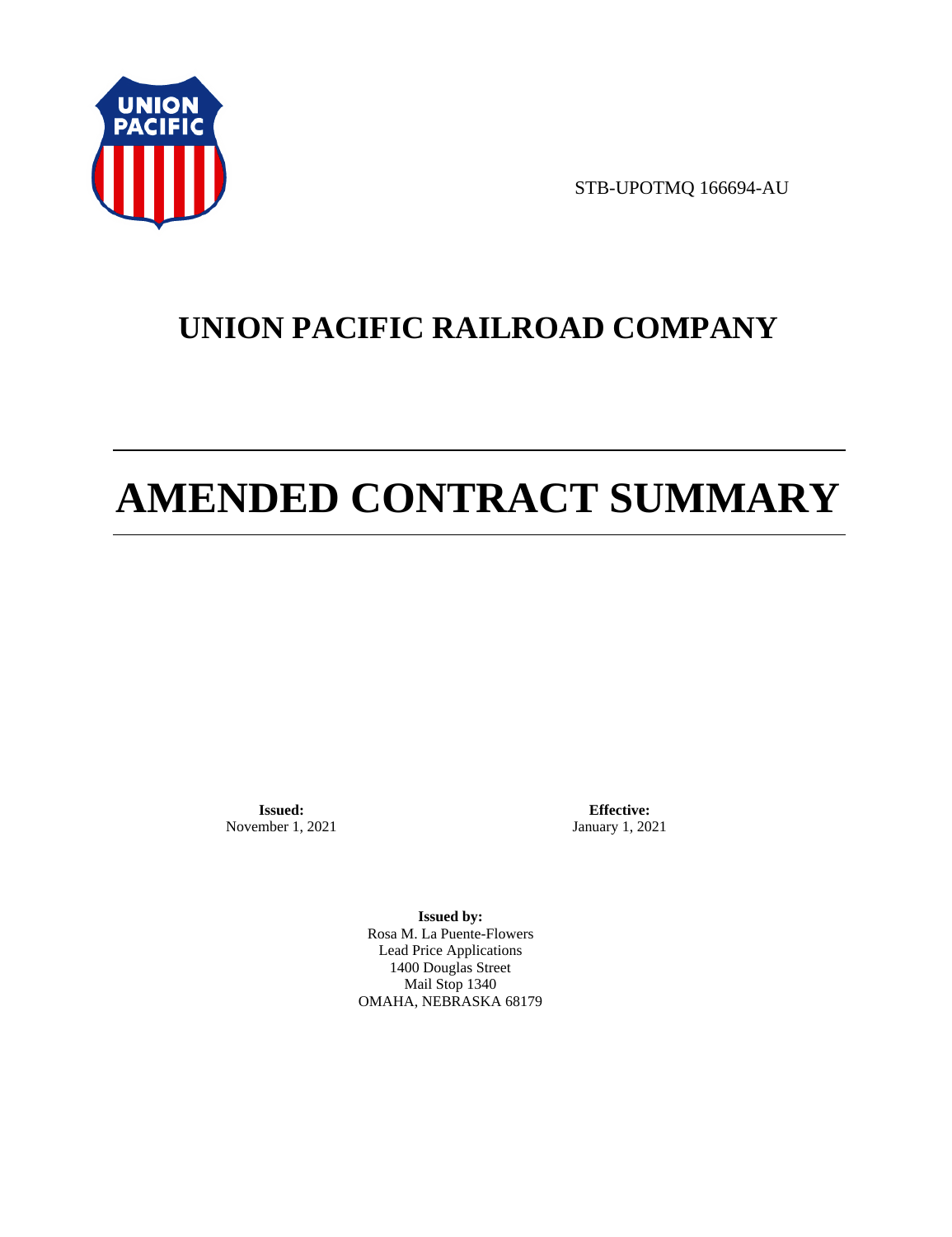

STB-UPOTMQ 166694-AU

# **UNION PACIFIC RAILROAD COMPANY**

# **AMENDED CONTRACT SUMMARY**

**Issued:**  November 1, 2021

**Effective:** January 1, 2021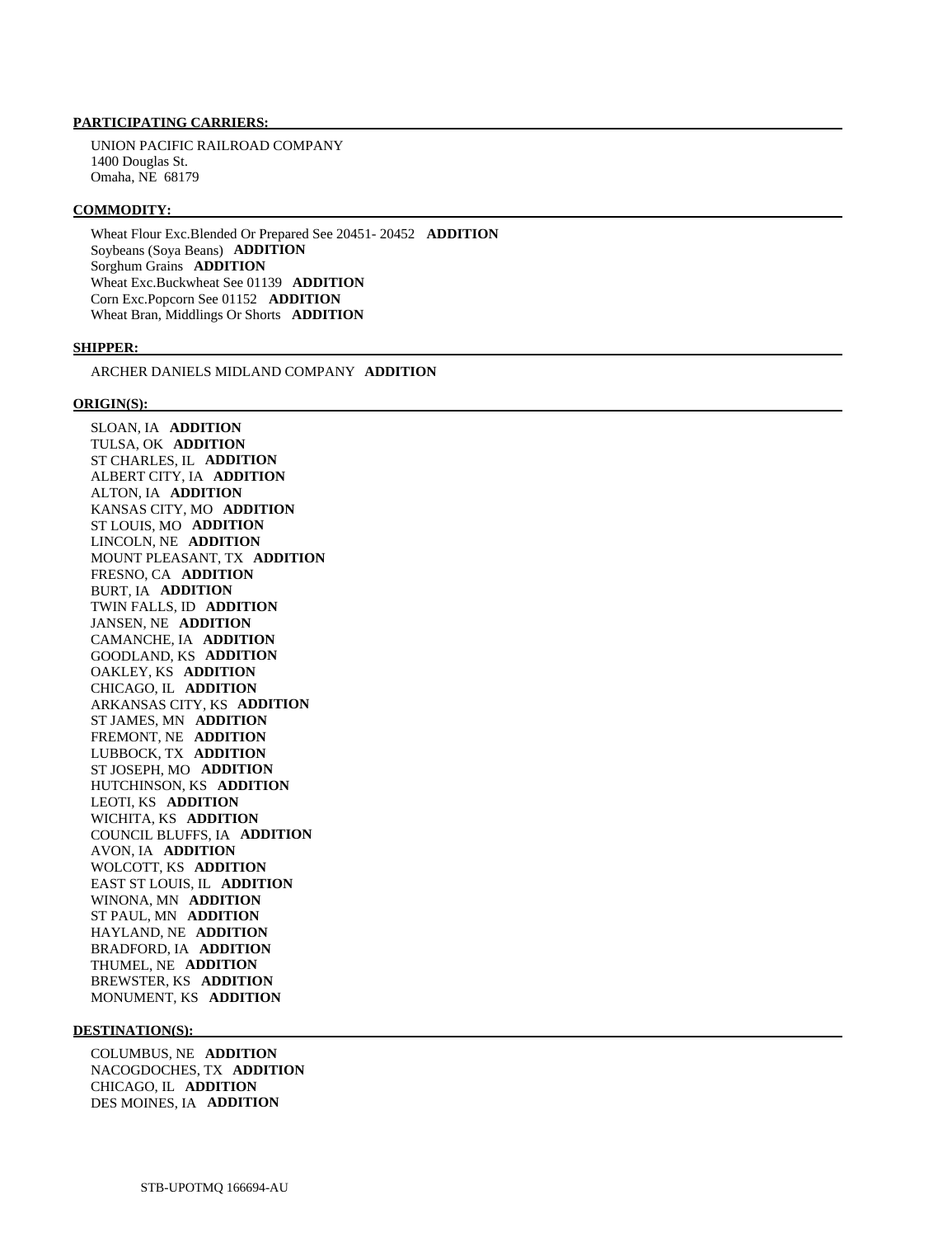UNION PACIFIC RAILROAD COMPANY 1400 Douglas St. Omaha, NE 68179

#### **COMMODITY:**

 Wheat Flour Exc.Blended Or Prepared See 20451- 20452 **ADDITION**  Soybeans (Soya Beans) **ADDITION**  Sorghum Grains **ADDITION**  Wheat Exc.Buckwheat See 01139 **ADDITION**  Corn Exc.Popcorn See 01152 **ADDITION**  Wheat Bran, Middlings Or Shorts **ADDITION** 

#### **SHIPPER:**

ARCHER DANIELS MIDLAND COMPANY **ADDITION** 

#### **ORIGIN(S):**

 SLOAN, IA **ADDITION**  TULSA, OK **ADDITION**  ST CHARLES, IL **ADDITION**  ALBERT CITY, IA **ADDITION**  ALTON, IA **ADDITION**  KANSAS CITY, MO **ADDITION**  ST LOUIS, MO **ADDITION**  LINCOLN, NE **ADDITION**  MOUNT PLEASANT, TX **ADDITION**  FRESNO, CA **ADDITION**  BURT, IA **ADDITION**  TWIN FALLS, ID **ADDITION**  JANSEN, NE **ADDITION**  CAMANCHE, IA **ADDITION**  GOODLAND, KS **ADDITION**  OAKLEY, KS **ADDITION**  CHICAGO, IL **ADDITION**  ARKANSAS CITY, KS **ADDITION**  ST JAMES, MN **ADDITION**  FREMONT, NE **ADDITION**  LUBBOCK, TX **ADDITION**  ST JOSEPH, MO **ADDITION**  HUTCHINSON, KS **ADDITION**  LEOTI, KS **ADDITION**  WICHITA, KS **ADDITION**  COUNCIL BLUFFS, IA **ADDITION**  AVON, IA **ADDITION**  WOLCOTT, KS **ADDITION**  EAST ST LOUIS, IL **ADDITION**  WINONA, MN **ADDITION**  ST PAUL, MN **ADDITION**  HAYLAND, NE **ADDITION**  BRADFORD, IA **ADDITION**  THUMEL, NE **ADDITION**  BREWSTER, KS **ADDITION**  MONUMENT, KS **ADDITION** 

#### **DESTINATION(S):**

 COLUMBUS, NE **ADDITION**  NACOGDOCHES, TX **ADDITION**  CHICAGO, IL **ADDITION**  DES MOINES, IA **ADDITION**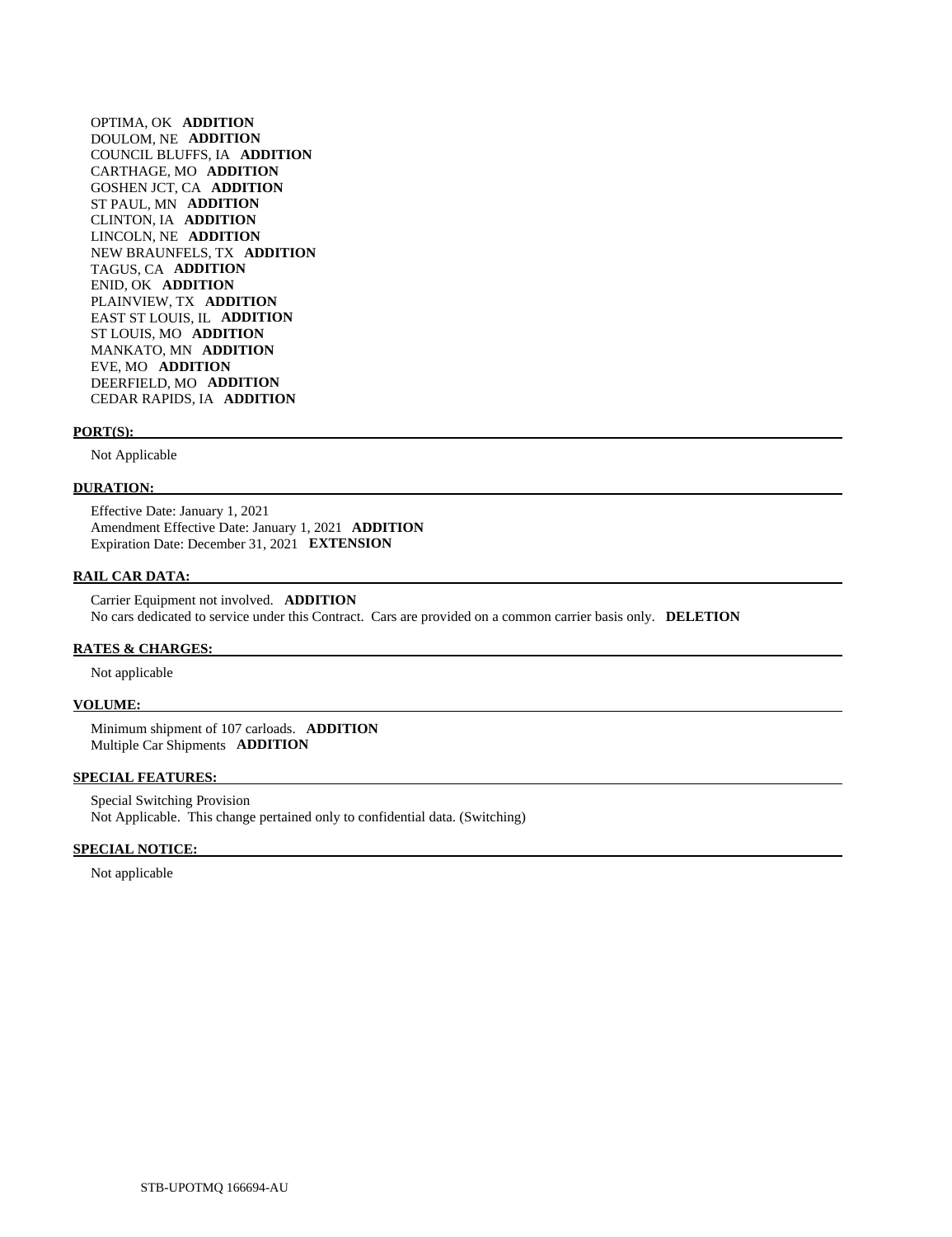OPTIMA, OK **ADDITION**  DOULOM, NE **ADDITION**  COUNCIL BLUFFS, IA **ADDITION**  CARTHAGE, MO **ADDITION**  GOSHEN JCT, CA **ADDITION**  ST PAUL, MN **ADDITION**  CLINTON, IA **ADDITION**  LINCOLN, NE **ADDITION**  NEW BRAUNFELS, TX **ADDITION**  TAGUS, CA **ADDITION**  ENID, OK **ADDITION**  PLAINVIEW, TX **ADDITION**  EAST ST LOUIS, IL **ADDITION**  ST LOUIS, MO **ADDITION**  MANKATO, MN **ADDITION**  EVE, MO **ADDITION**  DEERFIELD, MO **ADDITION**  CEDAR RAPIDS, IA **ADDITION** 

#### **PORT(S):**

Not Applicable

#### **DURATION:**

 Effective Date: January 1, 2021 Amendment Effective Date: January 1, 2021 **ADDITION**  Expiration Date: December 31, 2021 **EXTENSION** 

#### **RAIL CAR DATA:**

 Carrier Equipment not involved. **ADDITION**  No cars dedicated to service under this Contract. Cars are provided on a common carrier basis only. **DELETION** 

## **RATES & CHARGES:**

Not applicable

#### **VOLUME:**

 Minimum shipment of 107 carloads. **ADDITION**  Multiple Car Shipments **ADDITION** 

### **SPECIAL FEATURES:**

 Special Switching Provision Not Applicable. This change pertained only to confidential data. (Switching)

#### **SPECIAL NOTICE:**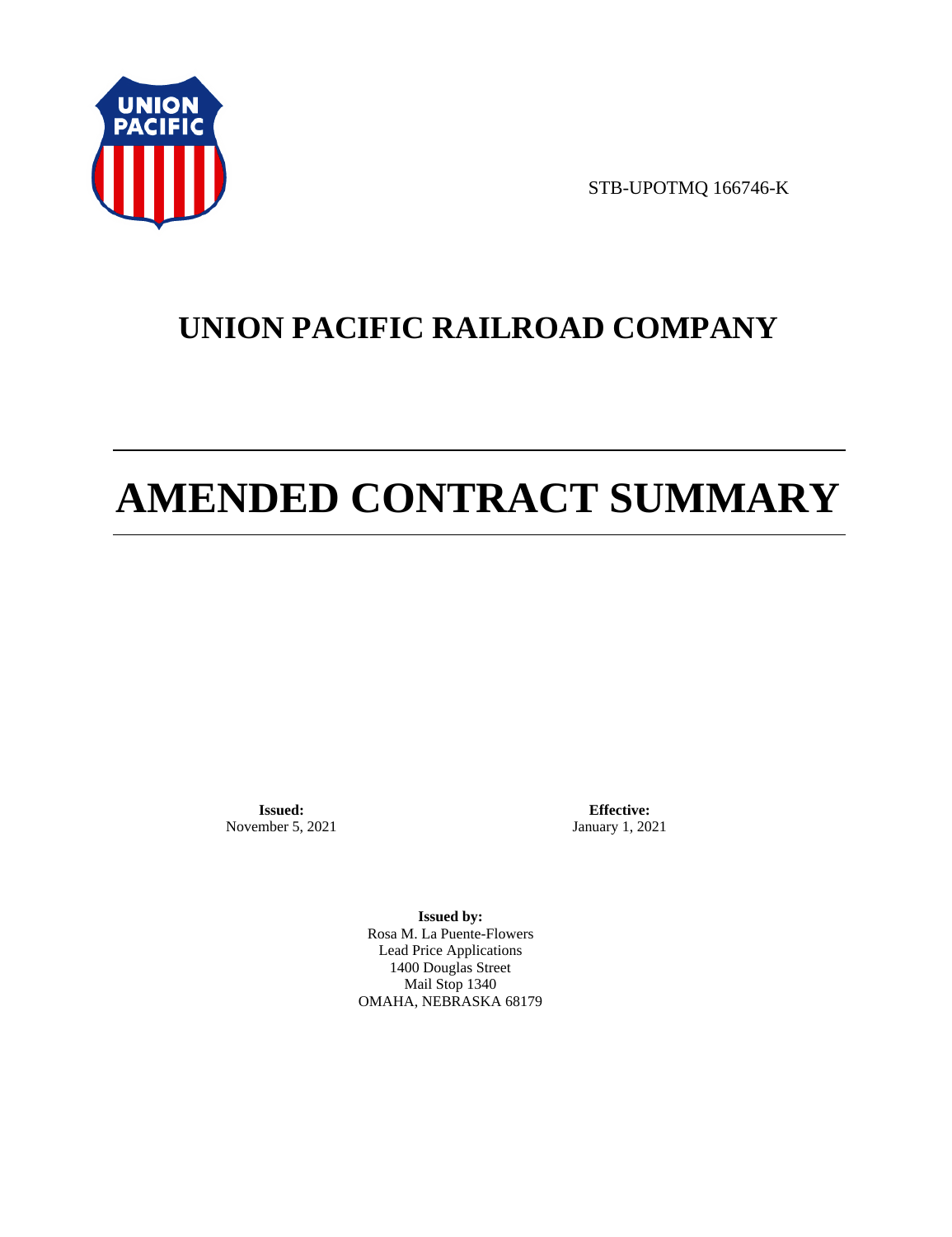

STB-UPOTMQ 166746-K

# **UNION PACIFIC RAILROAD COMPANY**

# **AMENDED CONTRACT SUMMARY**

**Issued:**  November 5, 2021

**Effective:** January 1, 2021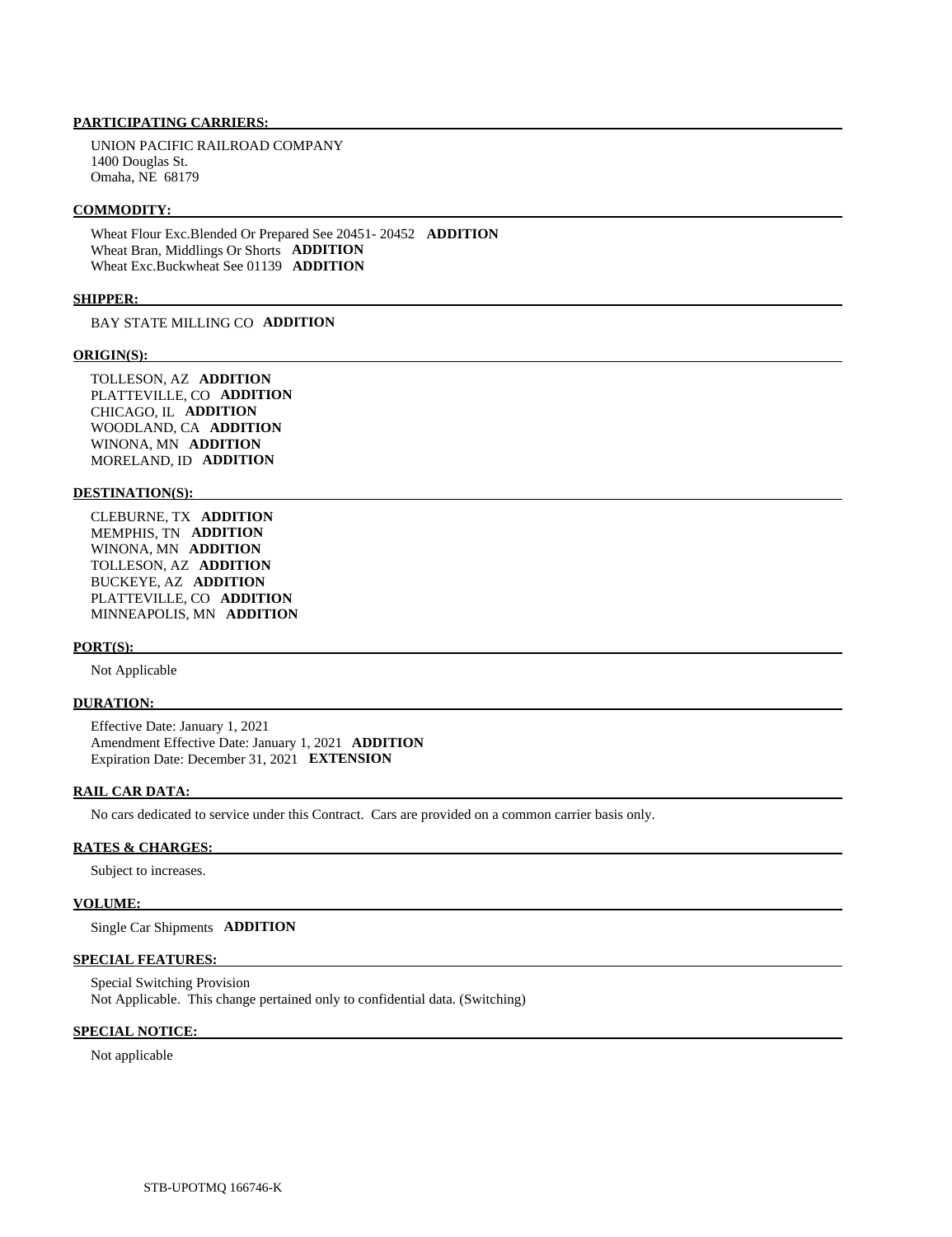UNION PACIFIC RAILROAD COMPANY 1400 Douglas St. Omaha, NE 68179

#### **COMMODITY:**

 Wheat Flour Exc.Blended Or Prepared See 20451- 20452 **ADDITION**  Wheat Bran, Middlings Or Shorts **ADDITION**  Wheat Exc.Buckwheat See 01139 **ADDITION** 

#### **SHIPPER:**

BAY STATE MILLING CO **ADDITION** 

#### **ORIGIN(S):**

 TOLLESON, AZ **ADDITION**  PLATTEVILLE, CO **ADDITION**  CHICAGO, IL **ADDITION**  WOODLAND, CA **ADDITION**  WINONA, MN **ADDITION**  MORELAND, ID **ADDITION** 

#### **DESTINATION(S):**

 CLEBURNE, TX **ADDITION**  MEMPHIS, TN **ADDITION**  WINONA, MN **ADDITION**  TOLLESON, AZ **ADDITION**  BUCKEYE, AZ **ADDITION**  PLATTEVILLE, CO **ADDITION**  MINNEAPOLIS, MN **ADDITION** 

## **PORT(S):**

Not Applicable

#### **DURATION:**

 Effective Date: January 1, 2021 Amendment Effective Date: January 1, 2021 **ADDITION**  Expiration Date: December 31, 2021 **EXTENSION** 

#### **RAIL CAR DATA:**

No cars dedicated to service under this Contract. Cars are provided on a common carrier basis only.

#### **RATES & CHARGES:**

Subject to increases.

#### **VOLUME:**

Single Car Shipments **ADDITION** 

#### **SPECIAL FEATURES:**

 Special Switching Provision Not Applicable. This change pertained only to confidential data. (Switching)

#### **SPECIAL NOTICE:**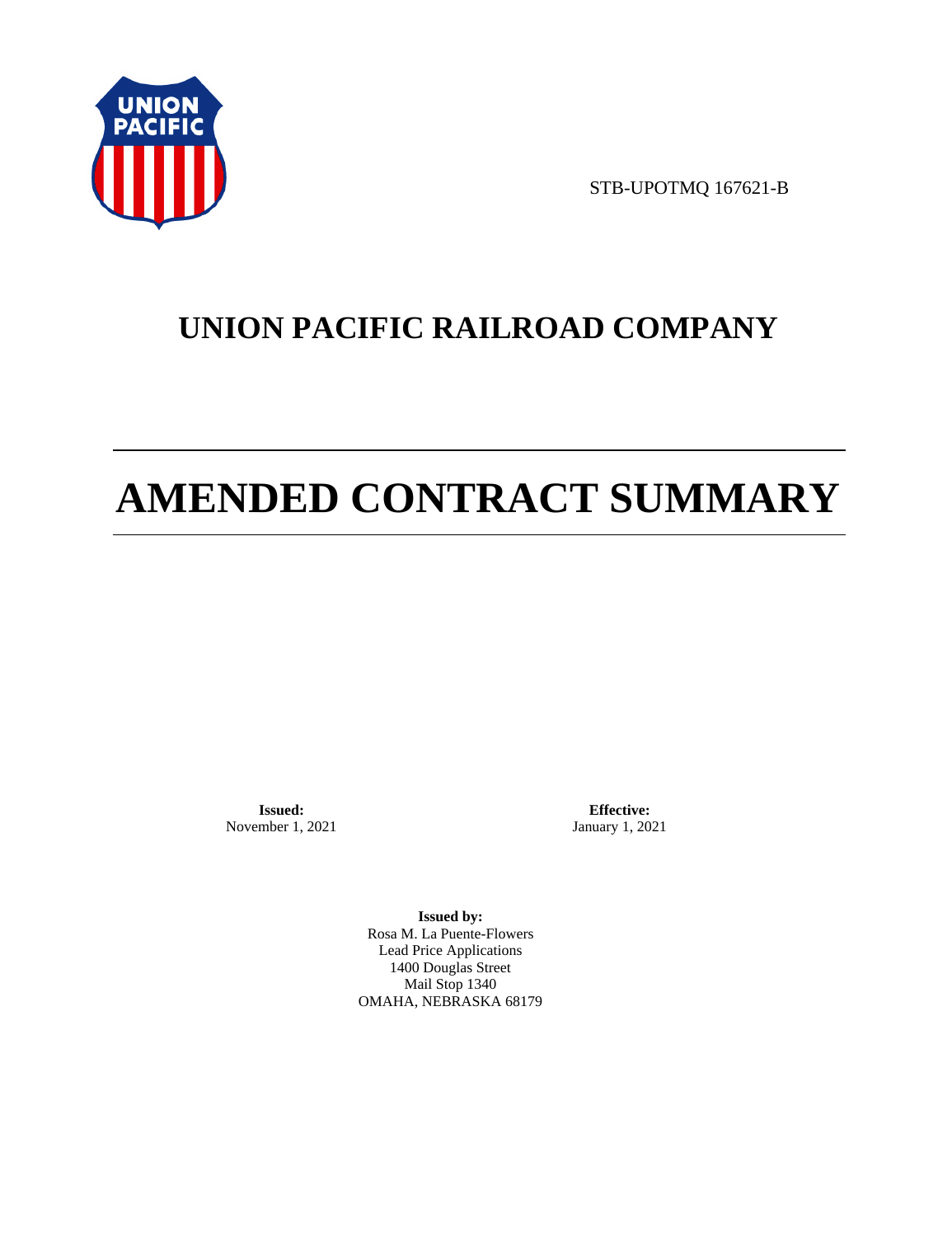

STB-UPOTMQ 167621-B

# **UNION PACIFIC RAILROAD COMPANY**

# **AMENDED CONTRACT SUMMARY**

**Issued:**  November 1, 2021

**Effective:** January 1, 2021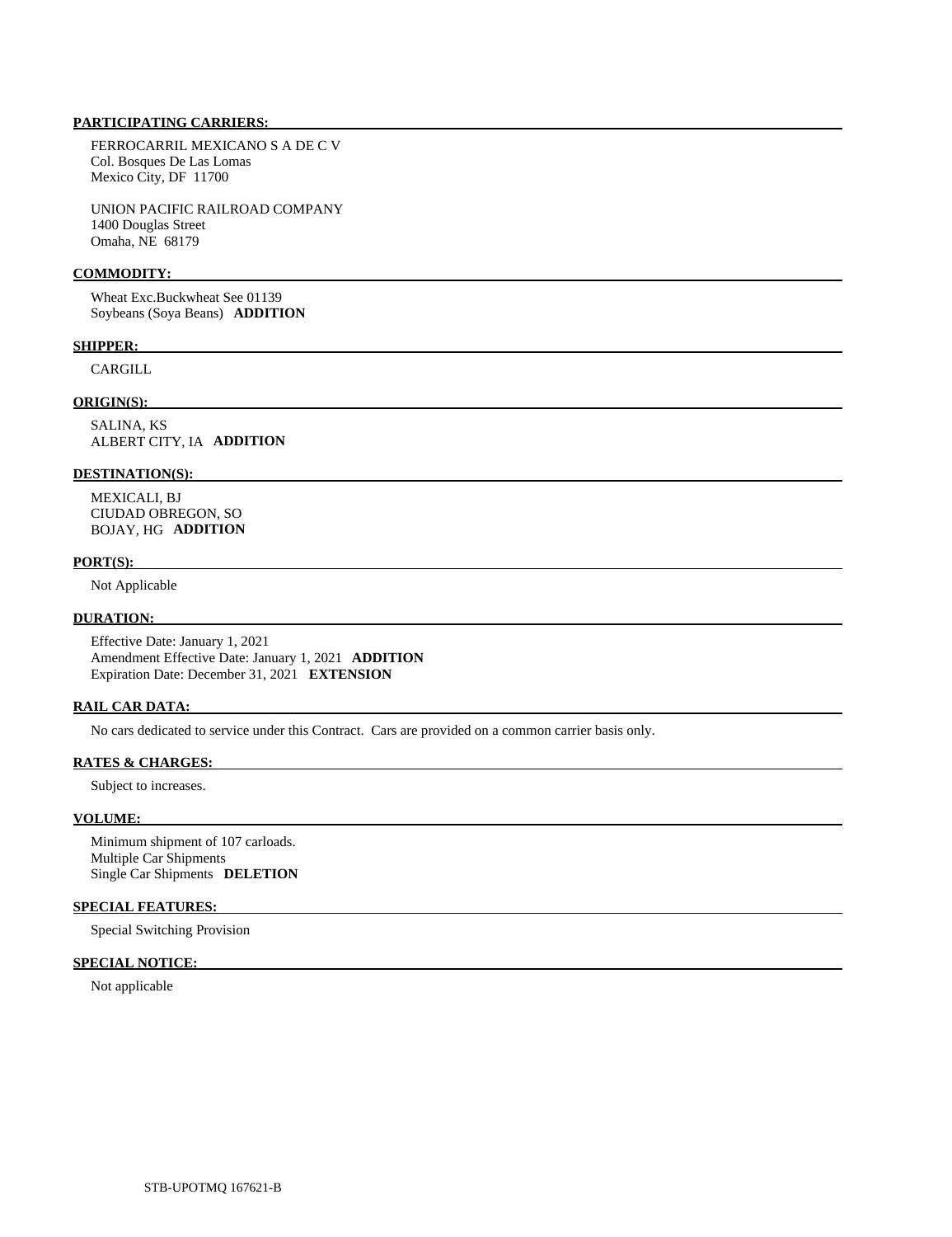FERROCARRIL MEXICANO S A DE C V Col. Bosques De Las Lomas Mexico City, DF 11700

 UNION PACIFIC RAILROAD COMPANY 1400 Douglas Street Omaha, NE 68179

#### **COMMODITY:**

 Wheat Exc.Buckwheat See 01139 Soybeans (Soya Beans) **ADDITION** 

#### **SHIPPER:**

CARGILL

## **ORIGIN(S):**

 SALINA, KS ALBERT CITY, IA **ADDITION** 

#### **DESTINATION(S):**

 MEXICALI, BJ CIUDAD OBREGON, SO BOJAY, HG **ADDITION** 

#### **PORT(S):**

Not Applicable

#### **DURATION:**

 Effective Date: January 1, 2021 Amendment Effective Date: January 1, 2021 **ADDITION**  Expiration Date: December 31, 2021 **EXTENSION** 

# **RAIL CAR DATA:**

No cars dedicated to service under this Contract. Cars are provided on a common carrier basis only.

### **RATES & CHARGES:**

Subject to increases.

# **VOLUME:**

 Minimum shipment of 107 carloads. Multiple Car Shipments Single Car Shipments **DELETION** 

## **SPECIAL FEATURES:**

Special Switching Provision

# **SPECIAL NOTICE:**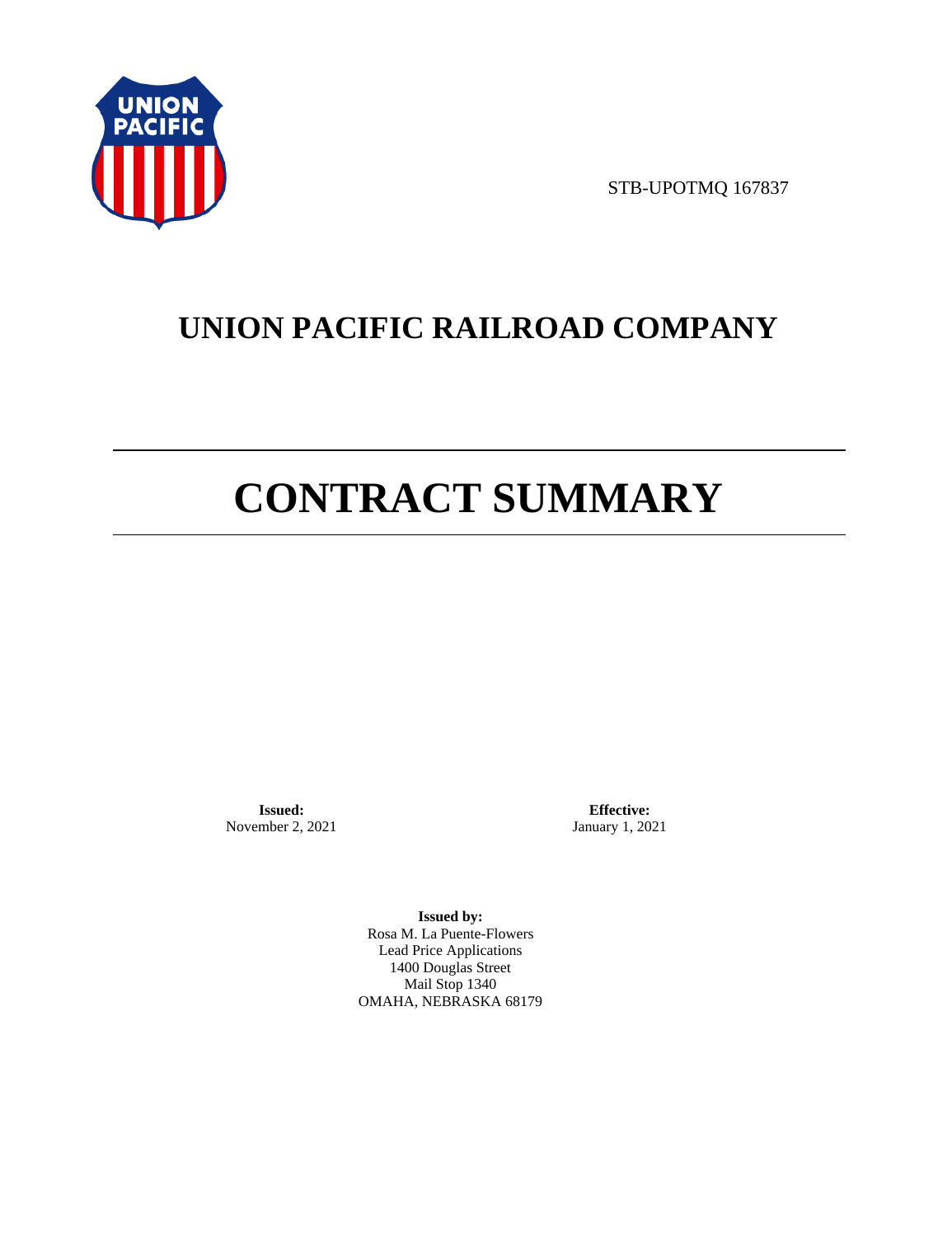

STB-UPOTMQ 167837

# **UNION PACIFIC RAILROAD COMPANY**

# **CONTRACT SUMMARY**

**Issued:**  November 2, 2021

**Effective:** January 1, 2021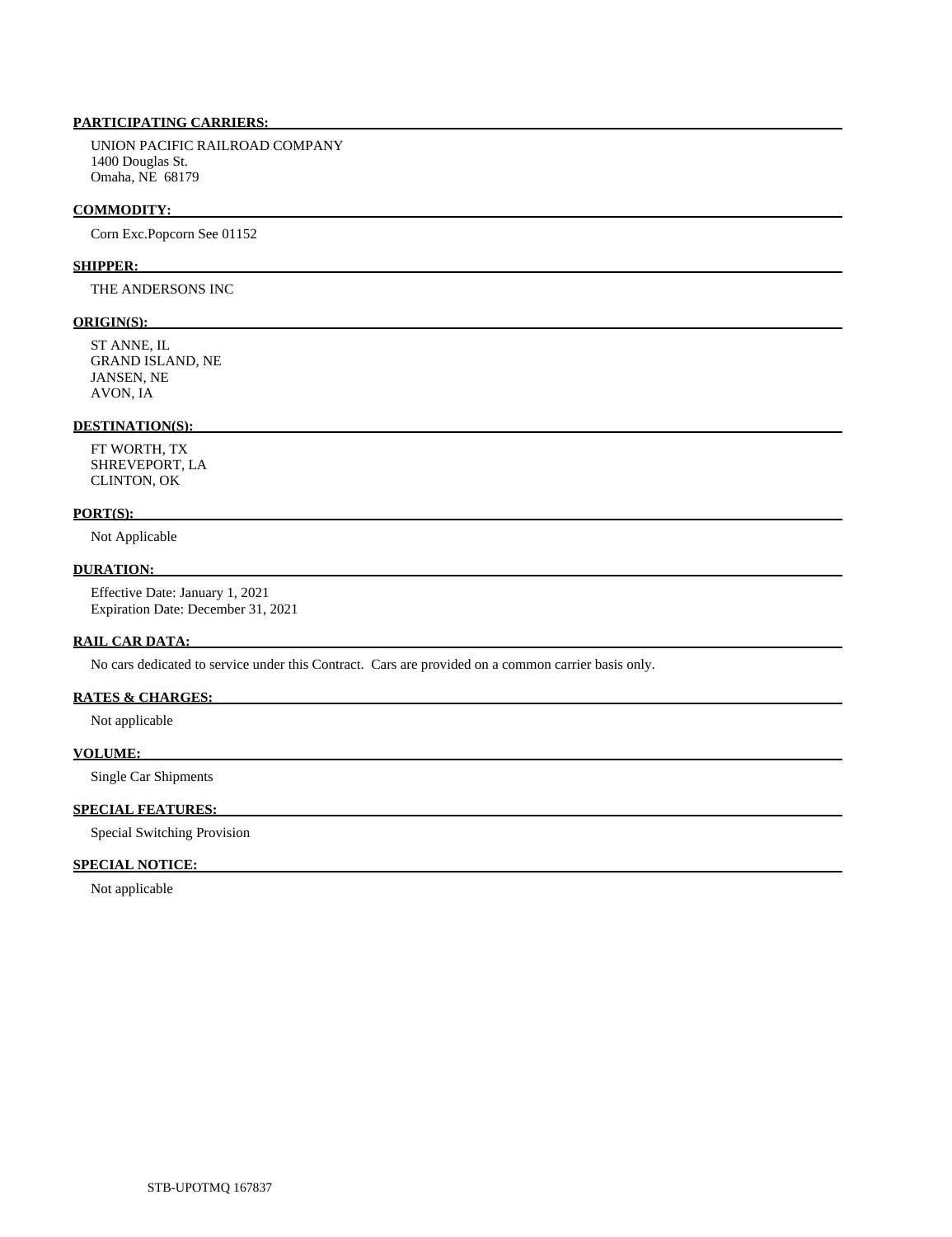UNION PACIFIC RAILROAD COMPANY 1400 Douglas St. Omaha, NE 68179

#### **COMMODITY:**

Corn Exc.Popcorn See 01152

#### **SHIPPER:**

THE ANDERSONS INC

#### **ORIGIN(S):**

 ST ANNE, IL GRAND ISLAND, NE JANSEN, NE AVON, IA

# **DESTINATION(S):**

 FT WORTH, TX SHREVEPORT, LA CLINTON, OK

#### **PORT(S):**

Not Applicable

## **DURATION:**

 Effective Date: January 1, 2021 Expiration Date: December 31, 2021

# **RAIL CAR DATA:**

No cars dedicated to service under this Contract. Cars are provided on a common carrier basis only.

# **RATES & CHARGES:**

Not applicable

#### **VOLUME:**

Single Car Shipments

# **SPECIAL FEATURES:**

Special Switching Provision

#### **SPECIAL NOTICE:**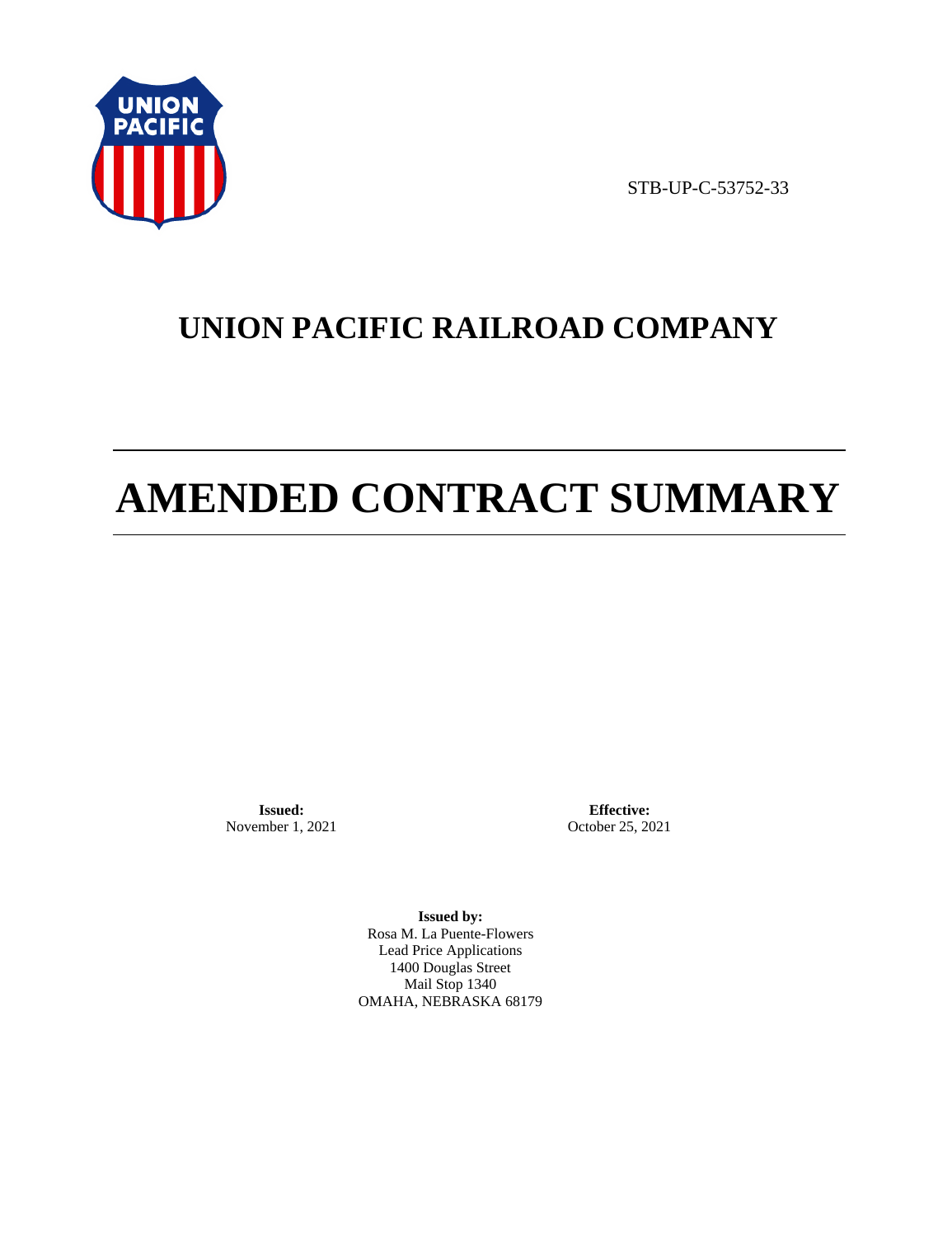

STB-UP-C-53752-33

# **UNION PACIFIC RAILROAD COMPANY**

# **AMENDED CONTRACT SUMMARY**

**Issued:**  November 1, 2021

**Effective:** October 25, 2021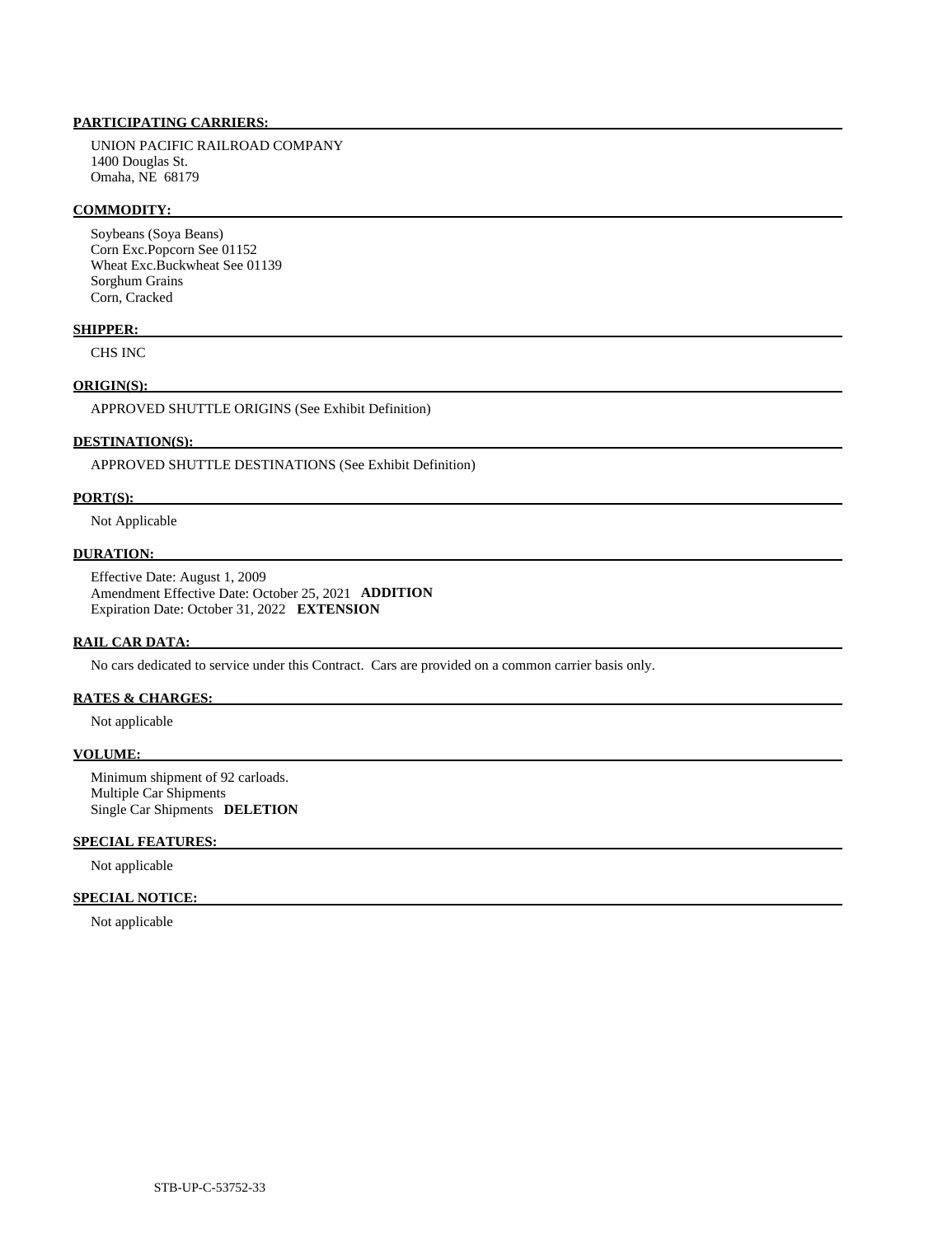UNION PACIFIC RAILROAD COMPANY 1400 Douglas St. Omaha, NE 68179

#### **COMMODITY:**

 Soybeans (Soya Beans) Corn Exc.Popcorn See 01152 Wheat Exc.Buckwheat See 01139 Sorghum Grains Corn, Cracked

#### **SHIPPER:**

CHS INC

# **ORIGIN(S):**

APPROVED SHUTTLE ORIGINS (See Exhibit Definition)

# **DESTINATION(S):**

APPROVED SHUTTLE DESTINATIONS (See Exhibit Definition)

#### **PORT(S):**

Not Applicable

# **DURATION:**

 Effective Date: August 1, 2009 Amendment Effective Date: October 25, 2021 **ADDITION**  Expiration Date: October 31, 2022 **EXTENSION** 

#### **RAIL CAR DATA:**

No cars dedicated to service under this Contract. Cars are provided on a common carrier basis only.

# **RATES & CHARGES:**

Not applicable

#### **VOLUME:**

 Minimum shipment of 92 carloads. Multiple Car Shipments Single Car Shipments **DELETION** 

### **SPECIAL FEATURES:**

Not applicable

### **SPECIAL NOTICE:**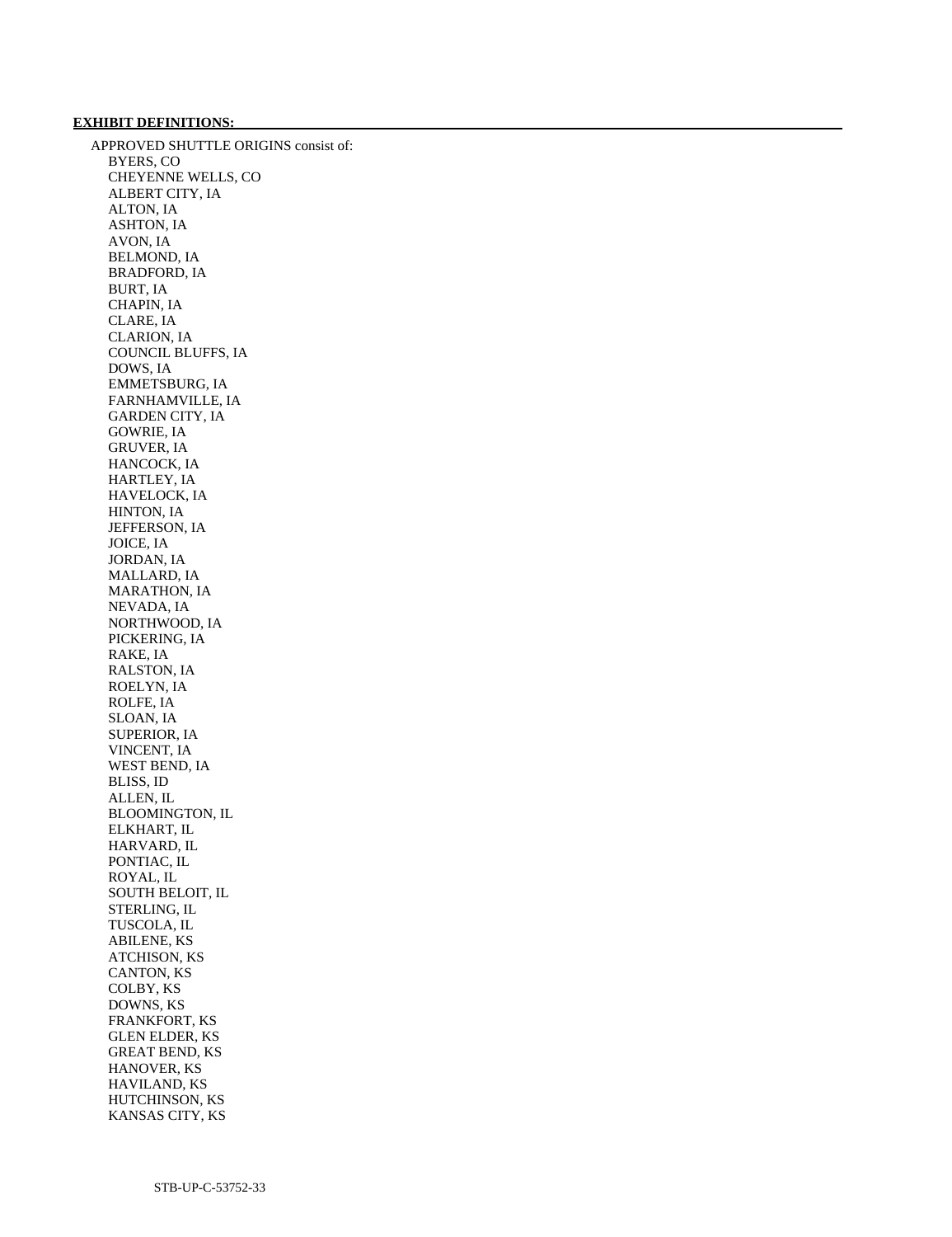# **EXHIBIT DEFINITIONS:**

 APPROVED SHUTTLE ORIGINS consist of: BYERS, CO CHEYENNE WELLS, CO ALBERT CITY, IA ALTON, IA ASHTON, IA AVON, IA BELMOND, IA BRADFORD, IA BURT, IA CHAPIN, IA CLARE, IA CLARION, IA COUNCIL BLUFFS, IA DOWS, IA EMMETSBURG, IA FARNHAMVILLE, IA GARDEN CITY, IA GOWRIE, IA GRUVER, IA HANCOCK, IA HARTLEY, IA HAVELOCK, IA HINTON, IA JEFFERSON, IA JOICE, IA JORDAN, IA MALLARD, IA MARATHON, IA NEVADA, IA NORTHWOOD, IA PICKERING, IA RAKE, IA RALSTON, IA ROELYN, IA ROLFE, IA SLOAN, IA SUPERIOR, IA VINCENT, IA WEST BEND, IA BLISS, ID ALLEN, IL BLOOMINGTON, IL ELKHART, IL HARVARD, IL PONTIAC, IL ROYAL, IL SOUTH BELOIT, IL STERLING, IL TUSCOLA, IL ABILENE, KS ATCHISON, KS CANTON, KS COLBY, KS DOWNS, KS FRANKFORT, KS GLEN ELDER, KS GREAT BEND, KS HANOVER, KS HAVILAND, KS HUTCHINSON, KS KANSAS CITY, KS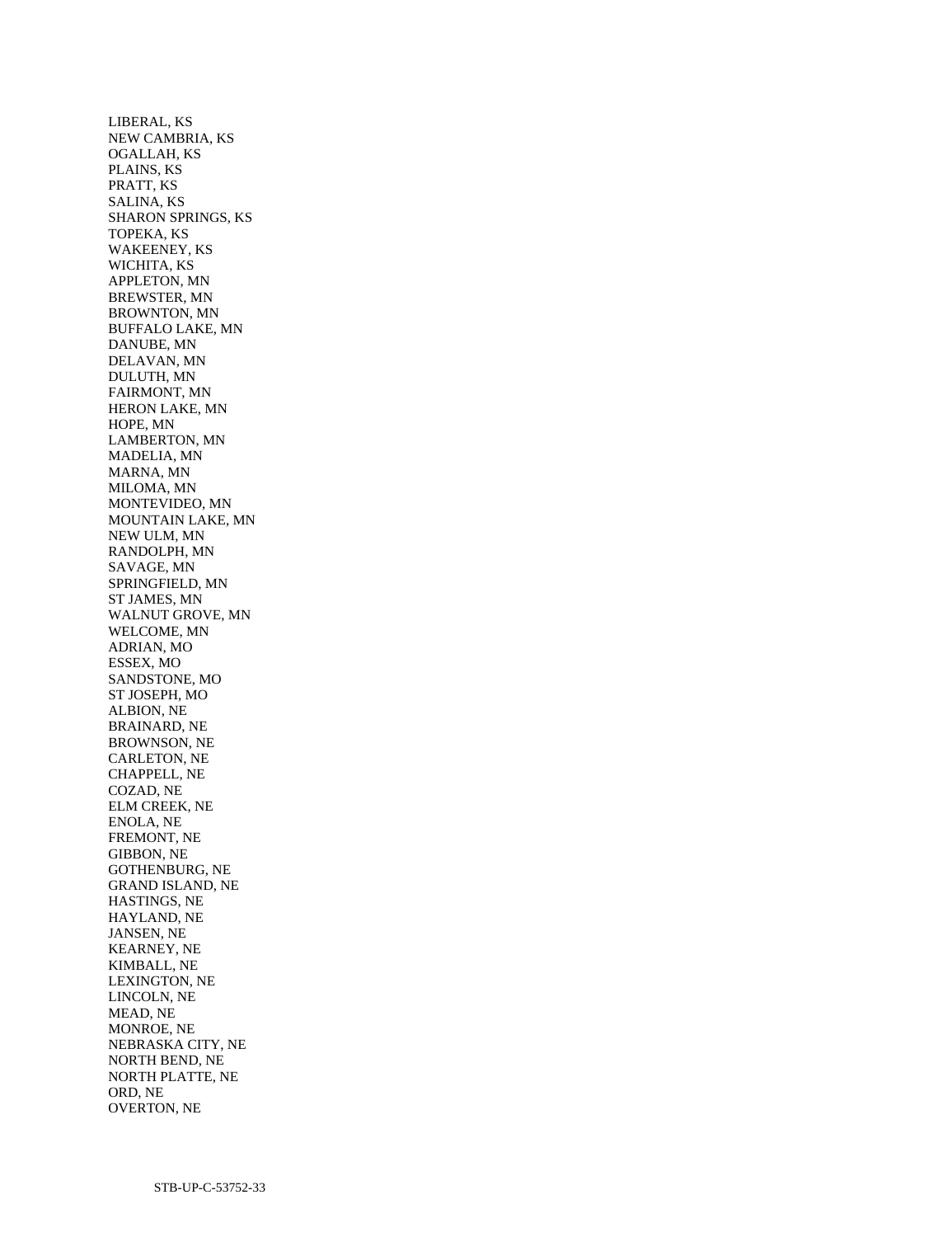LIBERAL, KS NEW CAMBRIA, KS OGALLAH, KS PLAINS, KS PRATT, KS SALINA, KS SHARON SPRINGS, KS TOPEKA, KS WAKEENEY, KS WICHITA, KS APPLETON, MN BREWSTER, MN BROWNTON, MN BUFFALO LAKE, MN DANUBE, MN DELAVAN, MN DULUTH, MN FAIRMONT, MN HERON LAKE, MN HOPE, MN LAMBERTON, MN MADELIA, MN MARNA, MN MILOMA, MN MONTEVIDEO, MN MOUNTAIN LAKE, MN NEW ULM, MN RANDOLPH, MN SAVAGE, MN SPRINGFIELD, MN ST JAMES, MN WALNUT GROVE, MN WELCOME, MN ADRIAN, MO ESSEX, MO SANDSTONE, MO ST JOSEPH, MO ALBION, NE BRAINARD, NE BROWNSON, NE CARLETON, NE CHAPPELL, NE COZAD, NE ELM CREEK, NE ENOLA, NE FREMONT, NE GIBBON, NE GOTHENBURG, NE GRAND ISLAND, NE HASTINGS, NE HAYLAND, NE JANSEN, NE KEARNEY, NE KIMBALL, NE LEXINGTON, NE LINCOLN, NE MEAD, NE MONROE, NE NEBRASKA CITY, NE NORTH BEND, NE NORTH PLATTE, NE ORD, NE OVERTON, NE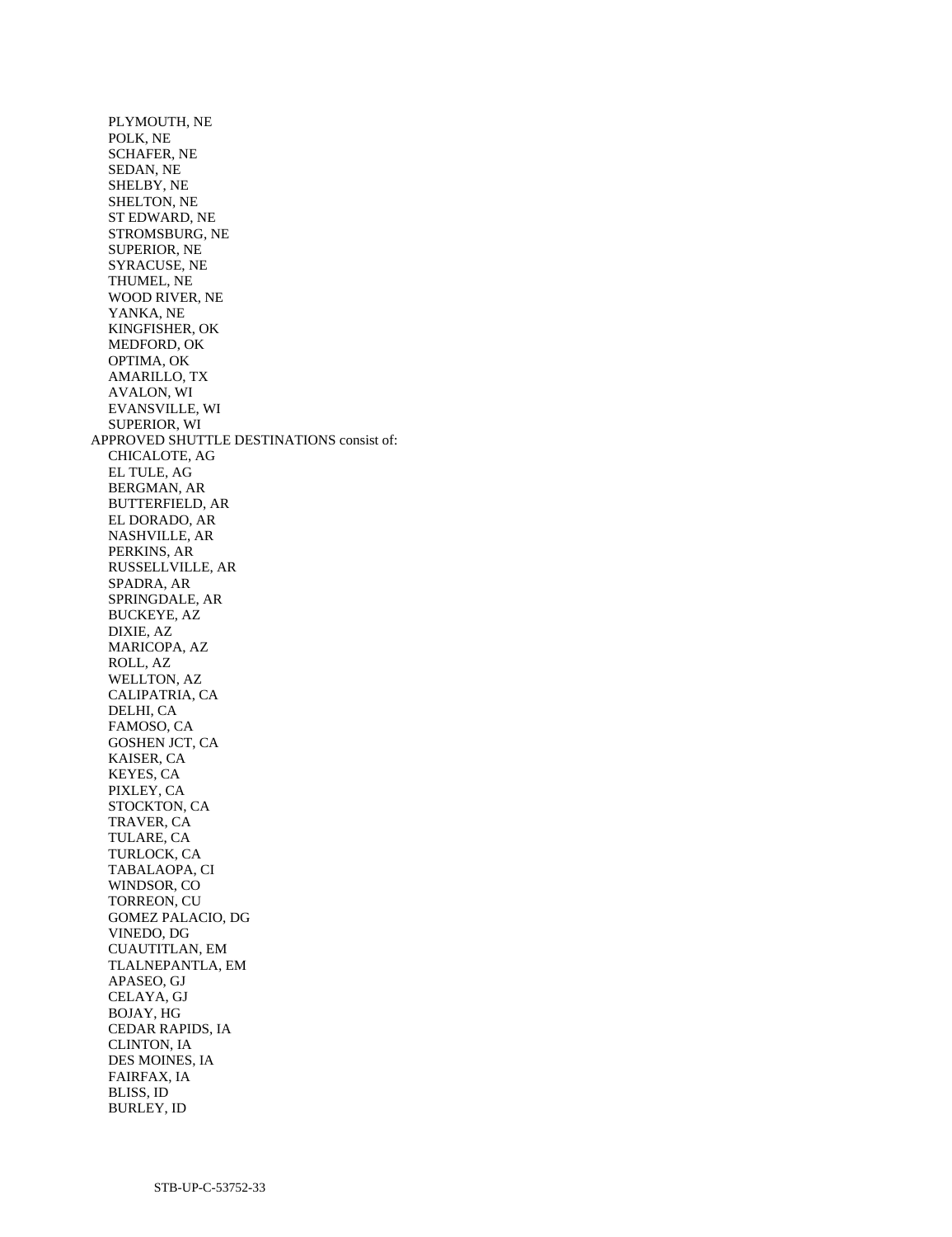PLYMOUTH, NE POLK, NE SCHAFER, NE SEDAN, NE SHELBY, NE SHELTON, NE ST EDWARD, NE STROMSBURG, NE SUPERIOR, NE SYRACUSE, NE THUMEL, NE WOOD RIVER, NE YANKA, NE KINGFISHER, OK MEDFORD, OK OPTIMA, OK AMARILLO, TX AVALON, WI EVANSVILLE, WI SUPERIOR, WI APPROVED SHUTTLE DESTINATIONS consist of: CHICALOTE, AG EL TULE, AG BERGMAN, AR BUTTERFIELD, AR EL DORADO, AR NASHVILLE, AR PERKINS, AR RUSSELLVILLE, AR SPADRA, AR SPRINGDALE, AR BUCKEYE, AZ DIXIE, AZ MARICOPA, AZ ROLL, AZ WELLTON, AZ CALIPATRIA, CA DELHI, CA FAMOSO, CA GOSHEN JCT, CA KAISER, CA KEYES, CA PIXLEY, CA STOCKTON, CA TRAVER, CA TULARE, CA TURLOCK, CA TABALAOPA, CI WINDSOR, CO TORREON, CU GOMEZ PALACIO, DG VINEDO, DG CUAUTITLAN, EM TLALNEPANTLA, EM APASEO, GJ CELAYA, GJ BOJAY, HG CEDAR RAPIDS, IA CLINTON, IA DES MOINES, IA FAIRFAX, IA BLISS, ID BURLEY, ID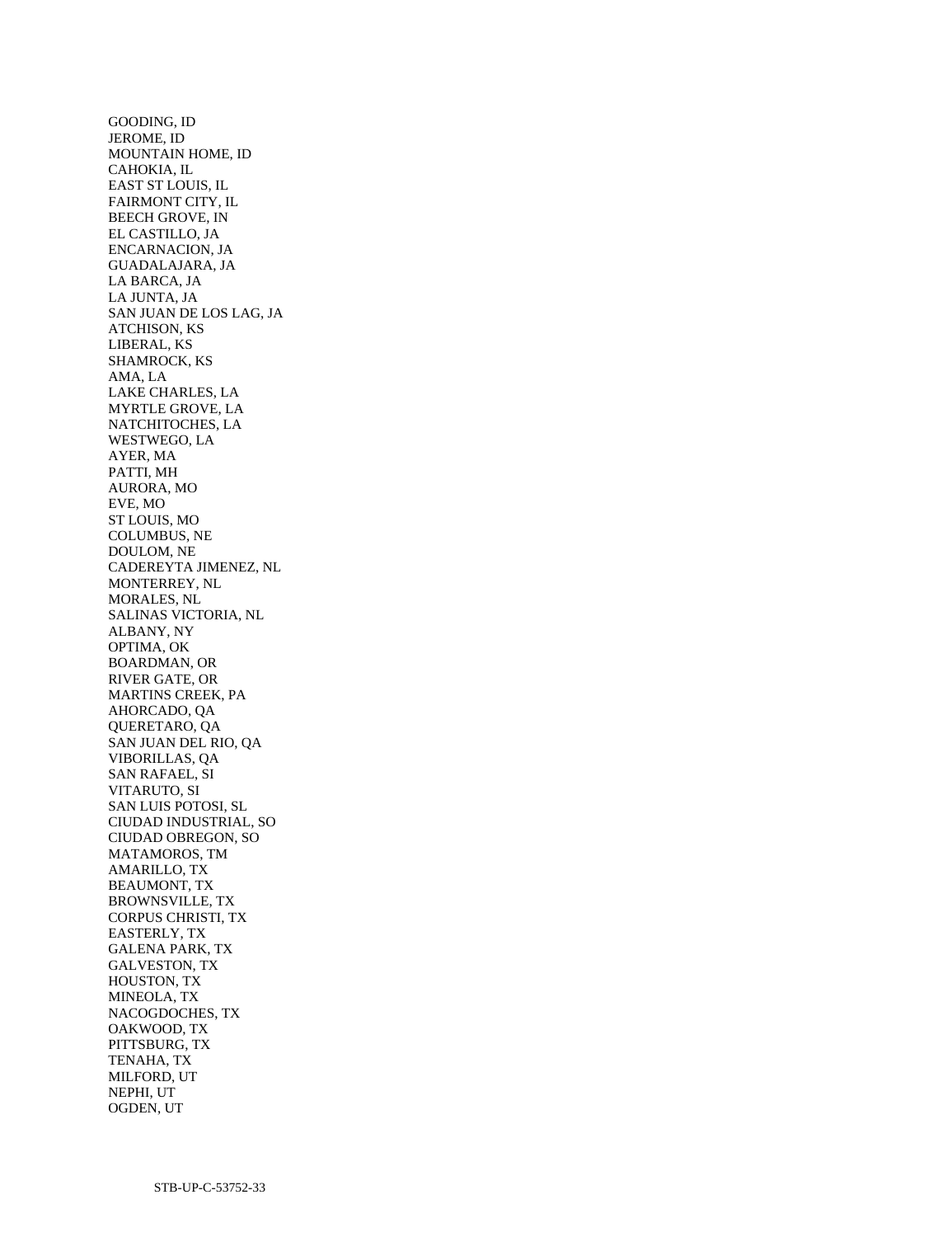GOODING, ID JEROME, ID MOUNTAIN HOME, ID CAHOKIA, IL EAST ST LOUIS, IL FAIRMONT CITY, IL BEECH GROVE, IN EL CASTILLO, JA ENCARNACION, JA GUADALAJARA, JA LA BARCA, JA LA JUNTA, JA SAN JUAN DE LOS LAG, JA ATCHISON, KS LIBERAL, KS SHAMROCK, KS AMA, LA LAKE CHARLES, LA MYRTLE GROVE, LA NATCHITOCHES, LA WESTWEGO, LA AYER, MA PATTI, MH AURORA, MO EVE, MO ST LOUIS, MO COLUMBUS, NE DOULOM, NE CADEREYTA JIMENEZ, NL MONTERREY, NL MORALES, NL SALINAS VICTORIA, NL ALBANY, NY OPTIMA, OK BOARDMAN, OR RIVER GATE, OR MARTINS CREEK, PA AHORCADO, QA QUERETARO, QA SAN JUAN DEL RIO, QA VIBORILLAS, QA SAN RAFAEL, SI VITARUTO, SI SAN LUIS POTOSI, SL CIUDAD INDUSTRIAL, SO CIUDAD OBREGON, SO MATAMOROS, TM AMARILLO, TX BEAUMONT, TX BROWNSVILLE, TX CORPUS CHRISTI, TX EASTERLY, TX GALENA PARK, TX GALVESTON, TX HOUSTON, TX MINEOLA, TX NACOGDOCHES, TX OAKWOOD, TX PITTSBURG, TX TENAHA, TX MILFORD, UT NEPHI, UT OGDEN, UT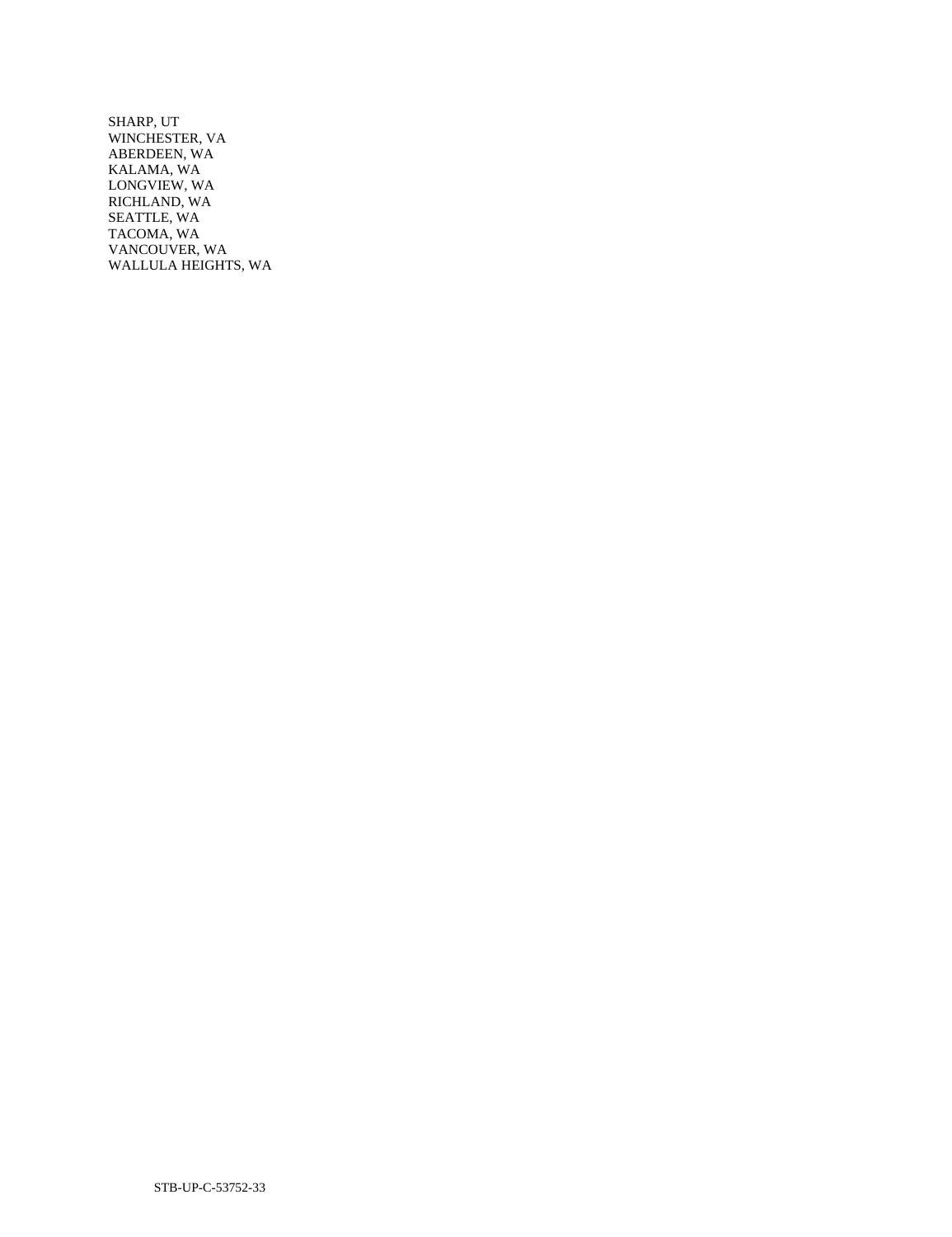SHARP, UT WINCHESTER, VA ABERDEEN, WA KALAMA, WA LONGVIEW, WA RICHLAND, WA SEATTLE, WA TACOMA, WA VANCOUVER, WA WALLULA HEIGHTS, WA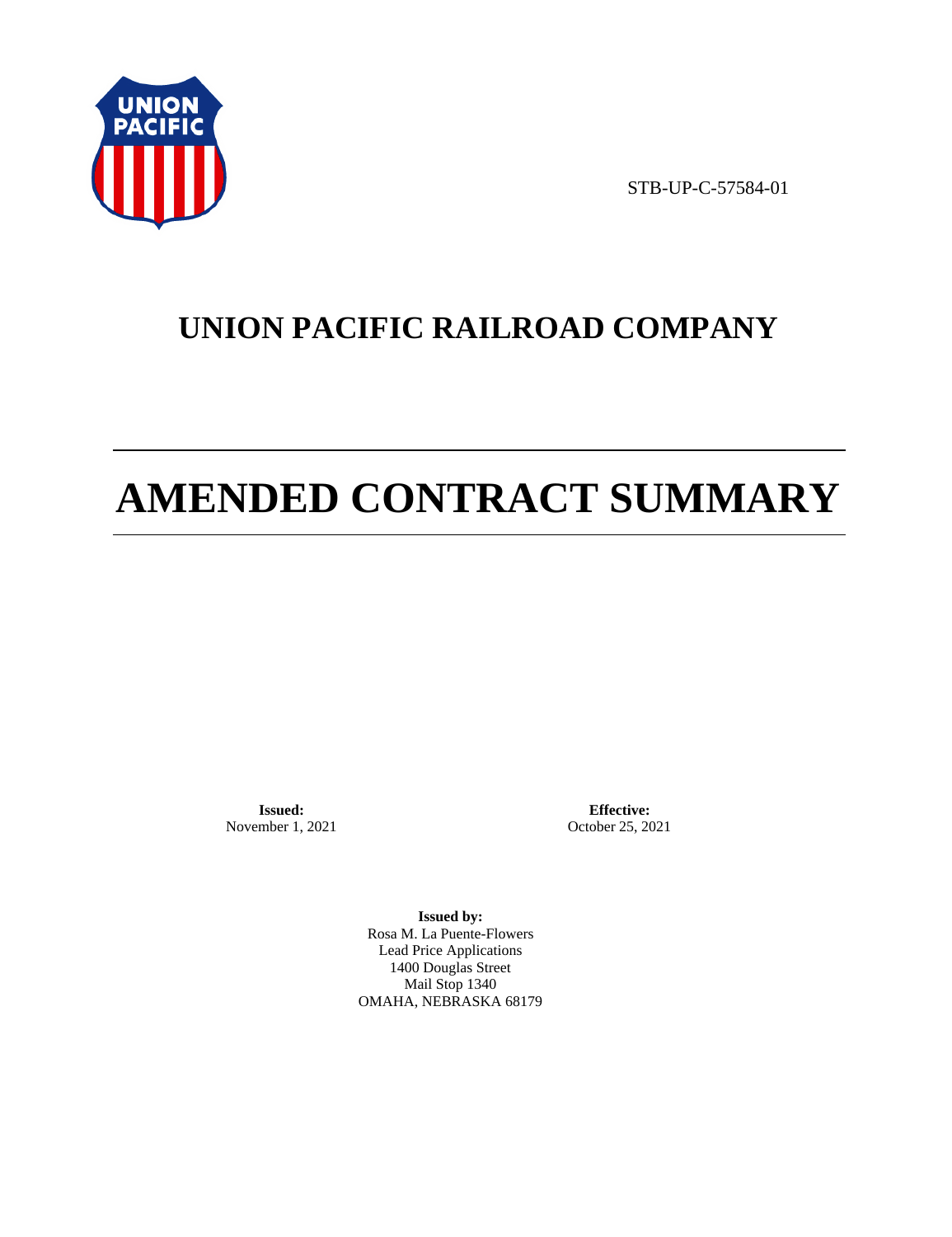

STB-UP-C-57584-01

# **UNION PACIFIC RAILROAD COMPANY**

# **AMENDED CONTRACT SUMMARY**

**Issued:**  November 1, 2021

**Effective:** October 25, 2021

**Issued by:**  Rosa M. La Puente-Flowers Lead Price Applications 1400 Douglas Street Mail Stop 1340 OMAHA, NEBRASKA 68179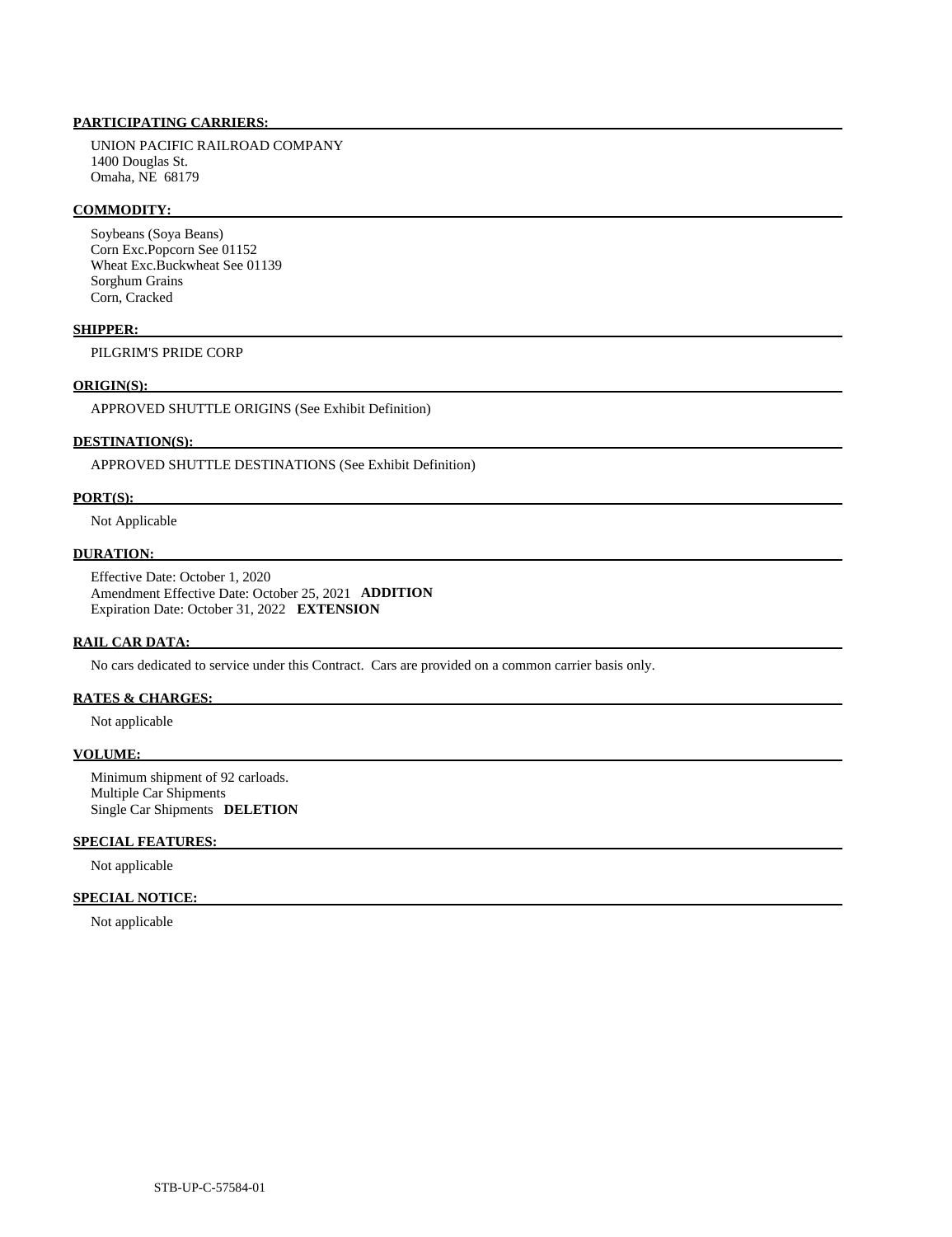# **PARTICIPATING CARRIERS:**

 UNION PACIFIC RAILROAD COMPANY 1400 Douglas St. Omaha, NE 68179

#### **COMMODITY:**

 Soybeans (Soya Beans) Corn Exc.Popcorn See 01152 Wheat Exc.Buckwheat See 01139 Sorghum Grains Corn, Cracked

#### **SHIPPER:**

PILGRIM'S PRIDE CORP

#### **ORIGIN(S):**

APPROVED SHUTTLE ORIGINS (See Exhibit Definition)

# **DESTINATION(S):**

APPROVED SHUTTLE DESTINATIONS (See Exhibit Definition)

#### **PORT(S):**

Not Applicable

# **DURATION:**

 Effective Date: October 1, 2020 Amendment Effective Date: October 25, 2021 **ADDITION**  Expiration Date: October 31, 2022 **EXTENSION** 

#### **RAIL CAR DATA:**

No cars dedicated to service under this Contract. Cars are provided on a common carrier basis only.

# **RATES & CHARGES:**

Not applicable

#### **VOLUME:**

 Minimum shipment of 92 carloads. Multiple Car Shipments Single Car Shipments **DELETION** 

# **SPECIAL FEATURES:**

Not applicable

#### **SPECIAL NOTICE:**

Not applicable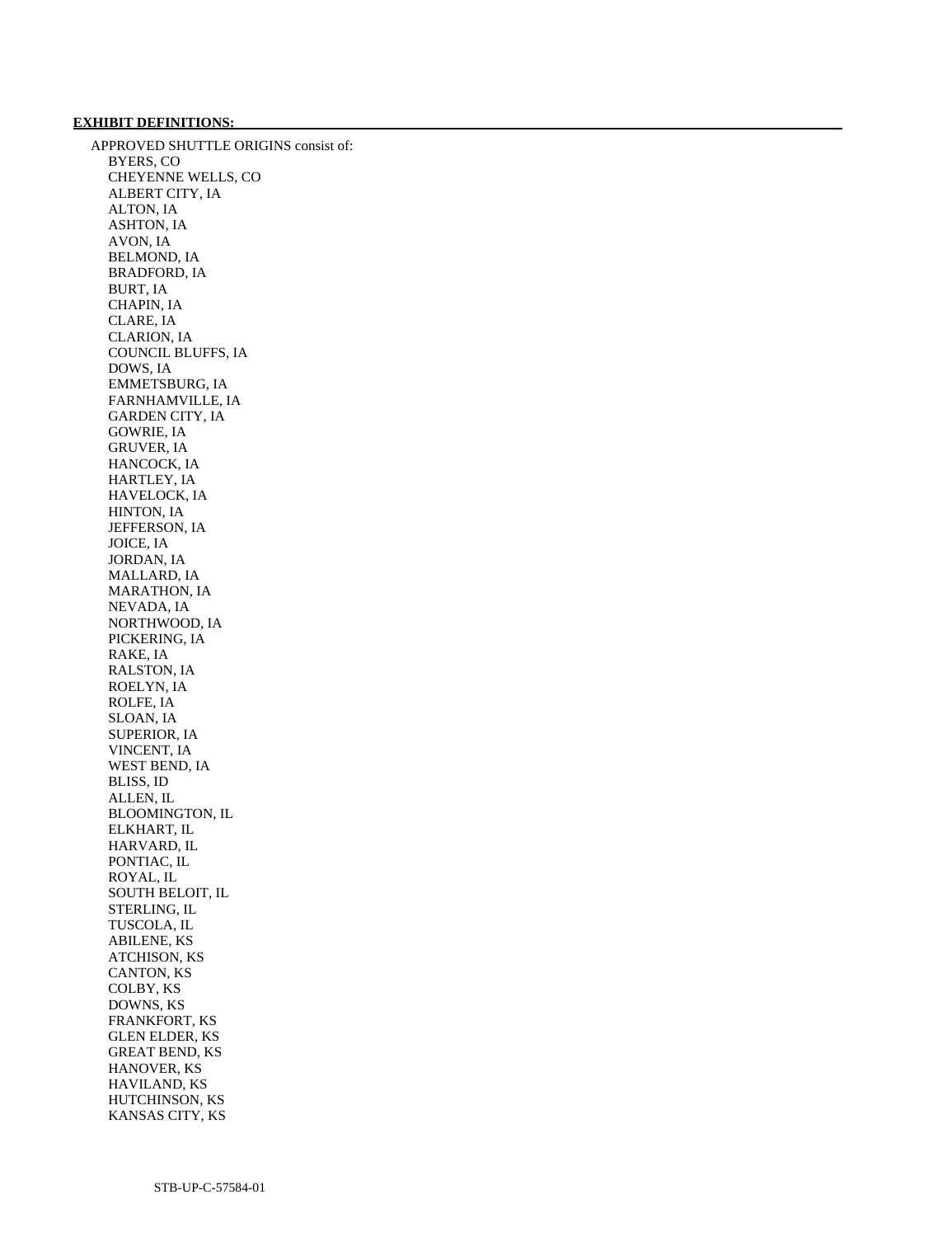#### **EXHIBIT DEFINITIONS:**

 APPROVED SHUTTLE ORIGINS consist of: BYERS, CO CHEYENNE WELLS, CO ALBERT CITY, IA ALTON, IA ASHTON, IA AVON, IA BELMOND, IA BRADFORD, IA BURT, IA CHAPIN, IA CLARE, IA CLARION, IA COUNCIL BLUFFS, IA DOWS, IA EMMETSBURG, IA FARNHAMVILLE, IA GARDEN CITY, IA GOWRIE, IA GRUVER, IA HANCOCK, IA HARTLEY, IA HAVELOCK, IA HINTON, IA JEFFERSON, IA JOICE, IA JORDAN, IA MALLARD, IA MARATHON, IA NEVADA, IA NORTHWOOD, IA PICKERING, IA RAKE, IA RALSTON, IA ROELYN, IA ROLFE, IA SLOAN, IA SUPERIOR, IA VINCENT, IA WEST BEND, IA BLISS, ID ALLEN, IL BLOOMINGTON, IL ELKHART, IL HARVARD, IL PONTIAC, IL ROYAL, IL SOUTH BELOIT, IL STERLING, IL TUSCOLA, IL ABILENE, KS ATCHISON, KS CANTON, KS COLBY, KS DOWNS, KS FRANKFORT, KS GLEN ELDER, KS GREAT BEND, KS HANOVER, KS HAVILAND, KS HUTCHINSON, KS KANSAS CITY, KS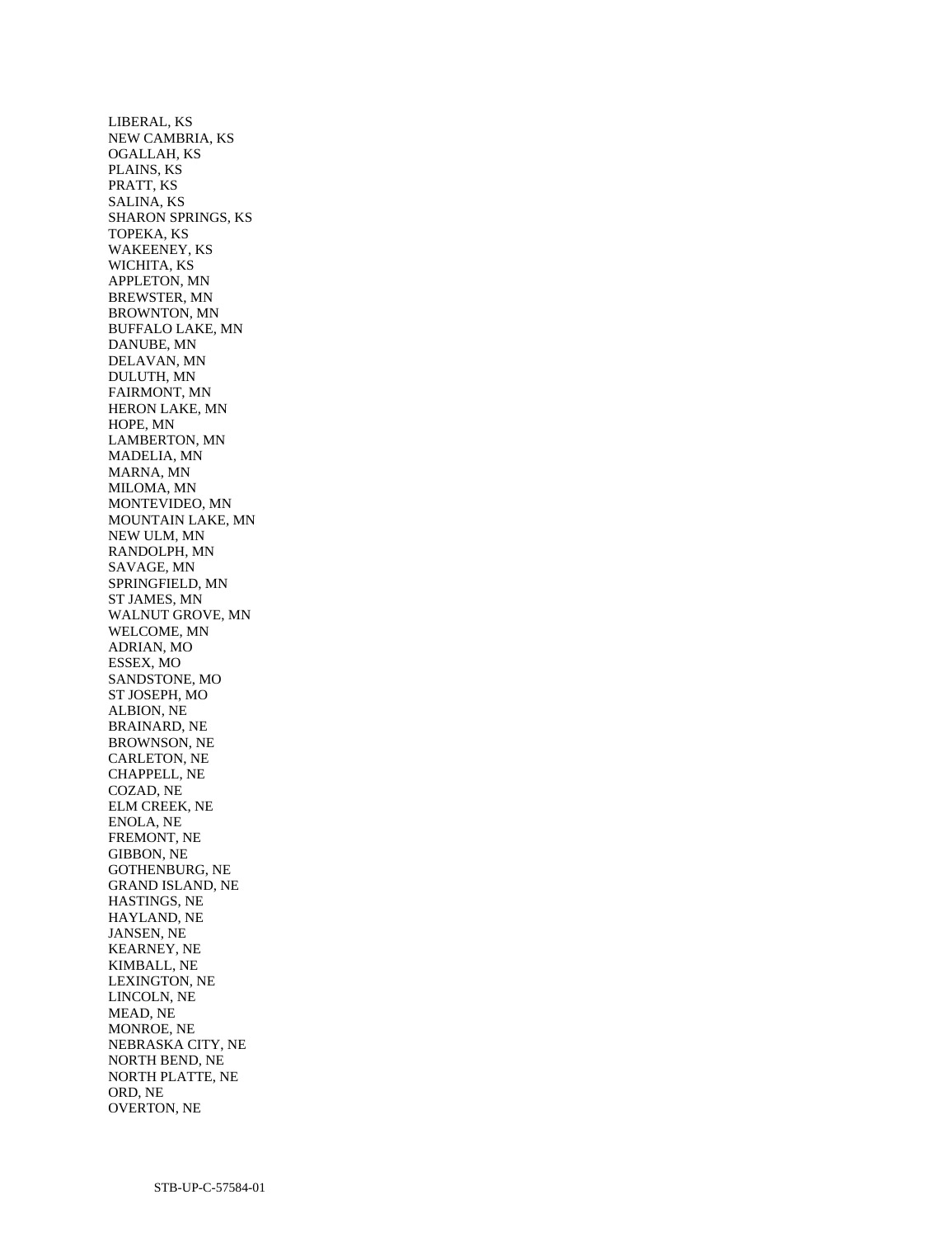LIBERAL, KS NEW CAMBRIA, KS OGALLAH, KS PLAINS, KS PRATT, KS SALINA, KS SHARON SPRINGS, KS TOPEKA, KS WAKEENEY, KS WICHITA, KS APPLETON, MN BREWSTER, MN BROWNTON, MN BUFFALO LAKE, MN DANUBE, MN DELAVAN, MN DULUTH, MN FAIRMONT, MN HERON LAKE, MN HOPE, MN LAMBERTON, MN MADELIA, MN MARNA, MN MILOMA, MN MONTEVIDEO, MN MOUNTAIN LAKE, MN NEW ULM, MN RANDOLPH, MN SAVAGE, MN SPRINGFIELD, MN ST JAMES, MN WALNUT GROVE, MN WELCOME, MN ADRIAN, MO ESSEX, MO SANDSTONE, MO ST JOSEPH, MO ALBION, NE BRAINARD, NE BROWNSON, NE CARLETON, NE CHAPPELL, NE COZAD, NE ELM CREEK, NE ENOLA, NE FREMONT, NE GIBBON, NE GOTHENBURG, NE GRAND ISLAND, NE HASTINGS, NE HAYLAND, NE JANSEN, NE KEARNEY, NE KIMBALL, NE LEXINGTON, NE LINCOLN, NE MEAD, NE MONROE, NE NEBRASKA CITY, NE NORTH BEND, NE NORTH PLATTE, NE ORD, NE OVERTON, NE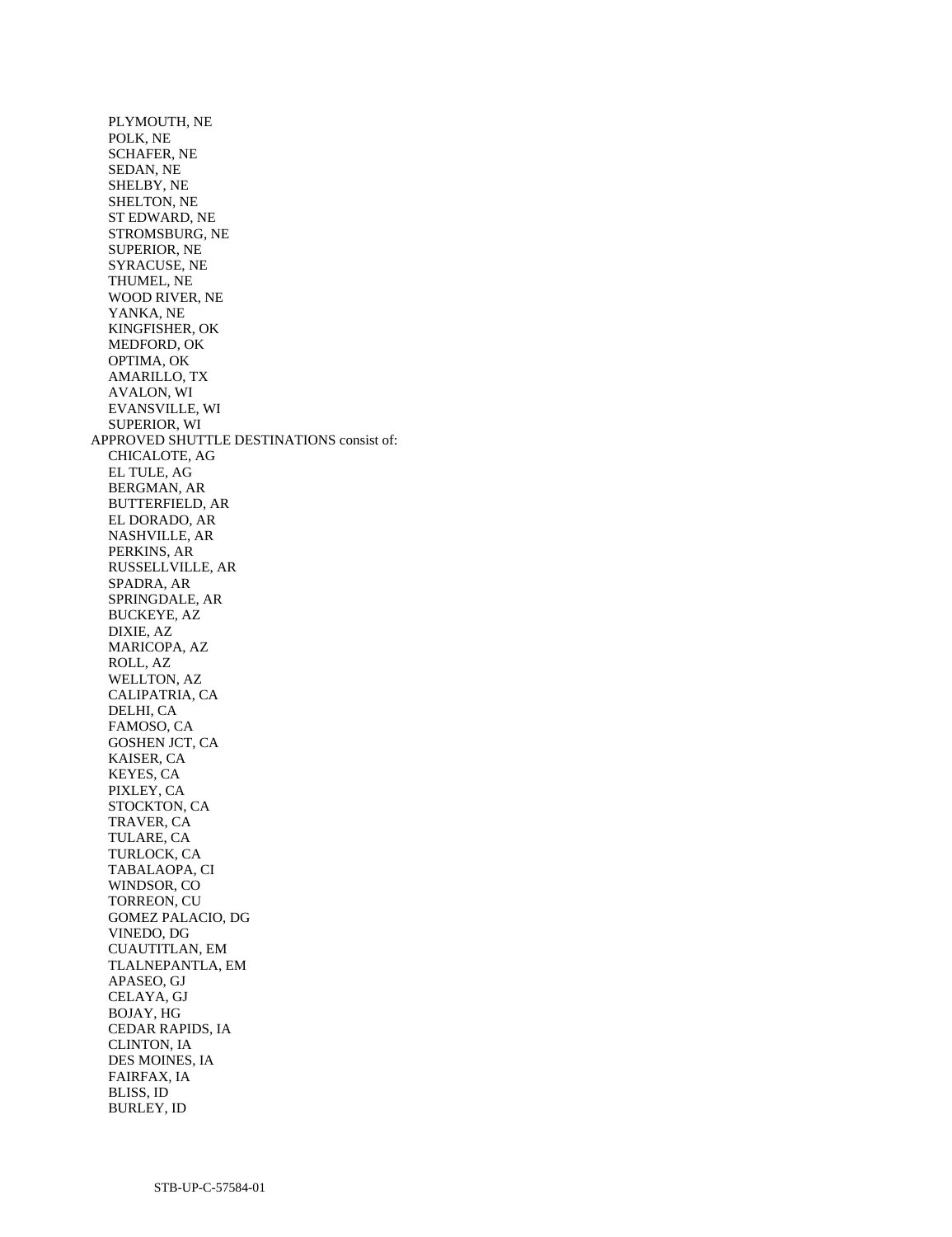PLYMOUTH, NE POLK, NE SCHAFER, NE SEDAN, NE SHELBY, NE SHELTON, NE ST EDWARD, NE STROMSBURG, NE SUPERIOR, NE SYRACUSE, NE THUMEL, NE WOOD RIVER, NE YANKA, NE KINGFISHER, OK MEDFORD, OK OPTIMA, OK AMARILLO, TX AVALON, WI EVANSVILLE, WI SUPERIOR, WI APPROVED SHUTTLE DESTINATIONS consist of: CHICALOTE, AG EL TULE, AG BERGMAN, AR BUTTERFIELD, AR EL DORADO, AR NASHVILLE, AR PERKINS, AR RUSSELLVILLE, AR SPADRA, AR SPRINGDALE, AR BUCKEYE, AZ DIXIE, AZ MARICOPA, AZ ROLL, AZ WELLTON, AZ CALIPATRIA, CA DELHI, CA FAMOSO, CA GOSHEN JCT, CA KAISER, CA KEYES, CA PIXLEY, CA STOCKTON, CA TRAVER, CA TULARE, CA TURLOCK, CA TABALAOPA, CI WINDSOR, CO TORREON, CU GOMEZ PALACIO, DG VINEDO, DG CUAUTITLAN, EM TLALNEPANTLA, EM APASEO, GJ CELAYA, GJ BOJAY, HG CEDAR RAPIDS, IA CLINTON, IA DES MOINES, IA FAIRFAX, IA BLISS, ID BURLEY, ID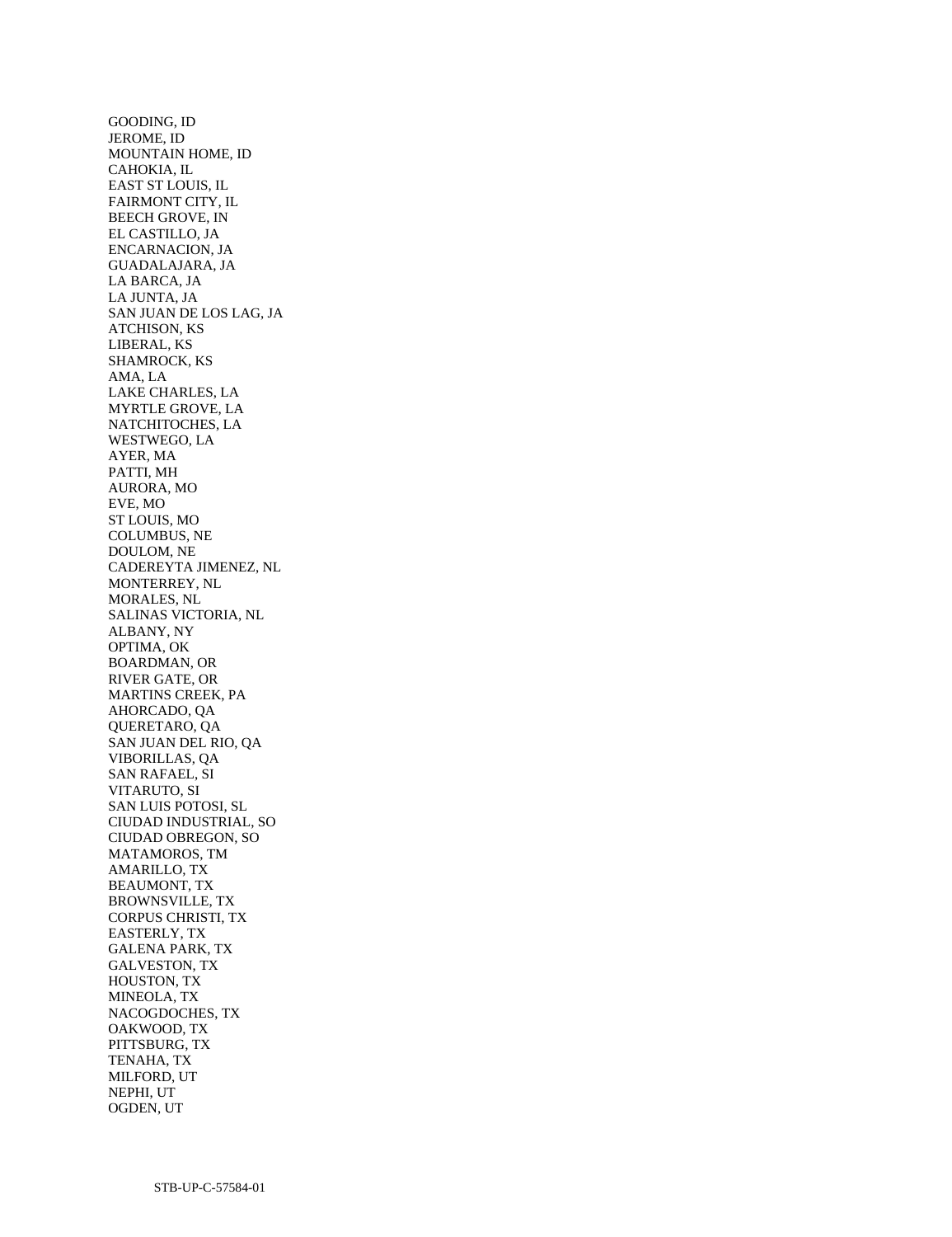GOODING, ID JEROME, ID MOUNTAIN HOME, ID CAHOKIA, IL EAST ST LOUIS, IL FAIRMONT CITY, IL BEECH GROVE, IN EL CASTILLO, JA ENCARNACION, JA GUADALAJARA, JA LA BARCA, JA LA JUNTA, JA SAN JUAN DE LOS LAG, JA ATCHISON, KS LIBERAL, KS SHAMROCK, KS AMA, LA LAKE CHARLES, LA MYRTLE GROVE, LA NATCHITOCHES, LA WESTWEGO, LA AYER, MA PATTI, MH AURORA, MO EVE, MO ST LOUIS, MO COLUMBUS, NE DOULOM, NE CADEREYTA JIMENEZ, NL MONTERREY, NL MORALES, NL SALINAS VICTORIA, NL ALBANY, NY OPTIMA, OK BOARDMAN, OR RIVER GATE, OR MARTINS CREEK, PA AHORCADO, QA QUERETARO, QA SAN JUAN DEL RIO, QA VIBORILLAS, QA SAN RAFAEL, SI VITARUTO, SI SAN LUIS POTOSI, SL CIUDAD INDUSTRIAL, SO CIUDAD OBREGON, SO MATAMOROS, TM AMARILLO, TX BEAUMONT, TX BROWNSVILLE, TX CORPUS CHRISTI, TX EASTERLY, TX GALENA PARK, TX GALVESTON, TX HOUSTON, TX MINEOLA, TX NACOGDOCHES, TX OAKWOOD, TX PITTSBURG, TX TENAHA, TX MILFORD, UT NEPHI, UT OGDEN, UT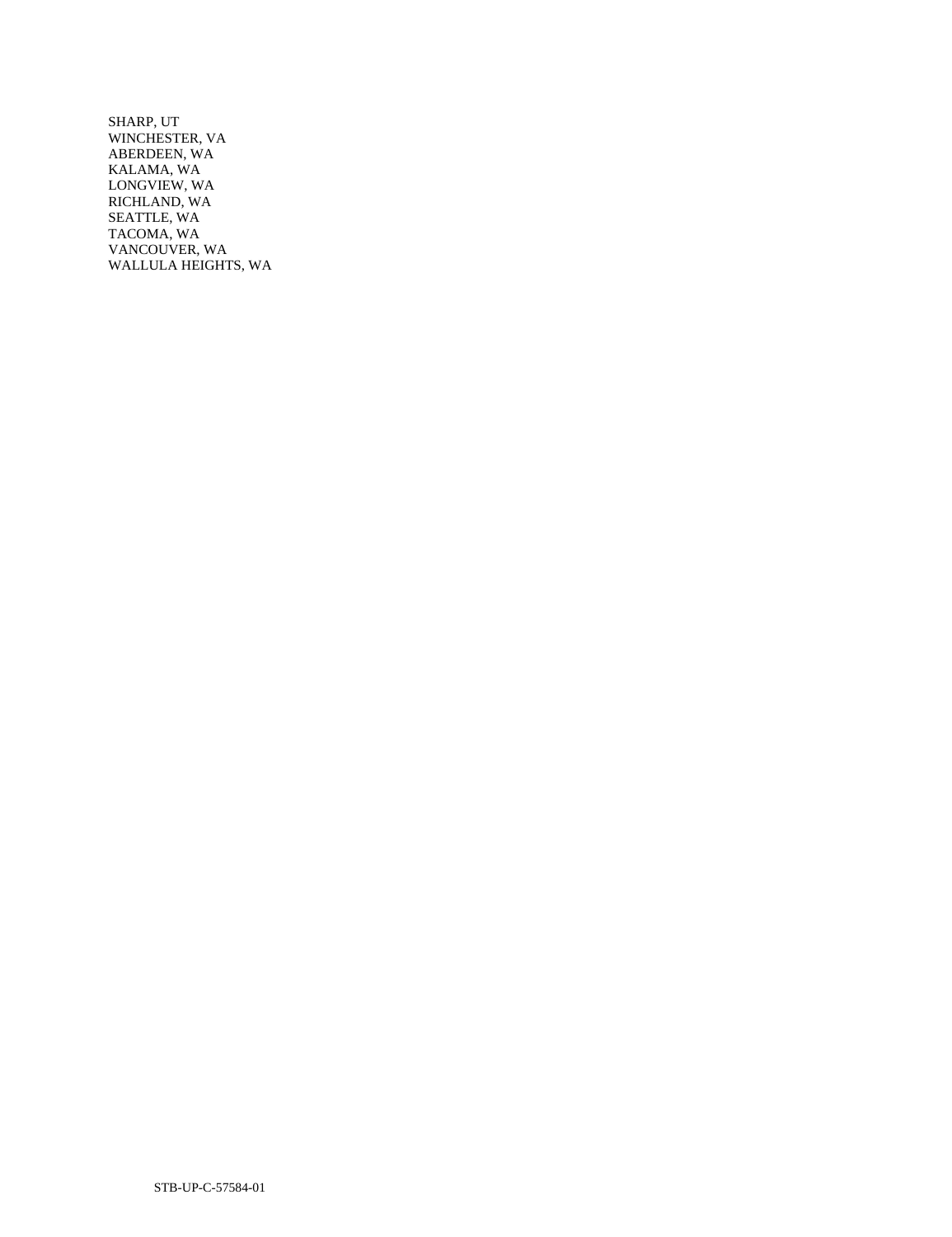SHARP, UT WINCHESTER, VA ABERDEEN, WA KALAMA, WA LONGVIEW, WA RICHLAND, WA SEATTLE, WA TACOMA, WA VANCOUVER, WA WALLULA HEIGHTS, WA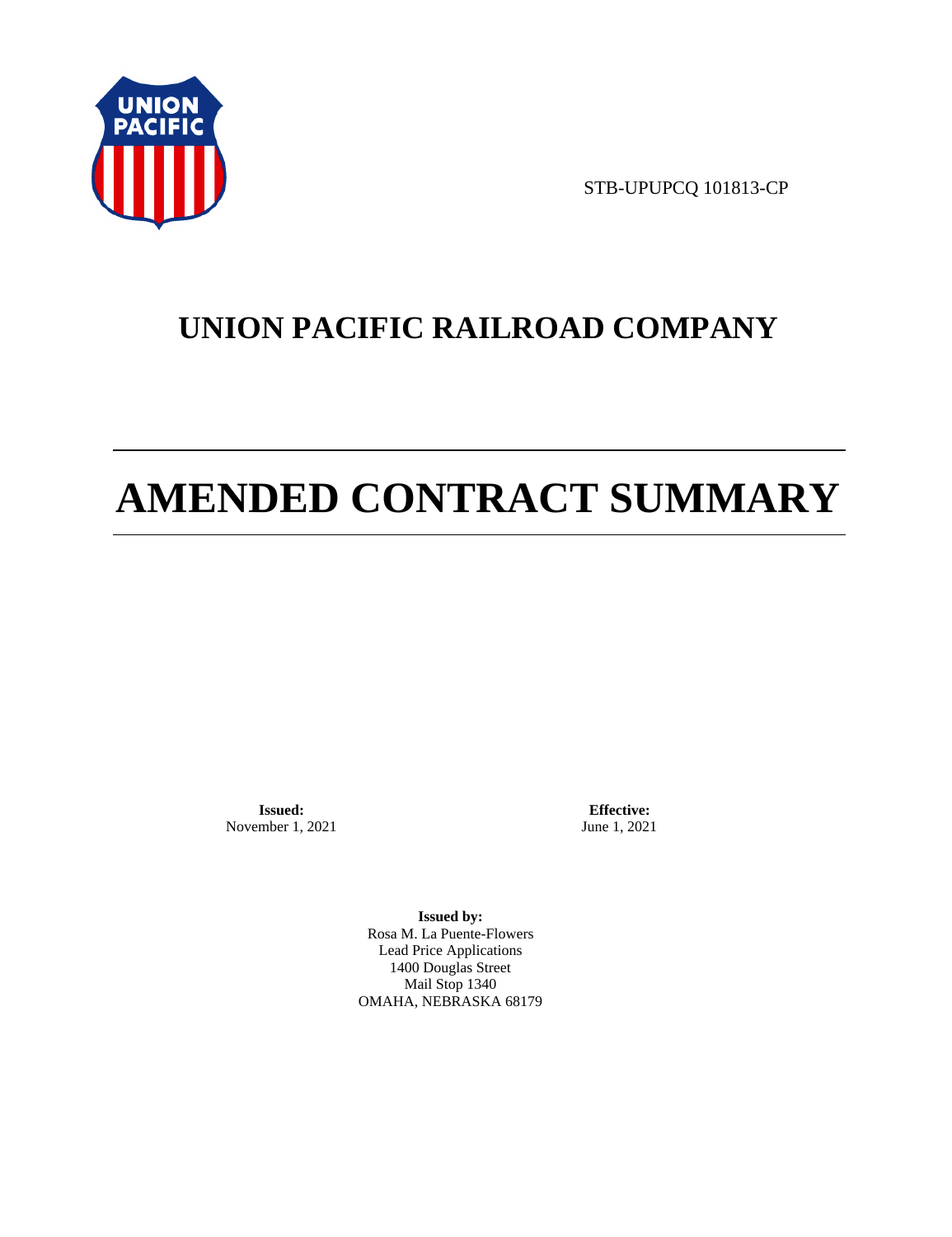

STB-UPUPCQ 101813-CP

# **UNION PACIFIC RAILROAD COMPANY**

# **AMENDED CONTRACT SUMMARY**

**Issued:**  November 1, 2021

**Effective:** June 1, 2021

**Issued by:**  Rosa M. La Puente-Flowers Lead Price Applications 1400 Douglas Street Mail Stop 1340 OMAHA, NEBRASKA 68179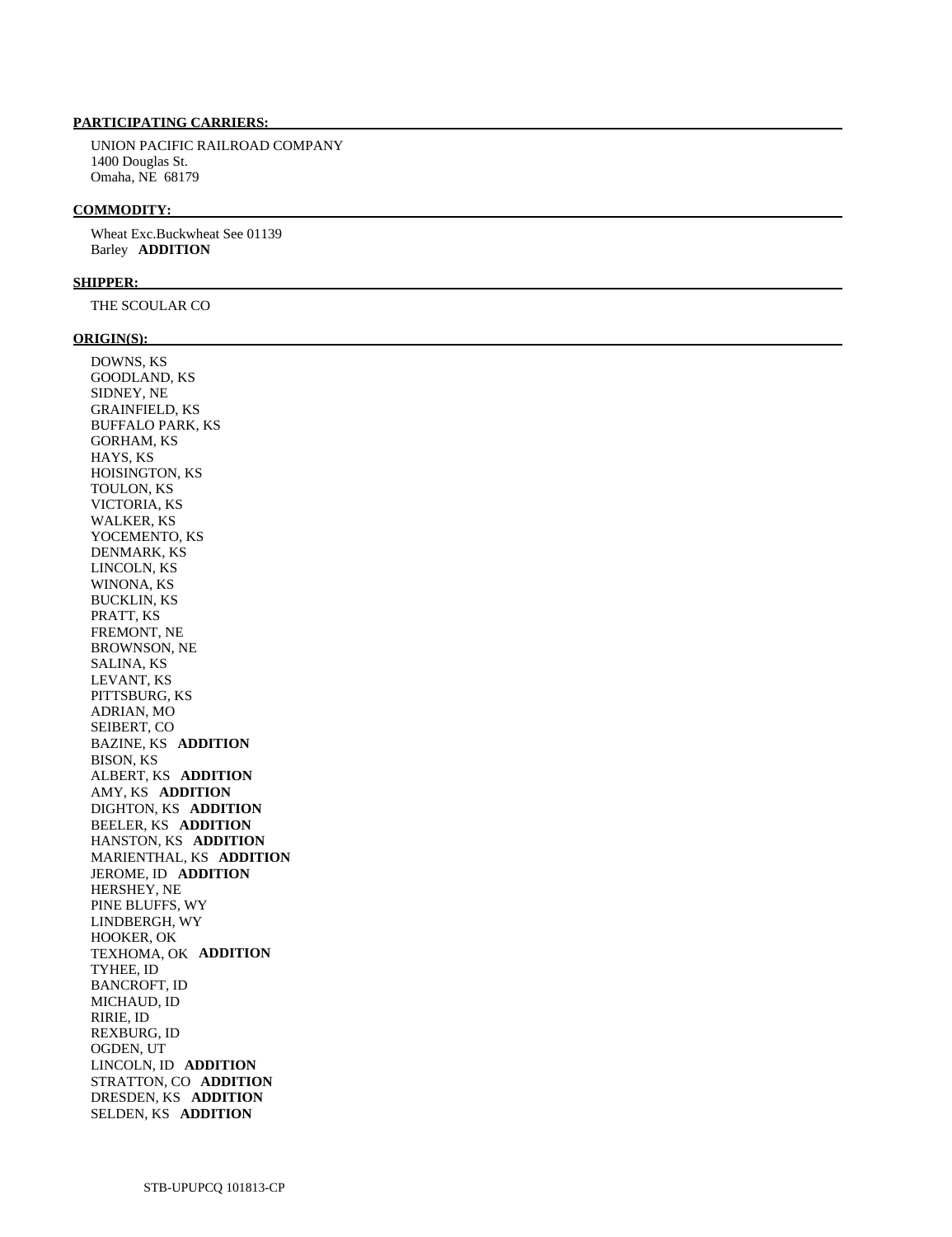# **PARTICIPATING CARRIERS:**

 UNION PACIFIC RAILROAD COMPANY 1400 Douglas St. Omaha, NE 68179

#### **COMMODITY:**

 Wheat Exc.Buckwheat See 01139 Barley **ADDITION** 

#### **SHIPPER:**

THE SCOULAR CO

#### **ORIGIN(S):**

 DOWNS, KS GOODLAND, KS SIDNEY, NE GRAINFIELD, KS BUFFALO PARK, KS GORHAM, KS HAYS, KS HOISINGTON, KS TOULON, KS VICTORIA, KS WALKER, KS YOCEMENTO, KS DENMARK, KS LINCOLN, KS WINONA, KS BUCKLIN, KS PRATT, KS FREMONT, NE BROWNSON, NE SALINA, KS LEVANT, KS PITTSBURG, KS ADRIAN, MO SEIBERT, CO BAZINE, KS **ADDITION**  BISON, KS ALBERT, KS **ADDITION**  AMY, KS **ADDITION**  DIGHTON, KS **ADDITION**  BEELER, KS **ADDITION**  HANSTON, KS **ADDITION**  MARIENTHAL, KS **ADDITION**  JEROME, ID **ADDITION**  HERSHEY, NE PINE BLUFFS, WY LINDBERGH, WY HOOKER, OK TEXHOMA, OK **ADDITION**  TYHEE, ID BANCROFT, ID MICHAUD, ID RIRIE, ID REXBURG, ID OGDEN, UT LINCOLN, ID **ADDITION**  STRATTON, CO **ADDITION**  DRESDEN, KS **ADDITION**  SELDEN, KS **ADDITION**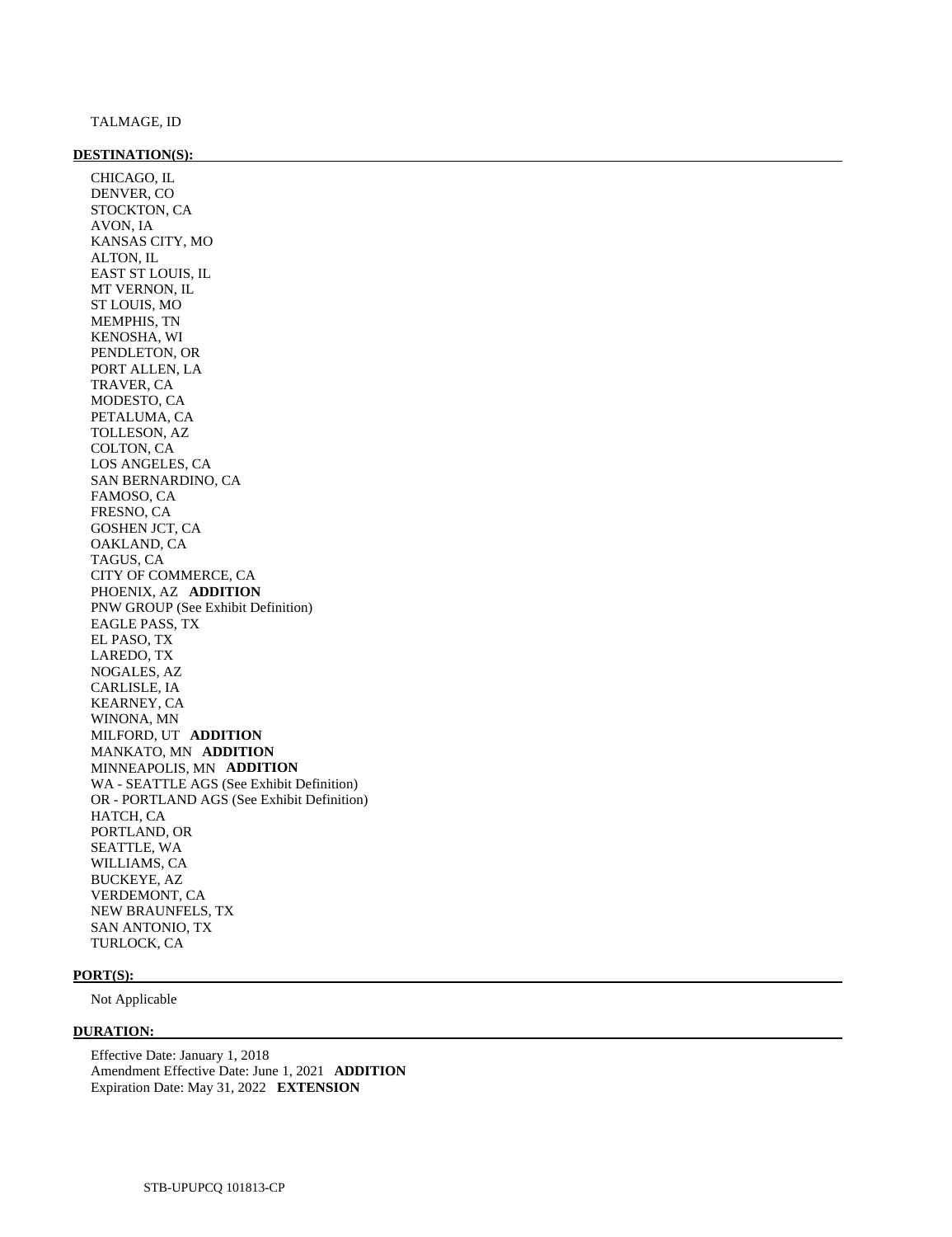#### **DESTINATION(S):**

 CHICAGO, IL DENVER, CO STOCKTON, CA AVON, IA KANSAS CITY, MO ALTON, IL EAST ST LOUIS, IL MT VERNON, IL ST LOUIS, MO MEMPHIS, TN KENOSHA, WI PENDLETON, OR PORT ALLEN, LA TRAVER, CA MODESTO, CA PETALUMA, CA TOLLESON, AZ COLTON, CA LOS ANGELES, CA SAN BERNARDINO, CA FAMOSO, CA FRESNO, CA GOSHEN JCT, CA OAKLAND, CA TAGUS, CA CITY OF COMMERCE, CA PHOENIX, AZ **ADDITION**  PNW GROUP (See Exhibit Definition) EAGLE PASS, TX EL PASO, TX LAREDO, TX NOGALES, AZ CARLISLE, IA KEARNEY, CA WINONA, MN MILFORD, UT **ADDITION**  MANKATO, MN **ADDITION**  MINNEAPOLIS, MN **ADDITION**  WA - SEATTLE AGS (See Exhibit Definition) OR - PORTLAND AGS (See Exhibit Definition) HATCH, CA PORTLAND, OR SEATTLE, WA WILLIAMS, CA BUCKEYE, AZ VERDEMONT, CA NEW BRAUNFELS, TX SAN ANTONIO, TX TURLOCK, CA

#### **PORT(S):**

Not Applicable

#### **DURATION:**

 Effective Date: January 1, 2018 Amendment Effective Date: June 1, 2021 **ADDITION**  Expiration Date: May 31, 2022 **EXTENSION**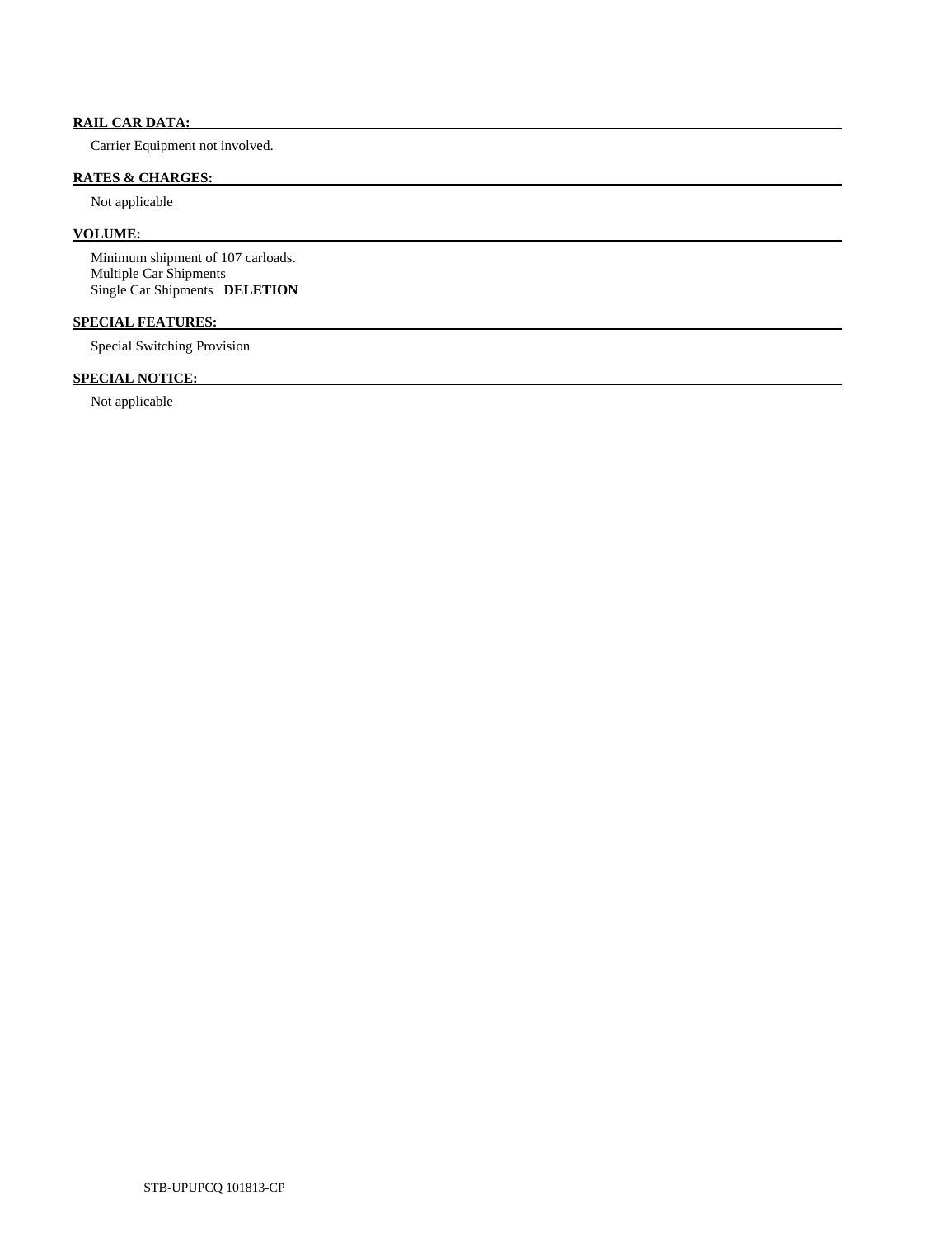# **RAIL CAR DATA:**

Carrier Equipment not involved.

# **RATES & CHARGES:**

Not applicable

# **VOLUME:**

 Minimum shipment of 107 carloads. Multiple Car Shipments Single Car Shipments **DELETION** 

# **SPECIAL FEATURES:**

Special Switching Provision

# **SPECIAL NOTICE:**

Not applicable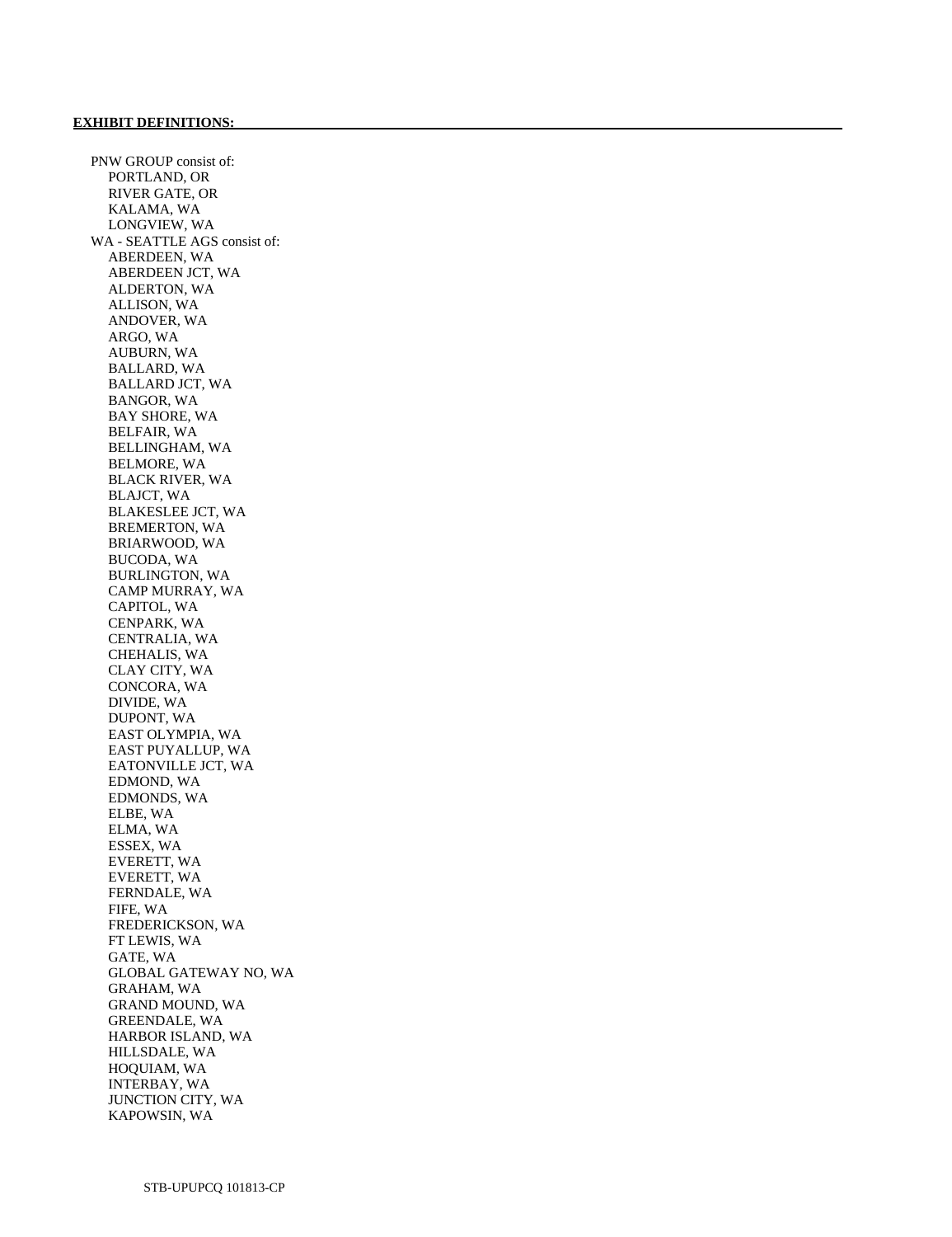PNW GROUP consist of: PORTLAND, OR RIVER GATE, OR KALAMA, WA LONGVIEW, WA WA - SEATTLE AGS consist of: ABERDEEN, WA ABERDEEN JCT, WA ALDERTON, WA ALLISON, WA ANDOVER, WA ARGO, WA AUBURN, WA BALLARD, WA BALLARD JCT, WA BANGOR, WA BAY SHORE, WA BELFAIR, WA BELLINGHAM, WA BELMORE, WA BLACK RIVER, WA BLAJCT, WA BLAKESLEE JCT, WA BREMERTON, WA BRIARWOOD, WA BUCODA, WA BURLINGTON, WA CAMP MURRAY, WA CAPITOL, WA CENPARK, WA CENTRALIA, WA CHEHALIS, WA CLAY CITY, WA CONCORA, WA DIVIDE, WA DUPONT, WA EAST OLYMPIA, WA EAST PUYALLUP, WA EATONVILLE JCT, WA EDMOND, WA EDMONDS, WA ELBE, WA ELMA, WA ESSEX, WA EVERETT, WA EVERETT, WA FERNDALE, WA FIFE, WA FREDERICKSON, WA FT LEWIS, WA GATE, WA GLOBAL GATEWAY NO, WA GRAHAM, WA GRAND MOUND, WA GREENDALE, WA HARBOR ISLAND, WA HILLSDALE, WA HOQUIAM, WA INTERBAY, WA JUNCTION CITY, WA KAPOWSIN, WA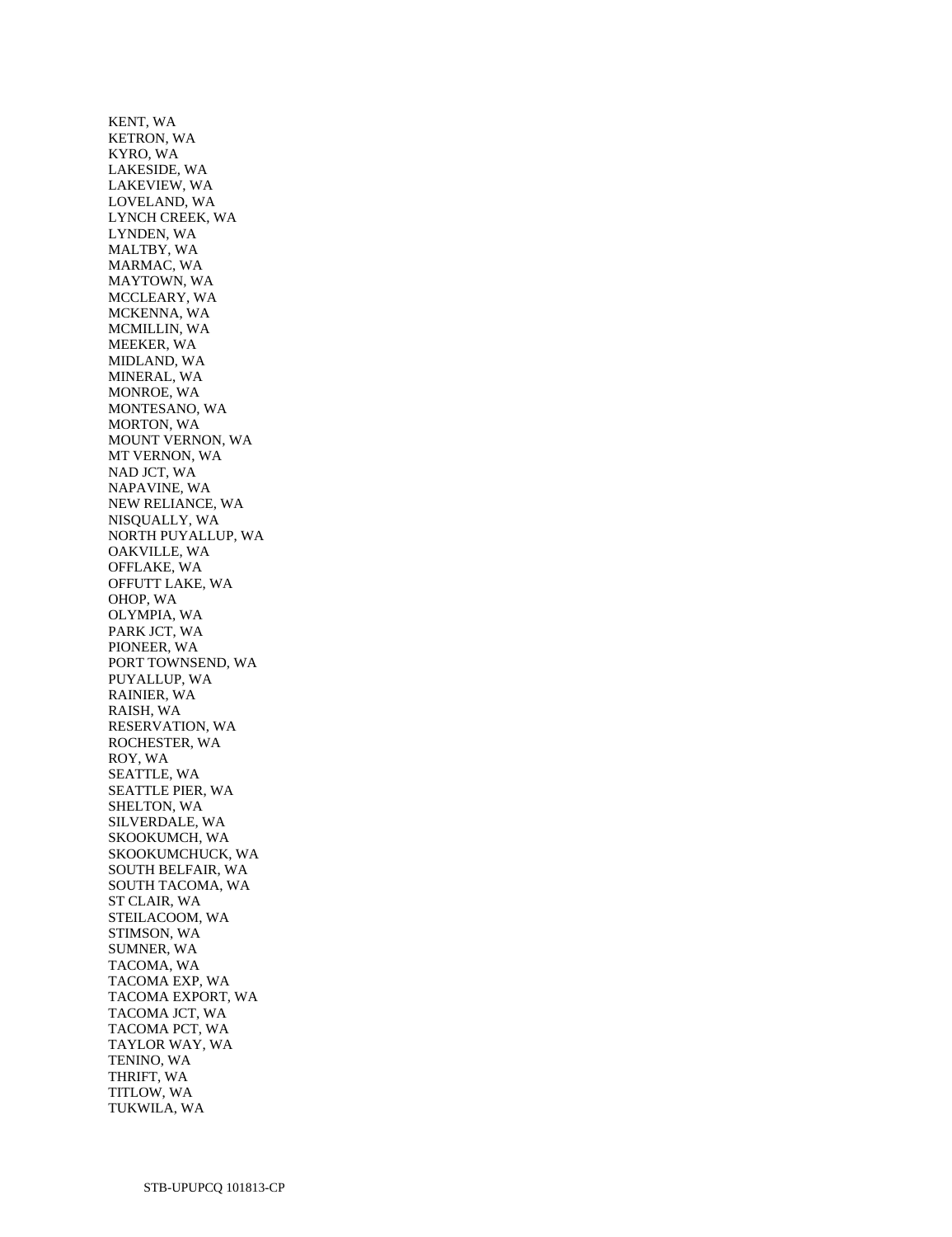KENT, WA KETRON, WA KYRO, WA LAKESIDE, WA LAKEVIEW, WA LOVELAND, WA LYNCH CREEK, WA LYNDEN, WA MALTBY, WA MARMAC, WA MAYTOWN, WA MCCLEARY, WA MCKENNA, WA MCMILLIN, WA MEEKER, WA MIDLAND, WA MINERAL, WA MONROE, WA MONTESANO, WA MORTON, WA MOUNT VERNON, WA MT VERNON, WA NAD JCT, WA NAPAVINE, WA NEW RELIANCE, WA NISQUALLY, WA NORTH PUYALLUP, WA OAKVILLE, WA OFFLAKE, WA OFFUTT LAKE, WA OHOP, WA OLYMPIA, WA PARK JCT, WA PIONEER, WA PORT TOWNSEND, WA PUYALLUP, WA RAINIER, WA RAISH, WA RESERVATION, WA ROCHESTER, WA ROY, WA SEATTLE, WA SEATTLE PIER, WA SHELTON, WA SILVERDALE, WA SKOOKUMCH, WA SKOOKUMCHUCK, WA SOUTH BELFAIR, WA SOUTH TACOMA, WA ST CLAIR, WA STEILACOOM, WA STIMSON, WA SUMNER, WA TACOMA, WA TACOMA EXP, WA TACOMA EXPORT, WA TACOMA JCT, WA TACOMA PCT, WA TAYLOR WAY, WA TENINO, WA THRIFT, WA TITLOW, WA TUKWILA, WA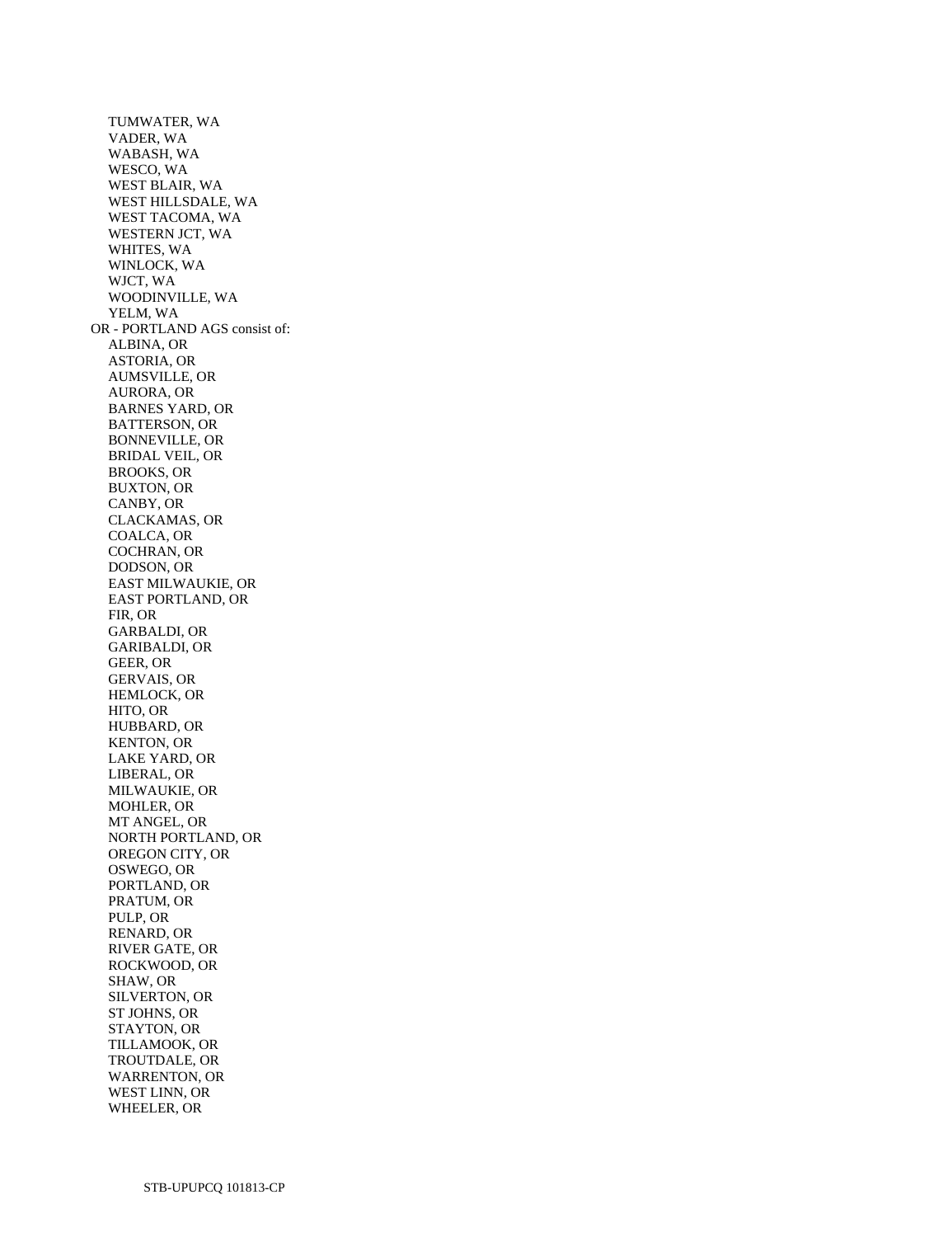TUMWATER, WA VADER, WA WABASH, WA WESCO, WA WEST BLAIR, WA WEST HILLSDALE, WA WEST TACOMA, WA WESTERN JCT, WA WHITES, WA WINLOCK, WA WJCT, WA WOODINVILLE, WA YELM, WA OR - PORTLAND AGS consist of: ALBINA, OR ASTORIA, OR AUMSVILLE, OR AURORA, OR BARNES YARD, OR BATTERSON, OR BONNEVILLE, OR BRIDAL VEIL, OR BROOKS, OR BUXTON, OR CANBY, OR CLACKAMAS, OR COALCA, OR COCHRAN, OR DODSON, OR EAST MILWAUKIE, OR EAST PORTLAND, OR FIR, OR GARBALDI, OR GARIBALDI, OR GEER, OR GERVAIS, OR HEMLOCK, OR HITO, OR HUBBARD, OR KENTON, OR LAKE YARD, OR LIBERAL, OR MILWAUKIE, OR MOHLER, OR MT ANGEL, OR NORTH PORTLAND, OR OREGON CITY, OR OSWEGO, OR PORTLAND, OR PRATUM, OR PULP, OR RENARD, OR RIVER GATE, OR ROCKWOOD, OR SHAW, OR SILVERTON, OR ST JOHNS, OR STAYTON, OR TILLAMOOK, OR TROUTDALE, OR WARRENTON, OR WEST LINN, OR WHEELER, OR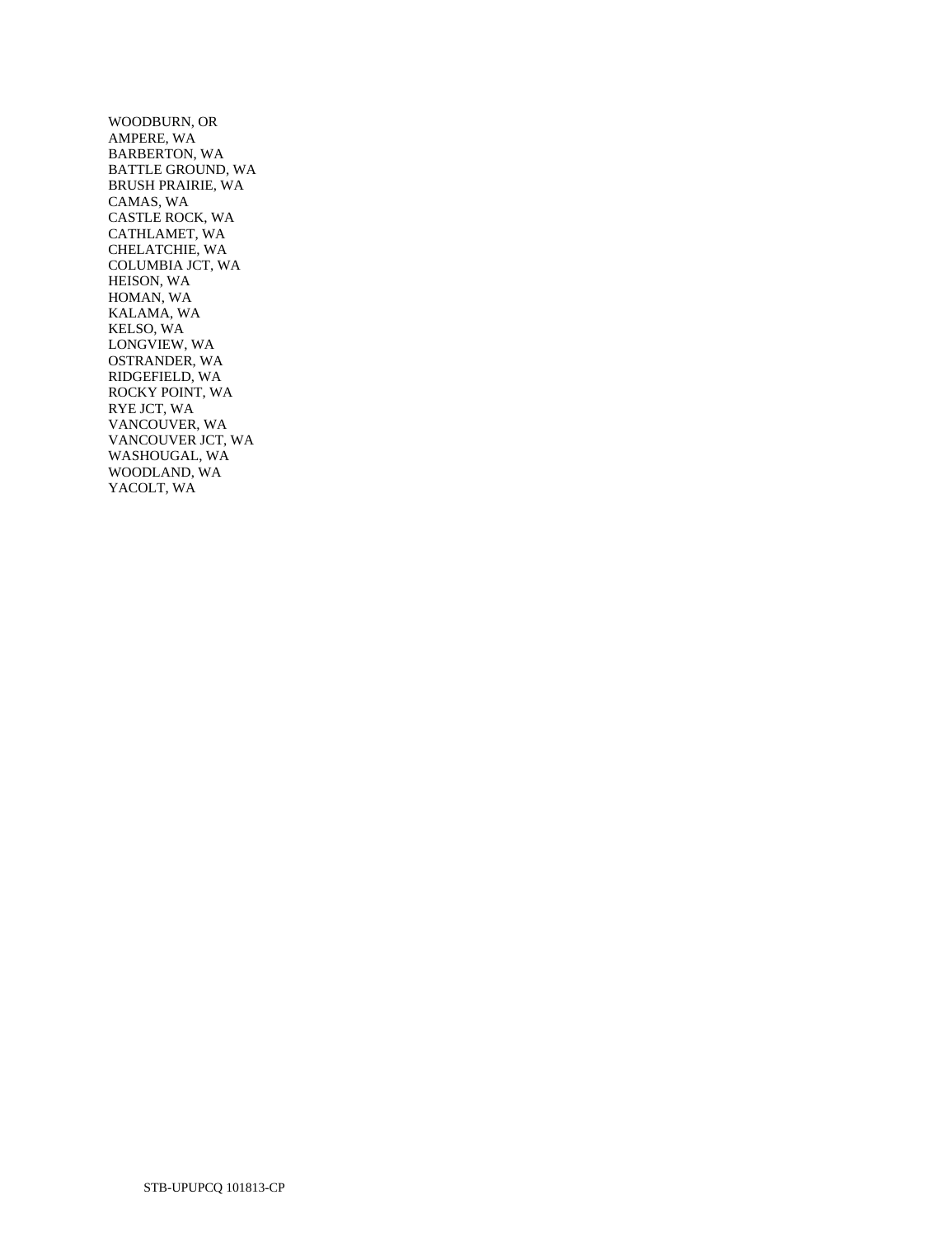WOODBURN, OR AMPERE, WA BARBERTON, WA BATTLE GROUND, WA BRUSH PRAIRIE, WA CAMAS, WA CASTLE ROCK, WA CATHLAMET, WA CHELATCHIE, WA COLUMBIA JCT, WA HEISON, WA HOMAN, WA KALAMA, WA KELSO, WA LONGVIEW, WA OSTRANDER, WA RIDGEFIELD, WA ROCKY POINT, WA RYE JCT, WA VANCOUVER, WA VANCOUVER JCT, WA WASHOUGAL, WA WOODLAND, WA YACOLT, WA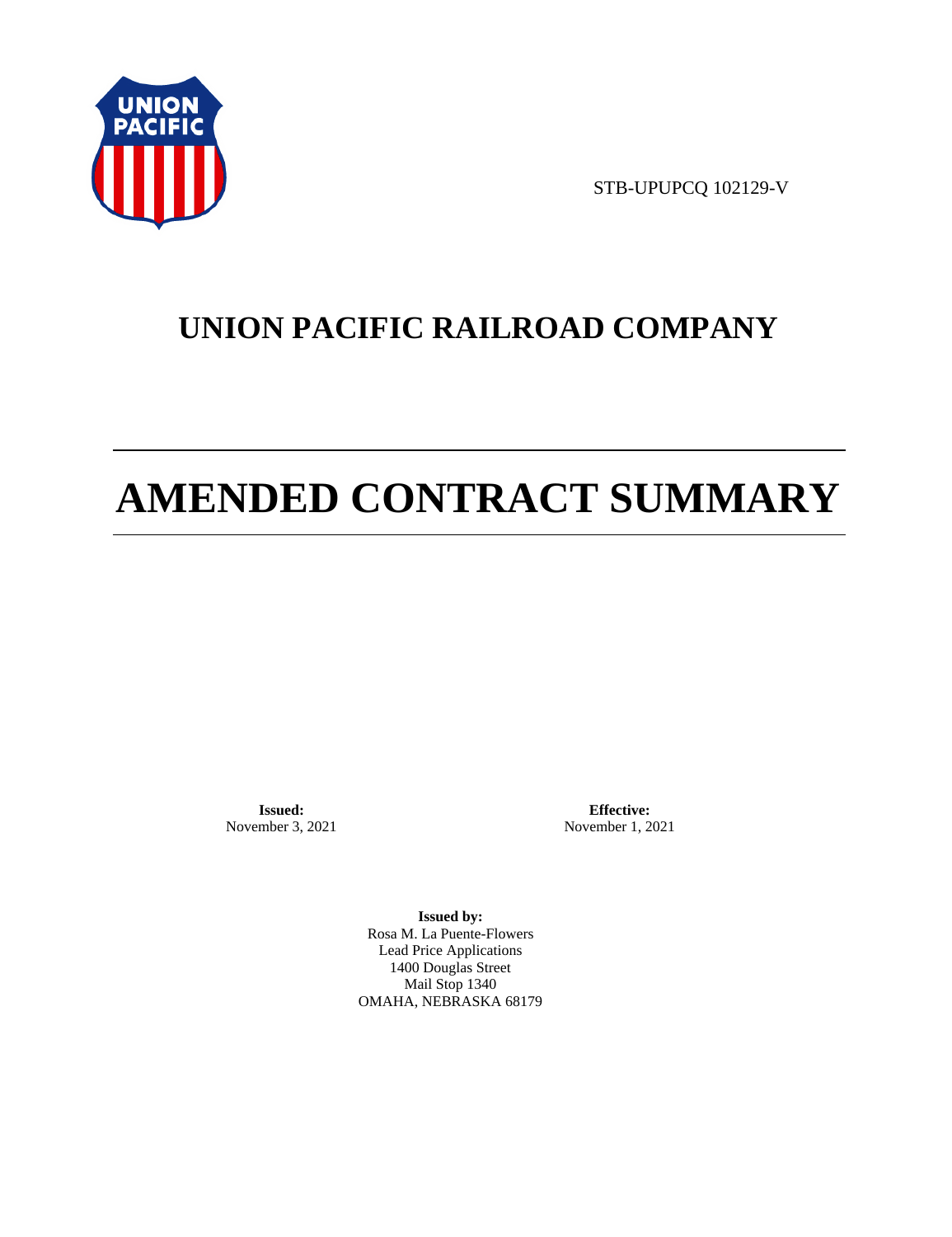

STB-UPUPCQ 102129-V

# **UNION PACIFIC RAILROAD COMPANY**

# **AMENDED CONTRACT SUMMARY**

**Issued:**  November 3, 2021

**Effective:** November 1, 2021

**Issued by:**  Rosa M. La Puente-Flowers Lead Price Applications 1400 Douglas Street Mail Stop 1340 OMAHA, NEBRASKA 68179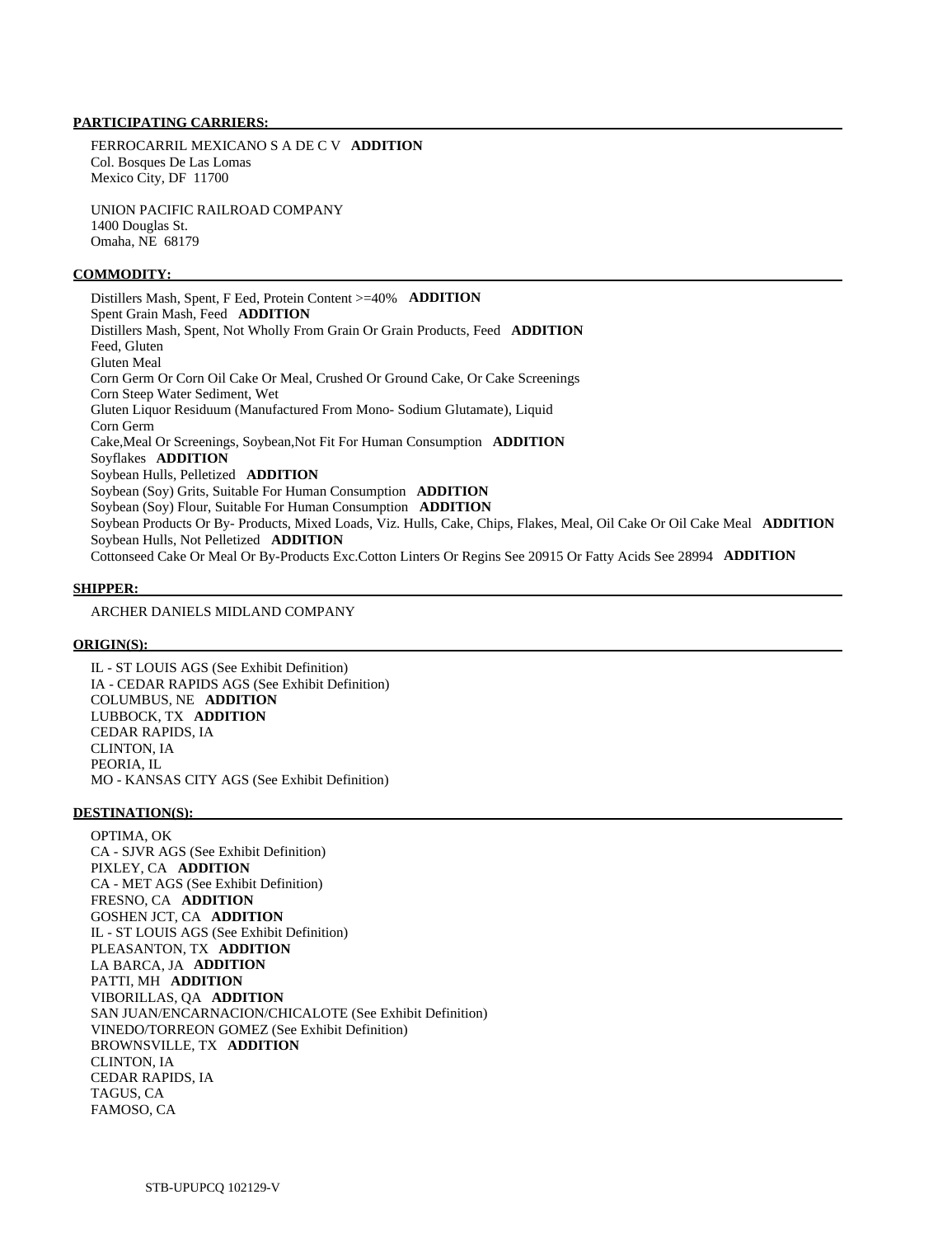## **PARTICIPATING CARRIERS:**

 FERROCARRIL MEXICANO S A DE C V **ADDITION**  Col. Bosques De Las Lomas Mexico City, DF 11700

 UNION PACIFIC RAILROAD COMPANY 1400 Douglas St. Omaha, NE 68179

#### **COMMODITY:**

 Distillers Mash, Spent, F Eed, Protein Content >=40% **ADDITION**  Spent Grain Mash, Feed **ADDITION**  Distillers Mash, Spent, Not Wholly From Grain Or Grain Products, Feed **ADDITION**  Feed, Gluten Gluten Meal Corn Germ Or Corn Oil Cake Or Meal, Crushed Or Ground Cake, Or Cake Screenings Corn Steep Water Sediment, Wet Gluten Liquor Residuum (Manufactured From Mono- Sodium Glutamate), Liquid Corn Germ Cake,Meal Or Screenings, Soybean,Not Fit For Human Consumption **ADDITION**  Soyflakes **ADDITION**  Soybean Hulls, Pelletized **ADDITION**  Soybean (Soy) Grits, Suitable For Human Consumption **ADDITION**  Soybean (Soy) Flour, Suitable For Human Consumption **ADDITION**  Soybean Products Or By- Products, Mixed Loads, Viz. Hulls, Cake, Chips, Flakes, Meal, Oil Cake Or Oil Cake Meal **ADDITION**  Soybean Hulls, Not Pelletized **ADDITION**  Cottonseed Cake Or Meal Or By-Products Exc.Cotton Linters Or Regins See 20915 Or Fatty Acids See 28994 **ADDITION** 

#### **SHIPPER:**

ARCHER DANIELS MIDLAND COMPANY

#### **ORIGIN(S):**

 IL - ST LOUIS AGS (See Exhibit Definition) IA - CEDAR RAPIDS AGS (See Exhibit Definition) COLUMBUS, NE **ADDITION**  LUBBOCK, TX **ADDITION**  CEDAR RAPIDS, IA CLINTON, IA PEORIA, IL MO - KANSAS CITY AGS (See Exhibit Definition)

#### **DESTINATION(S):**

 OPTIMA, OK CA - SJVR AGS (See Exhibit Definition) PIXLEY, CA **ADDITION**  CA - MET AGS (See Exhibit Definition) FRESNO, CA **ADDITION**  GOSHEN JCT, CA **ADDITION**  IL - ST LOUIS AGS (See Exhibit Definition) PLEASANTON, TX **ADDITION**  LA BARCA, JA **ADDITION**  PATTI, MH **ADDITION**  VIBORILLAS, QA **ADDITION**  SAN JUAN/ENCARNACION/CHICALOTE (See Exhibit Definition) VINEDO/TORREON GOMEZ (See Exhibit Definition) BROWNSVILLE, TX **ADDITION**  CLINTON, IA CEDAR RAPIDS, IA TAGUS, CA FAMOSO, CA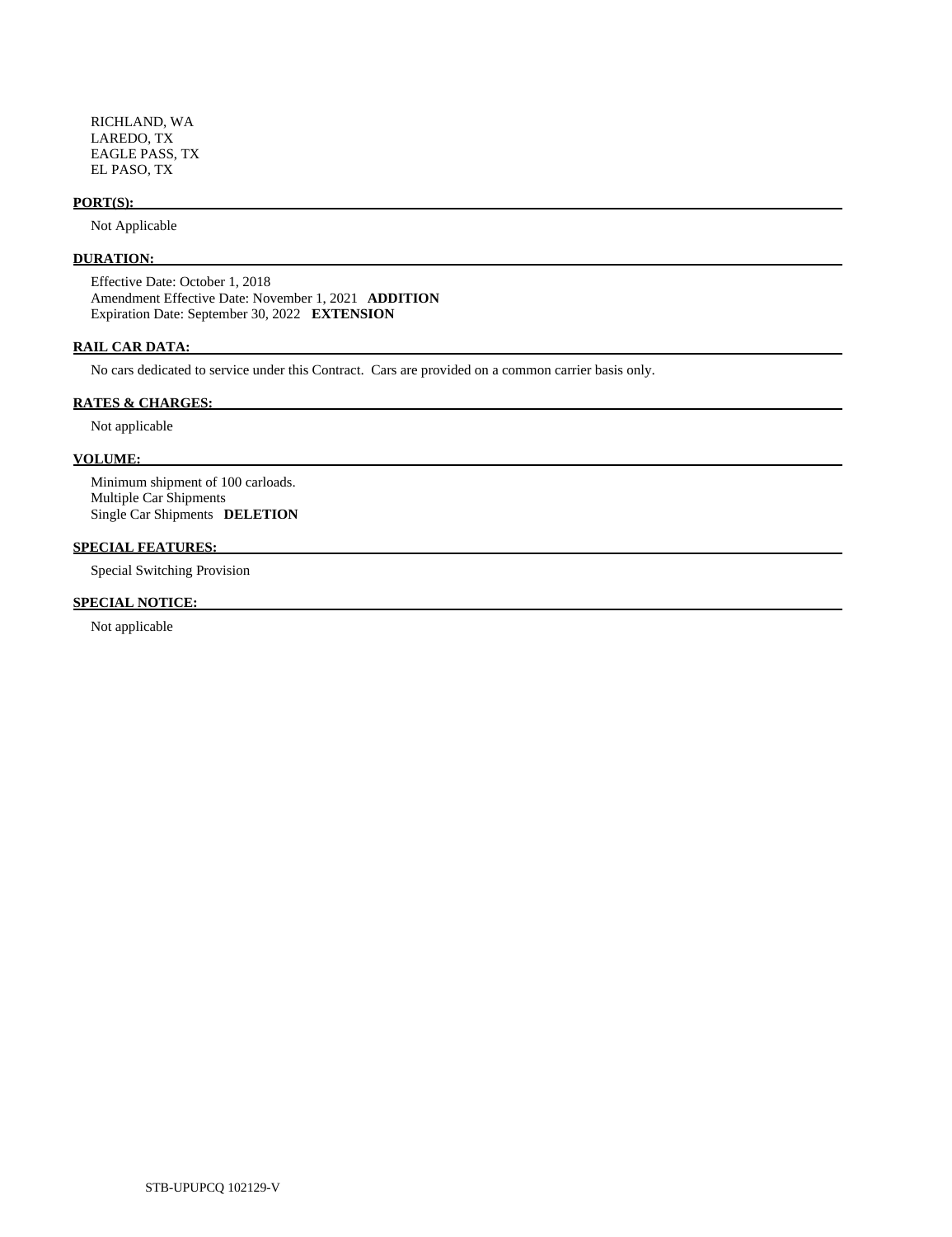RICHLAND, WA LAREDO, TX EAGLE PASS, TX EL PASO, TX

#### **PORT(S):**

Not Applicable

# **DURATION:**

 Effective Date: October 1, 2018 Amendment Effective Date: November 1, 2021 **ADDITION**  Expiration Date: September 30, 2022 **EXTENSION** 

## **RAIL CAR DATA:**

No cars dedicated to service under this Contract. Cars are provided on a common carrier basis only.

#### **RATES & CHARGES:**

Not applicable

#### **VOLUME:**

 Minimum shipment of 100 carloads. Multiple Car Shipments Single Car Shipments **DELETION** 

#### **SPECIAL FEATURES:**

Special Switching Provision

## **SPECIAL NOTICE:**

Not applicable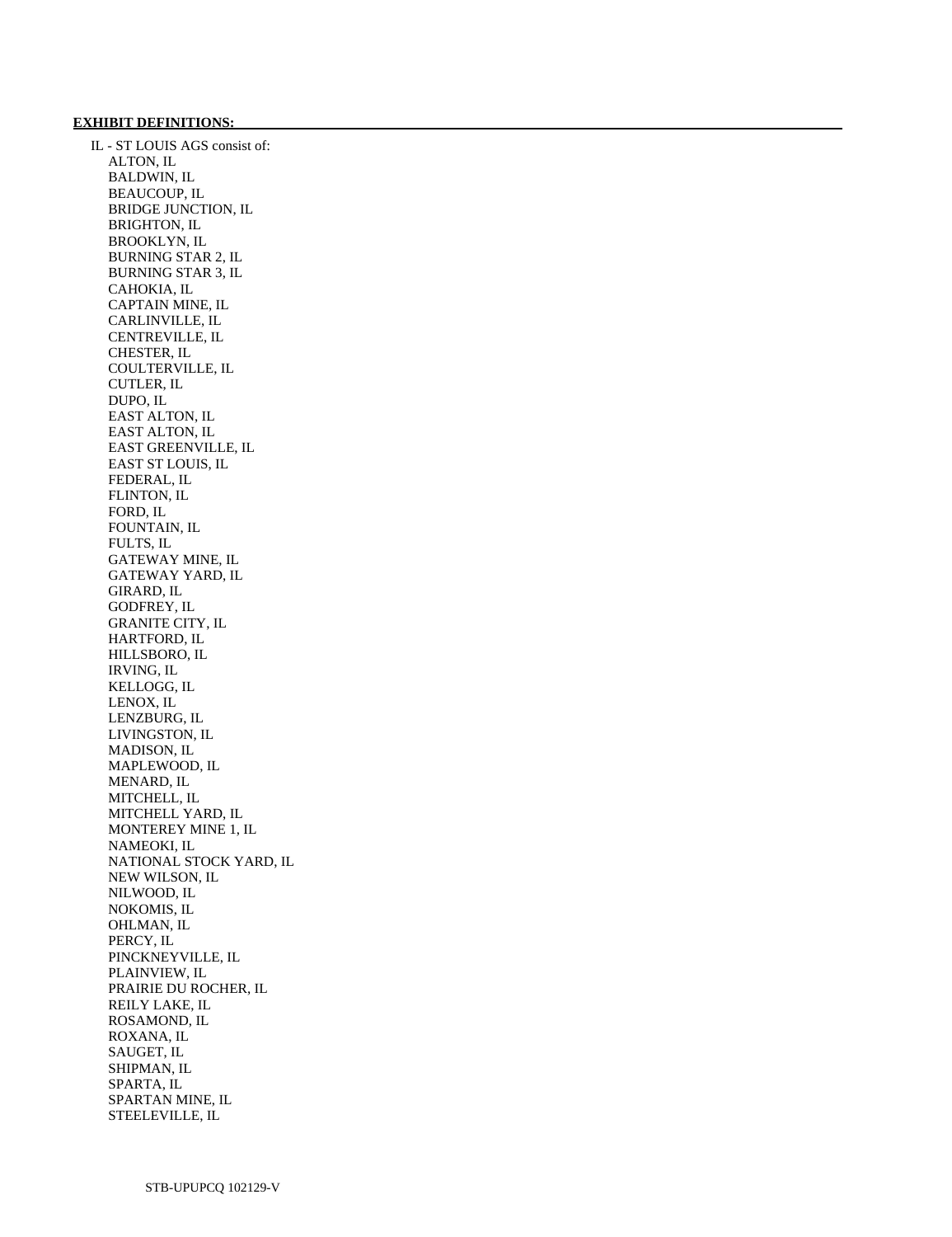#### **EXHIBIT DEFINITIONS:**

 IL - ST LOUIS AGS consist of: ALTON, IL BALDWIN, IL BEAUCOUP, IL BRIDGE JUNCTION, IL BRIGHTON, IL BROOKLYN, IL BURNING STAR 2, IL BURNING STAR 3, IL CAHOKIA, IL CAPTAIN MINE, IL CARLINVILLE, IL CENTREVILLE, IL CHESTER, IL COULTERVILLE, IL CUTLER, IL DUPO, IL EAST ALTON, IL EAST ALTON, IL EAST GREENVILLE, IL EAST ST LOUIS, IL FEDERAL, IL FLINTON, IL FORD, IL FOUNTAIN, IL FULTS, IL GATEWAY MINE, IL GATEWAY YARD, IL GIRARD, IL GODFREY, IL GRANITE CITY, IL HARTFORD, IL HILLSBORO, IL IRVING, IL KELLOGG, IL LENOX, IL LENZBURG, IL LIVINGSTON, IL MADISON, IL MAPLEWOOD, IL MENARD, IL MITCHELL, IL MITCHELL YARD, IL MONTEREY MINE 1, IL NAMEOKI, IL NATIONAL STOCK YARD, IL NEW WILSON, IL NILWOOD, IL NOKOMIS, IL OHLMAN, IL PERCY, IL PINCKNEYVILLE, IL PLAINVIEW, IL PRAIRIE DU ROCHER, IL REILY LAKE, IL ROSAMOND, IL ROXANA, IL SAUGET, IL SHIPMAN, IL SPARTA, IL SPARTAN MINE, IL STEELEVILLE, IL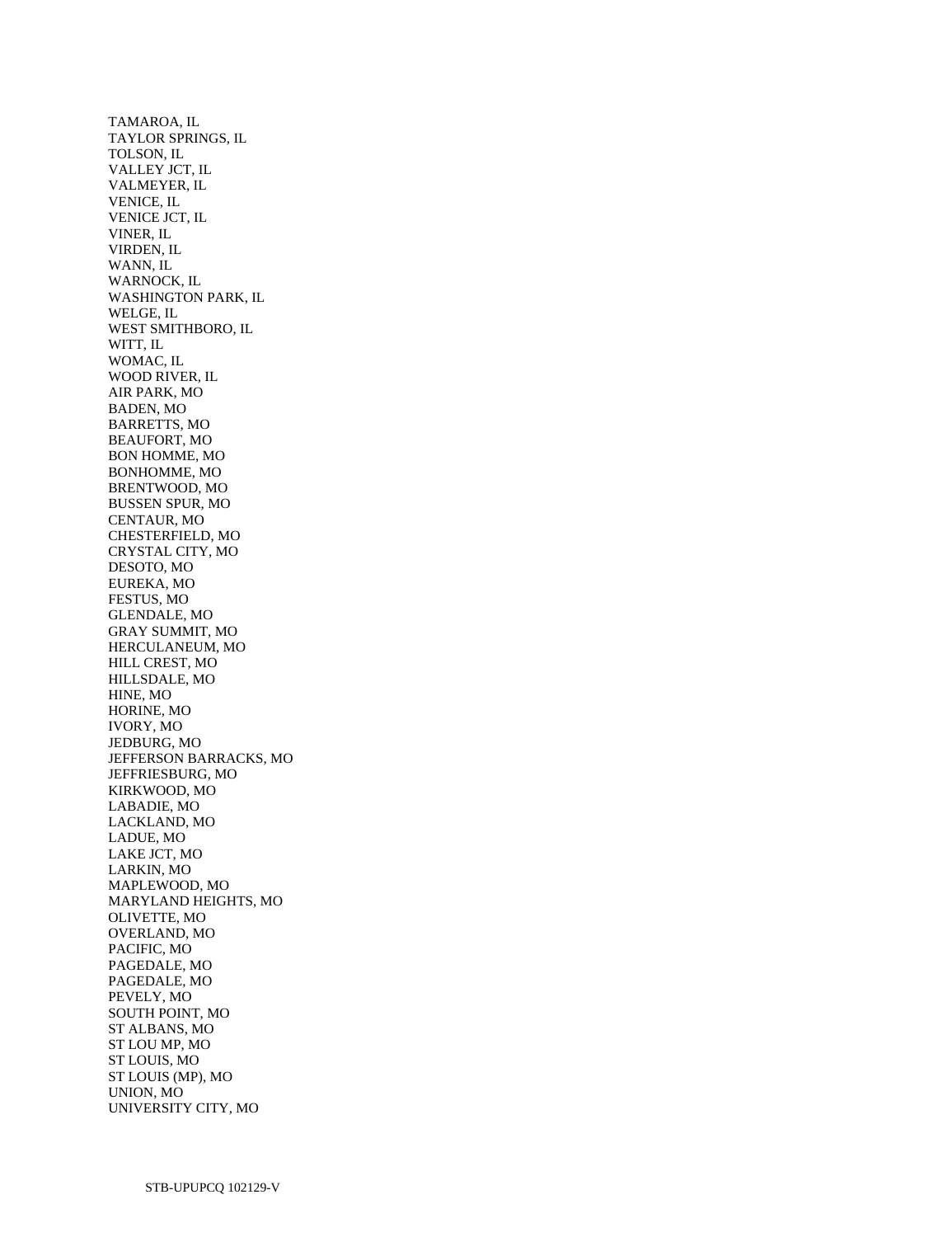TAMAROA, IL TAYLOR SPRINGS, IL TOLSON, IL VALLEY JCT, IL VALMEYER, IL VENICE, IL VENICE JCT, IL VINER, IL VIRDEN, IL WANN, IL WARNOCK, IL WASHINGTON PARK, IL WELGE, IL WEST SMITHBORO, IL WITT, IL WOMAC, IL WOOD RIVER, IL AIR PARK, MO BADEN, MO BARRETTS, MO BEAUFORT, MO BON HOMME, MO BONHOMME, MO BRENTWOOD, MO BUSSEN SPUR, MO CENTAUR, MO CHESTERFIELD, MO CRYSTAL CITY, MO DESOTO, MO EUREKA, MO FESTUS, MO GLENDALE, MO GRAY SUMMIT, MO HERCULANEUM, MO HILL CREST, MO HILLSDALE, MO HINE, MO HORINE, MO IVORY, MO JEDBURG, MO JEFFERSON BARRACKS, MO JEFFRIESBURG, MO KIRKWOOD, MO LABADIE, MO LACKLAND, MO LADUE, MO LAKE JCT, MO LARKIN, MO MAPLEWOOD, MO MARYLAND HEIGHTS, MO OLIVETTE, MO OVERLAND, MO PACIFIC, MO PAGEDALE, MO PAGEDALE, MO PEVELY, MO SOUTH POINT, MO ST ALBANS, MO ST LOU MP, MO ST LOUIS, MO ST LOUIS (MP), MO UNION, MO UNIVERSITY CITY, MO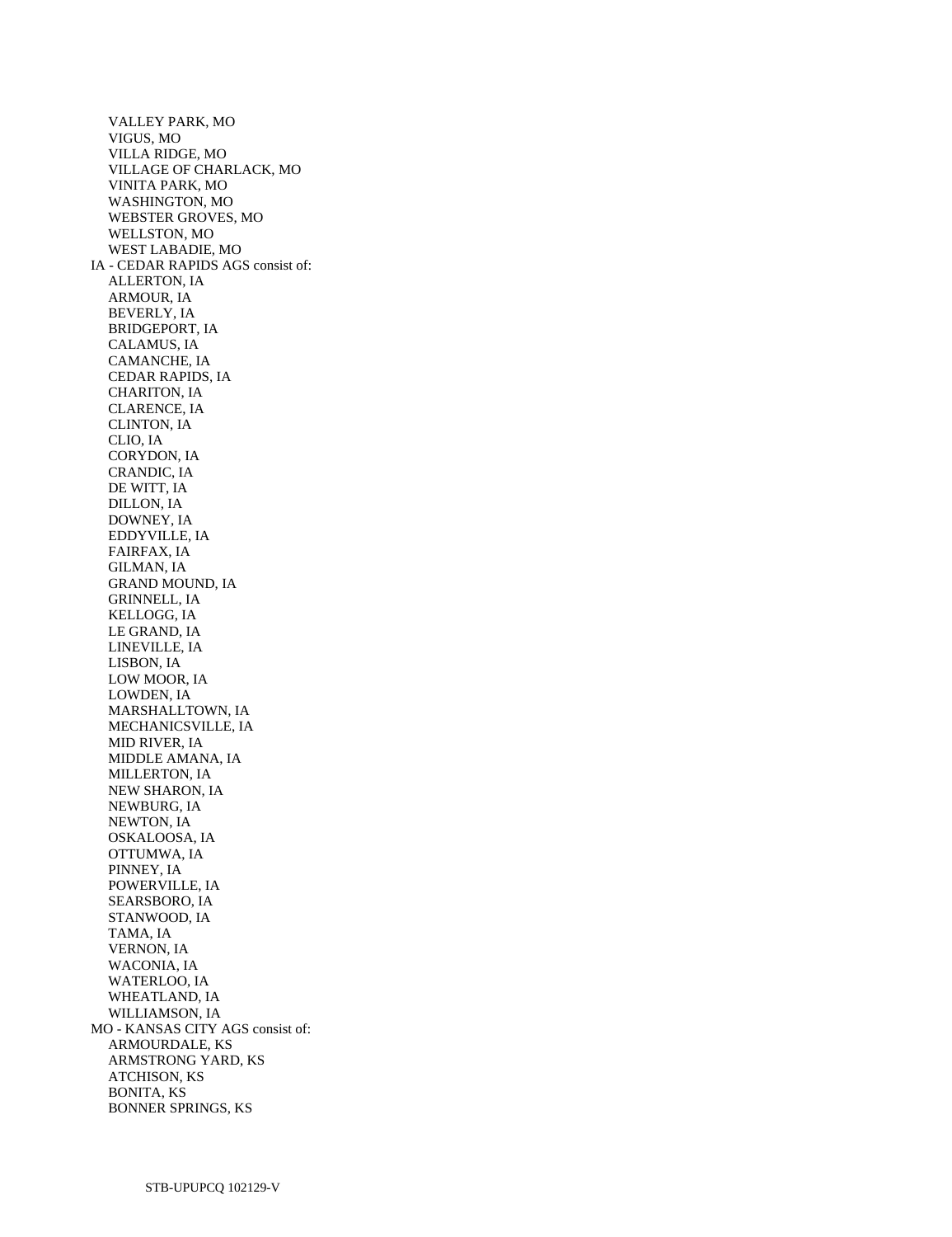VALLEY PARK, MO VIGUS, MO VILLA RIDGE, MO VILLAGE OF CHARLACK, MO VINITA PARK, MO WASHINGTON, MO WEBSTER GROVES, MO WELLSTON, MO WEST LABADIE, MO IA - CEDAR RAPIDS AGS consist of: ALLERTON, IA ARMOUR, IA BEVERLY, IA BRIDGEPORT, IA CALAMUS, IA CAMANCHE, IA CEDAR RAPIDS, IA CHARITON, IA CLARENCE, IA CLINTON, IA CLIO, IA CORYDON, IA CRANDIC, IA DE WITT, IA DILLON, IA DOWNEY, IA EDDYVILLE, IA FAIRFAX, IA GILMAN, IA GRAND MOUND, IA GRINNELL, IA KELLOGG, IA LE GRAND, IA LINEVILLE, IA LISBON, IA LOW MOOR, IA LOWDEN, IA MARSHALLTOWN, IA MECHANICSVILLE, IA MID RIVER, IA MIDDLE AMANA, IA MILLERTON, IA NEW SHARON, IA NEWBURG, IA NEWTON, IA OSKALOOSA, IA OTTUMWA, IA PINNEY, IA POWERVILLE, IA SEARSBORO, IA STANWOOD, IA TAMA, IA VERNON, IA WACONIA, IA WATERLOO, IA WHEATLAND, IA WILLIAMSON, IA MO - KANSAS CITY AGS consist of: ARMOURDALE, KS ARMSTRONG YARD, KS ATCHISON, KS BONITA, KS BONNER SPRINGS, KS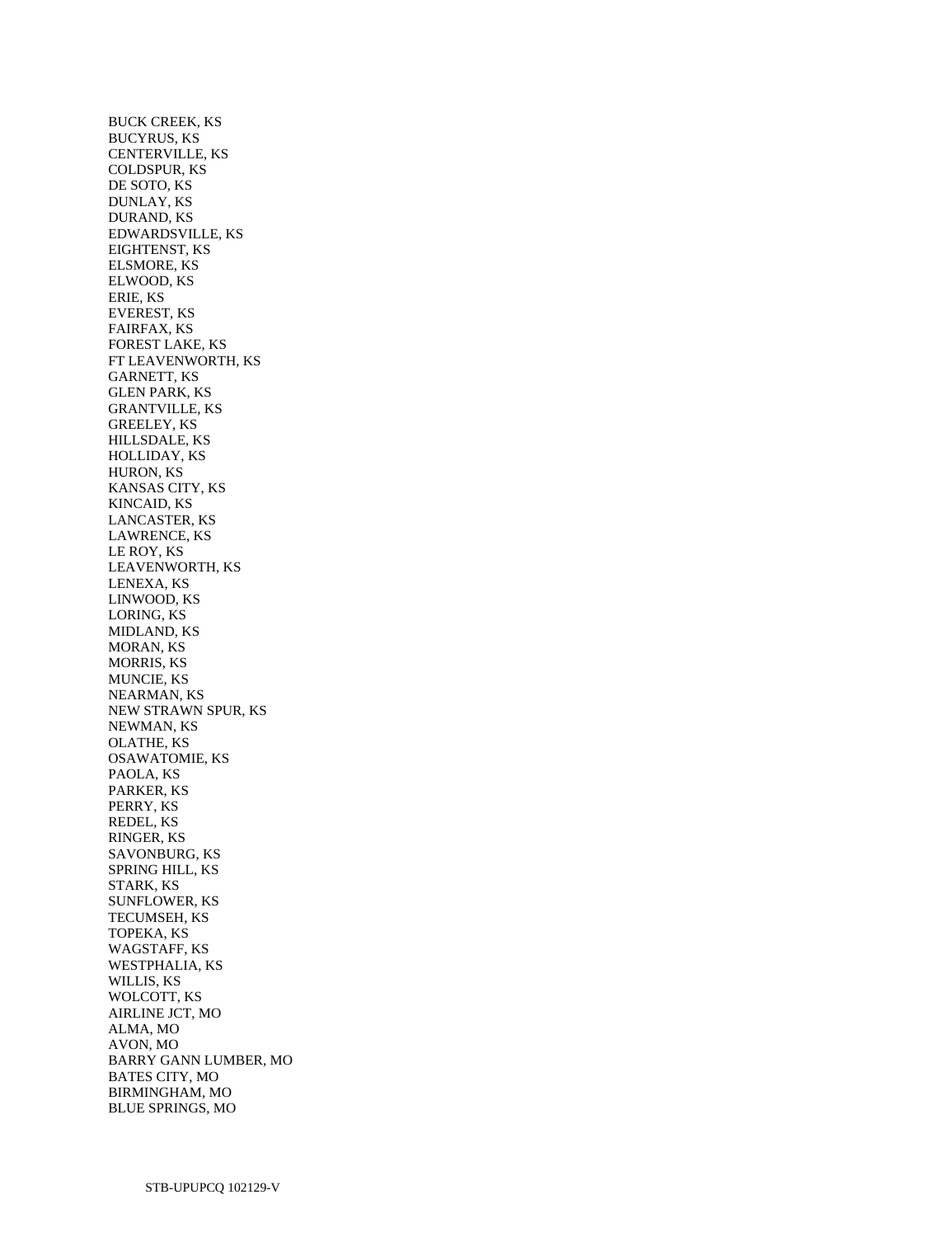BUCK CREEK, KS BUCYRUS, KS CENTERVILLE, KS COLDSPUR, KS DE SOTO, KS DUNLAY, KS DURAND, KS EDWARDSVILLE, KS EIGHTENST, KS ELSMORE, KS ELWOOD, KS ERIE, KS EVEREST, KS FAIRFAX, KS FOREST LAKE, KS FT LEAVENWORTH, KS GARNETT, KS GLEN PARK, KS GRANTVILLE, KS GREELEY, KS HILLSDALE, KS HOLLIDAY, KS HURON, KS KANSAS CITY, KS KINCAID, KS LANCASTER, KS LAWRENCE, KS LE ROY, KS LEAVENWORTH, KS LENEXA, KS LINWOOD, KS LORING, KS MIDLAND, KS MORAN, KS MORRIS, KS MUNCIE, KS NEARMAN, KS NEW STRAWN SPUR, KS NEWMAN, KS OLATHE, KS OSAWATOMIE, KS PAOLA, KS PARKER, KS PERRY, KS REDEL, KS RINGER, KS SAVONBURG, KS SPRING HILL, KS STARK, KS SUNFLOWER, KS TECUMSEH, KS TOPEKA, KS WAGSTAFF, KS WESTPHALIA, KS WILLIS, KS WOLCOTT, KS AIRLINE JCT, MO ALMA, MO AVON, MO BARRY GANN LUMBER, MO BATES CITY, MO BIRMINGHAM, MO BLUE SPRINGS, MO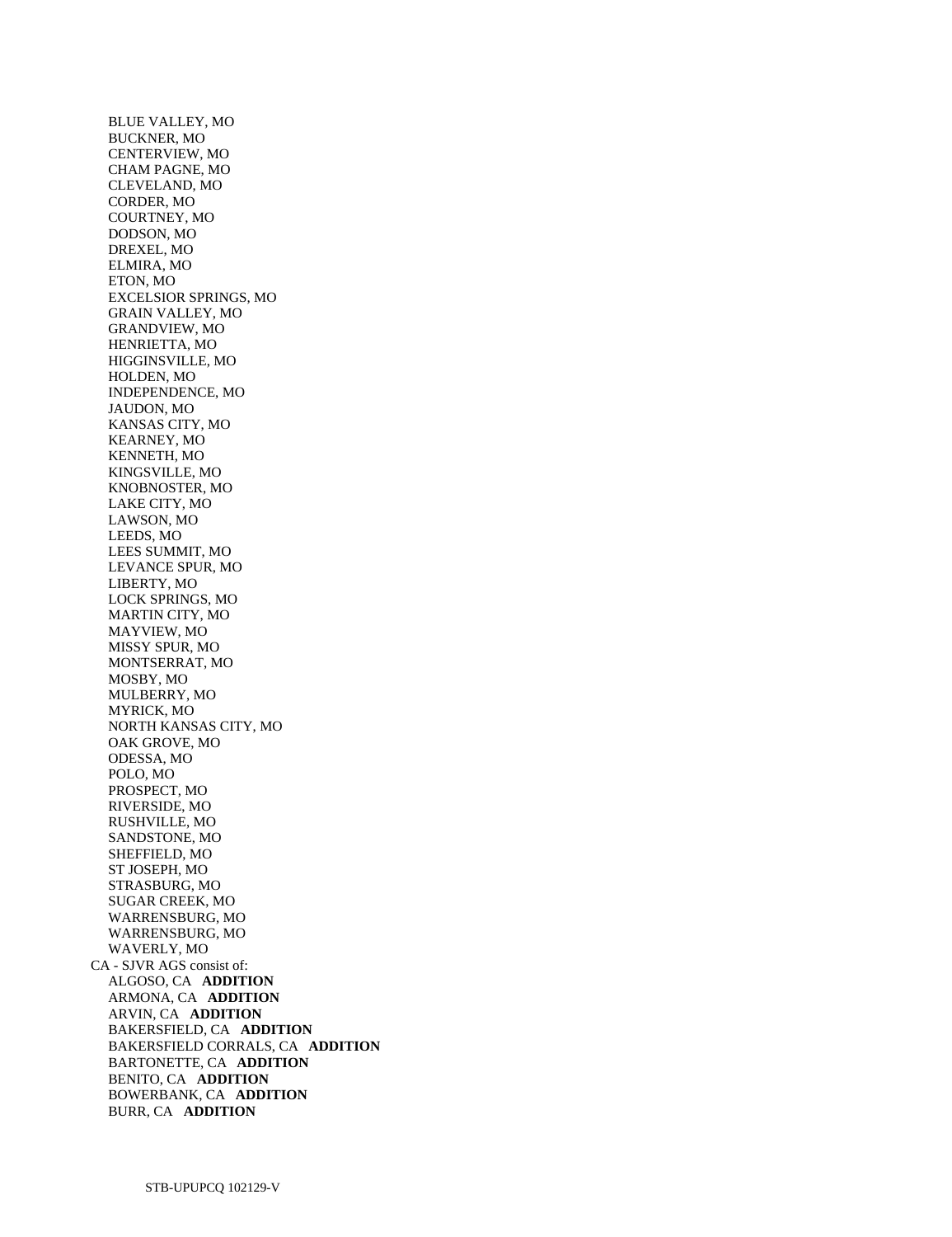BLUE VALLEY, MO BUCKNER, MO CENTERVIEW, MO CHAM PAGNE, MO CLEVELAND, MO CORDER, MO COURTNEY, MO DODSON, MO DREXEL, MO ELMIRA, MO ETON, MO EXCELSIOR SPRINGS, MO GRAIN VALLEY, MO GRANDVIEW, MO HENRIETTA, MO HIGGINSVILLE, MO HOLDEN, MO INDEPENDENCE, MO JAUDON, MO KANSAS CITY, MO KEARNEY, MO KENNETH, MO KINGSVILLE, MO KNOBNOSTER, MO LAKE CITY, MO LAWSON, MO LEEDS, MO LEES SUMMIT, MO LEVANCE SPUR, MO LIBERTY, MO LOCK SPRINGS, MO MARTIN CITY, MO MAYVIEW, MO MISSY SPUR, MO MONTSERRAT, MO MOSBY, MO MULBERRY, MO MYRICK, MO NORTH KANSAS CITY, MO OAK GROVE, MO ODESSA, MO POLO, MO PROSPECT, MO RIVERSIDE, MO RUSHVILLE, MO SANDSTONE, MO SHEFFIELD, MO ST JOSEPH, MO STRASBURG, MO SUGAR CREEK, MO WARRENSBURG, MO WARRENSBURG, MO WAVERLY, MO CA - SJVR AGS consist of: ALGOSO, CA **ADDITION**  ARMONA, CA **ADDITION**  ARVIN, CA **ADDITION**  BAKERSFIELD, CA **ADDITION**  BAKERSFIELD CORRALS, CA **ADDITION**  BARTONETTE, CA **ADDITION**  BENITO, CA **ADDITION**  BOWERBANK, CA **ADDITION**  BURR, CA **ADDITION**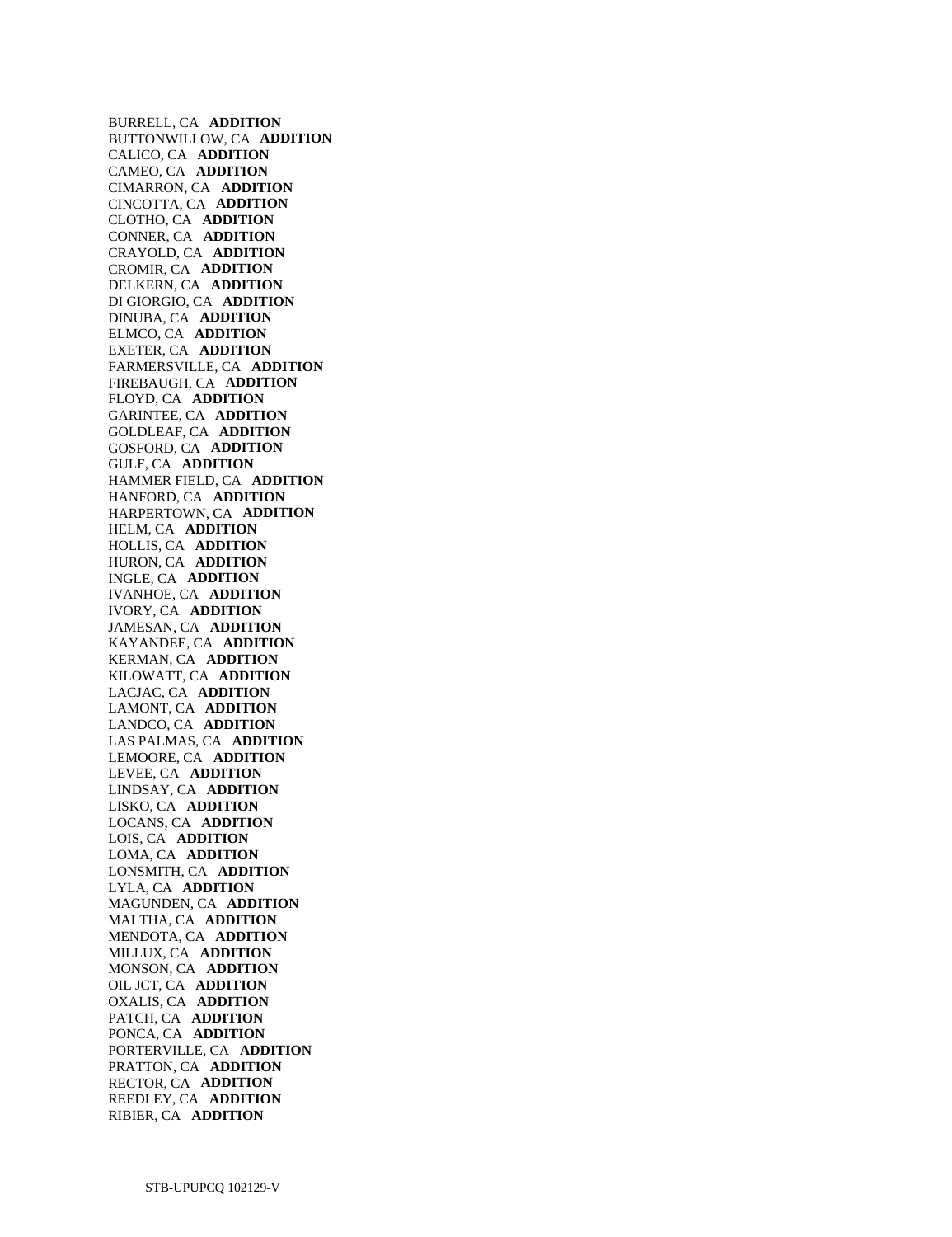BURRELL, CA **ADDITION**  BUTTONWILLOW, CA **ADDITION**  CALICO, CA **ADDITION**  CAMEO, CA **ADDITION**  CIMARRON, CA **ADDITION**  CINCOTTA, CA **ADDITION**  CLOTHO, CA **ADDITION**  CONNER, CA **ADDITION**  CRAYOLD, CA **ADDITION**  CROMIR, CA **ADDITION**  DELKERN, CA **ADDITION**  DI GIORGIO, CA **ADDITION**  DINUBA, CA **ADDITION**  ELMCO, CA **ADDITION**  EXETER, CA **ADDITION**  FARMERSVILLE, CA **ADDITION**  FIREBAUGH, CA **ADDITION**  FLOYD, CA **ADDITION**  GARINTEE, CA **ADDITION**  GOLDLEAF, CA **ADDITION**  GOSFORD, CA **ADDITION**  GULF, CA **ADDITION**  HAMMER FIELD, CA **ADDITION**  HANFORD, CA **ADDITION**  HARPERTOWN, CA **ADDITION**  HELM, CA **ADDITION**  HOLLIS, CA **ADDITION**  HURON, CA **ADDITION**  INGLE, CA **ADDITION**  IVANHOE, CA **ADDITION**  IVORY, CA **ADDITION**  JAMESAN, CA **ADDITION**  KAYANDEE, CA **ADDITION**  KERMAN, CA **ADDITION**  KILOWATT, CA **ADDITION**  LACJAC, CA **ADDITION**  LAMONT, CA **ADDITION**  LANDCO, CA **ADDITION**  LAS PALMAS, CA **ADDITION**  LEMOORE, CA **ADDITION**  LEVEE, CA **ADDITION**  LINDSAY, CA **ADDITION**  LISKO, CA **ADDITION**  LOCANS, CA **ADDITION**  LOIS, CA **ADDITION**  LOMA, CA **ADDITION**  LONSMITH, CA **ADDITION**  LYLA, CA **ADDITION**  MAGUNDEN, CA **ADDITION**  MALTHA, CA **ADDITION**  MENDOTA, CA **ADDITION**  MILLUX, CA **ADDITION**  MONSON, CA **ADDITION**  OIL JCT, CA **ADDITION**  OXALIS, CA **ADDITION**  PATCH, CA **ADDITION**  PONCA, CA **ADDITION**  PORTERVILLE, CA **ADDITION**  PRATTON, CA **ADDITION**  RECTOR, CA **ADDITION**  REEDLEY, CA **ADDITION**  RIBIER, CA **ADDITION**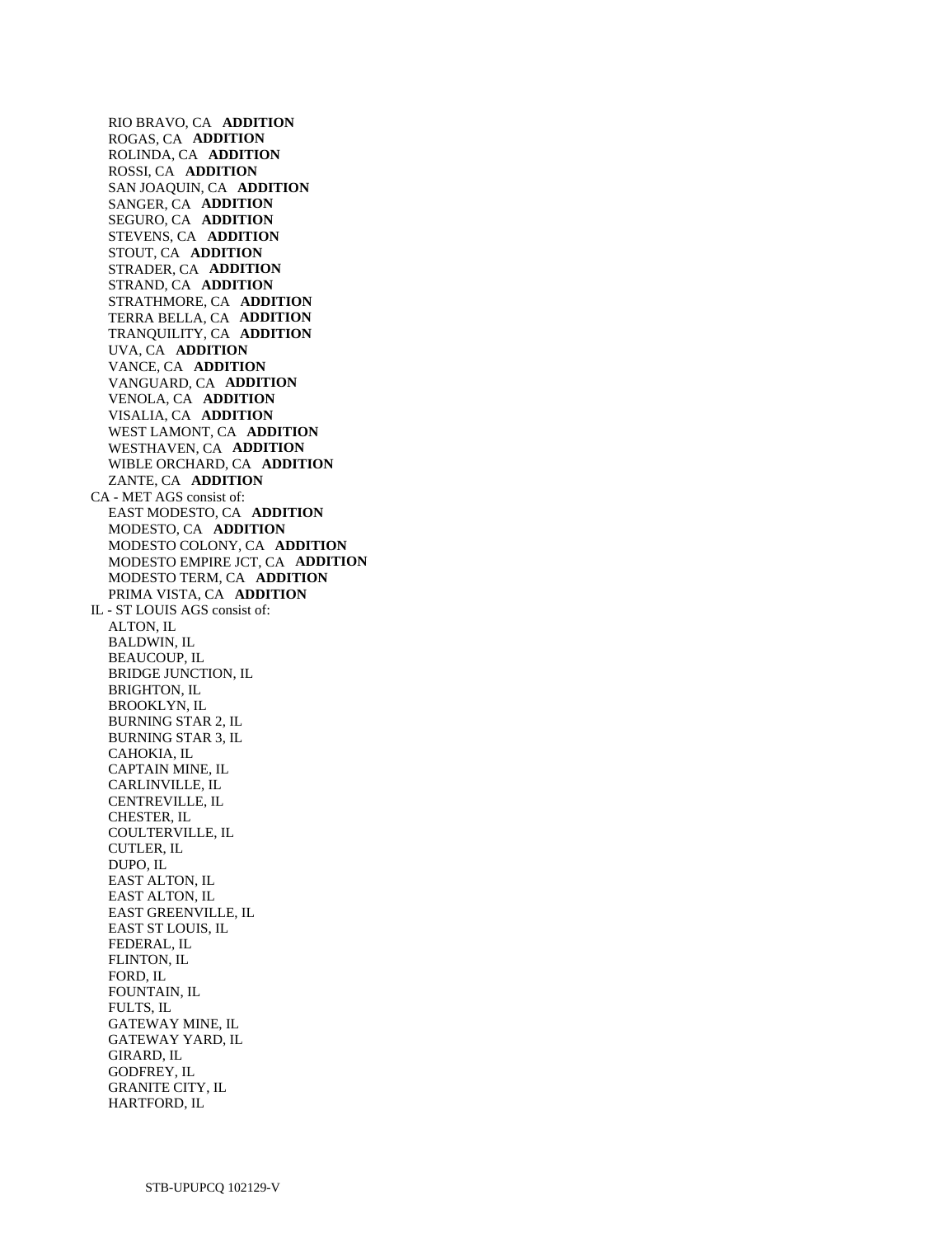RIO BRAVO, CA **ADDITION**  ROGAS, CA **ADDITION**  ROLINDA, CA **ADDITION**  ROSSI, CA **ADDITION**  SAN JOAQUIN, CA **ADDITION**  SANGER, CA **ADDITION**  SEGURO, CA **ADDITION**  STEVENS, CA **ADDITION**  STOUT, CA **ADDITION**  STRADER, CA **ADDITION**  STRAND, CA **ADDITION**  STRATHMORE, CA **ADDITION**  TERRA BELLA, CA **ADDITION**  TRANQUILITY, CA **ADDITION**  UVA, CA **ADDITION**  VANCE, CA **ADDITION**  VANGUARD, CA **ADDITION**  VENOLA, CA **ADDITION**  VISALIA, CA **ADDITION**  WEST LAMONT, CA **ADDITION**  WESTHAVEN, CA **ADDITION**  WIBLE ORCHARD, CA **ADDITION**  ZANTE, CA **ADDITION**  CA - MET AGS consist of: EAST MODESTO, CA **ADDITION**  MODESTO, CA **ADDITION**  MODESTO COLONY, CA **ADDITION**  MODESTO EMPIRE JCT, CA **ADDITION**  MODESTO TERM, CA **ADDITION**  PRIMA VISTA, CA **ADDITION**  IL - ST LOUIS AGS consist of: ALTON, IL BALDWIN, IL BEAUCOUP, IL BRIDGE JUNCTION, IL BRIGHTON, IL BROOKLYN, IL BURNING STAR 2, IL BURNING STAR 3, IL CAHOKIA, IL CAPTAIN MINE, IL CARLINVILLE, IL CENTREVILLE, IL CHESTER, IL COULTERVILLE, IL CUTLER, IL DUPO, IL EAST ALTON, IL EAST ALTON, IL EAST GREENVILLE, IL EAST ST LOUIS, IL FEDERAL, IL FLINTON, IL FORD, IL FOUNTAIN, IL FULTS, IL GATEWAY MINE, IL GATEWAY YARD, IL GIRARD, IL GODFREY, IL GRANITE CITY, IL

HARTFORD, IL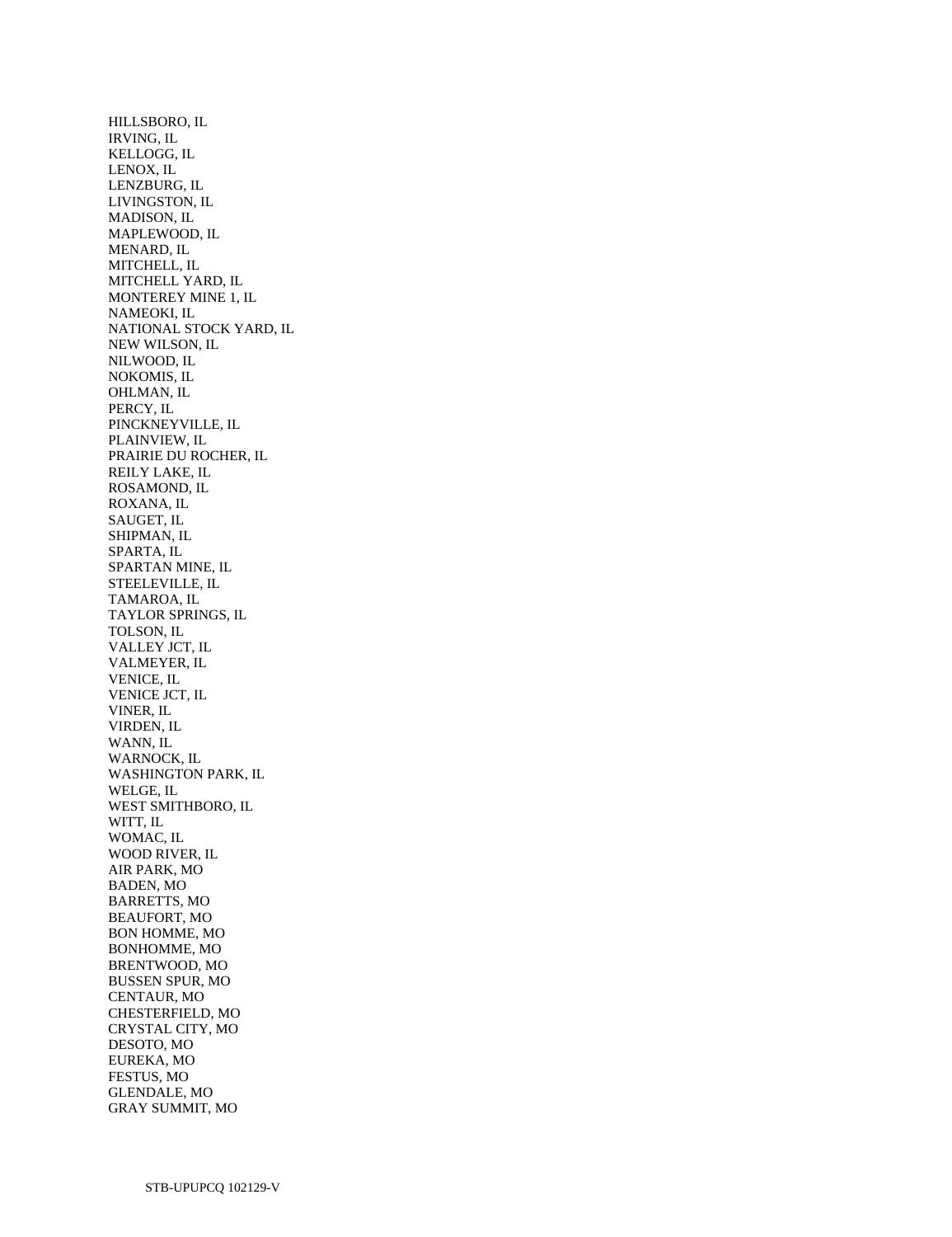HILLSBORO, IL IRVING, IL KELLOGG, IL LENOX, IL LENZBURG, IL LIVINGSTON, IL MADISON, IL MAPLEWOOD, IL MENARD, IL MITCHELL, IL MITCHELL YARD, IL MONTEREY MINE 1, IL NAMEOKI, IL NATIONAL STOCK YARD, IL NEW WILSON, IL NILWOOD, IL NOKOMIS, IL OHLMAN, IL PERCY, IL PINCKNEYVILLE, IL PLAINVIEW, IL PRAIRIE DU ROCHER, IL REILY LAKE, IL ROSAMOND, IL ROXANA, IL SAUGET, IL SHIPMAN, IL SPARTA, IL SPARTAN MINE, IL STEELEVILLE, IL TAMAROA, IL TAYLOR SPRINGS, IL TOLSON, IL VALLEY JCT, IL VALMEYER, IL VENICE, IL VENICE JCT, IL VINER, IL VIRDEN, IL WANN, IL WARNOCK, IL WASHINGTON PARK, IL WELGE, IL WEST SMITHBORO, IL WITT, IL WOMAC, IL WOOD RIVER, IL AIR PARK, MO BADEN, MO BARRETTS, MO BEAUFORT, MO BON HOMME, MO BONHOMME, MO BRENTWOOD, MO BUSSEN SPUR, MO CENTAUR, MO CHESTERFIELD, MO CRYSTAL CITY, MO DESOTO, MO EUREKA, MO FESTUS, MO GLENDALE, MO GRAY SUMMIT, MO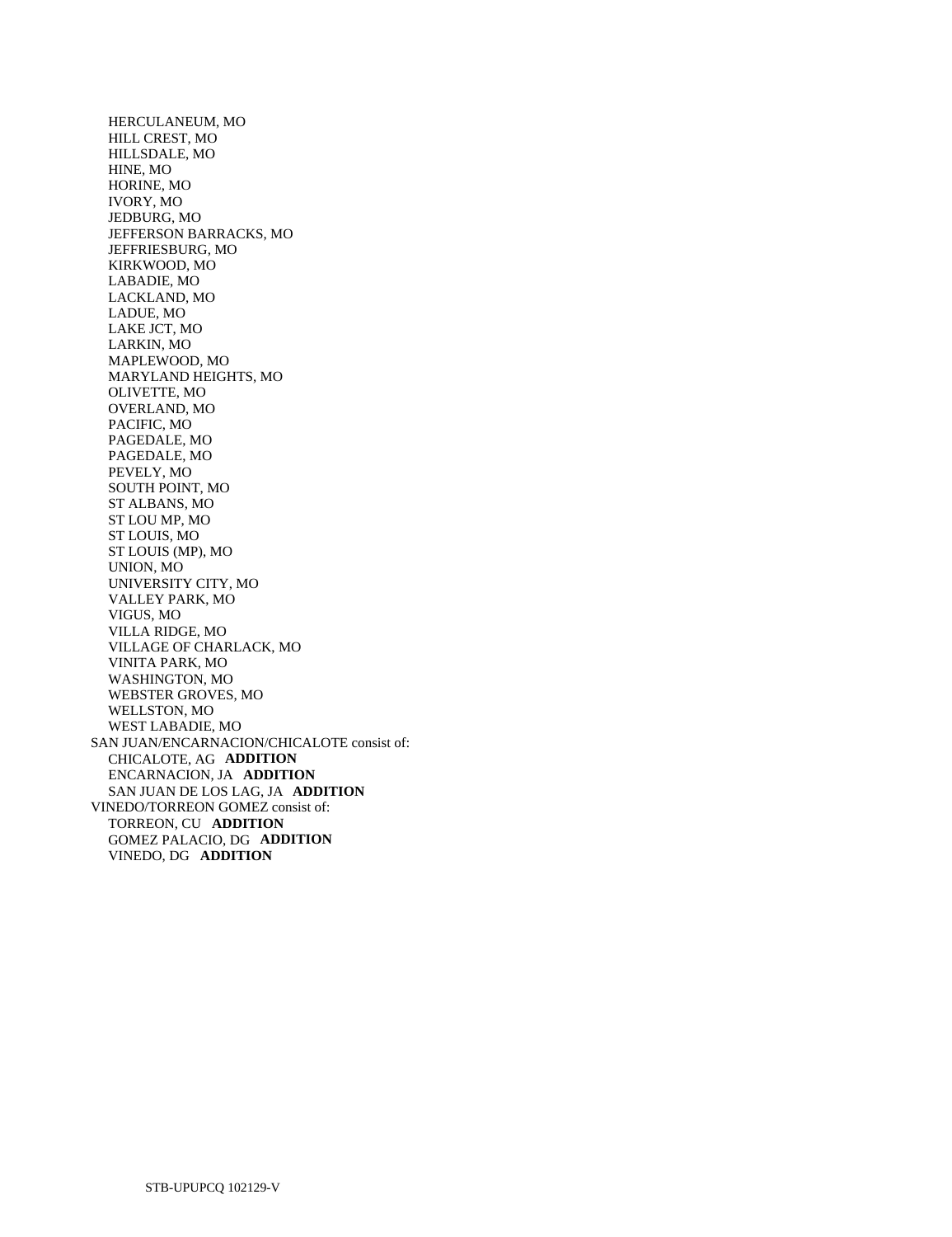HERCULANEUM, MO HILL CREST, MO HILLSDALE, MO HINE, MO HORINE, MO IVORY, MO JEDBURG, MO JEFFERSON BARRACKS, MO JEFFRIESBURG, MO KIRKWOOD, MO LABADIE, MO LACKLAND, MO LADUE, MO LAKE JCT, MO LARKIN, MO MAPLEWOOD, MO MARYLAND HEIGHTS, MO OLIVETTE, MO OVERLAND, MO PACIFIC, MO PAGEDALE, MO PAGEDALE, MO PEVELY, MO SOUTH POINT, MO ST ALBANS, MO ST LOU MP, MO ST LOUIS, MO ST LOUIS (MP), MO UNION, MO UNIVERSITY CITY, MO VALLEY PARK, MO VIGUS, MO VILLA RIDGE, MO VILLAGE OF CHARLACK, MO VINITA PARK, MO WASHINGTON, MO WEBSTER GROVES, MO WELLSTON, MO WEST LABADIE, MO SAN JUAN/ENCARNACION/CHICALOTE consist of: CHICALOTE, AG **ADDITION**  ENCARNACION, JA **ADDITION**  SAN JUAN DE LOS LAG, JA **ADDITION**  VINEDO/TORREON GOMEZ consist of: TORREON, CU **ADDITION**  GOMEZ PALACIO, DG **ADDITION**  VINEDO, DG **ADDITION**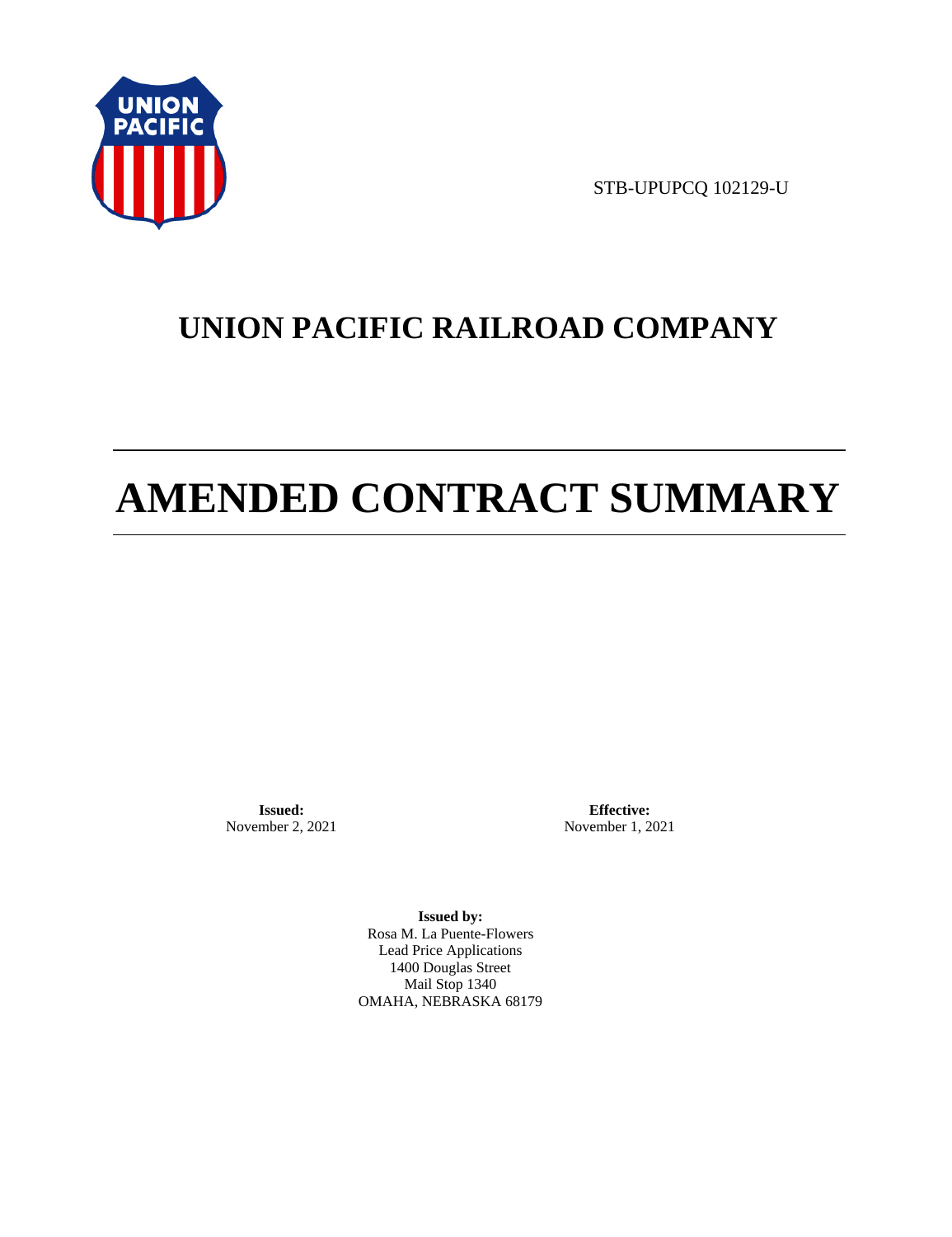

STB-UPUPCQ 102129-U

# **UNION PACIFIC RAILROAD COMPANY**

# **AMENDED CONTRACT SUMMARY**

**Issued:**  November 2, 2021

**Effective:** November 1, 2021

**Issued by:**  Rosa M. La Puente-Flowers Lead Price Applications 1400 Douglas Street Mail Stop 1340 OMAHA, NEBRASKA 68179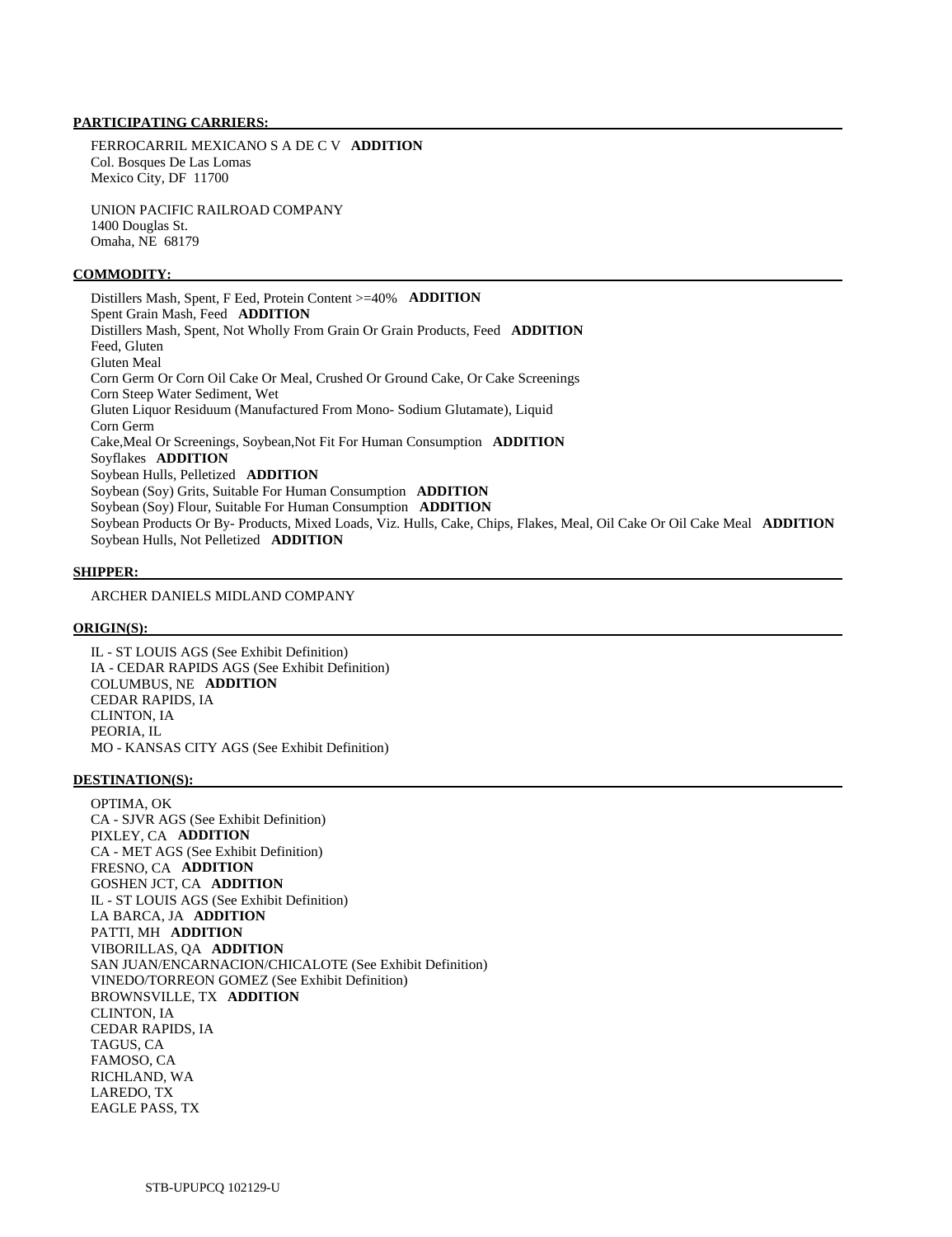### **PARTICIPATING CARRIERS:**

 FERROCARRIL MEXICANO S A DE C V **ADDITION**  Col. Bosques De Las Lomas Mexico City, DF 11700

 UNION PACIFIC RAILROAD COMPANY 1400 Douglas St. Omaha, NE 68179

#### **COMMODITY:**

 Distillers Mash, Spent, F Eed, Protein Content >=40% **ADDITION**  Spent Grain Mash, Feed **ADDITION**  Distillers Mash, Spent, Not Wholly From Grain Or Grain Products, Feed **ADDITION**  Feed, Gluten Gluten Meal Corn Germ Or Corn Oil Cake Or Meal, Crushed Or Ground Cake, Or Cake Screenings Corn Steep Water Sediment, Wet Gluten Liquor Residuum (Manufactured From Mono- Sodium Glutamate), Liquid Corn Germ Cake,Meal Or Screenings, Soybean,Not Fit For Human Consumption **ADDITION**  Soyflakes **ADDITION**  Soybean Hulls, Pelletized **ADDITION**  Soybean (Soy) Grits, Suitable For Human Consumption **ADDITION**  Soybean (Soy) Flour, Suitable For Human Consumption **ADDITION**  Soybean Products Or By- Products, Mixed Loads, Viz. Hulls, Cake, Chips, Flakes, Meal, Oil Cake Or Oil Cake Meal **ADDITION**  Soybean Hulls, Not Pelletized **ADDITION** 

#### **SHIPPER:**

ARCHER DANIELS MIDLAND COMPANY

#### **ORIGIN(S):**

 IL - ST LOUIS AGS (See Exhibit Definition) IA - CEDAR RAPIDS AGS (See Exhibit Definition) COLUMBUS, NE **ADDITION**  CEDAR RAPIDS, IA CLINTON, IA PEORIA, IL MO - KANSAS CITY AGS (See Exhibit Definition)

#### **DESTINATION(S):**

 OPTIMA, OK CA - SJVR AGS (See Exhibit Definition) PIXLEY, CA **ADDITION**  CA - MET AGS (See Exhibit Definition) FRESNO, CA **ADDITION**  GOSHEN JCT, CA **ADDITION**  IL - ST LOUIS AGS (See Exhibit Definition) LA BARCA, JA **ADDITION**  PATTI, MH **ADDITION**  VIBORILLAS, QA **ADDITION**  SAN JUAN/ENCARNACION/CHICALOTE (See Exhibit Definition) VINEDO/TORREON GOMEZ (See Exhibit Definition) BROWNSVILLE, TX **ADDITION**  CLINTON, IA CEDAR RAPIDS, IA TAGUS, CA FAMOSO, CA RICHLAND, WA LAREDO, TX EAGLE PASS, TX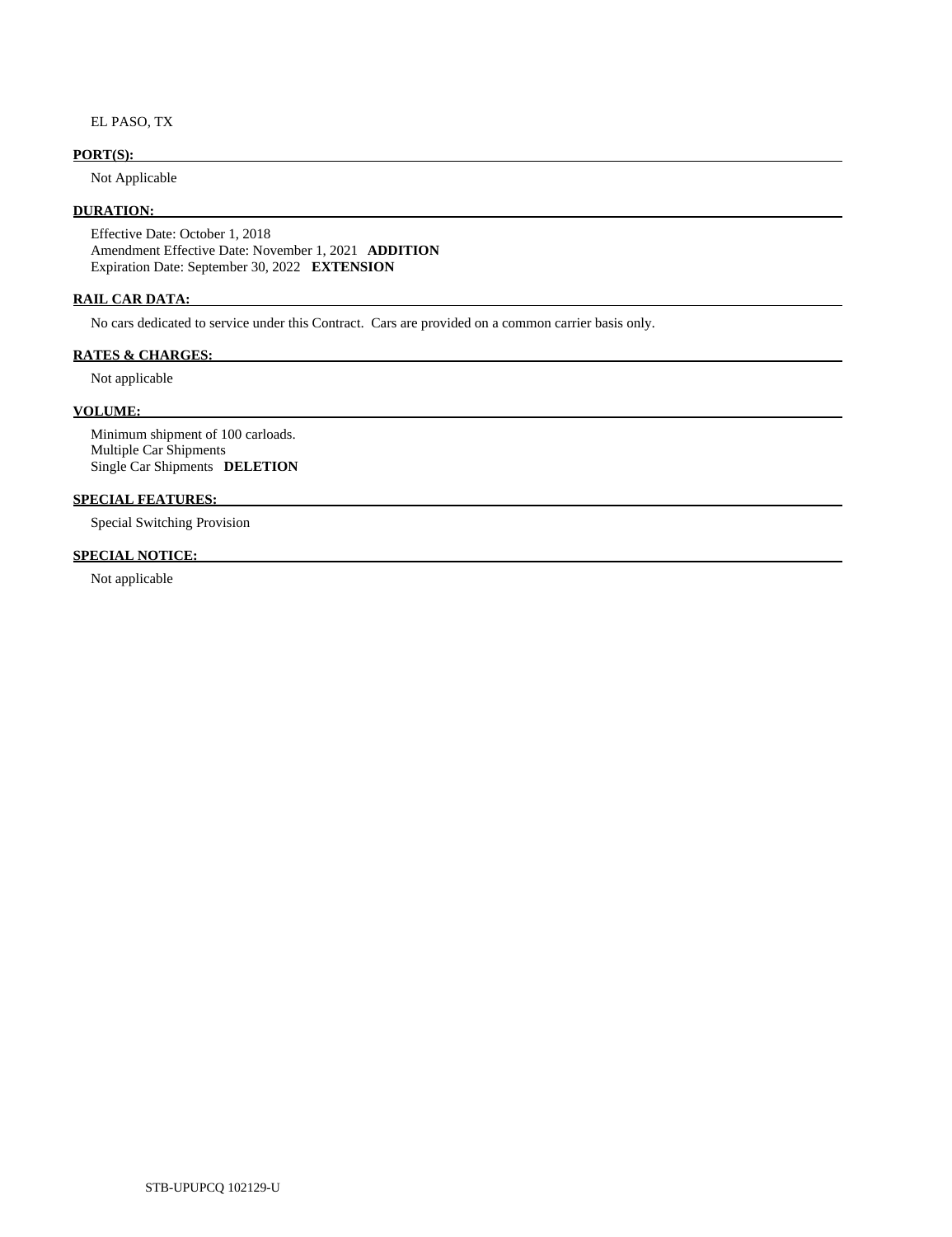EL PASO, TX

# **PORT(S):**

Not Applicable

#### **DURATION:**

 Effective Date: October 1, 2018 Amendment Effective Date: November 1, 2021 **ADDITION**  Expiration Date: September 30, 2022 **EXTENSION** 

#### **RAIL CAR DATA:**

No cars dedicated to service under this Contract. Cars are provided on a common carrier basis only.

## **RATES & CHARGES:**

Not applicable

## **VOLUME:**

 Minimum shipment of 100 carloads. Multiple Car Shipments Single Car Shipments **DELETION** 

# **SPECIAL FEATURES:**

Special Switching Provision

#### **SPECIAL NOTICE:**

Not applicable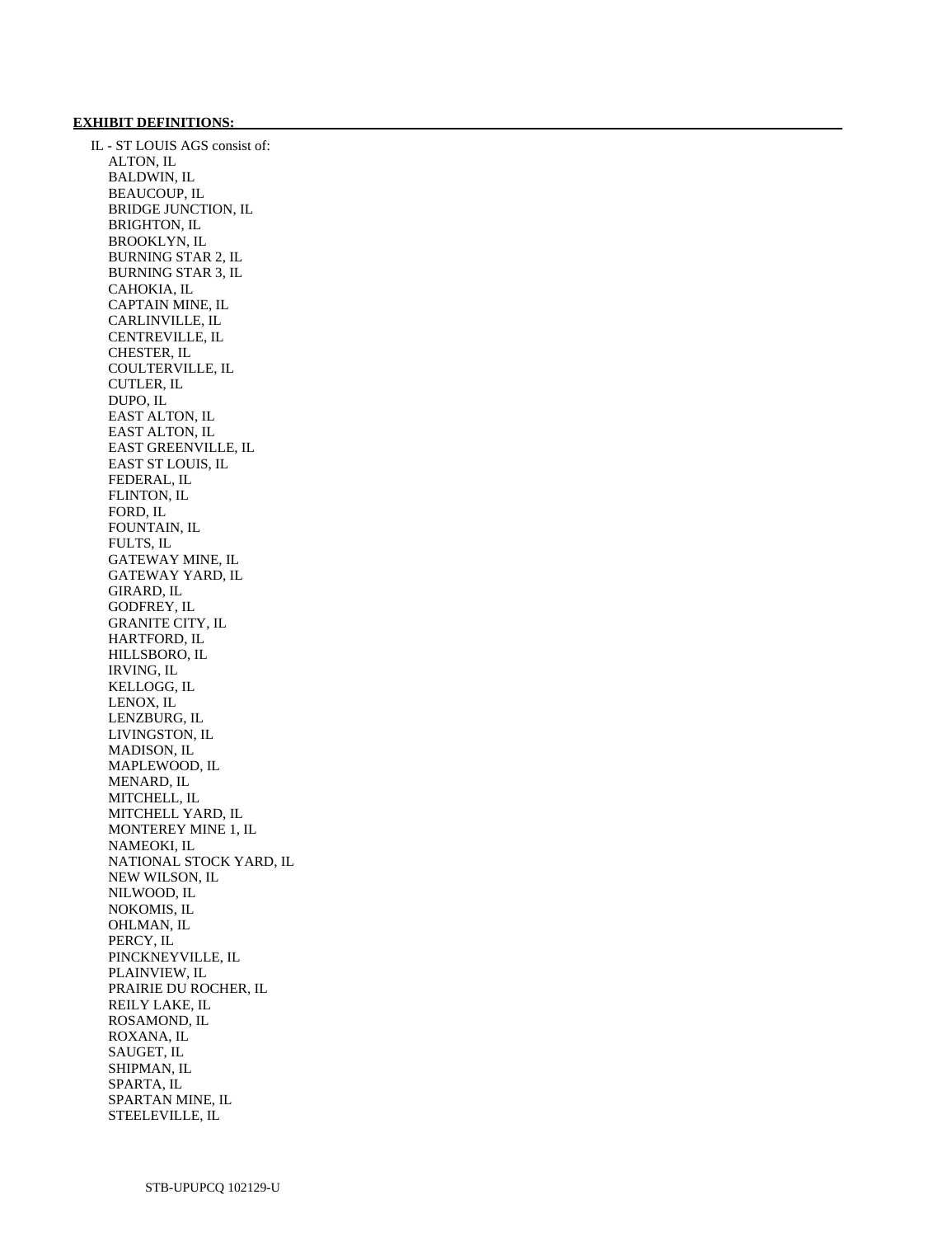#### **EXHIBIT DEFINITIONS:**

 IL - ST LOUIS AGS consist of: ALTON, IL BALDWIN, IL BEAUCOUP, IL BRIDGE JUNCTION, IL BRIGHTON, IL BROOKLYN, IL BURNING STAR 2, IL BURNING STAR 3, IL CAHOKIA, IL CAPTAIN MINE, IL CARLINVILLE, IL CENTREVILLE, IL CHESTER, IL COULTERVILLE, IL CUTLER, IL DUPO, IL EAST ALTON, IL EAST ALTON, IL EAST GREENVILLE, IL EAST ST LOUIS, IL FEDERAL, IL FLINTON, IL FORD, IL FOUNTAIN, IL FULTS, IL GATEWAY MINE, IL GATEWAY YARD, IL GIRARD, IL GODFREY, IL GRANITE CITY, IL HARTFORD, IL HILLSBORO, IL IRVING, IL KELLOGG, IL LENOX, IL LENZBURG, IL LIVINGSTON, IL MADISON, IL MAPLEWOOD, IL MENARD, IL MITCHELL, IL MITCHELL YARD, IL MONTEREY MINE 1, IL NAMEOKI, IL NATIONAL STOCK YARD, IL NEW WILSON, IL NILWOOD, IL NOKOMIS, IL OHLMAN, IL PERCY, IL PINCKNEYVILLE, IL PLAINVIEW, IL PRAIRIE DU ROCHER, IL REILY LAKE, IL ROSAMOND, IL ROXANA, IL SAUGET, IL SHIPMAN, IL SPARTA, IL SPARTAN MINE, IL STEELEVILLE, IL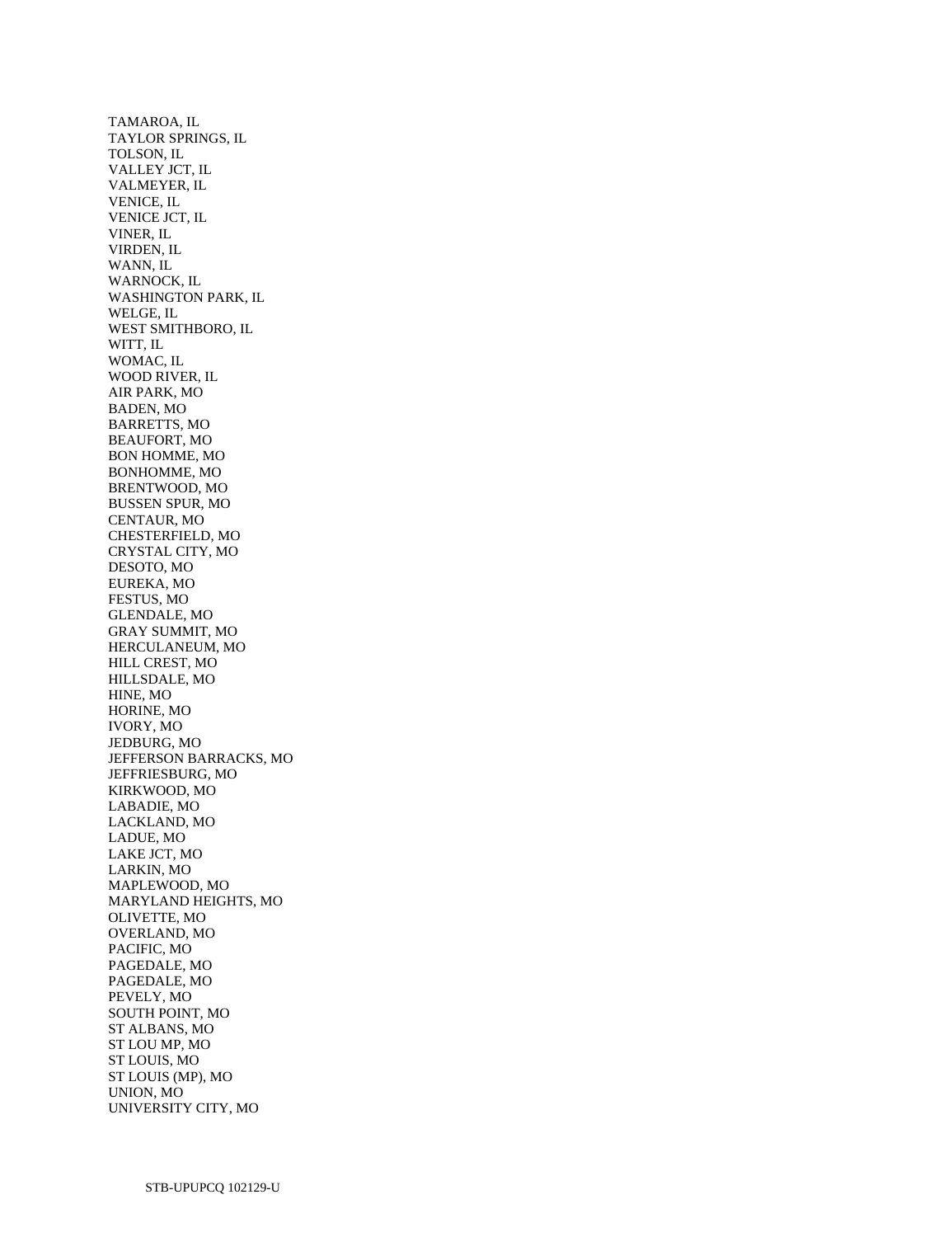TAMAROA, IL TAYLOR SPRINGS, IL TOLSON, IL VALLEY JCT, IL VALMEYER, IL VENICE, IL VENICE JCT, IL VINER, IL VIRDEN, IL WANN, IL WARNOCK, IL WASHINGTON PARK, IL WELGE, IL WEST SMITHBORO, IL WITT, IL WOMAC, IL WOOD RIVER, IL AIR PARK, MO BADEN, MO BARRETTS, MO BEAUFORT, MO BON HOMME, MO BONHOMME, MO BRENTWOOD, MO BUSSEN SPUR, MO CENTAUR, MO CHESTERFIELD, MO CRYSTAL CITY, MO DESOTO, MO EUREKA, MO FESTUS, MO GLENDALE, MO GRAY SUMMIT, MO HERCULANEUM, MO HILL CREST, MO HILLSDALE, MO HINE, MO HORINE, MO IVORY, MO JEDBURG, MO JEFFERSON BARRACKS, MO JEFFRIESBURG, MO KIRKWOOD, MO LABADIE, MO LACKLAND, MO LADUE, MO LAKE JCT, MO LARKIN, MO MAPLEWOOD, MO MARYLAND HEIGHTS, MO OLIVETTE, MO OVERLAND, MO PACIFIC, MO PAGEDALE, MO PAGEDALE, MO PEVELY, MO SOUTH POINT, MO ST ALBANS, MO ST LOU MP, MO ST LOUIS, MO ST LOUIS (MP), MO UNION, MO UNIVERSITY CITY, MO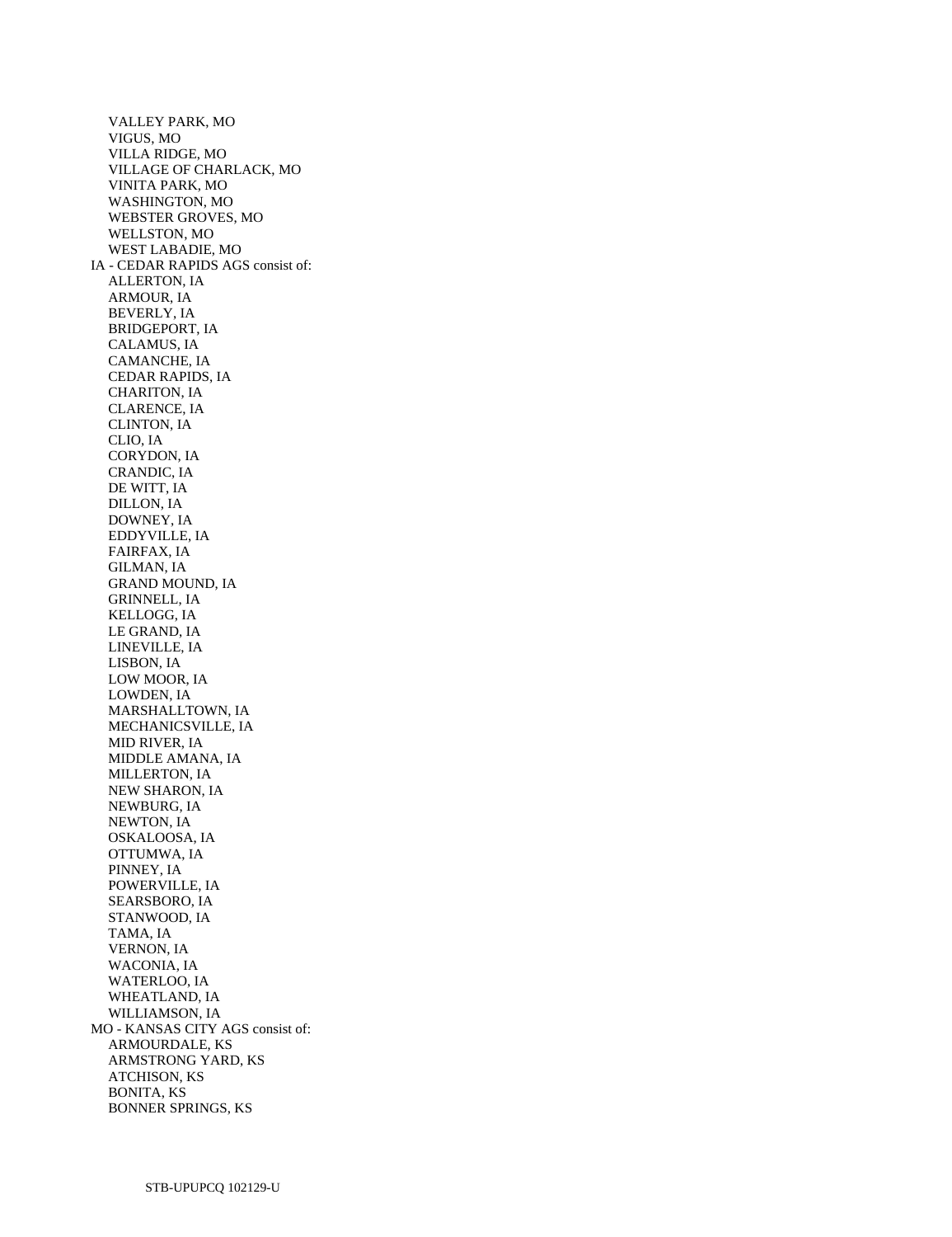VALLEY PARK, MO VIGUS, MO VILLA RIDGE, MO VILLAGE OF CHARLACK, MO VINITA PARK, MO WASHINGTON, MO WEBSTER GROVES, MO WELLSTON, MO WEST LABADIE, MO IA - CEDAR RAPIDS AGS consist of: ALLERTON, IA ARMOUR, IA BEVERLY, IA BRIDGEPORT, IA CALAMUS, IA CAMANCHE, IA CEDAR RAPIDS, IA CHARITON, IA CLARENCE, IA CLINTON, IA CLIO, IA CORYDON, IA CRANDIC, IA DE WITT, IA DILLON, IA DOWNEY, IA EDDYVILLE, IA FAIRFAX, IA GILMAN, IA GRAND MOUND, IA GRINNELL, IA KELLOGG, IA LE GRAND, IA LINEVILLE, IA LISBON, IA LOW MOOR, IA LOWDEN, IA MARSHALLTOWN, IA MECHANICSVILLE, IA MID RIVER, IA MIDDLE AMANA, IA MILLERTON, IA NEW SHARON, IA NEWBURG, IA NEWTON, IA OSKALOOSA, IA OTTUMWA, IA PINNEY, IA POWERVILLE, IA SEARSBORO, IA STANWOOD, IA TAMA, IA VERNON, IA WACONIA, IA WATERLOO, IA WHEATLAND, IA WILLIAMSON, IA MO - KANSAS CITY AGS consist of: ARMOURDALE, KS ARMSTRONG YARD, KS ATCHISON, KS BONITA, KS BONNER SPRINGS, KS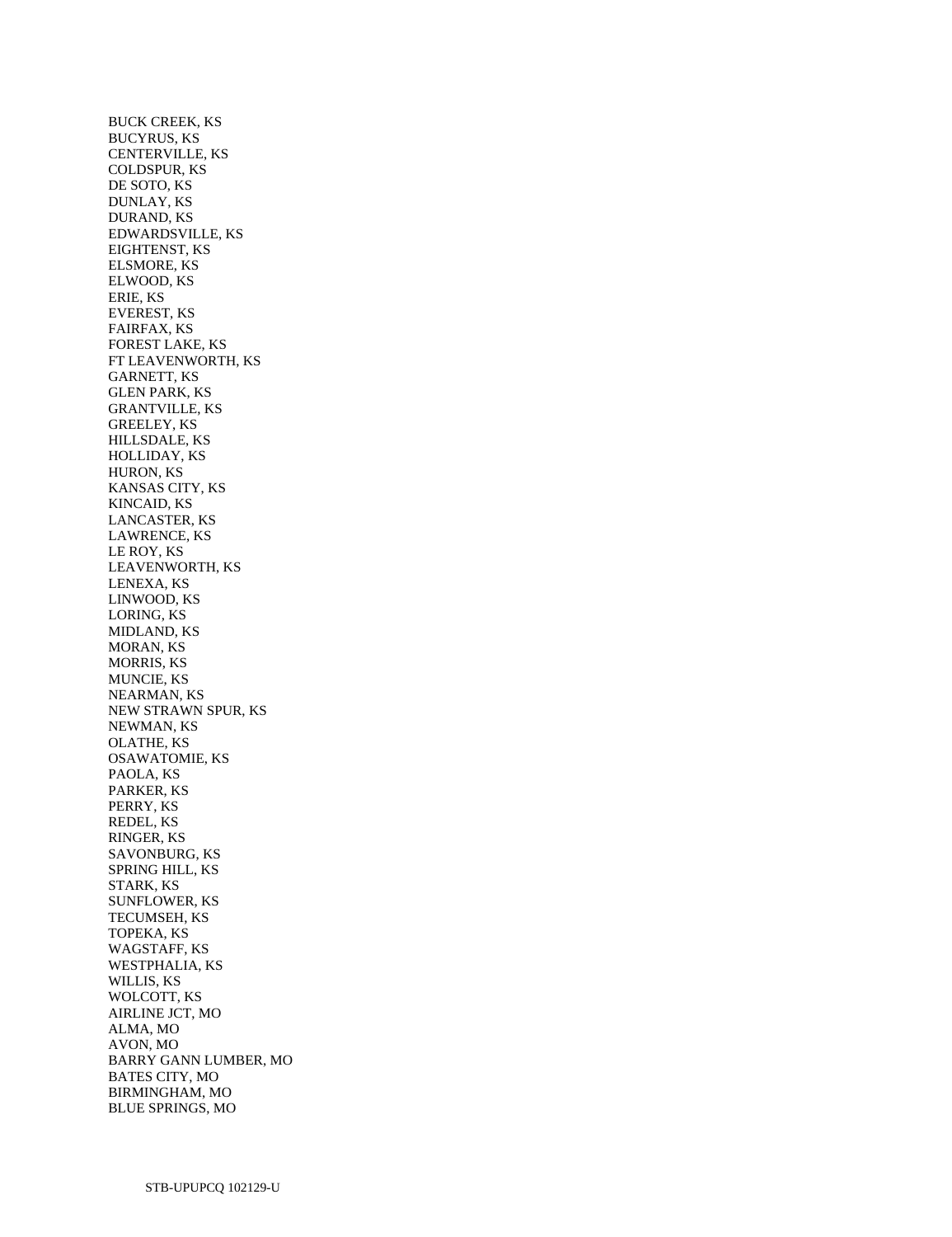BUCK CREEK, KS BUCYRUS, KS CENTERVILLE, KS COLDSPUR, KS DE SOTO, KS DUNLAY, KS DURAND, KS EDWARDSVILLE, KS EIGHTENST, KS ELSMORE, KS ELWOOD, KS ERIE, KS EVEREST, KS FAIRFAX, KS FOREST LAKE, KS FT LEAVENWORTH, KS GARNETT, KS GLEN PARK, KS GRANTVILLE, KS GREELEY, KS HILLSDALE, KS HOLLIDAY, KS HURON, KS KANSAS CITY, KS KINCAID, KS LANCASTER, KS LAWRENCE, KS LE ROY, KS LEAVENWORTH, KS LENEXA, KS LINWOOD, KS LORING, KS MIDLAND, KS MORAN, KS MORRIS, KS MUNCIE, KS NEARMAN, KS NEW STRAWN SPUR, KS NEWMAN, KS OLATHE, KS OSAWATOMIE, KS PAOLA, KS PARKER, KS PERRY, KS REDEL, KS RINGER, KS SAVONBURG, KS SPRING HILL, KS STARK, KS SUNFLOWER, KS TECUMSEH, KS TOPEKA, KS WAGSTAFF, KS WESTPHALIA, KS WILLIS, KS WOLCOTT, KS AIRLINE JCT, MO ALMA, MO AVON, MO BARRY GANN LUMBER, MO BATES CITY, MO BIRMINGHAM, MO BLUE SPRINGS, MO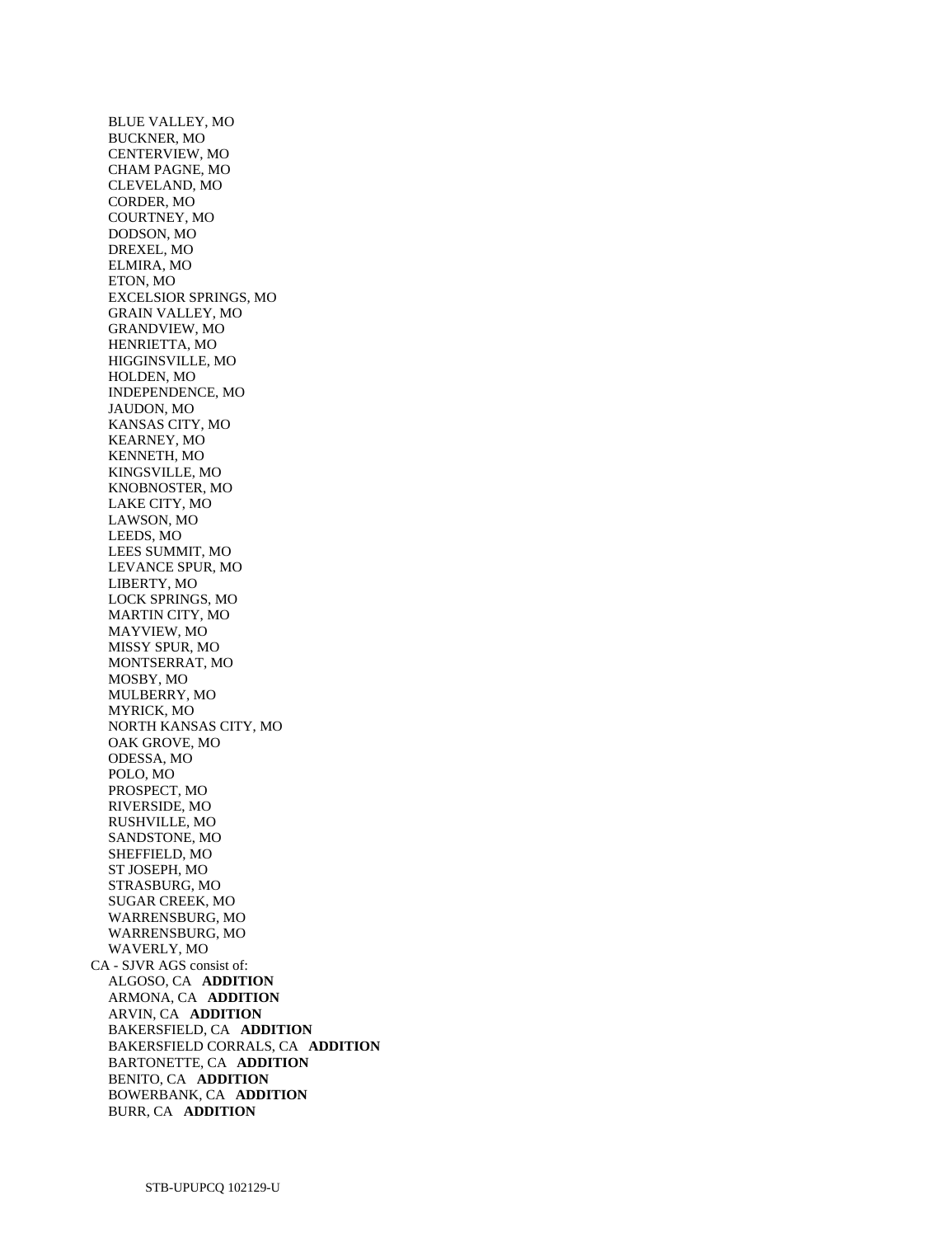BLUE VALLEY, MO BUCKNER, MO CENTERVIEW, MO CHAM PAGNE, MO CLEVELAND, MO CORDER, MO COURTNEY, MO DODSON, MO DREXEL, MO ELMIRA, MO ETON, MO EXCELSIOR SPRINGS, MO GRAIN VALLEY, MO GRANDVIEW, MO HENRIETTA, MO HIGGINSVILLE, MO HOLDEN, MO INDEPENDENCE, MO JAUDON, MO KANSAS CITY, MO KEARNEY, MO KENNETH, MO KINGSVILLE, MO KNOBNOSTER, MO LAKE CITY, MO LAWSON, MO LEEDS, MO LEES SUMMIT, MO LEVANCE SPUR, MO LIBERTY, MO LOCK SPRINGS, MO MARTIN CITY, MO MAYVIEW, MO MISSY SPUR, MO MONTSERRAT, MO MOSBY, MO MULBERRY, MO MYRICK, MO NORTH KANSAS CITY, MO OAK GROVE, MO ODESSA, MO POLO, MO PROSPECT, MO RIVERSIDE, MO RUSHVILLE, MO SANDSTONE, MO SHEFFIELD, MO ST JOSEPH, MO STRASBURG, MO SUGAR CREEK, MO WARRENSBURG, MO WARRENSBURG, MO WAVERLY, MO CA - SJVR AGS consist of: ALGOSO, CA **ADDITION**  ARMONA, CA **ADDITION**  ARVIN, CA **ADDITION**  BAKERSFIELD, CA **ADDITION**  BAKERSFIELD CORRALS, CA **ADDITION**  BARTONETTE, CA **ADDITION**  BENITO, CA **ADDITION**  BOWERBANK, CA **ADDITION**  BURR, CA **ADDITION**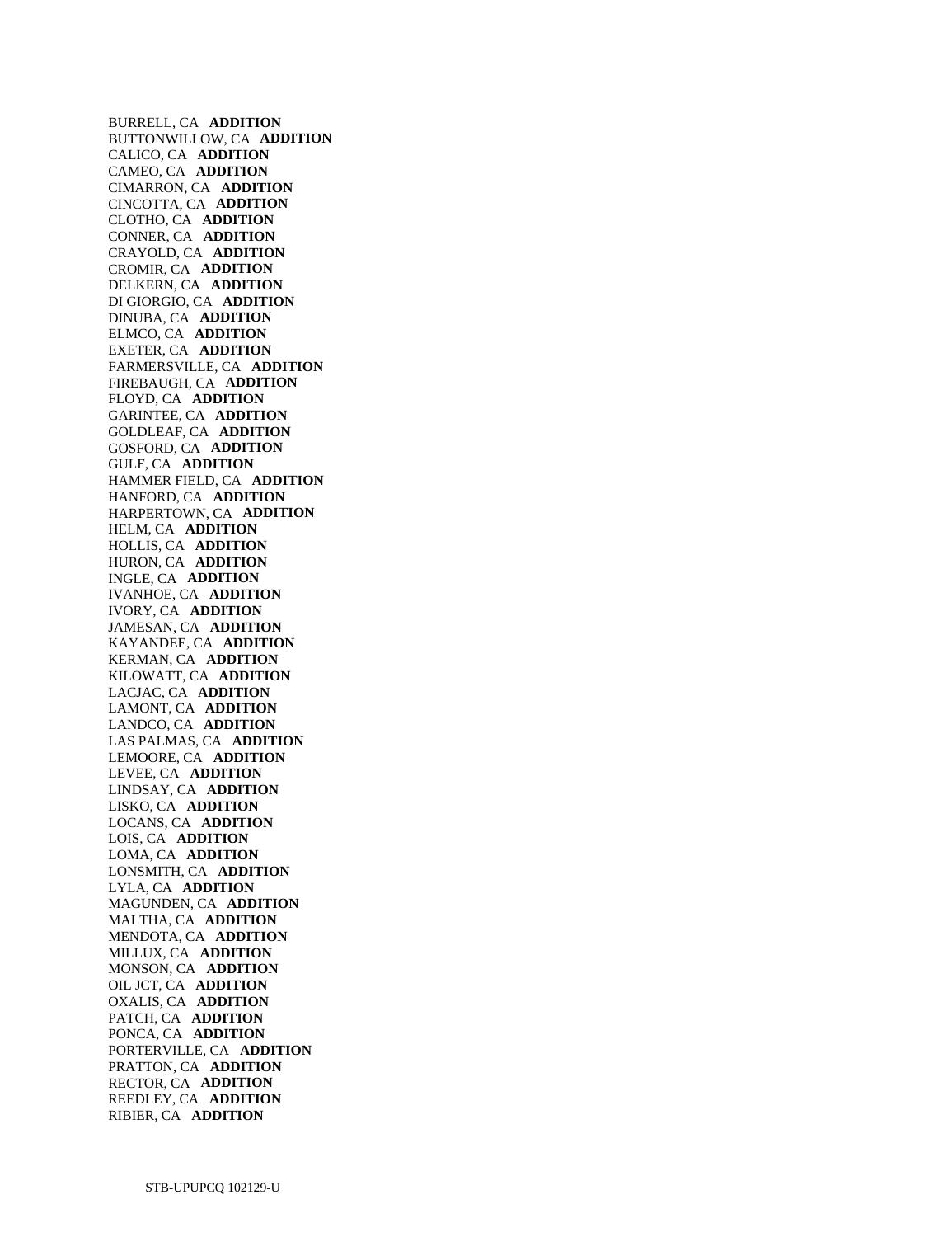BURRELL, CA **ADDITION**  BUTTONWILLOW, CA **ADDITION**  CALICO, CA **ADDITION**  CAMEO, CA **ADDITION**  CIMARRON, CA **ADDITION**  CINCOTTA, CA **ADDITION**  CLOTHO, CA **ADDITION**  CONNER, CA **ADDITION**  CRAYOLD, CA **ADDITION**  CROMIR, CA **ADDITION**  DELKERN, CA **ADDITION**  DI GIORGIO, CA **ADDITION**  DINUBA, CA **ADDITION**  ELMCO, CA **ADDITION**  EXETER, CA **ADDITION**  FARMERSVILLE, CA **ADDITION**  FIREBAUGH, CA **ADDITION**  FLOYD, CA **ADDITION**  GARINTEE, CA **ADDITION**  GOLDLEAF, CA **ADDITION**  GOSFORD, CA **ADDITION**  GULF, CA **ADDITION**  HAMMER FIELD, CA **ADDITION**  HANFORD, CA **ADDITION**  HARPERTOWN, CA **ADDITION**  HELM, CA **ADDITION**  HOLLIS, CA **ADDITION**  HURON, CA **ADDITION**  INGLE, CA **ADDITION**  IVANHOE, CA **ADDITION**  IVORY, CA **ADDITION**  JAMESAN, CA **ADDITION**  KAYANDEE, CA **ADDITION**  KERMAN, CA **ADDITION**  KILOWATT, CA **ADDITION**  LACJAC, CA **ADDITION**  LAMONT, CA **ADDITION**  LANDCO, CA **ADDITION**  LAS PALMAS, CA **ADDITION**  LEMOORE, CA **ADDITION**  LEVEE, CA **ADDITION**  LINDSAY, CA **ADDITION**  LISKO, CA **ADDITION**  LOCANS, CA **ADDITION**  LOIS, CA **ADDITION**  LOMA, CA **ADDITION**  LONSMITH, CA **ADDITION**  LYLA, CA **ADDITION**  MAGUNDEN, CA **ADDITION**  MALTHA, CA **ADDITION**  MENDOTA, CA **ADDITION**  MILLUX, CA **ADDITION**  MONSON, CA **ADDITION**  OIL JCT, CA **ADDITION**  OXALIS, CA **ADDITION**  PATCH, CA **ADDITION**  PONCA, CA **ADDITION**  PORTERVILLE, CA **ADDITION**  PRATTON, CA **ADDITION**  RECTOR, CA **ADDITION**  REEDLEY, CA **ADDITION**  RIBIER, CA **ADDITION**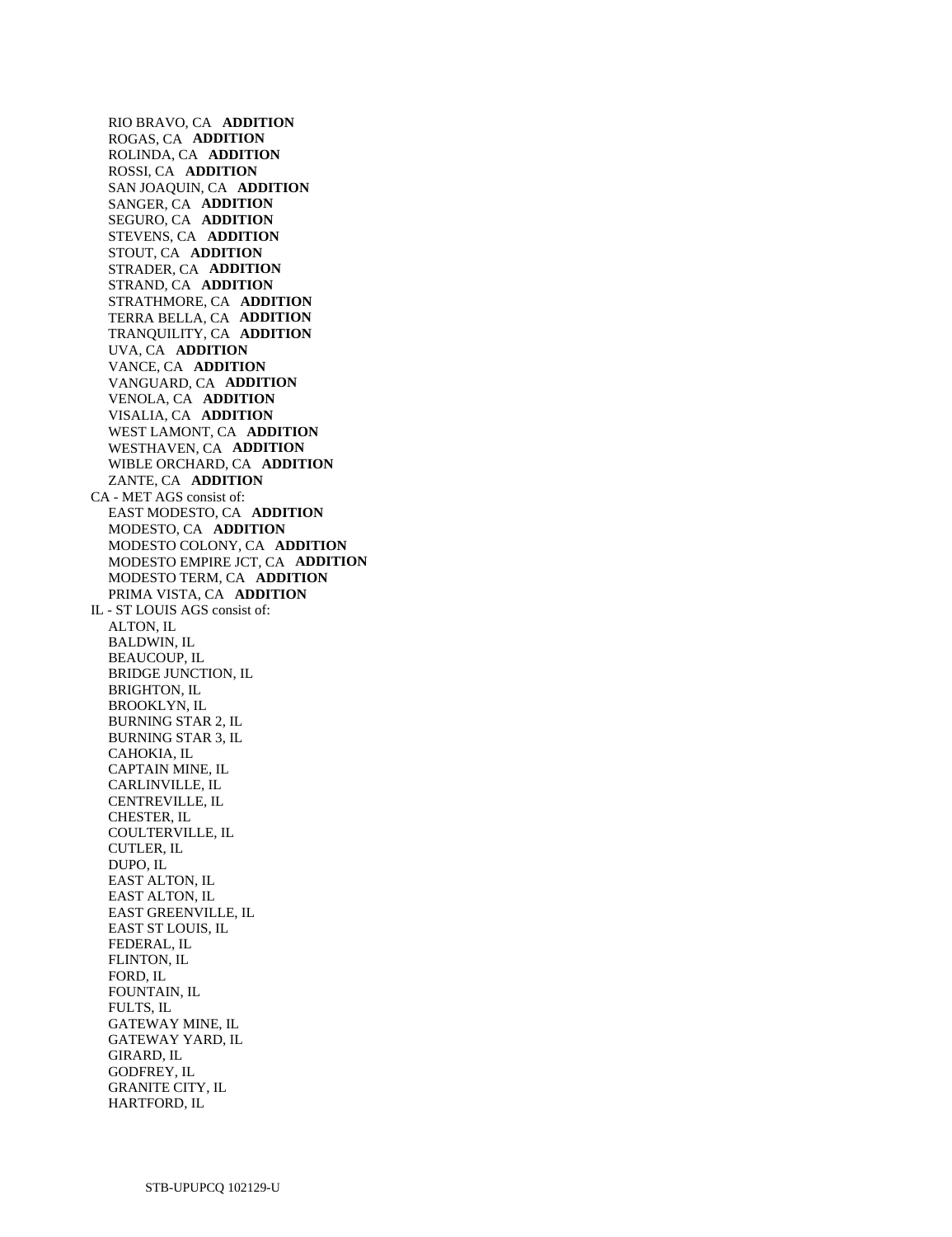RIO BRAVO, CA **ADDITION**  ROGAS, CA **ADDITION**  ROLINDA, CA **ADDITION**  ROSSI, CA **ADDITION**  SAN JOAQUIN, CA **ADDITION**  SANGER, CA **ADDITION**  SEGURO, CA **ADDITION**  STEVENS, CA **ADDITION**  STOUT, CA **ADDITION**  STRADER, CA **ADDITION**  STRAND, CA **ADDITION**  STRATHMORE, CA **ADDITION**  TERRA BELLA, CA **ADDITION**  TRANQUILITY, CA **ADDITION**  UVA, CA **ADDITION**  VANCE, CA **ADDITION**  VANGUARD, CA **ADDITION**  VENOLA, CA **ADDITION**  VISALIA, CA **ADDITION**  WEST LAMONT, CA **ADDITION**  WESTHAVEN, CA **ADDITION**  WIBLE ORCHARD, CA **ADDITION**  ZANTE, CA **ADDITION**  CA - MET AGS consist of: EAST MODESTO, CA **ADDITION**  MODESTO, CA **ADDITION**  MODESTO COLONY, CA **ADDITION**  MODESTO EMPIRE JCT, CA **ADDITION**  MODESTO TERM, CA **ADDITION**  PRIMA VISTA, CA **ADDITION**  IL - ST LOUIS AGS consist of: ALTON, IL BALDWIN, IL BEAUCOUP, IL BRIDGE JUNCTION, IL BRIGHTON, IL BROOKLYN, IL BURNING STAR 2, IL BURNING STAR 3, IL CAHOKIA, IL CAPTAIN MINE, IL CARLINVILLE, IL CENTREVILLE, IL CHESTER, IL COULTERVILLE, IL CUTLER, IL DUPO, IL EAST ALTON, IL EAST ALTON, IL EAST GREENVILLE, IL EAST ST LOUIS, IL FEDERAL, IL FLINTON, IL FORD, IL FOUNTAIN, IL FULTS, IL GATEWAY MINE, IL GATEWAY YARD, IL GIRARD, IL GODFREY, IL GRANITE CITY, IL

HARTFORD, IL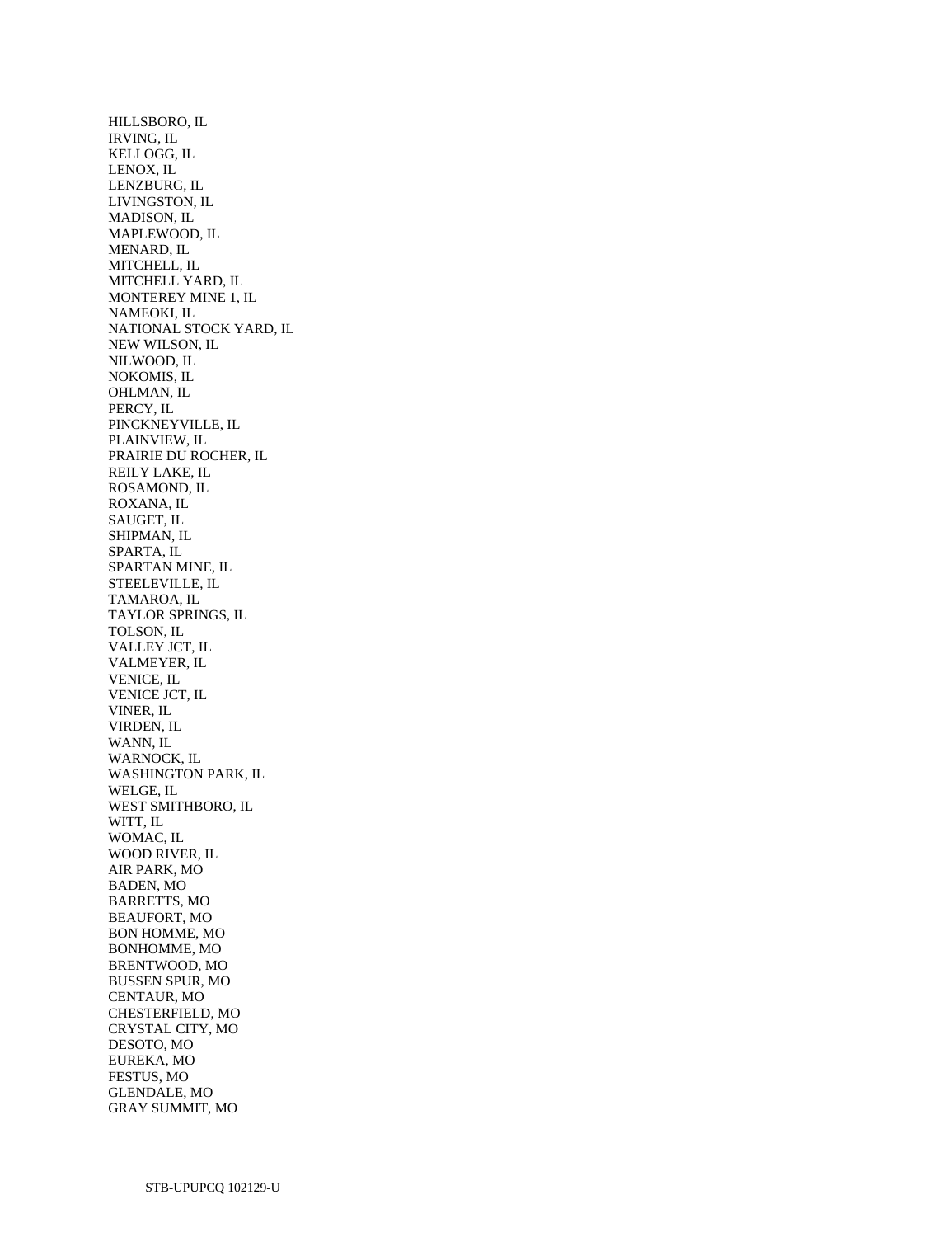HILLSBORO, IL IRVING, IL KELLOGG, IL LENOX, IL LENZBURG, IL LIVINGSTON, IL MADISON, IL MAPLEWOOD, IL MENARD, IL MITCHELL, IL MITCHELL YARD, IL MONTEREY MINE 1, IL NAMEOKI, IL NATIONAL STOCK YARD, IL NEW WILSON, IL NILWOOD, IL NOKOMIS, IL OHLMAN, IL PERCY, IL PINCKNEYVILLE, IL PLAINVIEW, IL PRAIRIE DU ROCHER, IL REILY LAKE, IL ROSAMOND, IL ROXANA, IL SAUGET, IL SHIPMAN, IL SPARTA, IL SPARTAN MINE, IL STEELEVILLE, IL TAMAROA, IL TAYLOR SPRINGS, IL TOLSON, IL VALLEY JCT, IL VALMEYER, IL VENICE, IL VENICE JCT, IL VINER, IL VIRDEN, IL WANN, IL WARNOCK, IL WASHINGTON PARK, IL WELGE, IL WEST SMITHBORO, IL WITT, IL WOMAC, IL WOOD RIVER, IL AIR PARK, MO BADEN, MO BARRETTS, MO BEAUFORT, MO BON HOMME, MO BONHOMME, MO BRENTWOOD, MO BUSSEN SPUR, MO CENTAUR, MO CHESTERFIELD, MO CRYSTAL CITY, MO DESOTO, MO EUREKA, MO FESTUS, MO GLENDALE, MO GRAY SUMMIT, MO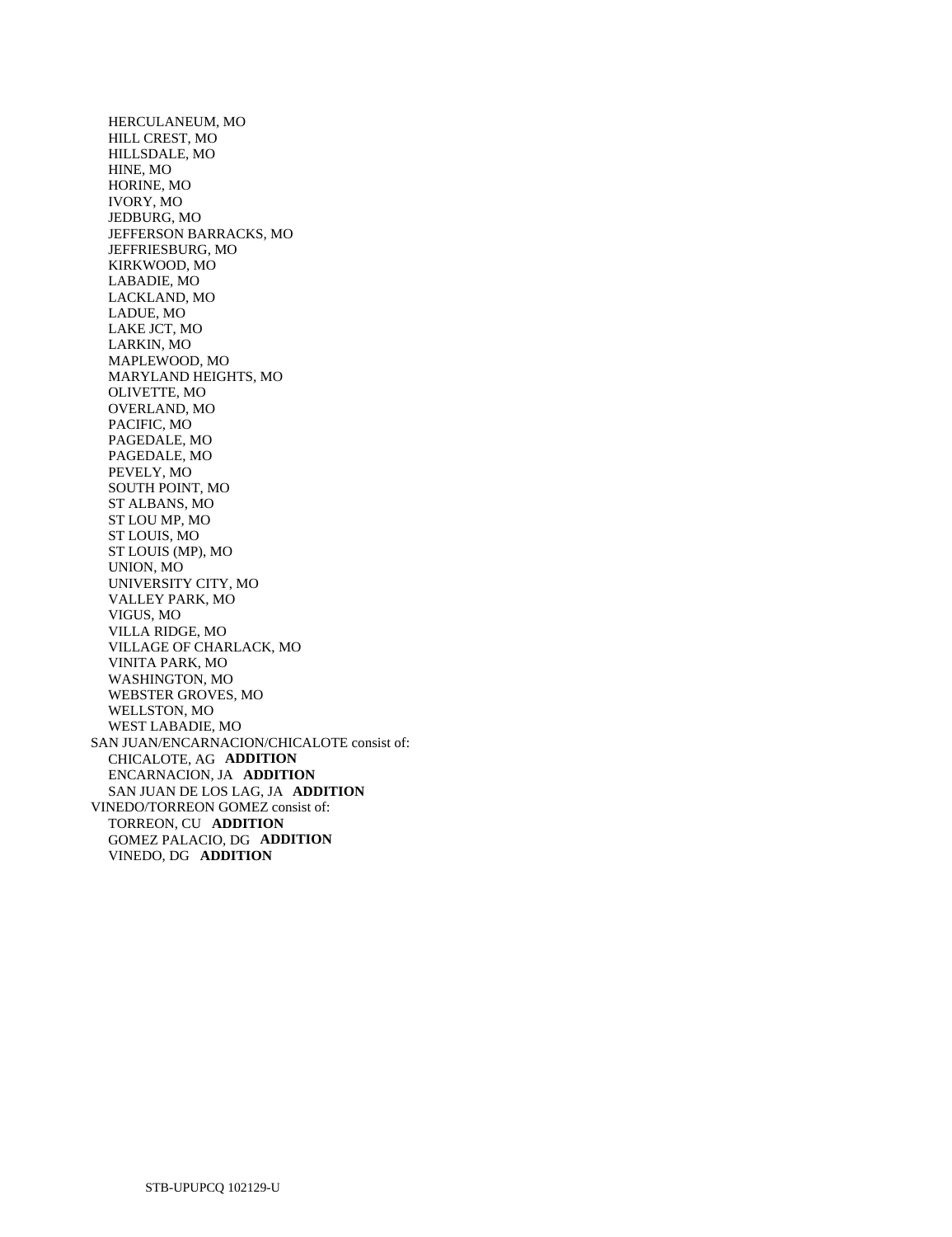HERCULANEUM, MO HILL CREST, MO HILLSDALE, MO HINE, MO HORINE, MO IVORY, MO JEDBURG, MO JEFFERSON BARRACKS, MO JEFFRIESBURG, MO KIRKWOOD, MO LABADIE, MO LACKLAND, MO LADUE, MO LAKE JCT, MO LARKIN, MO MAPLEWOOD, MO MARYLAND HEIGHTS, MO OLIVETTE, MO OVERLAND, MO PACIFIC, MO PAGEDALE, MO PAGEDALE, MO PEVELY, MO SOUTH POINT, MO ST ALBANS, MO ST LOU MP, MO ST LOUIS, MO ST LOUIS (MP), MO UNION, MO UNIVERSITY CITY, MO VALLEY PARK, MO VIGUS, MO VILLA RIDGE, MO VILLAGE OF CHARLACK, MO VINITA PARK, MO WASHINGTON, MO WEBSTER GROVES, MO WELLSTON, MO WEST LABADIE, MO SAN JUAN/ENCARNACION/CHICALOTE consist of: CHICALOTE, AG **ADDITION**  ENCARNACION, JA **ADDITION**  SAN JUAN DE LOS LAG, JA **ADDITION**  VINEDO/TORREON GOMEZ consist of: TORREON, CU **ADDITION**  GOMEZ PALACIO, DG **ADDITION**  VINEDO, DG **ADDITION**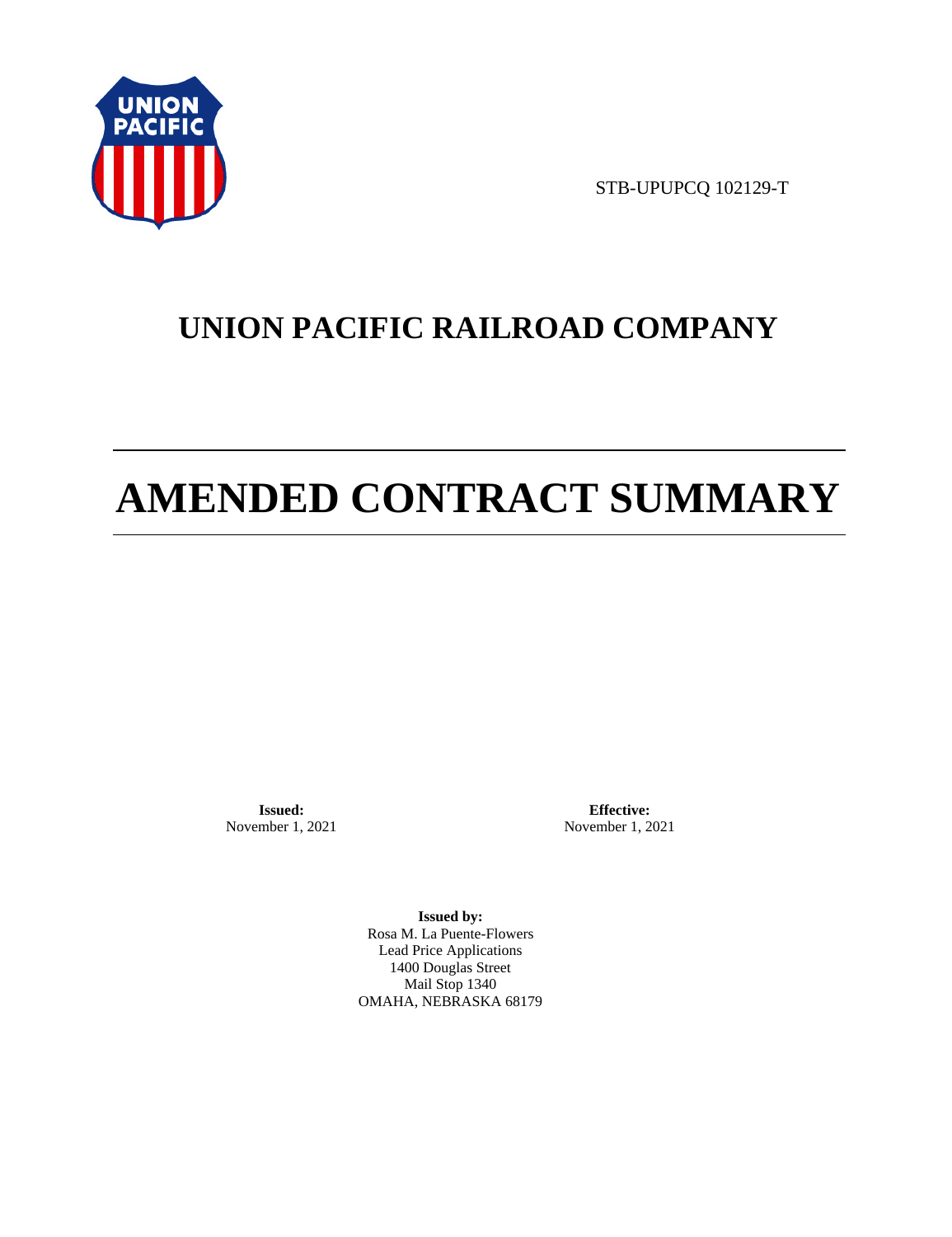

STB-UPUPCQ 102129-T

# **UNION PACIFIC RAILROAD COMPANY**

# **AMENDED CONTRACT SUMMARY**

**Issued:**  November 1, 2021

**Effective:** November 1, 2021

**Issued by:**  Rosa M. La Puente-Flowers Lead Price Applications 1400 Douglas Street Mail Stop 1340 OMAHA, NEBRASKA 68179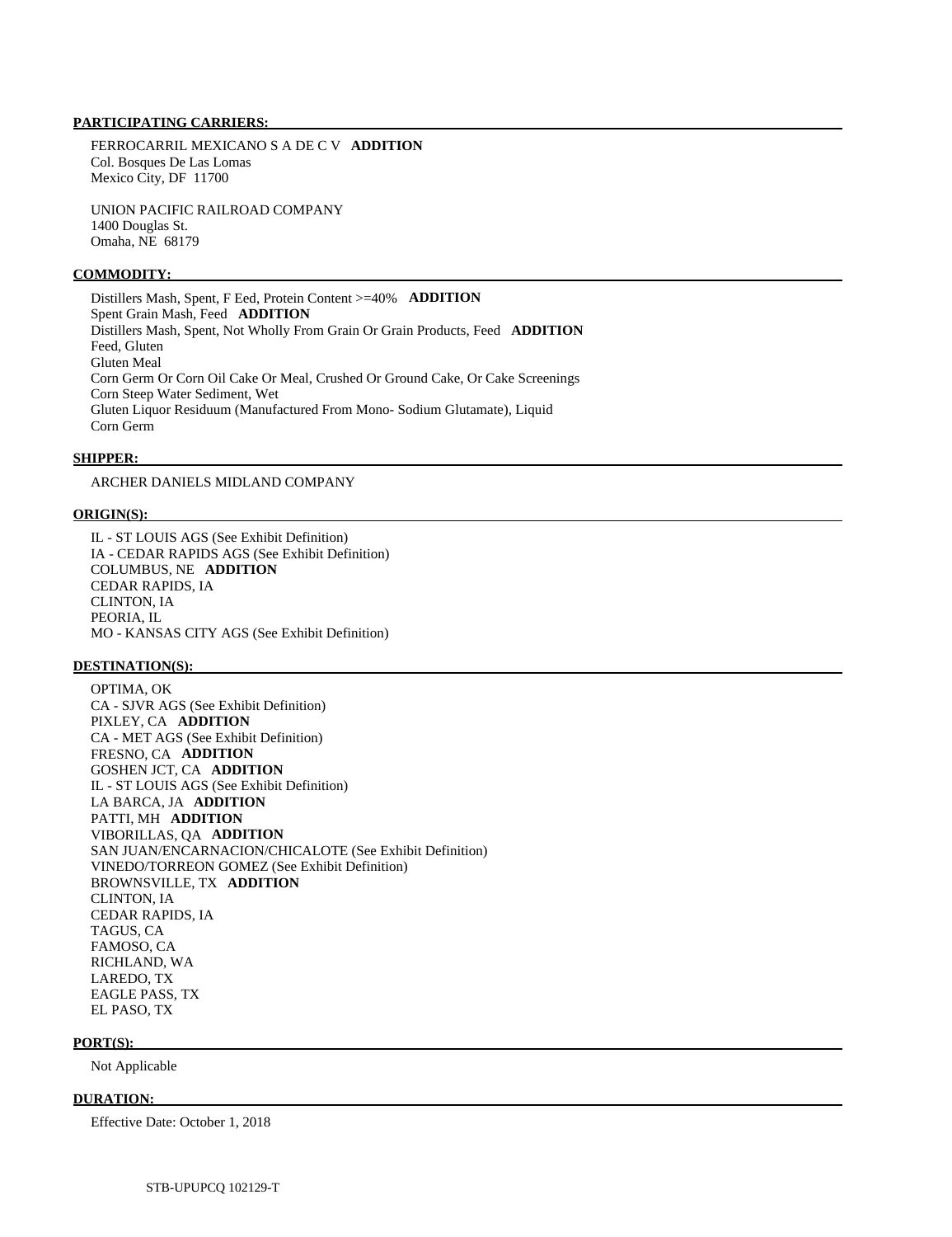## **PARTICIPATING CARRIERS:**

 FERROCARRIL MEXICANO S A DE C V **ADDITION**  Col. Bosques De Las Lomas Mexico City, DF 11700

 UNION PACIFIC RAILROAD COMPANY 1400 Douglas St. Omaha, NE 68179

#### **COMMODITY:**

 Distillers Mash, Spent, F Eed, Protein Content >=40% **ADDITION**  Spent Grain Mash, Feed **ADDITION**  Distillers Mash, Spent, Not Wholly From Grain Or Grain Products, Feed **ADDITION**  Feed, Gluten Gluten Meal Corn Germ Or Corn Oil Cake Or Meal, Crushed Or Ground Cake, Or Cake Screenings Corn Steep Water Sediment, Wet Gluten Liquor Residuum (Manufactured From Mono- Sodium Glutamate), Liquid Corn Germ

# **SHIPPER:**

ARCHER DANIELS MIDLAND COMPANY

#### **ORIGIN(S):**

 IL - ST LOUIS AGS (See Exhibit Definition) IA - CEDAR RAPIDS AGS (See Exhibit Definition) COLUMBUS, NE **ADDITION**  CEDAR RAPIDS, IA CLINTON, IA PEORIA, IL MO - KANSAS CITY AGS (See Exhibit Definition)

#### **DESTINATION(S):**

 OPTIMA, OK CA - SJVR AGS (See Exhibit Definition) PIXLEY, CA **ADDITION**  CA - MET AGS (See Exhibit Definition) FRESNO, CA **ADDITION**  GOSHEN JCT, CA **ADDITION**  IL - ST LOUIS AGS (See Exhibit Definition) LA BARCA, JA **ADDITION**  PATTI, MH **ADDITION**  VIBORILLAS, QA **ADDITION**  SAN JUAN/ENCARNACION/CHICALOTE (See Exhibit Definition) VINEDO/TORREON GOMEZ (See Exhibit Definition) BROWNSVILLE, TX **ADDITION**  CLINTON, IA CEDAR RAPIDS, IA TAGUS, CA FAMOSO, CA RICHLAND, WA LAREDO, TX EAGLE PASS, TX EL PASO, TX

#### **PORT(S):**

Not Applicable

#### **DURATION:**

Effective Date: October 1, 2018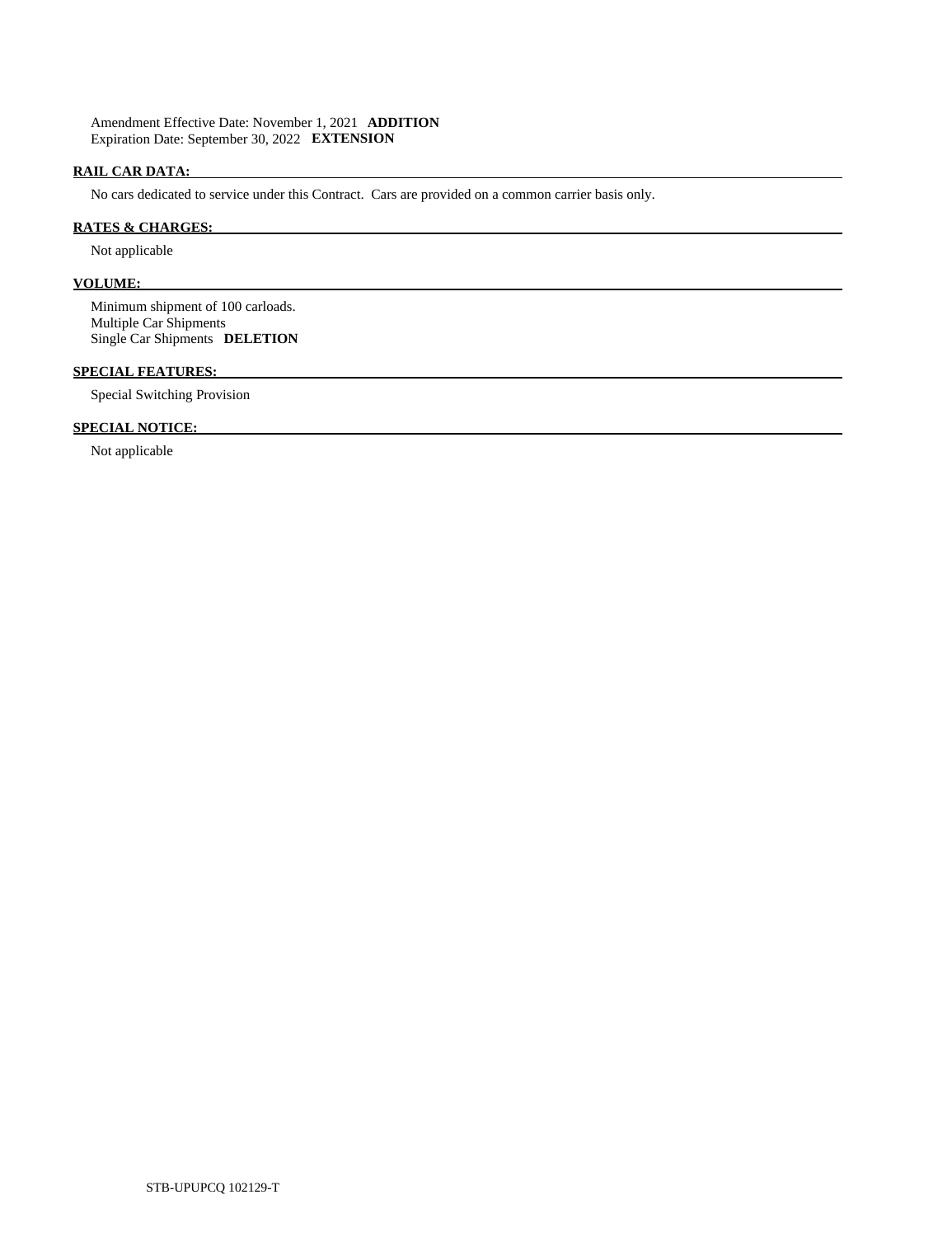Amendment Effective Date: November 1, 2021 **ADDITION**  Expiration Date: September 30, 2022 **EXTENSION** 

# **RAIL CAR DATA:**

No cars dedicated to service under this Contract. Cars are provided on a common carrier basis only.

# **RATES & CHARGES:**

Not applicable

# **VOLUME:**

 Minimum shipment of 100 carloads. Multiple Car Shipments Single Car Shipments **DELETION** 

# **SPECIAL FEATURES:**

Special Switching Provision

# **SPECIAL NOTICE:**

Not applicable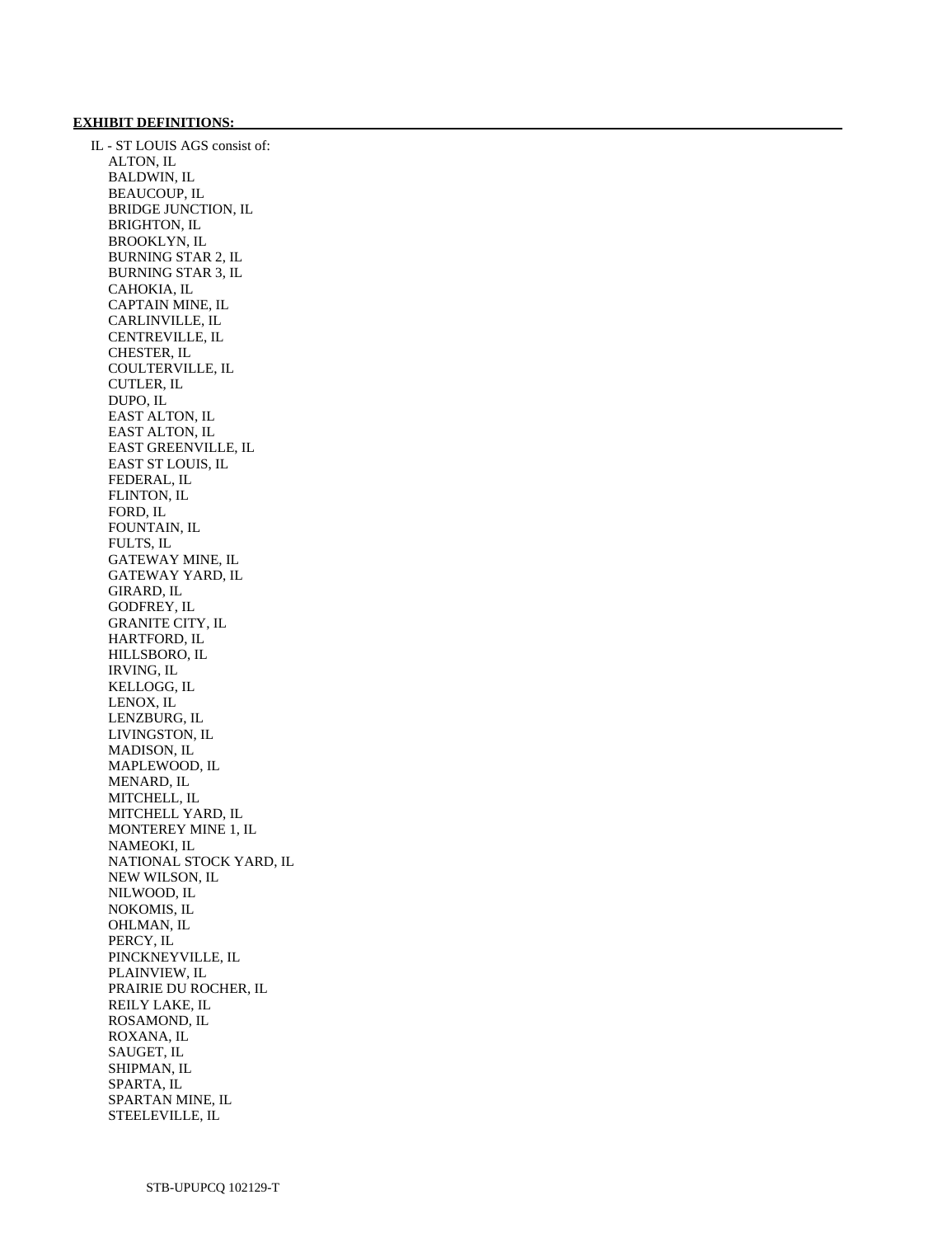### **EXHIBIT DEFINITIONS:**

 IL - ST LOUIS AGS consist of: ALTON, IL BALDWIN, IL BEAUCOUP, IL BRIDGE JUNCTION, IL BRIGHTON, IL BROOKLYN, IL BURNING STAR 2, IL BURNING STAR 3, IL CAHOKIA, IL CAPTAIN MINE, IL CARLINVILLE, IL CENTREVILLE, IL CHESTER, IL COULTERVILLE, IL CUTLER, IL DUPO, IL EAST ALTON, IL EAST ALTON, IL EAST GREENVILLE, IL EAST ST LOUIS, IL FEDERAL, IL FLINTON, IL FORD, IL FOUNTAIN, IL FULTS, IL GATEWAY MINE, IL GATEWAY YARD, IL GIRARD, IL GODFREY, IL GRANITE CITY, IL HARTFORD, IL HILLSBORO, IL IRVING, IL KELLOGG, IL LENOX, IL LENZBURG, IL LIVINGSTON, IL MADISON, IL MAPLEWOOD, IL MENARD, IL MITCHELL, IL MITCHELL YARD, IL MONTEREY MINE 1, IL NAMEOKI, IL NATIONAL STOCK YARD, IL NEW WILSON, IL NILWOOD, IL NOKOMIS, IL OHLMAN, IL PERCY, IL PINCKNEYVILLE, IL PLAINVIEW, IL PRAIRIE DU ROCHER, IL REILY LAKE, IL ROSAMOND, IL ROXANA, IL SAUGET, IL SHIPMAN, IL SPARTA, IL SPARTAN MINE, IL STEELEVILLE, IL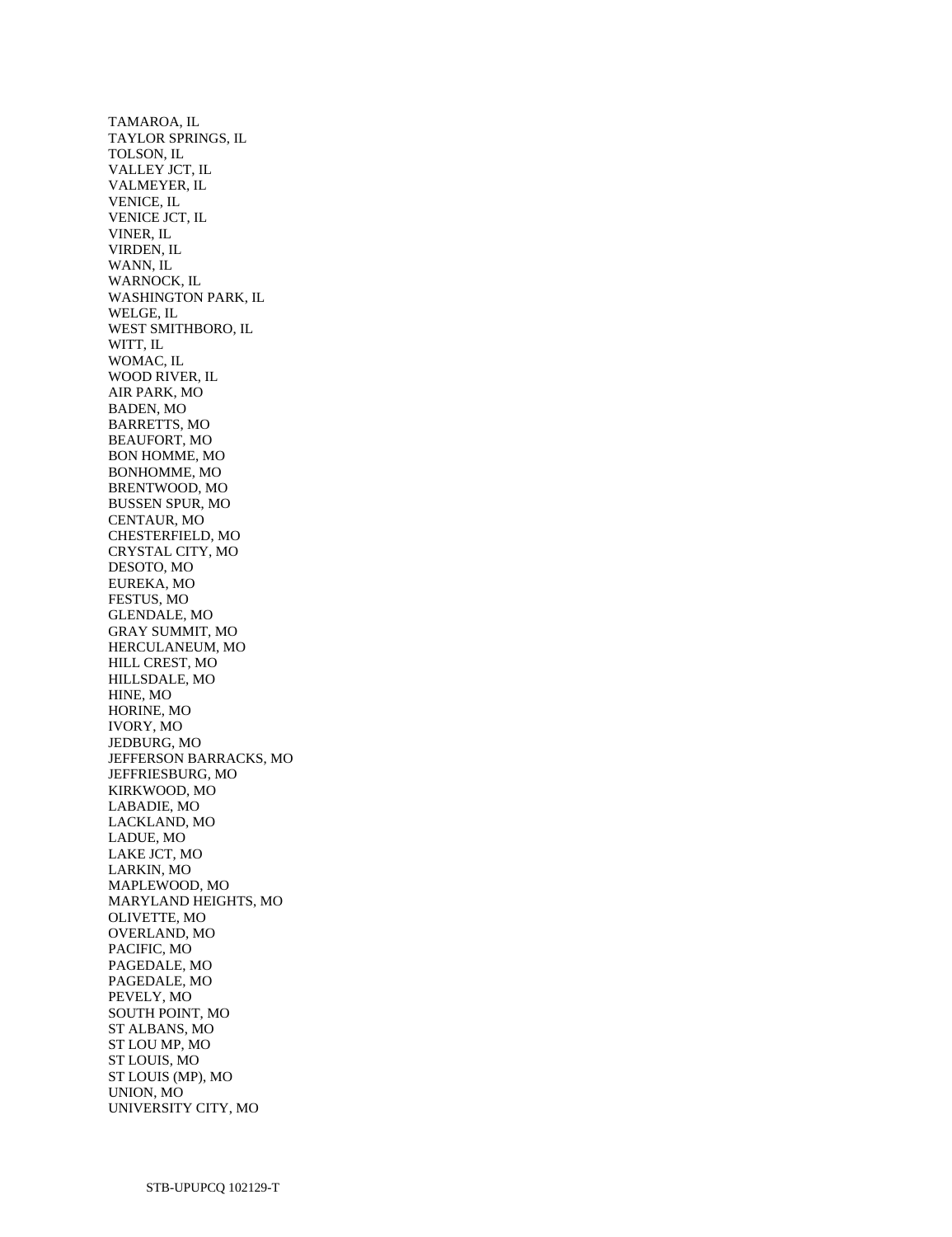TAMAROA, IL TAYLOR SPRINGS, IL TOLSON, IL VALLEY JCT, IL VALMEYER, IL VENICE, IL VENICE JCT, IL VINER, IL VIRDEN, IL WANN, IL WARNOCK, IL WASHINGTON PARK, IL WELGE, IL WEST SMITHBORO, IL WITT, IL WOMAC, IL WOOD RIVER, IL AIR PARK, MO BADEN, MO BARRETTS, MO BEAUFORT, MO BON HOMME, MO BONHOMME, MO BRENTWOOD, MO BUSSEN SPUR, MO CENTAUR, MO CHESTERFIELD, MO CRYSTAL CITY, MO DESOTO, MO EUREKA, MO FESTUS, MO GLENDALE, MO GRAY SUMMIT, MO HERCULANEUM, MO HILL CREST, MO HILLSDALE, MO HINE, MO HORINE, MO IVORY, MO JEDBURG, MO JEFFERSON BARRACKS, MO JEFFRIESBURG, MO KIRKWOOD, MO LABADIE, MO LACKLAND, MO LADUE, MO LAKE JCT, MO LARKIN, MO MAPLEWOOD, MO MARYLAND HEIGHTS, MO OLIVETTE, MO OVERLAND, MO PACIFIC, MO PAGEDALE, MO PAGEDALE, MO PEVELY, MO SOUTH POINT, MO ST ALBANS, MO ST LOU MP, MO ST LOUIS, MO ST LOUIS (MP), MO UNION, MO UNIVERSITY CITY, MO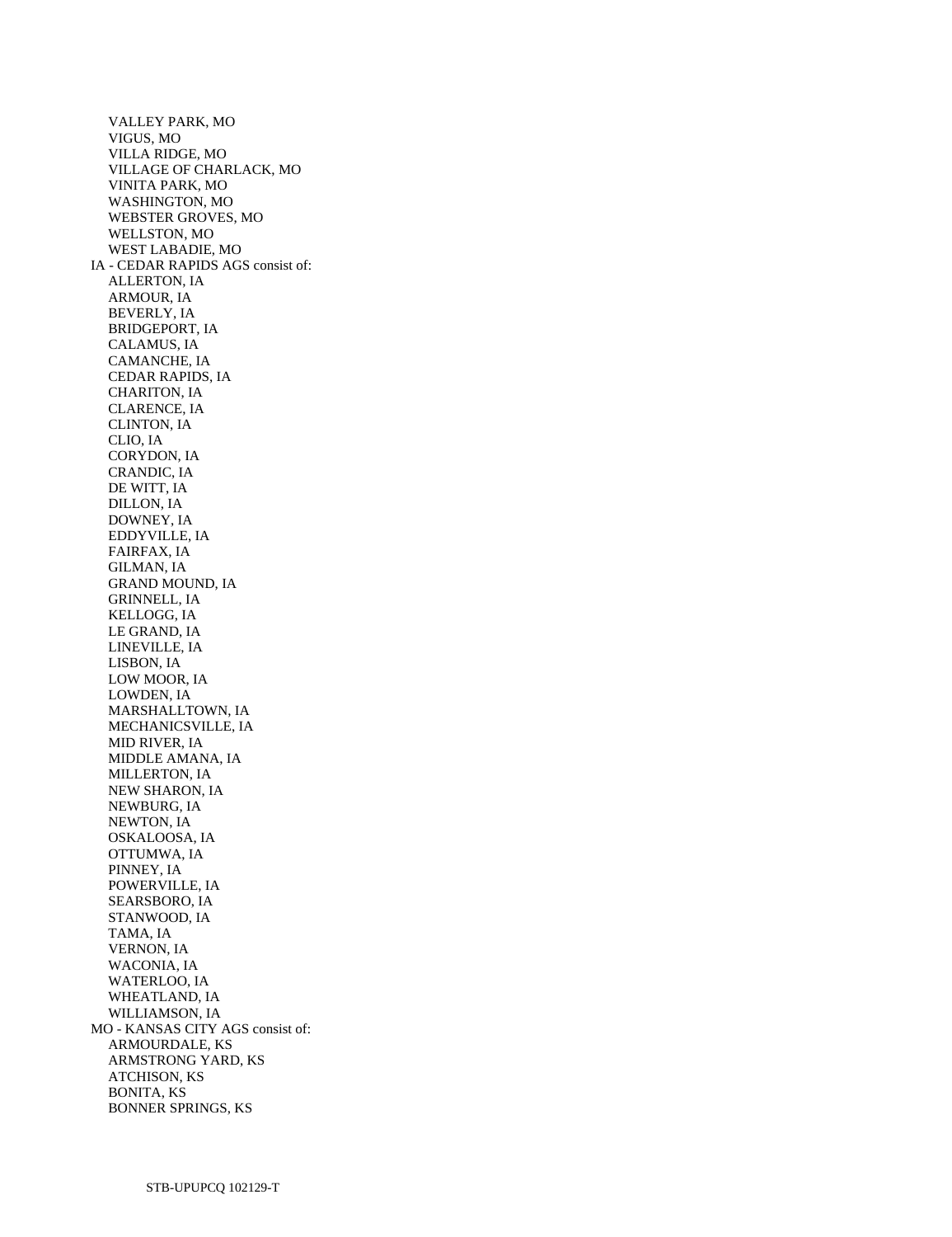VALLEY PARK, MO VIGUS, MO VILLA RIDGE, MO VILLAGE OF CHARLACK, MO VINITA PARK, MO WASHINGTON, MO WEBSTER GROVES, MO WELLSTON, MO WEST LABADIE, MO IA - CEDAR RAPIDS AGS consist of: ALLERTON, IA ARMOUR, IA BEVERLY, IA BRIDGEPORT, IA CALAMUS, IA CAMANCHE, IA CEDAR RAPIDS, IA CHARITON, IA CLARENCE, IA CLINTON, IA CLIO, IA CORYDON, IA CRANDIC, IA DE WITT, IA DILLON, IA DOWNEY, IA EDDYVILLE, IA FAIRFAX, IA GILMAN, IA GRAND MOUND, IA GRINNELL, IA KELLOGG, IA LE GRAND, IA LINEVILLE, IA LISBON, IA LOW MOOR, IA LOWDEN, IA MARSHALLTOWN, IA MECHANICSVILLE, IA MID RIVER, IA MIDDLE AMANA, IA MILLERTON, IA NEW SHARON, IA NEWBURG, IA NEWTON, IA OSKALOOSA, IA OTTUMWA, IA PINNEY, IA POWERVILLE, IA SEARSBORO, IA STANWOOD, IA TAMA, IA VERNON, IA WACONIA, IA WATERLOO, IA WHEATLAND, IA WILLIAMSON, IA MO - KANSAS CITY AGS consist of: ARMOURDALE, KS ARMSTRONG YARD, KS ATCHISON, KS BONITA, KS BONNER SPRINGS, KS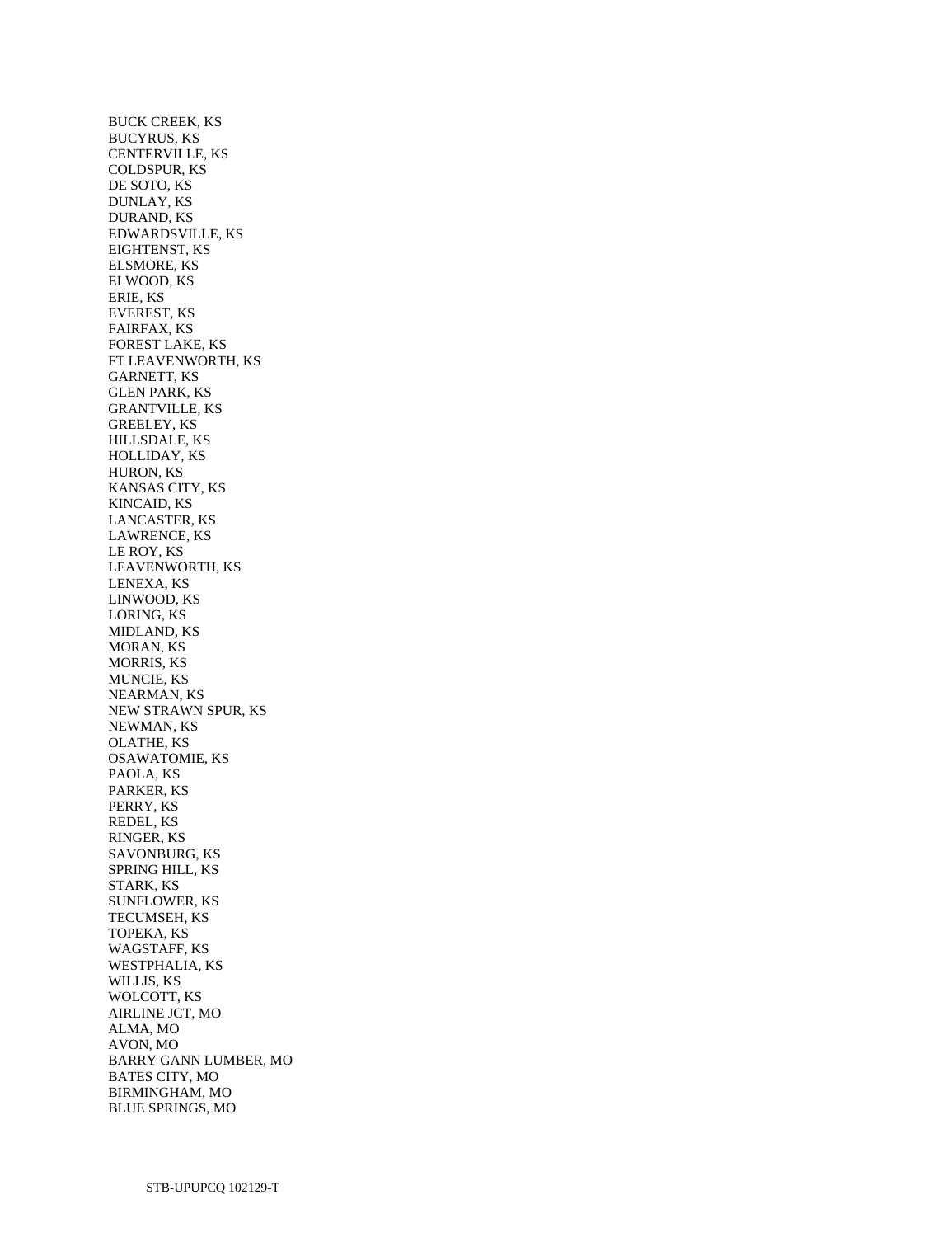BUCK CREEK, KS BUCYRUS, KS CENTERVILLE, KS COLDSPUR, KS DE SOTO, KS DUNLAY, KS DURAND, KS EDWARDSVILLE, KS EIGHTENST, KS ELSMORE, KS ELWOOD, KS ERIE, KS EVEREST, KS FAIRFAX, KS FOREST LAKE, KS FT LEAVENWORTH, KS GARNETT, KS GLEN PARK, KS GRANTVILLE, KS GREELEY, KS HILLSDALE, KS HOLLIDAY, KS HURON, KS KANSAS CITY, KS KINCAID, KS LANCASTER, KS LAWRENCE, KS LE ROY, KS LEAVENWORTH, KS LENEXA, KS LINWOOD, KS LORING, KS MIDLAND, KS MORAN, KS MORRIS, KS MUNCIE, KS NEARMAN, KS NEW STRAWN SPUR, KS NEWMAN, KS OLATHE, KS OSAWATOMIE, KS PAOLA, KS PARKER, KS PERRY, KS REDEL, KS RINGER, KS SAVONBURG, KS SPRING HILL, KS STARK, KS SUNFLOWER, KS TECUMSEH, KS TOPEKA, KS WAGSTAFF, KS WESTPHALIA, KS WILLIS, KS WOLCOTT, KS AIRLINE JCT, MO ALMA, MO AVON, MO BARRY GANN LUMBER, MO BATES CITY, MO BIRMINGHAM, MO BLUE SPRINGS, MO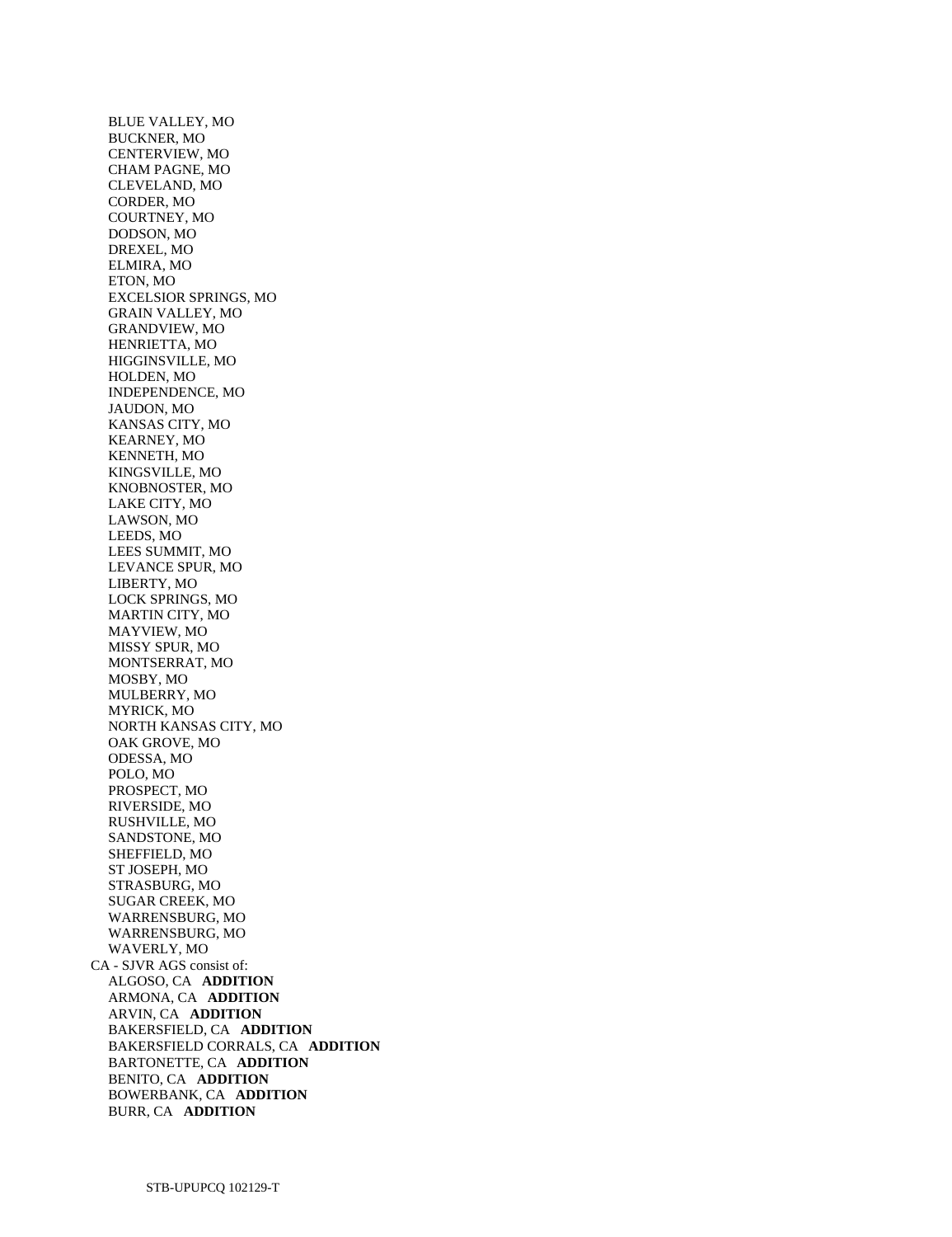BLUE VALLEY, MO BUCKNER, MO CENTERVIEW, MO CHAM PAGNE, MO CLEVELAND, MO CORDER, MO COURTNEY, MO DODSON, MO DREXEL, MO ELMIRA, MO ETON, MO EXCELSIOR SPRINGS, MO GRAIN VALLEY, MO GRANDVIEW, MO HENRIETTA, MO HIGGINSVILLE, MO HOLDEN, MO INDEPENDENCE, MO JAUDON, MO KANSAS CITY, MO KEARNEY, MO KENNETH, MO KINGSVILLE, MO KNOBNOSTER, MO LAKE CITY, MO LAWSON, MO LEEDS, MO LEES SUMMIT, MO LEVANCE SPUR, MO LIBERTY, MO LOCK SPRINGS, MO MARTIN CITY, MO MAYVIEW, MO MISSY SPUR, MO MONTSERRAT, MO MOSBY, MO MULBERRY, MO MYRICK, MO NORTH KANSAS CITY, MO OAK GROVE, MO ODESSA, MO POLO, MO PROSPECT, MO RIVERSIDE, MO RUSHVILLE, MO SANDSTONE, MO SHEFFIELD, MO ST JOSEPH, MO STRASBURG, MO SUGAR CREEK, MO WARRENSBURG, MO WARRENSBURG, MO WAVERLY, MO CA - SJVR AGS consist of: ALGOSO, CA **ADDITION**  ARMONA, CA **ADDITION**  ARVIN, CA **ADDITION**  BAKERSFIELD, CA **ADDITION**  BAKERSFIELD CORRALS, CA **ADDITION**  BARTONETTE, CA **ADDITION**  BENITO, CA **ADDITION**  BOWERBANK, CA **ADDITION**  BURR, CA **ADDITION**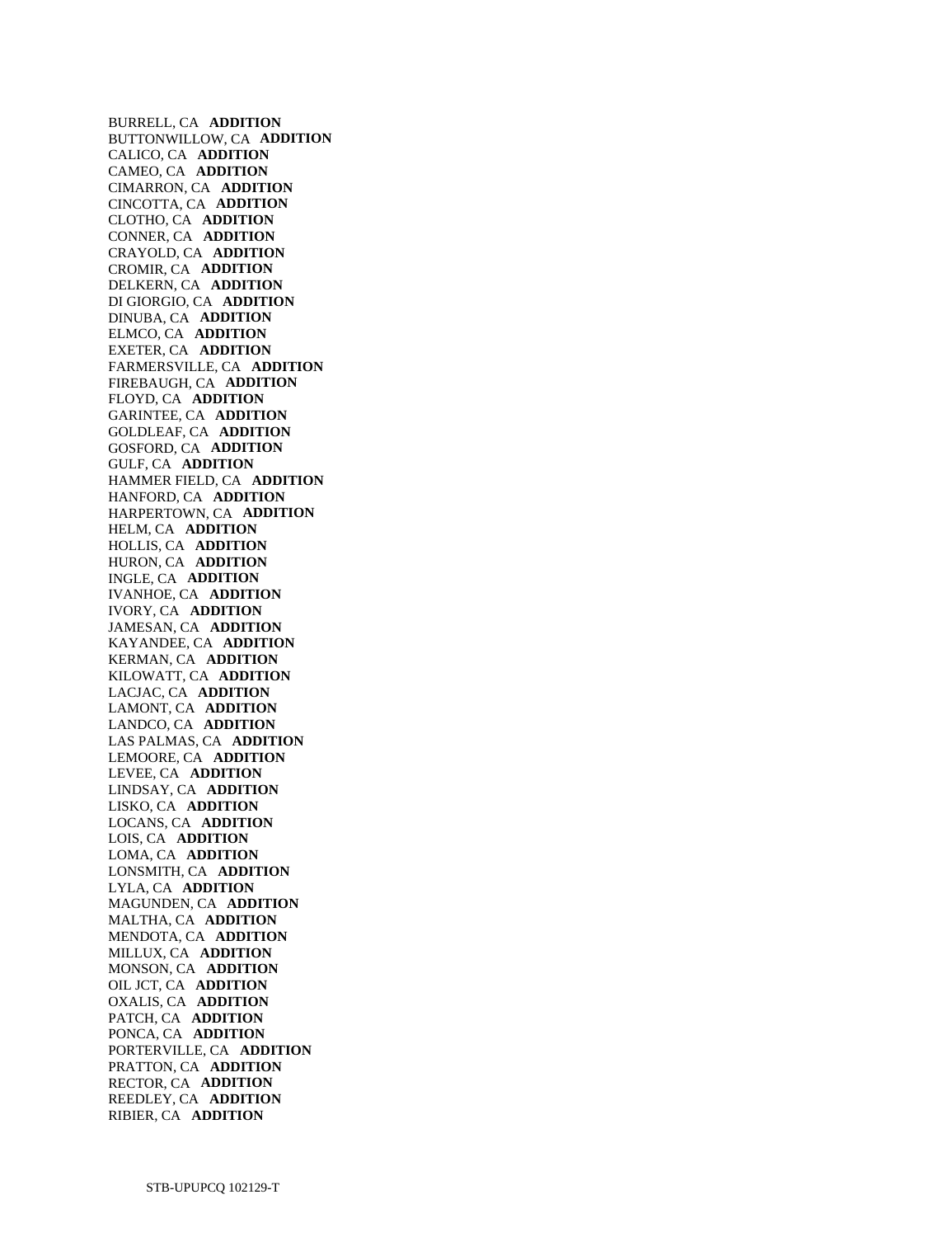BURRELL, CA **ADDITION**  BUTTONWILLOW, CA **ADDITION**  CALICO, CA **ADDITION**  CAMEO, CA **ADDITION**  CIMARRON, CA **ADDITION**  CINCOTTA, CA **ADDITION**  CLOTHO, CA **ADDITION**  CONNER, CA **ADDITION**  CRAYOLD, CA **ADDITION**  CROMIR, CA **ADDITION**  DELKERN, CA **ADDITION**  DI GIORGIO, CA **ADDITION**  DINUBA, CA **ADDITION**  ELMCO, CA **ADDITION**  EXETER, CA **ADDITION**  FARMERSVILLE, CA **ADDITION**  FIREBAUGH, CA **ADDITION**  FLOYD, CA **ADDITION**  GARINTEE, CA **ADDITION**  GOLDLEAF, CA **ADDITION**  GOSFORD, CA **ADDITION**  GULF, CA **ADDITION**  HAMMER FIELD, CA **ADDITION**  HANFORD, CA **ADDITION**  HARPERTOWN, CA **ADDITION**  HELM, CA **ADDITION**  HOLLIS, CA **ADDITION**  HURON, CA **ADDITION**  INGLE, CA **ADDITION**  IVANHOE, CA **ADDITION**  IVORY, CA **ADDITION**  JAMESAN, CA **ADDITION**  KAYANDEE, CA **ADDITION**  KERMAN, CA **ADDITION**  KILOWATT, CA **ADDITION**  LACJAC, CA **ADDITION**  LAMONT, CA **ADDITION**  LANDCO, CA **ADDITION**  LAS PALMAS, CA **ADDITION**  LEMOORE, CA **ADDITION**  LEVEE, CA **ADDITION**  LINDSAY, CA **ADDITION**  LISKO, CA **ADDITION**  LOCANS, CA **ADDITION**  LOIS, CA **ADDITION**  LOMA, CA **ADDITION**  LONSMITH, CA **ADDITION**  LYLA, CA **ADDITION**  MAGUNDEN, CA **ADDITION**  MALTHA, CA **ADDITION**  MENDOTA, CA **ADDITION**  MILLUX, CA **ADDITION**  MONSON, CA **ADDITION**  OIL JCT, CA **ADDITION**  OXALIS, CA **ADDITION**  PATCH, CA **ADDITION**  PONCA, CA **ADDITION**  PORTERVILLE, CA **ADDITION**  PRATTON, CA **ADDITION**  RECTOR, CA **ADDITION**  REEDLEY, CA **ADDITION**  RIBIER, CA **ADDITION**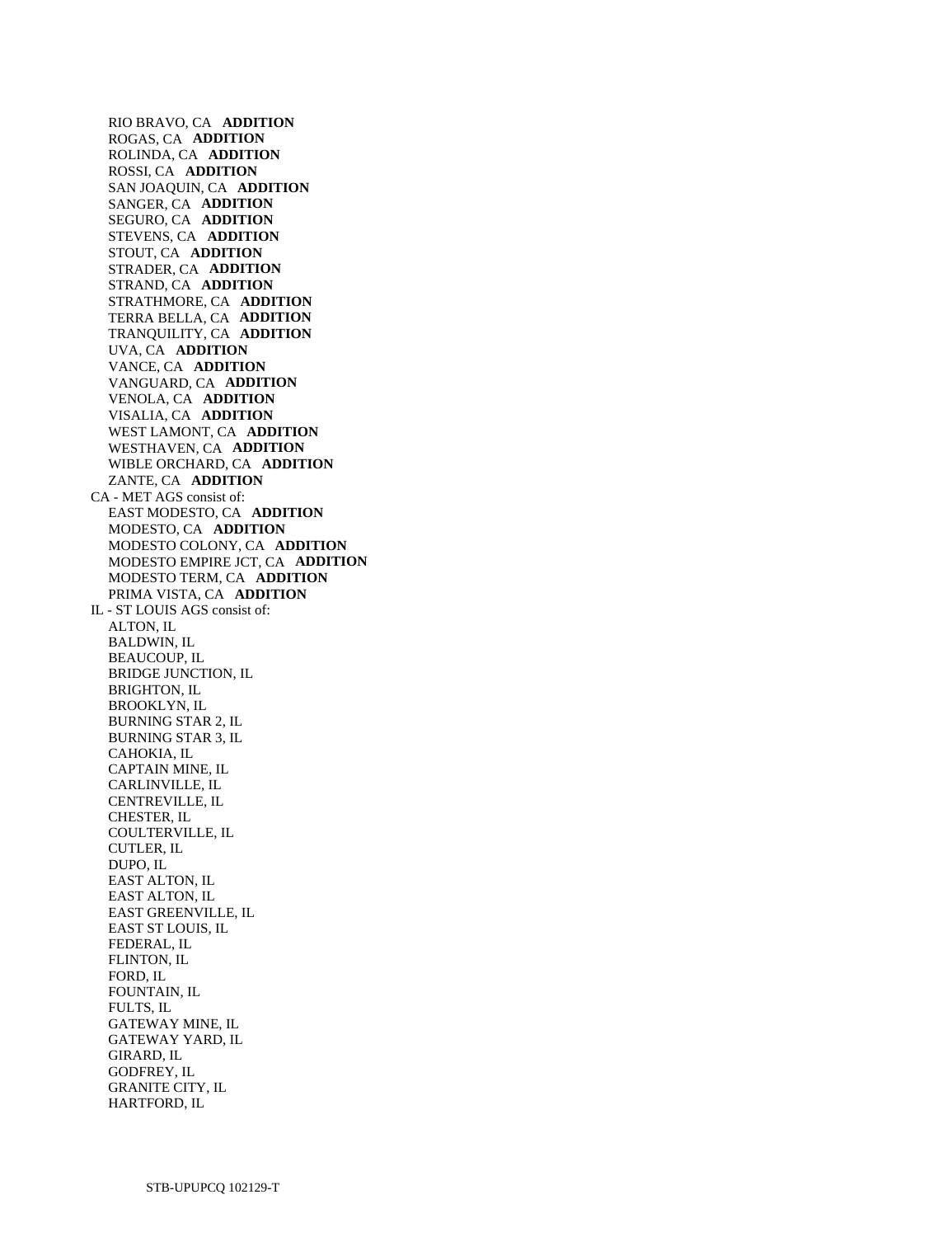RIO BRAVO, CA **ADDITION**  ROGAS, CA **ADDITION**  ROLINDA, CA **ADDITION**  ROSSI, CA **ADDITION**  SAN JOAQUIN, CA **ADDITION**  SANGER, CA **ADDITION**  SEGURO, CA **ADDITION**  STEVENS, CA **ADDITION**  STOUT, CA **ADDITION**  STRADER, CA **ADDITION**  STRAND, CA **ADDITION**  STRATHMORE, CA **ADDITION**  TERRA BELLA, CA **ADDITION**  TRANQUILITY, CA **ADDITION**  UVA, CA **ADDITION**  VANCE, CA **ADDITION**  VANGUARD, CA **ADDITION**  VENOLA, CA **ADDITION**  VISALIA, CA **ADDITION**  WEST LAMONT, CA **ADDITION**  WESTHAVEN, CA **ADDITION**  WIBLE ORCHARD, CA **ADDITION**  ZANTE, CA **ADDITION**  CA - MET AGS consist of: EAST MODESTO, CA **ADDITION**  MODESTO, CA **ADDITION**  MODESTO COLONY, CA **ADDITION**  MODESTO EMPIRE JCT, CA **ADDITION**  MODESTO TERM, CA **ADDITION**  PRIMA VISTA, CA **ADDITION**  IL - ST LOUIS AGS consist of: ALTON, IL BALDWIN, IL BEAUCOUP, IL BRIDGE JUNCTION, IL BRIGHTON, IL BROOKLYN, IL BURNING STAR 2, IL BURNING STAR 3, IL CAHOKIA, IL CAPTAIN MINE, IL CARLINVILLE, IL CENTREVILLE, IL CHESTER, IL COULTERVILLE, IL CUTLER, IL DUPO, IL EAST ALTON, IL EAST ALTON, IL EAST GREENVILLE, IL EAST ST LOUIS, IL FEDERAL, IL FLINTON, IL FORD, IL FOUNTAIN, IL FULTS, IL GATEWAY MINE, IL GATEWAY YARD, IL GIRARD, IL GODFREY, IL GRANITE CITY, IL

HARTFORD, IL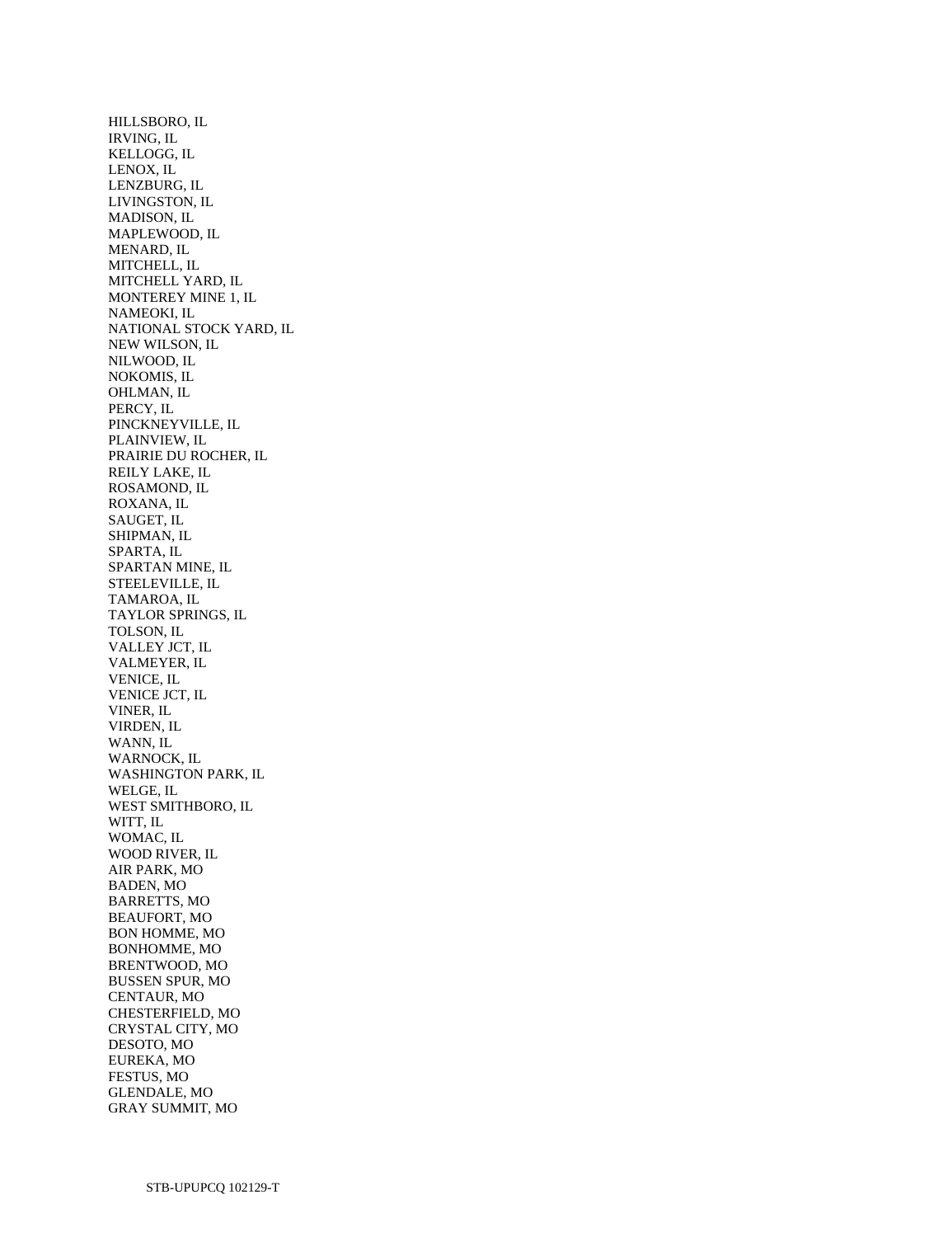HILLSBORO, IL IRVING, IL KELLOGG, IL LENOX, IL LENZBURG, IL LIVINGSTON, IL MADISON, IL MAPLEWOOD, IL MENARD, IL MITCHELL, IL MITCHELL YARD, IL MONTEREY MINE 1, IL NAMEOKI, IL NATIONAL STOCK YARD, IL NEW WILSON, IL NILWOOD, IL NOKOMIS, IL OHLMAN, IL PERCY, IL PINCKNEYVILLE, IL PLAINVIEW, IL PRAIRIE DU ROCHER, IL REILY LAKE, IL ROSAMOND, IL ROXANA, IL SAUGET, IL SHIPMAN, IL SPARTA, IL SPARTAN MINE, IL STEELEVILLE, IL TAMAROA, IL TAYLOR SPRINGS, IL TOLSON, IL VALLEY JCT, IL VALMEYER, IL VENICE, IL VENICE JCT, IL VINER, IL VIRDEN, IL WANN, IL WARNOCK, IL WASHINGTON PARK, IL WELGE, IL WEST SMITHBORO, IL WITT, IL WOMAC, IL WOOD RIVER, IL AIR PARK, MO BADEN, MO BARRETTS, MO BEAUFORT, MO BON HOMME, MO BONHOMME, MO BRENTWOOD, MO BUSSEN SPUR, MO CENTAUR, MO CHESTERFIELD, MO CRYSTAL CITY, MO DESOTO, MO EUREKA, MO FESTUS, MO GLENDALE, MO GRAY SUMMIT, MO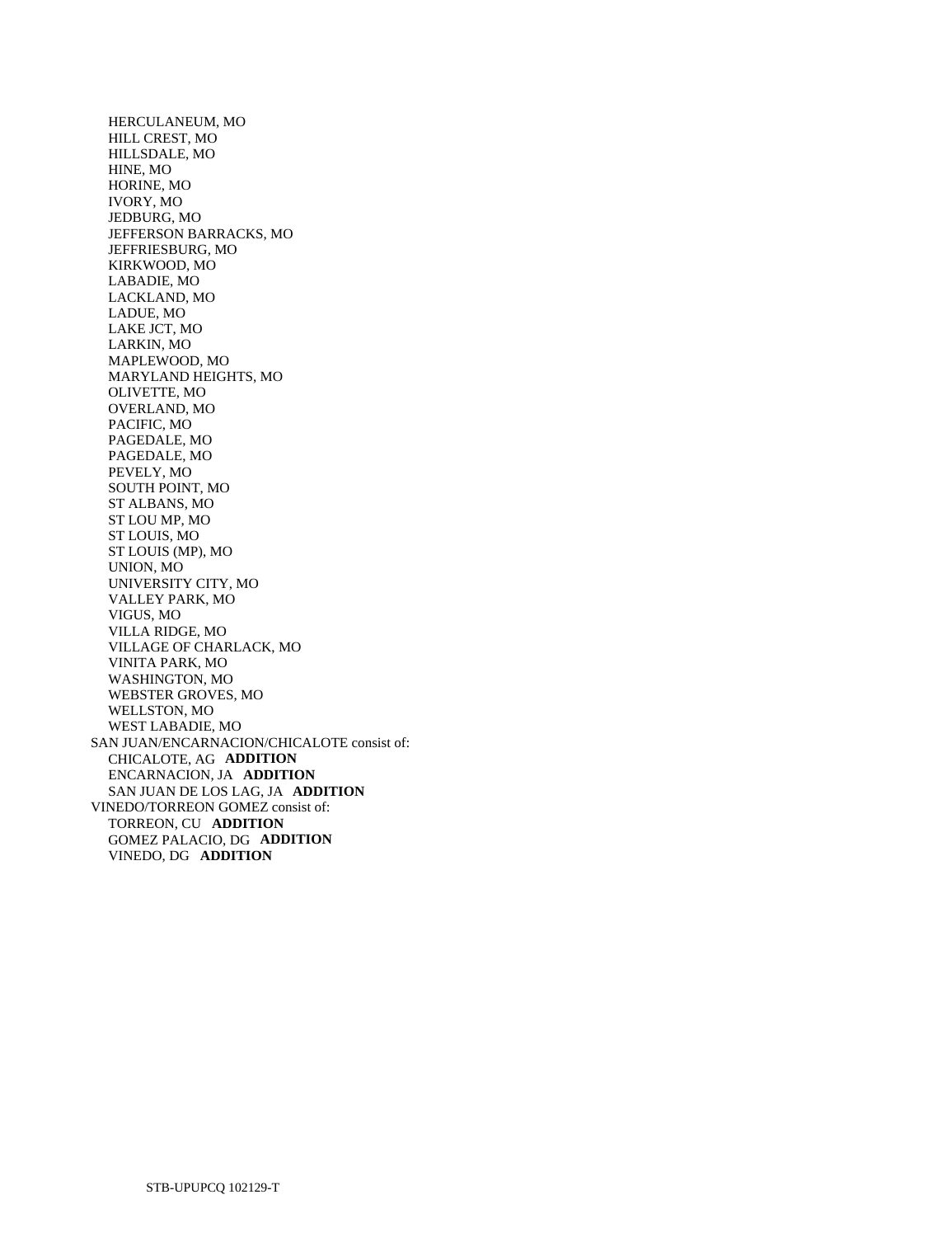HERCULANEUM, MO HILL CREST, MO HILLSDALE, MO HINE, MO HORINE, MO IVORY, MO JEDBURG, MO JEFFERSON BARRACKS, MO JEFFRIESBURG, MO KIRKWOOD, MO LABADIE, MO LACKLAND, MO LADUE, MO LAKE JCT, MO LARKIN, MO MAPLEWOOD, MO MARYLAND HEIGHTS, MO OLIVETTE, MO OVERLAND, MO PACIFIC, MO PAGEDALE, MO PAGEDALE, MO PEVELY, MO SOUTH POINT, MO ST ALBANS, MO ST LOU MP, MO ST LOUIS, MO ST LOUIS (MP), MO UNION, MO UNIVERSITY CITY, MO VALLEY PARK, MO VIGUS, MO VILLA RIDGE, MO VILLAGE OF CHARLACK, MO VINITA PARK, MO WASHINGTON, MO WEBSTER GROVES, MO WELLSTON, MO WEST LABADIE, MO SAN JUAN/ENCARNACION/CHICALOTE consist of: CHICALOTE, AG **ADDITION**  ENCARNACION, JA **ADDITION**  SAN JUAN DE LOS LAG, JA **ADDITION**  VINEDO/TORREON GOMEZ consist of: TORREON, CU **ADDITION**  GOMEZ PALACIO, DG **ADDITION**  VINEDO, DG **ADDITION**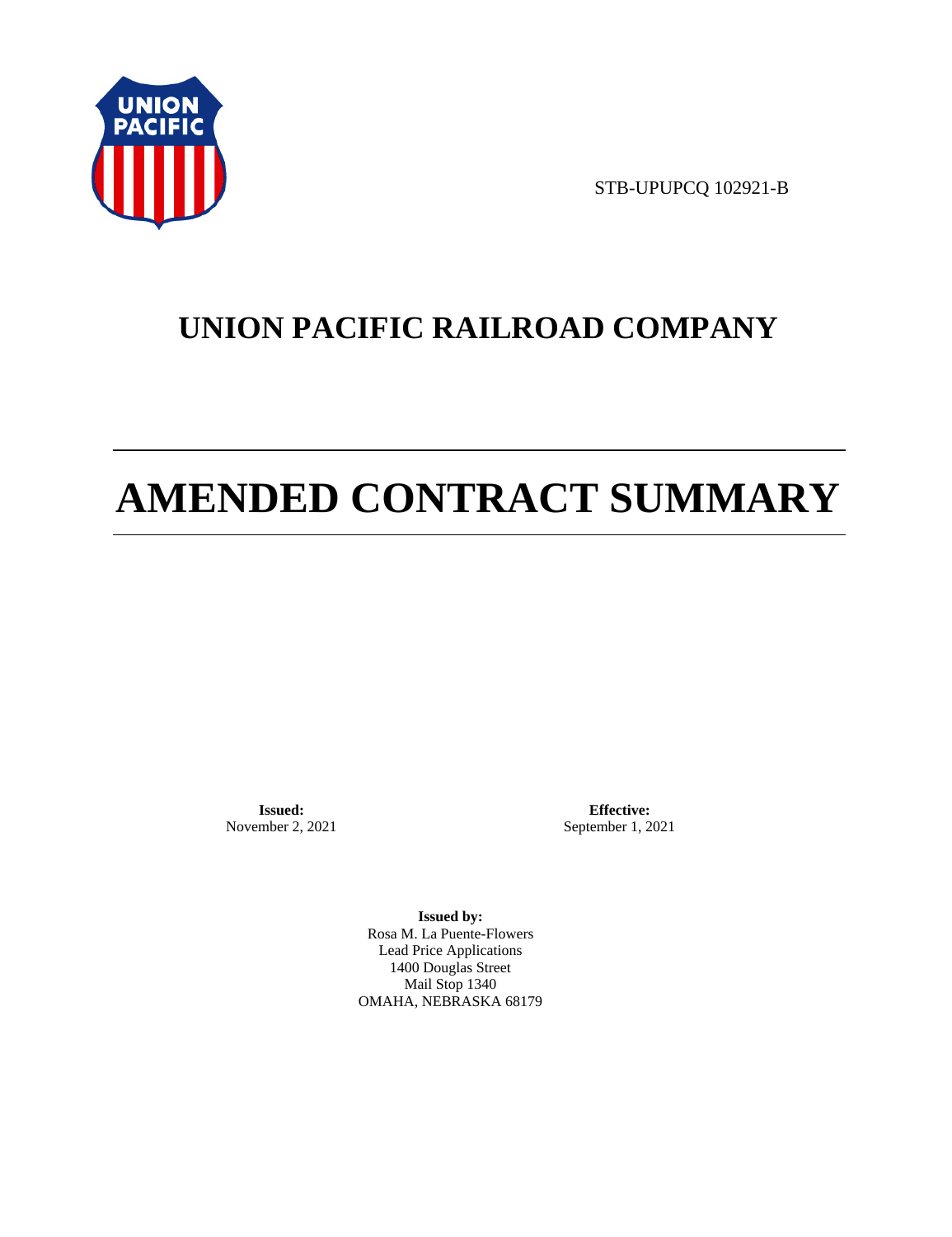

STB-UPUPCQ 102921-B

# **UNION PACIFIC RAILROAD COMPANY**

# **AMENDED CONTRACT SUMMARY**

**Issued:**  November 2, 2021

**Effective:** September 1, 2021

**Issued by:**  Rosa M. La Puente-Flowers Lead Price Applications 1400 Douglas Street Mail Stop 1340 OMAHA, NEBRASKA 68179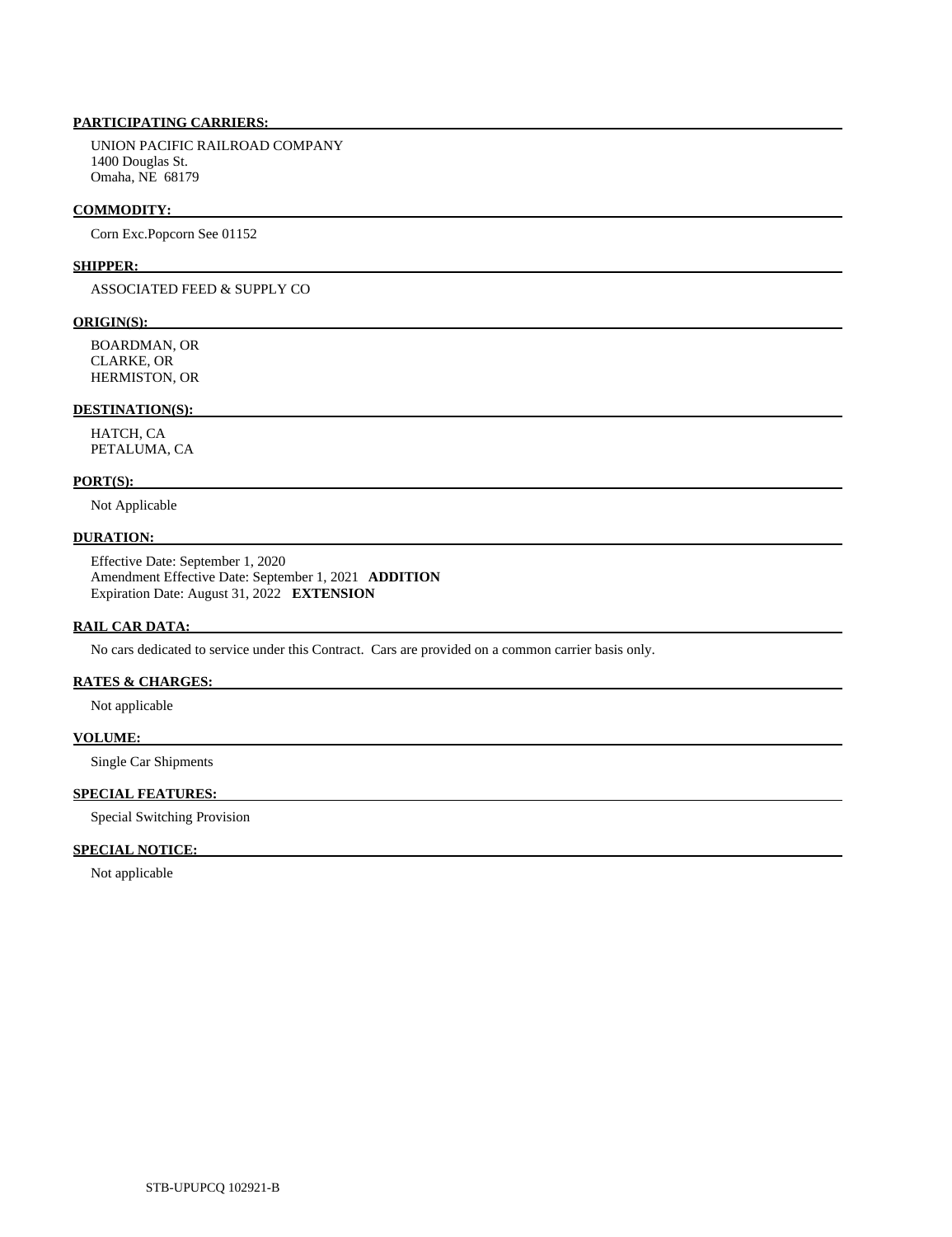# **PARTICIPATING CARRIERS:**

 UNION PACIFIC RAILROAD COMPANY 1400 Douglas St. Omaha, NE 68179

#### **COMMODITY:**

Corn Exc.Popcorn See 01152

#### **SHIPPER:**

ASSOCIATED FEED & SUPPLY CO

# **ORIGIN(S):**

 BOARDMAN, OR CLARKE, OR HERMISTON, OR

# **DESTINATION(S):**

 HATCH, CA PETALUMA, CA

#### **PORT(S):**

Not Applicable

# **DURATION:**

 Effective Date: September 1, 2020 Amendment Effective Date: September 1, 2021 **ADDITION**  Expiration Date: August 31, 2022 **EXTENSION** 

#### **RAIL CAR DATA:**

No cars dedicated to service under this Contract. Cars are provided on a common carrier basis only.

# **RATES & CHARGES:**

Not applicable

## **VOLUME:**

Single Car Shipments

# **SPECIAL FEATURES:**

Special Switching Provision

# **SPECIAL NOTICE:**

Not applicable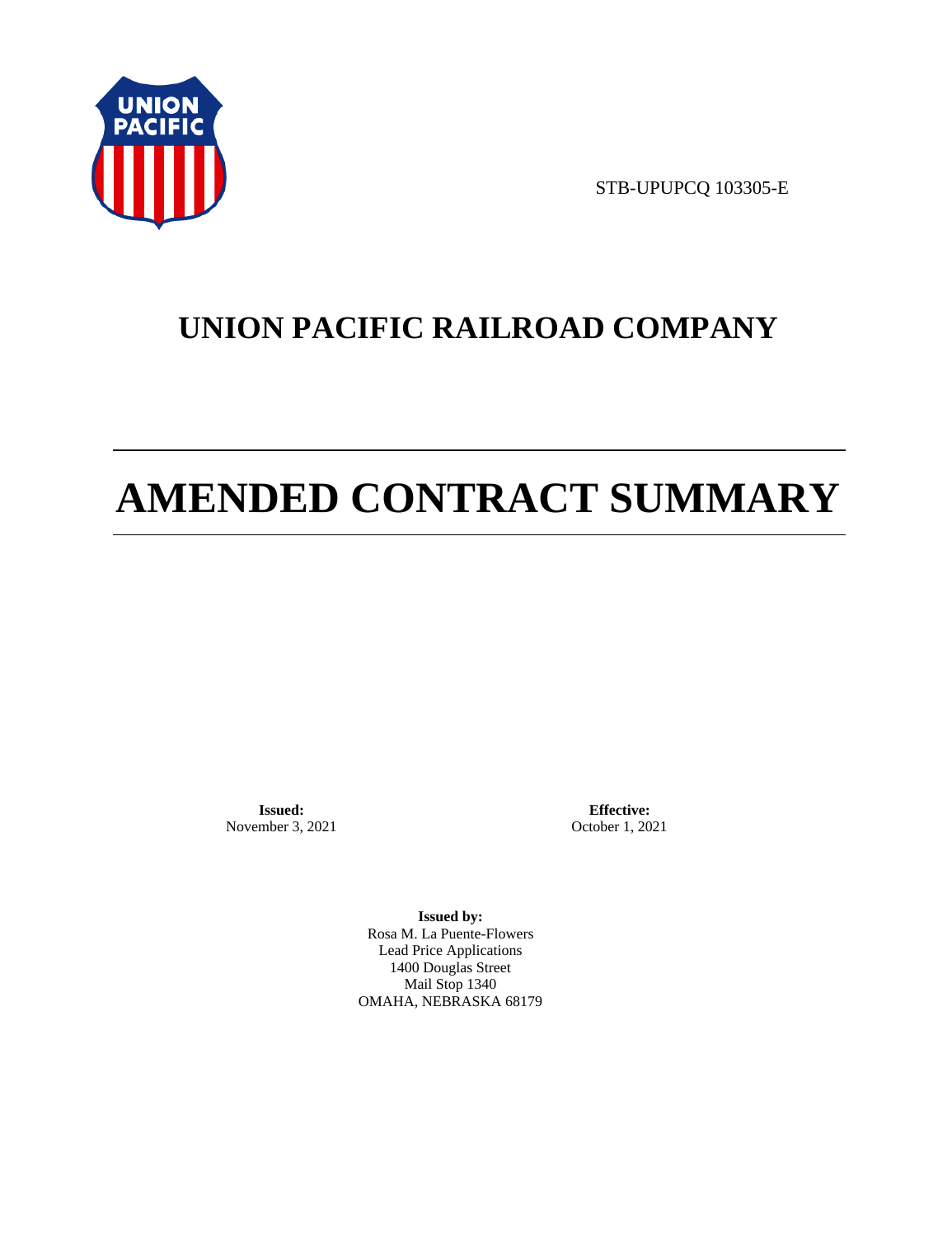

STB-UPUPCQ 103305-E

# **UNION PACIFIC RAILROAD COMPANY**

# **AMENDED CONTRACT SUMMARY**

**Issued:**  November 3, 2021

**Effective:** October 1, 2021

**Issued by:**  Rosa M. La Puente-Flowers Lead Price Applications 1400 Douglas Street Mail Stop 1340 OMAHA, NEBRASKA 68179